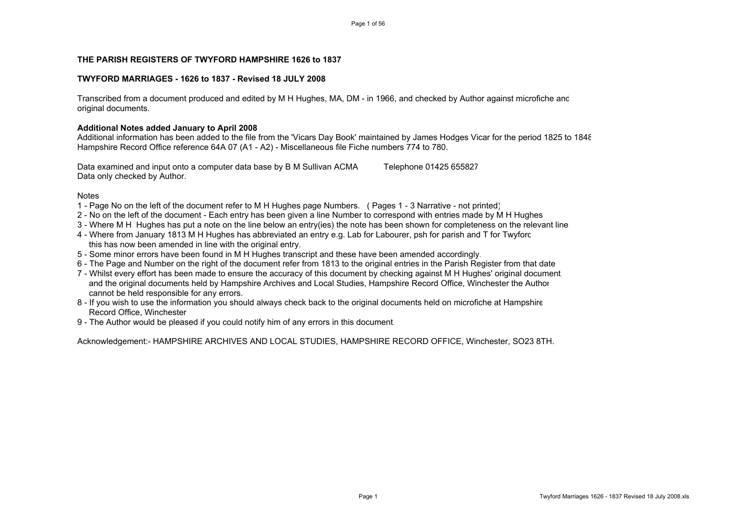## **THE PARISH REGISTERS OF TWYFORD HAMPSHIRE 1626 to 1837**

# **TWYFORD MARRIAGES - 1626 to 1837 - Revised 18 JULY 2008**

Transcribed from a document produced and edited by M H Hughes, MA, DM - in 1966, and checked by Author against microfiche and original documents.

### **Additional Notes added January to April 2008**

Additional information has been added to the file from the 'Vicars Day Book' maintained by James Hodges Vicar for the period 1825 to 1848 Hampshire Record Office reference 64A 07 (A1 - A2) - Miscellaneous file Fiche numbers 774 to 780.

Data examined and input onto a computer data base by B M Sullivan ACMA Telephone 01425 655827 Data only checked by Author.

### **Notes**

- 1 Page No on the left of the document refer to M H Hughes page Numbers. ( Pages 1 3 Narrative not printed)
- 2 No on the left of the document Each entry has been given a line Number to correspond with entries made by M H Hughes
- 3 Where M H Hughes has put a note on the line below an entry(ies) the note has been shown for completeness on the relevant line
- 4 Where from January 1813 M H Hughes has abbreviated an entry e.g. Lab for Labourer, psh for parish and T for Twyford this has now been amended in line with the original entry.
- 5 Some minor errors have been found in M H Hughes transcript and these have been amended accordingly.
- 6 The Page and Number on the right of the document refer from 1813 to the original entries in the Parish Register from that date
- 7 Whilst every effort has been made to ensure the accuracy of this document by checking against M H Hughes' original document, and the original documents held by Hampshire Archives and Local Studies, Hampshire Record Office, Winchester the Author cannot be held responsible for any errors.
- 8 If you wish to use the information you should always check back to the original documents held on microfiche at Hampshire Record Office, Winchester
- 9 The Author would be pleased if you could notify him of any errors in this document.

Acknowledgement:- HAMPSHIRE ARCHIVES AND LOCAL STUDIES, HAMPSHIRE RECORD OFFICE, Winchester, SO23 8TH.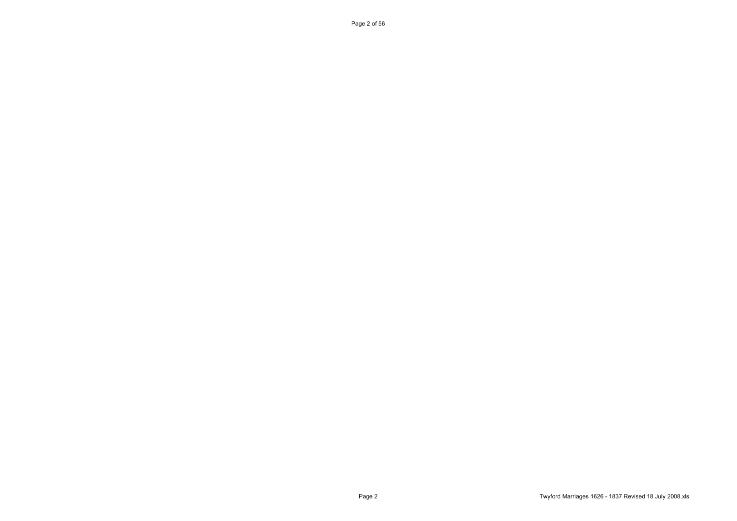Page 2 of 56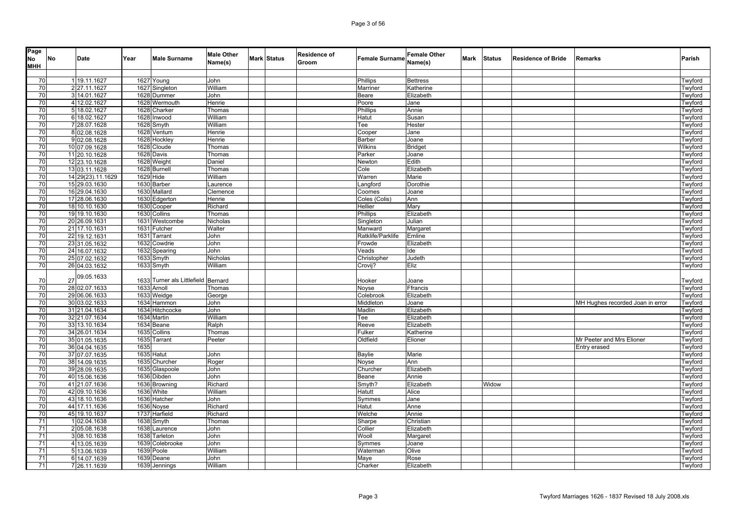#### Page 3 of 56

| Page<br>No<br>Імнн | No | Date                           | Year | <b>Male Surname</b>                 | <b>Male Other</b><br>Name(s) | <b>Mark Status</b> | Residence of<br>Groom | <b>Female Surname</b> | <b>Female Other</b><br>Name(s) | Mark | <b>Status</b> | <b>Residence of Bride</b> | Remarks                          | Parish             |
|--------------------|----|--------------------------------|------|-------------------------------------|------------------------------|--------------------|-----------------------|-----------------------|--------------------------------|------|---------------|---------------------------|----------------------------------|--------------------|
|                    |    |                                |      |                                     |                              |                    |                       |                       |                                |      |               |                           |                                  |                    |
| 70                 |    | 1 19.11.1627                   |      | 1627 Young                          | John                         |                    |                       | Phillips              | <b>Bettress</b>                |      |               |                           |                                  | Twyford            |
| 70                 |    | 2 27.11.1627                   |      | 1627 Singleton                      | William                      |                    |                       | Marriner              | Katherine                      |      |               |                           |                                  | Twyford            |
| 70                 |    | 3 14.01.1627                   |      | 1628 Dummer                         | John                         |                    |                       | Beare                 | Elizabeth                      |      |               |                           |                                  | Twyford            |
| 70                 |    | 4 12.02.1627                   |      | 1628 Wermouth                       | Henrie                       |                    |                       | Poore                 | Jane                           |      |               |                           |                                  | Twyford            |
| 70                 |    | 5 18.02.1627                   |      | 1628 Charker                        | Thomas                       |                    |                       | Phillips              | Annie                          |      |               |                           |                                  | Twyford            |
| 70                 |    | 6 18.02.1627                   |      | 1628 Inwood                         | William                      |                    |                       | Hatut                 | Susan                          |      |               |                           |                                  | Twyford            |
| 70                 |    | 7 28.07.1628                   |      | 1628 Smyth                          | William                      |                    |                       | Tee                   | Hester                         |      |               |                           |                                  | Twyford            |
| 70                 |    | 8 02.08.1628                   |      | 1628 Ventum                         | Henrie                       |                    |                       | Cooper                | Jane                           |      |               |                           |                                  | Twyford            |
| 70<br>70           |    | 9 02.08.1628                   |      | 1628 Hockley<br>1628 Cloude         | Henrie                       |                    |                       | Barber                | Joane                          |      |               |                           |                                  | Twyford            |
| 70                 |    | 10 07.09.1628<br>11 20.10.1628 |      | 1628 Davis                          | Thomas<br>Thomas             |                    |                       | Wilkins<br>Parker     | <b>Bridget</b><br>Joane        |      |               |                           |                                  | Twyford<br>Twyford |
| 70                 |    | 12 23.10.1628                  |      | 1628 Weight                         | Daniel                       |                    |                       | Newton                | Edith                          |      |               |                           |                                  | Twyford            |
| 70                 |    | 13 03.11.1628                  |      | 1628 Burnell                        | Thomas                       |                    |                       | Cole                  | Elizabeth                      |      |               |                           |                                  | Twyford            |
| 70                 |    | 14 29 (23) 11.1629             |      | 1629 Hide                           | William                      |                    |                       | Warren                | Marie                          |      |               |                           |                                  | Twyford            |
| 70                 |    | 15 29.03.1630                  |      | 1630 Barber                         | Laurence                     |                    |                       | Langford              | Dorothie                       |      |               |                           |                                  | Twyford            |
| 70                 |    | 16 29.04.1630                  |      | 1630 Mallard                        | Clemence                     |                    |                       | Coomes                | Joane                          |      |               |                           |                                  | Twyford            |
| 70                 |    | 17 28.06.1630                  |      | 1630 Edgerton                       | Henrie                       |                    |                       | Coles (Colis)         | Ann                            |      |               |                           |                                  | Twyford            |
| 70                 |    | 18 10.10.1630                  |      | 1630 Cooper                         | Richard                      |                    |                       | Hellier               | Mary                           |      |               |                           |                                  | Twyford            |
| 70                 |    | 19 19.10.1630                  |      | 1630 Collins                        | Thomas                       |                    |                       | Phillips              | Elizabeth                      |      |               |                           |                                  | Twyford            |
| 70                 |    | 20 26.09.1631                  |      | 1631 Westcombe                      | Nicholas                     |                    |                       | Singleton             | Julian                         |      |               |                           |                                  | Twyford            |
| 70                 |    | 21 17.10.1631                  |      | 1631 Futcher                        | Walter                       |                    |                       | Manward               | Margaret                       |      |               |                           |                                  | Twyford            |
| 70                 |    | 22 19.12.1631                  |      | 1631 Tarrant                        | John                         |                    |                       | Ratklife/Parklife     | Emline                         |      |               |                           |                                  | Twyford            |
| 70                 |    | 23 31.05.1632                  |      | 1632 Cowdrie                        | John                         |                    |                       | Frowde                | Elizabeth                      |      |               |                           |                                  | Twyford            |
| 70                 |    | 24 16.07.1632                  |      | 1632 Spearing                       | John                         |                    |                       | Veads                 | Ide                            |      |               |                           |                                  | Twyford            |
| 70                 |    | 25 07.02.1632                  |      | 1633 Smyth                          | Nicholas                     |                    |                       | Christopher           | Judeth                         |      |               |                           |                                  | Twyford            |
| 70                 |    | 26 04.03.1632                  |      | 1633 Smyth                          | William                      |                    |                       | Crovij?               | Eliz                           |      |               |                           |                                  | Twyford            |
|                    |    | 09.05.1633                     |      |                                     |                              |                    |                       |                       |                                |      |               |                           |                                  |                    |
| 70                 | 27 |                                |      | 1633 Turner als Littlefield Bernard |                              |                    |                       | Hooker                | Joane                          |      |               |                           |                                  | Twyford            |
| 70                 |    | 28 02.07.1633                  |      | 1633 Arnoll                         | Thomas                       |                    |                       | Noyse                 | Ffrancis                       |      |               |                           |                                  | Twyford            |
| 70                 |    | 29 06.06.1633                  |      | 1633 Weidge                         | George                       |                    |                       | Colebrook             | Elizabeth                      |      |               |                           |                                  | Twyford            |
| 70                 |    | 30 03.02.1633                  |      | 1634 Hammon                         | John                         |                    |                       | Middleton             | Joane                          |      |               |                           | MH Hughes recorded Joan in error | Twyford            |
| 70                 |    | 31 21.04.1634                  |      | 1634 Hitchcocke                     | John                         |                    |                       | Madlin                | Elizabeth                      |      |               |                           |                                  | Twyford            |
| 70                 |    | 32 21.07.1634                  |      | 1634 Martin                         | William                      |                    |                       | Tee                   | Elizabeth                      |      |               |                           |                                  | Twyford            |
| 70                 |    | 33 13.10.1634                  |      | 1634 Beane                          | Ralph                        |                    |                       | Reeve                 | Elizabeth                      |      |               |                           |                                  | Twyford            |
| 70                 |    | 34 26.01.1634                  |      | 1635 Collins                        | Thomas                       |                    |                       | Fulker                | Katherine                      |      |               |                           |                                  | Twyford            |
| 70                 |    | 35 01.05.1635                  |      | 1635 Tarrant                        | Peeter                       |                    |                       | Oldfield              | Elioner                        |      |               |                           | Mr Peeter and Mrs Elioner        | Twyford            |
| 70                 |    | 36 04.04.1635                  | 1635 |                                     |                              |                    |                       |                       |                                |      |               |                           | Entry erased                     | Twyford            |
| 70                 |    | 37 07.07.1635                  |      | 1635 Hatut                          | John                         |                    |                       | Baylie                | Marie                          |      |               |                           |                                  | Twyford            |
| 70                 |    | 38 14.09.1635                  |      | 1635 Churcher                       | Roger                        |                    |                       | Noyse                 | Ann                            |      |               |                           |                                  | Twyford            |
| 70                 |    | 39 28.09.1635                  |      | 1635 Glaspoole                      | John                         |                    |                       | Churcher              | Elizabeth                      |      |               |                           |                                  | Twyford            |
| 70                 |    | 40 15.06.1636                  |      | 1636 Dibden                         | John                         |                    |                       | Beane                 | Annie                          |      |               |                           |                                  | Twyford            |
| 70<br>70           |    | 41 21.07.1636                  |      | 1636 Browning<br>1636 White         | Richard<br>William           |                    |                       | Smyth?<br>Hatutt      | Elizabeth<br>Alice             |      | Widow         |                           |                                  | Twyford            |
| 70                 |    | 42 09.10.1636                  |      |                                     |                              |                    |                       |                       |                                |      |               |                           |                                  | Twyford            |
| 70                 |    | 43 18.10.1636<br>44 17.11.1636 |      | 1636 Hatcher<br>1636 Noyse          | John                         |                    |                       | Symmes                | Jane                           |      |               |                           |                                  | Twyford            |
| 70                 |    | 45 19.10.1637                  |      | 1737 Harfield                       | Richard<br>Richard           |                    |                       | Hatut<br>Welche       | Anne<br>Annie                  |      |               |                           |                                  | Twyford<br>Twyford |
| 71                 |    | 1 02.04.1638                   |      | 1638 Smyth                          | Thomas                       |                    |                       | Sharpe                | Christian                      |      |               |                           |                                  | Twyford            |
| 71                 |    | 2 05.08.1638                   |      | 1638 Laurence                       | John                         |                    |                       | Collier               | Elizabeth                      |      |               |                           |                                  | Twyford            |
| $\overline{71}$    |    | 3 08.10.1638                   |      | 1638 Tarleton                       | John                         |                    |                       | Wooll                 | Margaret                       |      |               |                           |                                  | Twyford            |
| $\overline{71}$    |    | 4 13.05.1639                   |      | 1639 Colebrooke                     | John                         |                    |                       | Symmes                | Joane                          |      |               |                           |                                  | Twyford            |
| 71                 |    | 5 13.06.1639                   |      | 1639 Poole                          | William                      |                    |                       | Waterman              | Olive                          |      |               |                           |                                  | Twyford            |
| 71                 |    | 6 14.07.1639                   |      | 1639 Deane                          | John                         |                    |                       | Maye                  | Rose                           |      |               |                           |                                  | Twyford            |
| 71                 |    | 7 26.11.1639                   |      | 1639 Jennings                       | William                      |                    |                       | Charker               | Elizabeth                      |      |               |                           |                                  | Twyford            |
|                    |    |                                |      |                                     |                              |                    |                       |                       |                                |      |               |                           |                                  |                    |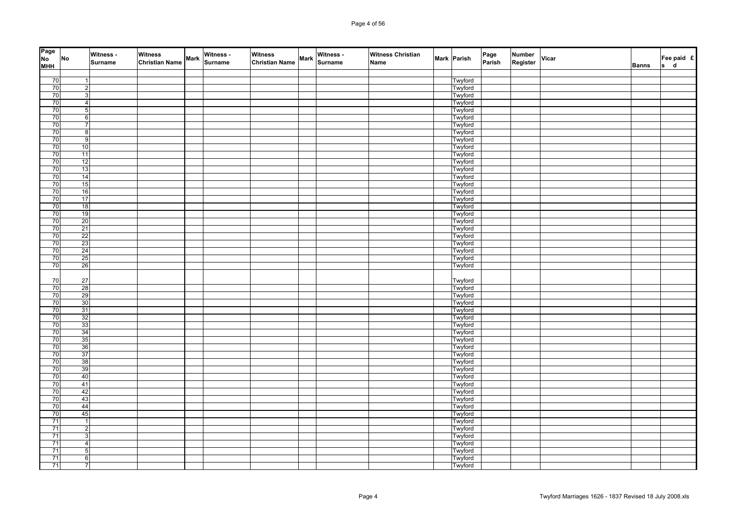#### Page 4 of 56

| Page<br>No<br>МНН | No                   | Witness -<br><b>Surname</b> | <b>Witness</b><br><b>Christian Name</b> | <b>Mark</b> | Witness -<br><b>Surname</b> | <b>Witness</b><br><b>Christian Name</b> | <b>Mark</b> | Witness -<br><b>Surname</b> | <b>Witness Christian</b><br>Name | Mark Parish        | Page<br>Parish | <b>Number</b><br>Register | Vicar | <b>Banns</b> | Fee paid £<br>d<br>s. |
|-------------------|----------------------|-----------------------------|-----------------------------------------|-------------|-----------------------------|-----------------------------------------|-------------|-----------------------------|----------------------------------|--------------------|----------------|---------------------------|-------|--------------|-----------------------|
|                   |                      |                             |                                         |             |                             |                                         |             |                             |                                  |                    |                |                           |       |              |                       |
| 70                |                      |                             |                                         |             |                             |                                         |             |                             |                                  | Twyford            |                |                           |       |              |                       |
| 70                | $2 \vert$            |                             |                                         |             |                             |                                         |             |                             |                                  | Twyford            |                |                           |       |              |                       |
| 70                | 3 <sup>1</sup>       |                             |                                         |             |                             |                                         |             |                             |                                  | Twyford            |                |                           |       |              |                       |
| 70                | $\overline{4}$       |                             |                                         |             |                             |                                         |             |                             |                                  | Twyford            |                |                           |       |              |                       |
| 70                | 5 <sub>5</sub>       |                             |                                         |             |                             |                                         |             |                             |                                  | Twyford            |                |                           |       |              |                       |
| 70                | $\overline{6}$       |                             |                                         |             |                             |                                         |             |                             |                                  | Twyford            |                |                           |       |              |                       |
| 70                | $\overline{7}$       |                             |                                         |             |                             |                                         |             |                             |                                  | Twyford            |                |                           |       |              |                       |
| 70                | ತ                    |                             |                                         |             |                             |                                         |             |                             |                                  | Twyford            |                |                           |       |              |                       |
| 70<br>70          | မ                    |                             |                                         |             |                             |                                         |             |                             |                                  | Twyford            |                |                           |       |              |                       |
| 70                | 10                   |                             |                                         |             |                             |                                         |             |                             |                                  | Twyford            |                |                           |       |              |                       |
| 70                | 11                   |                             |                                         |             |                             |                                         |             |                             |                                  | Twyford            |                |                           |       |              |                       |
| 70                | 12<br>13             |                             |                                         |             |                             |                                         |             |                             |                                  | Twyford<br>Twyford |                |                           |       |              |                       |
| 70                | 14                   |                             |                                         |             |                             |                                         |             |                             |                                  |                    |                |                           |       |              |                       |
| 70                | 15                   |                             |                                         |             |                             |                                         |             |                             |                                  | Twyford<br>Twyford |                |                           |       |              |                       |
| 70                | 16                   |                             |                                         |             |                             |                                         |             |                             |                                  | Twyford            |                |                           |       |              |                       |
| 70                | 17                   |                             |                                         |             |                             |                                         |             |                             |                                  | Twyford            |                |                           |       |              |                       |
| 70                | 18                   |                             |                                         |             |                             |                                         |             |                             |                                  | Twyford            |                |                           |       |              |                       |
| 70                | 19                   |                             |                                         |             |                             |                                         |             |                             |                                  | Twyford            |                |                           |       |              |                       |
| 70                | 20                   |                             |                                         |             |                             |                                         |             |                             |                                  | Twyford            |                |                           |       |              |                       |
| 70                | 21                   |                             |                                         |             |                             |                                         |             |                             |                                  | Twyford            |                |                           |       |              |                       |
| 70                | 22                   |                             |                                         |             |                             |                                         |             |                             |                                  | Twyford            |                |                           |       |              |                       |
| 70                | 23                   |                             |                                         |             |                             |                                         |             |                             |                                  | Twyford            |                |                           |       |              |                       |
| 70                | 24                   |                             |                                         |             |                             |                                         |             |                             |                                  | Twyford            |                |                           |       |              |                       |
| 70                | 25                   |                             |                                         |             |                             |                                         |             |                             |                                  | Twyford            |                |                           |       |              |                       |
| 70                | 26                   |                             |                                         |             |                             |                                         |             |                             |                                  | Twyford            |                |                           |       |              |                       |
|                   |                      |                             |                                         |             |                             |                                         |             |                             |                                  |                    |                |                           |       |              |                       |
| 70                | 27                   |                             |                                         |             |                             |                                         |             |                             |                                  | Twyford            |                |                           |       |              |                       |
| 70                | 28                   |                             |                                         |             |                             |                                         |             |                             |                                  | Twyford            |                |                           |       |              |                       |
| 70                | 29                   |                             |                                         |             |                             |                                         |             |                             |                                  | Twyford            |                |                           |       |              |                       |
| 70                | 30                   |                             |                                         |             |                             |                                         |             |                             |                                  | Twyford            |                |                           |       |              |                       |
| 70                | 31                   |                             |                                         |             |                             |                                         |             |                             |                                  | Twyford            |                |                           |       |              |                       |
| 70                | 32                   |                             |                                         |             |                             |                                         |             |                             |                                  | Twyford            |                |                           |       |              |                       |
| 70                | 33                   |                             |                                         |             |                             |                                         |             |                             |                                  | Twyford            |                |                           |       |              |                       |
| 70                | 34                   |                             |                                         |             |                             |                                         |             |                             |                                  | Twyford            |                |                           |       |              |                       |
| 70                | 35                   |                             |                                         |             |                             |                                         |             |                             |                                  | Twyford            |                |                           |       |              |                       |
| 70                | 36                   |                             |                                         |             |                             |                                         |             |                             |                                  | Twyford            |                |                           |       |              |                       |
| 70                | 37                   |                             |                                         |             |                             |                                         |             |                             |                                  | Twyford            |                |                           |       |              |                       |
| 70                | 38                   |                             |                                         |             |                             |                                         |             |                             |                                  | Twyford            |                |                           |       |              |                       |
| 70                | 39                   |                             |                                         |             |                             |                                         |             |                             |                                  | Twyford            |                |                           |       |              |                       |
| 70                | 40                   |                             |                                         |             |                             |                                         |             |                             |                                  | Twyford            |                |                           |       |              |                       |
| 70                | 41                   |                             |                                         |             |                             |                                         |             |                             |                                  | Twyford            |                |                           |       |              |                       |
| 70                | 42                   |                             |                                         |             |                             |                                         |             |                             |                                  | Twyford            |                |                           |       |              |                       |
| 70                | 43                   |                             |                                         |             |                             |                                         |             |                             |                                  | Twyford            |                |                           |       |              |                       |
| 70                | 44                   |                             |                                         |             |                             |                                         |             |                             |                                  | Twyford            |                |                           |       |              |                       |
| 70                | 45                   |                             |                                         |             |                             |                                         |             |                             |                                  | Twyford            |                |                           |       |              |                       |
| 71<br>71          | $\mathbf{1}$         |                             |                                         |             |                             |                                         |             |                             |                                  | Twyford            |                |                           |       |              |                       |
| 71                | $\overline{2}$<br>دى |                             |                                         |             |                             |                                         |             |                             |                                  | Twyford            |                |                           |       |              |                       |
| 71                | $\overline{4}$       |                             |                                         |             |                             |                                         |             |                             |                                  | Twyford<br>Twyford |                |                           |       |              |                       |
| 71                | $5\overline{)}$      |                             |                                         |             |                             |                                         |             |                             |                                  | Twyford            |                |                           |       |              |                       |
| 71                | $6 \overline{6}$     |                             |                                         |             |                             |                                         |             |                             |                                  | Twyford            |                |                           |       |              |                       |
| 71                | 7                    |                             |                                         |             |                             |                                         |             |                             |                                  | Twyford            |                |                           |       |              |                       |
|                   |                      |                             |                                         |             |                             |                                         |             |                             |                                  |                    |                |                           |       |              |                       |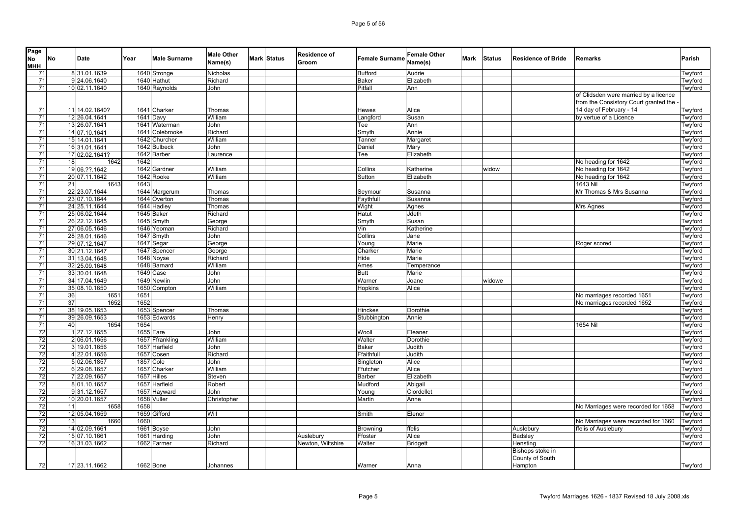| Page<br>No      | No              | Date                           | Year | <b>Male Surname</b>         | <b>Male Other</b>  | <b>Mark Status</b> | Residence of      | <b>Female Surname</b> | Female Other      | Mark | Status | <b>Residence of Bride</b>  | <b>Remarks</b>                        | Parish             |
|-----------------|-----------------|--------------------------------|------|-----------------------------|--------------------|--------------------|-------------------|-----------------------|-------------------|------|--------|----------------------------|---------------------------------------|--------------------|
| <b>MHH</b>      |                 |                                |      |                             | Name(s)            |                    | Groom             |                       | Name(s)           |      |        |                            |                                       |                    |
| 71              |                 | 8 31.01.1639                   |      | 1640 Stronge                | Nicholas           |                    |                   | <b>Bufford</b>        | Audrie            |      |        |                            |                                       | Twyford            |
| 71              |                 | 9 24.06.1640                   | 1640 | Hathut                      | Richard            |                    |                   | <b>Baker</b>          | Elizabeth         |      |        |                            |                                       | Twyford            |
| 71              |                 | 10 02.11.1640                  |      | 1640 Raynolds               | John               |                    |                   | Pitfall               | Ann               |      |        |                            |                                       | Twyford            |
|                 |                 |                                |      |                             |                    |                    |                   |                       |                   |      |        |                            | of Clidsden were married by a licence |                    |
|                 |                 |                                |      |                             |                    |                    |                   |                       |                   |      |        |                            | from the Consistory Court granted the |                    |
| 71              |                 | 11 14.02.1640?                 |      | 1641 Charker                | Thomas             |                    |                   | Hewes                 | Alice             |      |        |                            | 14 day of February - 14               | Twyford            |
| $\overline{71}$ |                 | 12 26.04.1641                  | 1641 | Davy                        | William            |                    |                   | _angford              | Susan             |      |        |                            | by vertue of a Licence                | Twyford            |
| 71              |                 | 13 26.07.1641<br>14 07.10.1641 | 1641 | Waterman                    | John               |                    |                   | Tee                   | Ann               |      |        |                            |                                       | Twyford            |
| 71<br>71        |                 | 15 14.01.1641                  | 1641 | Colebrooke<br>1642 Churcher | Richard<br>William |                    |                   | Smyth<br>Tanner       | Annie<br>Margaret |      |        |                            |                                       | Twyford<br>Twyford |
| 71              |                 | 16 31.01.1641                  |      | 1642 Bulbeck                | John               |                    |                   | Daniel                | Mary              |      |        |                            |                                       | Twyford            |
| 71              |                 | 17 02.02.1641?                 |      | 1642 Barber                 | Laurence           |                    |                   | Tee                   | Elizabeth         |      |        |                            |                                       | Twyford            |
| 71              | 18              | 1642                           | 1642 |                             |                    |                    |                   |                       |                   |      |        |                            | No heading for 1642                   | Twyford            |
| 71              |                 | 19 06.??.1642                  |      | 1642 Gardner                | William            |                    |                   | Collins               | Katherine         |      | widow  |                            | No heading for 1642                   | Twyford            |
| 71              |                 | 20 07.11.1642                  | 1642 | Rooke                       | William            |                    |                   | Sutton                | Elizabeth         |      |        |                            | No heading for 1642                   | Twyford            |
| 71              | 21              | 1643                           | 1643 |                             |                    |                    |                   |                       |                   |      |        |                            | 1643 Nil                              | Twyford            |
| $\overline{71}$ |                 | 22 23.07.1644                  |      | 1644 Margerum               | Thomas             |                    |                   | Seymour               | Susanna           |      |        |                            | Mr Thomas & Mrs Susanna               | Twyford            |
| 71              |                 | 23 07.10.1644                  | 1644 | Overton                     | Thomas             |                    |                   | Faythfull             | Susanna           |      |        |                            |                                       | Twyford            |
| 71              |                 | 24 25.11.1644                  |      | 1644 Hadley                 | Thomas             |                    |                   | Wight                 | Agnes             |      |        |                            | Mrs Agnes                             | Twyford            |
| 71              |                 | 25 06.02.1644                  |      | 1645 Baker                  | Richard            |                    |                   | Hatut                 | Jdeth             |      |        |                            |                                       | Twyford            |
| 71              |                 | 26 22.12.1645                  |      | 1645 Smyth                  | George             |                    |                   | Smyth                 | Susan             |      |        |                            |                                       | Twyford            |
| $\overline{71}$ |                 | 27 06.05.1646                  |      | 1646 Yeoman                 | Richard            |                    |                   | Vin                   | Katherine         |      |        |                            |                                       | Twyford            |
| 71              |                 | 28 28 01 1646                  |      | 1647 Smyth                  | John               |                    |                   | Collins               | Jane              |      |        |                            |                                       | Twyford            |
| 71              |                 | 29 07.12.1647                  |      | 1647 Segar                  | George             |                    |                   | Young                 | Marie             |      |        |                            | Roger scored                          | Twyford            |
| 71              |                 | 30 21.12.1647                  | 1647 | Spencer                     | George             |                    |                   | Charker               | Marie             |      |        |                            |                                       | Twyford            |
| 71              |                 | 31 13.04.1648                  |      | 1648 Noyse                  | Richard            |                    |                   | Hide                  | Marie             |      |        |                            |                                       | Twyford            |
| 71              |                 | 32 25.09.1648                  |      | 1648 Barnard                | William            |                    |                   | Ames                  | Temperance        |      |        |                            |                                       | Twyford            |
| 71              |                 | 33 30.01.1648                  | 1649 | Case                        | John               |                    |                   | <b>Butt</b>           | Marie             |      |        |                            |                                       | Twyford            |
| 71              |                 | 34 17.04.1649                  |      | 1649 Newlin                 | John               |                    |                   | Warner                | Joane             |      | widowe |                            |                                       | Twyford            |
| 71              |                 | 35 08.10.1650                  |      | 1650 Compton                | William            |                    |                   | Hopkins               | Alice             |      |        |                            |                                       | Twyford            |
| 71              | 36              | 1651                           | 1651 |                             |                    |                    |                   |                       |                   |      |        |                            | No marriages recorded 1651            | Twyford            |
| 71<br>71        | $\overline{37}$ | 1652                           | 1652 | 1653 Spencer                |                    |                    |                   | Hinckes               |                   |      |        |                            | No marriages recorded 1652            | Twyford            |
| 71              |                 | 38 19.05.1653<br>39 26.09.1653 |      | 1653 Edwards                | Thomas<br>Henry    |                    |                   | Stubbington           | Dorothie<br>Annie |      |        |                            |                                       | Twyford<br>Twyford |
| $\overline{71}$ | 40              | 1654                           | 1654 |                             |                    |                    |                   |                       |                   |      |        |                            | 1654 Nil                              | Twyford            |
| 72              |                 | 1 27.12.1655                   |      | 1655 Eare                   | John               |                    |                   | Wooll                 | Eleaner           |      |        |                            |                                       | Twyford            |
| 72              |                 | 2 06.01.1656                   |      | 1657 Ffrankling             | William            |                    |                   | Walter                | Dorothie          |      |        |                            |                                       | Twyford            |
| 72              |                 | 3 19.01.1656                   |      | 1657 Harfield               | John               |                    |                   | <b>Baker</b>          | Judith            |      |        |                            |                                       | Twyford            |
| $\overline{72}$ |                 | 4 22.01.1656                   |      | 1657 Cosen                  | Richard            |                    |                   | Ffaithful             | Judith            |      |        |                            |                                       | Twyford            |
| 72              |                 | 5 02.06.1857                   |      | 1857 Cole                   | John               |                    |                   | Singleton             | Alice             |      |        |                            |                                       | Twyford            |
| 72              |                 | 6 29.08.1657                   | 1657 | Charker                     | William            |                    |                   | Ffutcher              | Alice             |      |        |                            |                                       | Twyford            |
| 72              |                 | 7 22.09.1657                   |      | 1657 Hilles                 | Steven             |                    |                   | Barber                | Elizabeth         |      |        |                            |                                       | Twyford            |
| 72              |                 | 8 01.10.1657                   |      | 1657 Harfield               | Robert             |                    |                   | Mudford               | Abigail           |      |        |                            |                                       | Twyford            |
| 72              |                 | 9 31.12.1657                   | 1657 | Hayward                     | John               |                    |                   | Young                 | Clordellet        |      |        |                            |                                       | Twyford            |
| 72              |                 | 10 20.01.1657                  |      | 1658 Vuller                 | Christopher        |                    |                   | Martin                | Anne              |      |        |                            |                                       | Twyford            |
| $\overline{72}$ | 11              | 1658                           | 1658 |                             |                    |                    |                   |                       |                   |      |        |                            | No Marriages were recorded for 1658   | Twyford            |
| 72              |                 | 12 05.04.1659                  |      | 1659 Gifford                | Will               |                    |                   | Smith                 | Elenor            |      |        |                            |                                       | Twyford            |
| 72              | 13              | 1660                           | 1660 |                             |                    |                    |                   |                       |                   |      |        |                            | No Marriages were recorded for 1660   | Twyford            |
| 72              |                 | 14 02.09.1661                  |      | 1661 Boyse                  | John               |                    |                   | Browning              | ffelis            |      |        | Auslebury                  | ffelis of Auslebury                   | Twyford            |
| 72              |                 | 15 07.10.1661                  | 1661 | Harding                     | John               |                    | Auslebury         | Ffoster               | Alice             |      |        | Badsley                    |                                       | Twyford            |
| 72              |                 | 16 31.03.1662                  |      | 1662 Farmer                 | Richard            |                    | Newton, Wiltshire | Walter                | Bridgett          |      |        | Hensting                   |                                       | Twyford            |
|                 |                 |                                |      |                             |                    |                    |                   |                       |                   |      |        | Bishops stoke in           |                                       |                    |
|                 |                 |                                |      |                             |                    |                    |                   |                       |                   |      |        | County of South<br>Hampton |                                       |                    |
| 72              |                 | 17 23.11.1662                  |      | 1662 Bone                   | Johannes           |                    |                   | Warner                | Anna              |      |        |                            |                                       | Twyford            |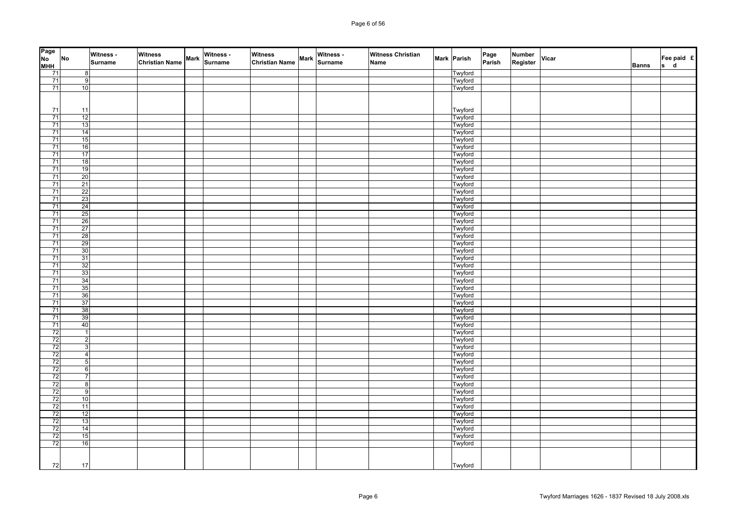#### Page 6 of 56

| Page<br>No<br>МНН | No               | Witness -<br><b>Surname</b> | Witness<br><b>Christian Name</b> | <b>Mark</b> | Witness -<br>Surname | <b>Witness</b><br><b>Christian Name</b> | <b>Mark</b> | Witness -<br><b>Surname</b> | <b>Witness Christian</b><br>Name | Mark Parish | Page<br>Parish | <b>Number</b><br>Register | <b>Vicar</b> | <b>Banns</b> | Fee paid £<br>s d |
|-------------------|------------------|-----------------------------|----------------------------------|-------------|----------------------|-----------------------------------------|-------------|-----------------------------|----------------------------------|-------------|----------------|---------------------------|--------------|--------------|-------------------|
| 71                | 8                |                             |                                  |             |                      |                                         |             |                             |                                  | Twyford     |                |                           |              |              |                   |
| 71                | 9 <sup>1</sup>   |                             |                                  |             |                      |                                         |             |                             |                                  | Twyford     |                |                           |              |              |                   |
| 71                | 10               |                             |                                  |             |                      |                                         |             |                             |                                  | Twyford     |                |                           |              |              |                   |
|                   |                  |                             |                                  |             |                      |                                         |             |                             |                                  |             |                |                           |              |              |                   |
|                   |                  |                             |                                  |             |                      |                                         |             |                             |                                  |             |                |                           |              |              |                   |
| 71                | 11               |                             |                                  |             |                      |                                         |             |                             |                                  | Twyford     |                |                           |              |              |                   |
| 71                | 12               |                             |                                  |             |                      |                                         |             |                             |                                  | Twyford     |                |                           |              |              |                   |
| 71                | 13               |                             |                                  |             |                      |                                         |             |                             |                                  | Twyford     |                |                           |              |              |                   |
| 71                | 14               |                             |                                  |             |                      |                                         |             |                             |                                  | Twyford     |                |                           |              |              |                   |
| 71                | 15               |                             |                                  |             |                      |                                         |             |                             |                                  | Twyford     |                |                           |              |              |                   |
| 71                | 16               |                             |                                  |             |                      |                                         |             |                             |                                  | Twyford     |                |                           |              |              |                   |
| 71                | 17               |                             |                                  |             |                      |                                         |             |                             |                                  | Twyford     |                |                           |              |              |                   |
| 71                | 18               |                             |                                  |             |                      |                                         |             |                             |                                  | Twyford     |                |                           |              |              |                   |
| 71                | 19               |                             |                                  |             |                      |                                         |             |                             |                                  | Twyford     |                |                           |              |              |                   |
| 71                | 20               |                             |                                  |             |                      |                                         |             |                             |                                  | Twyford     |                |                           |              |              |                   |
| 71                | 21               |                             |                                  |             |                      |                                         |             |                             |                                  | Twyford     |                |                           |              |              |                   |
| 71                | 22               |                             |                                  |             |                      |                                         |             |                             |                                  | Twyford     |                |                           |              |              |                   |
| 71                | 23               |                             |                                  |             |                      |                                         |             |                             |                                  | Twyford     |                |                           |              |              |                   |
| 71                | 24               |                             |                                  |             |                      |                                         |             |                             |                                  | Twyford     |                |                           |              |              |                   |
| 71                | 25               |                             |                                  |             |                      |                                         |             |                             |                                  | Twyford     |                |                           |              |              |                   |
| 71                | 26               |                             |                                  |             |                      |                                         |             |                             |                                  | Twyford     |                |                           |              |              |                   |
| 71                | 27               |                             |                                  |             |                      |                                         |             |                             |                                  | Twyford     |                |                           |              |              |                   |
| 71                | 28               |                             |                                  |             |                      |                                         |             |                             |                                  | Twyford     |                |                           |              |              |                   |
| 71                | 29               |                             |                                  |             |                      |                                         |             |                             |                                  | Twyford     |                |                           |              |              |                   |
| 71                | 30               |                             |                                  |             |                      |                                         |             |                             |                                  | Twyford     |                |                           |              |              |                   |
| 71                | 31               |                             |                                  |             |                      |                                         |             |                             |                                  | Twyford     |                |                           |              |              |                   |
| 71                | 32               |                             |                                  |             |                      |                                         |             |                             |                                  | Twyford     |                |                           |              |              |                   |
| 71                | 33               |                             |                                  |             |                      |                                         |             |                             |                                  | Twyford     |                |                           |              |              |                   |
| 71                | 34               |                             |                                  |             |                      |                                         |             |                             |                                  | Twyford     |                |                           |              |              |                   |
| 71                | 35               |                             |                                  |             |                      |                                         |             |                             |                                  | Twyford     |                |                           |              |              |                   |
| 71                | 36               |                             |                                  |             |                      |                                         |             |                             |                                  | Twyford     |                |                           |              |              |                   |
| 71                | 37               |                             |                                  |             |                      |                                         |             |                             |                                  | Twyford     |                |                           |              |              |                   |
| 71                | 38               |                             |                                  |             |                      |                                         |             |                             |                                  | Twyford     |                |                           |              |              |                   |
| 71                | 39               |                             |                                  |             |                      |                                         |             |                             |                                  | Twyford     |                |                           |              |              |                   |
| 71                | 40               |                             |                                  |             |                      |                                         |             |                             |                                  | Twyford     |                |                           |              |              |                   |
| 72                | $\overline{1}$   |                             |                                  |             |                      |                                         |             |                             |                                  | Twyford     |                |                           |              |              |                   |
| 72                | $\overline{2}$   |                             |                                  |             |                      |                                         |             |                             |                                  | Twyford     |                |                           |              |              |                   |
| 72                | 3                |                             |                                  |             |                      |                                         |             |                             |                                  | Twyford     |                |                           |              |              |                   |
| 72                | $\overline{4}$   |                             |                                  |             |                      |                                         |             |                             |                                  | Twyford     |                |                           |              |              |                   |
| 72                | $\overline{5}$   |                             |                                  |             |                      |                                         |             |                             |                                  | Twyford     |                |                           |              |              |                   |
| 72                | $6 \overline{6}$ |                             |                                  |             |                      |                                         |             |                             |                                  | Twyford     |                |                           |              |              |                   |
| 72                | $\overline{7}$   |                             |                                  |             |                      |                                         |             |                             |                                  | Twyford     |                |                           |              |              |                   |
| 72                | $\overline{8}$   |                             |                                  |             |                      |                                         |             |                             |                                  | Twyford     |                |                           |              |              |                   |
| 72                | 9                |                             |                                  |             |                      |                                         |             |                             |                                  | Twyford     |                |                           |              |              |                   |
| 72                | 10               |                             |                                  |             |                      |                                         |             |                             |                                  | Twyford     |                |                           |              |              |                   |
| 72                | 11               |                             |                                  |             |                      |                                         |             |                             |                                  | Twyford     |                |                           |              |              |                   |
| 72                | 12               |                             |                                  |             |                      |                                         |             |                             |                                  | Twyford     |                |                           |              |              |                   |
| 72                | 13               |                             |                                  |             |                      |                                         |             |                             |                                  | Twyford     |                |                           |              |              |                   |
| 72                | 14               |                             |                                  |             |                      |                                         |             |                             |                                  | Twyford     |                |                           |              |              |                   |
| 72                | 15               |                             |                                  |             |                      |                                         |             |                             |                                  | Twyford     |                |                           |              |              |                   |
| 72                | 16               |                             |                                  |             |                      |                                         |             |                             |                                  | Twyford     |                |                           |              |              |                   |
|                   |                  |                             |                                  |             |                      |                                         |             |                             |                                  |             |                |                           |              |              |                   |
|                   |                  |                             |                                  |             |                      |                                         |             |                             |                                  |             |                |                           |              |              |                   |
| 72                | 17               |                             |                                  |             |                      |                                         |             |                             |                                  | Twyford     |                |                           |              |              |                   |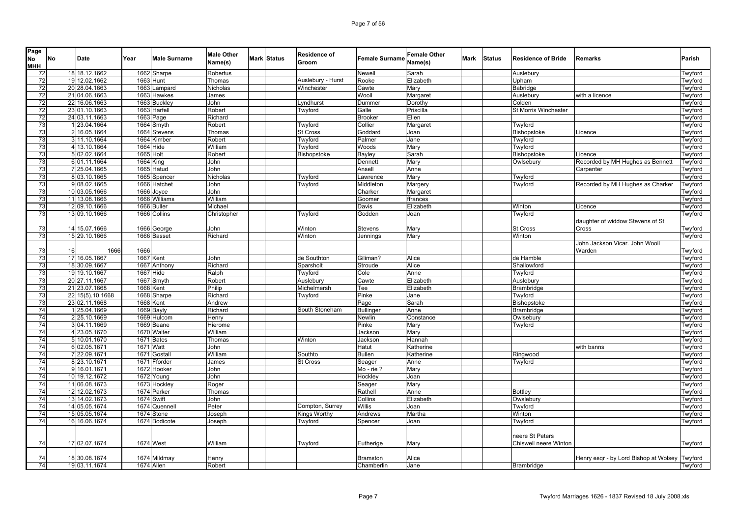| Page<br>No<br><b>MHH</b> | <b>No</b> | Date                           | Year      | <b>Male Surname</b>         | <b>Male Other</b><br>Name(s) | <b>Mark Status</b> | <b>Residence of</b><br>Groom | <b>Female Surname</b>          | <b>Female Other</b><br>Name(s) | Mark | <b>Status</b> | <b>Residence of Bride</b> | Remarks                               | Parish  |
|--------------------------|-----------|--------------------------------|-----------|-----------------------------|------------------------------|--------------------|------------------------------|--------------------------------|--------------------------------|------|---------------|---------------------------|---------------------------------------|---------|
| 72                       |           | 18 18.12.1662                  |           | 1662 Sharpe                 | Robertus                     |                    |                              | Newell                         | Sarah                          |      |               | Auslebury                 |                                       | Twyford |
| 72                       |           | 19 12.02.1662                  | 1663      | Hunt                        | Thomas                       |                    | Auslebury - Hurst            | Rooke                          | Elizabeth                      |      |               | Upham                     |                                       | Twyford |
| 72                       |           | 20 28.04.1663                  | 1663      | Lampard                     | Nicholas                     |                    | Winchester                   | Cawte                          | Mary                           |      |               | Babridge                  |                                       | Twyford |
| 72                       |           | 21 04.06.1663                  |           | 1663 Hawkes                 | James                        |                    |                              | Wooll                          | Margaret                       |      |               | Auslebury                 | with a licence                        | Twyford |
| 72                       |           | 22 16.06.1663                  | 1663      | <b>Buckley</b>              | John                         |                    | _yndhurst                    | Dummer                         | Dorothy                        |      |               | Colden                    |                                       | Twyford |
| 72                       |           | 23 01.10.1663                  | 1663      | Harfell                     | Robert                       |                    | Twyford                      | Galle                          | Priscilla                      |      |               | St Morris Winchester      |                                       | Twyford |
| 72                       |           | 24 03.11.1663                  |           | 1663 Page                   | Richard                      |                    |                              | <b>Brooker</b>                 | Ellen                          |      |               |                           |                                       | Twyford |
| 73                       |           | 1 23.04.1664                   |           | 1664 Smyth                  | Robert                       |                    | Twyford                      | Collier                        | Margaret                       |      |               | Twyford                   |                                       | Twyford |
| 73                       |           | 2 16.05.1664                   |           | 1664 Stevens                | Thomas                       |                    | St Cross                     | Goddard                        | Joan                           |      |               | Bishopstoke               | Licence                               | Twyford |
| 73                       |           | 311.10.1664                    |           | 1664 Kimber                 | Robert                       |                    | Twyford                      | Palmer                         | Jane                           |      |               | Twyford                   |                                       | Twyford |
| 73                       |           | 4 13.10.1664                   |           | 1664 Hide                   | William                      |                    | Twyford                      | Woods                          | Mary                           |      |               | Twyford                   |                                       | Twyford |
| 73                       |           | 5 02.02.1664                   | 1665 Holt |                             | Robert                       |                    | Bishopstoke                  | <b>Bayley</b>                  | Sarah                          |      |               | <b>Bishopstoke</b>        | Licence                               | Twyford |
| 73                       |           | 6 01.11.1664                   |           | <b>1664 King</b>            | John                         |                    |                              | Dennett                        | Mary                           |      |               | Owlsebury                 | Recorded by MH Hughes as Bennett      | Twyford |
| 73                       |           | 7 25.04.1665                   |           | 1665 Hatud                  | John                         |                    |                              | Ansell                         | Anne                           |      |               |                           | Carpenter                             | Twyford |
| 73                       |           | 8 03.10.1665                   |           | 1665 Spencer                | Nicholas                     |                    | Twyford                      | _awrence                       | Mary                           |      |               | Twyford                   |                                       | Twyford |
| 73                       |           | 908.02.1665                    |           | 1666 Hatchet                | John                         |                    | Twyford                      | Middleton                      | Margery                        |      |               | Twyford                   | Recorded by MH Hughes as Charker      | Twyford |
| 73                       |           | 10 03.05.1666                  | 1666      | Joyce                       | John                         |                    |                              | Charker                        | Margaret                       |      |               |                           |                                       | Twyford |
| 73                       |           | 11 13.08.1666                  |           | 1666 Williams               | William                      |                    |                              | Goomer                         | ffrances                       |      |               |                           |                                       | Twyford |
| 73<br>73                 |           | 12 09.10.1666<br>13 09.10.1666 |           | 1666 Buller<br>1666 Collins | Michael                      |                    |                              | Davis                          | Elizabeth                      |      |               | Winton                    | Licence                               | Twyford |
|                          |           |                                |           |                             | Christopher                  |                    | Twyford                      | Godden                         | Joan                           |      |               | Twyford                   | daughter of widdow Stevens of St      | Twyford |
| 73                       |           | 14 15.07.1666                  |           | 1666 George                 | John                         |                    | Winton                       |                                |                                |      |               | St Cross                  | Cross                                 | Twyford |
| 73                       |           | 15 29.10.1666                  |           | 1666 Basset                 | Richard                      |                    | Winton                       | Stevens<br>Jennings            | Mary<br>Mary                   |      |               | Winton                    |                                       | Twyford |
|                          |           |                                |           |                             |                              |                    |                              |                                |                                |      |               |                           | John Jackson Vicar. John Wooll        |         |
| 73                       | 16        | 1666                           | 1666      |                             |                              |                    |                              |                                |                                |      |               |                           | Warden                                | Twyford |
| 73                       |           | 17 16.05.1667                  |           | 1667 Kent                   | John                         |                    | de Southton                  | Giliman?                       | Alice                          |      |               | de Hamble                 |                                       | Twyford |
| 73                       |           | 18 30.09.1667                  |           | 1667 Anthony                | Richard                      |                    | Sparsholt                    | Stroude                        | Alice                          |      |               | Shallowford               |                                       | Twyford |
| 73                       |           | 19 19 10 1667                  |           | 1667 Hide                   | Ralph                        |                    | Twyford                      | Cole                           | Anne                           |      |               | Twyford                   |                                       | Twyford |
| 73                       |           | 20 27.11.1667                  |           | 1667 Smyth                  | Robert                       |                    | Auslebury                    | Cawte                          | Elizabeth                      |      |               | Auslebury                 |                                       | Twyford |
| 73                       |           | 21 23.07.1668                  |           | <b>1668 Kent</b>            | Philip                       |                    | Michelmersh                  | Tee                            | Elizabeth                      |      |               | Brambridge                |                                       | Twyford |
| 73                       |           | 22 15(5).10.1668               |           | 1668 Sharpe                 | Richard                      |                    | Twyford                      | Pinke                          | Jane                           |      |               | Twyford                   |                                       | Twyford |
| 73                       |           | 23 02.11.1668                  |           | 1668 Kent                   | Andrew                       |                    |                              | Page                           | Sarah                          |      |               | Bishopstoke               |                                       | Twyford |
| 74                       |           | 1 25.04.1669                   |           | 1669 Bayly                  | Richard                      |                    | South Stoneham               | <b>Bullinger</b>               | Anne                           |      |               | Brambridge                |                                       | Twyford |
| 74                       |           | 2 25.10.1669                   |           | 1669 Hulcom                 | Henry                        |                    |                              | Newlin                         | Constance                      |      |               | Owlsebury                 |                                       | Twyford |
| 74                       |           | 304.11.1669                    |           | 1669 Beane                  | Hierome                      |                    |                              | Pinke                          | Mary                           |      |               | Twyford                   |                                       | Twyford |
| 74                       |           | 4 23.05.1670                   |           | 1670 Walter                 | William                      |                    |                              | Jackson                        | Mary                           |      |               |                           |                                       | Twyford |
| 74                       |           | 5 10.01.1670                   |           | 1671 Bates                  | Thomas                       |                    | Winton                       | Jackson                        | Hannah                         |      |               |                           |                                       | Twyford |
| 74                       |           | 6 02.05.1671                   |           | 1671 Watt                   | John                         |                    |                              | Hatut                          | Katherine                      |      |               |                           | with banns                            | Twyford |
| 74                       |           | 7 22.09.1671                   |           | 1671 Gostall                | William                      |                    | Southto                      | <b>Bullen</b>                  | Katherine                      |      |               | Ringwood                  |                                       | Twyford |
| 74                       |           | 8 23.10.1671                   |           | 1671 Fforder                | James                        |                    | St Cross                     | Seager                         | Anne                           |      |               | Twyford                   |                                       | Twyford |
| 74                       |           | 9 16.01.1671                   |           | 1672 Hooker                 | John                         |                    |                              | $\overline{\text{Mo}}$ - rie ? | Mary                           |      |               |                           |                                       | Twyford |
| 74                       |           | 10 19.12.1672                  |           | 1672 Young                  | John                         |                    |                              | Hockley                        | Joan                           |      |               |                           |                                       | Twyford |
| 74                       |           | 11 06.08.1673                  |           | 1673 Hockley                | Roger                        |                    |                              | Seager                         | Mary                           |      |               |                           |                                       | Twyford |
| 74                       |           | 12 12.02.1673                  |           | 1674 Parker                 | Thomas                       |                    |                              | Rathell                        | Anne                           |      |               | <b>Bottley</b>            |                                       | Twyford |
| 74                       |           | 13 14.02.1673                  |           | 1674 Swift                  | John                         |                    |                              | Collins                        | Elizabeth                      |      |               | Owslebury                 |                                       | Twyford |
| 74                       |           | 14 05.05.1674                  |           | 1674 Quennell               | Peter                        |                    | Compton, Surrey              | Willis                         | Joan                           |      |               | Twyford                   |                                       | Twyford |
| 74                       |           | 15 05.05.1674                  | 1674      | Stone                       | Joseph                       |                    | Kings Worthy                 | Andrews                        | Martha                         |      |               | Winton                    |                                       | Twyford |
| 74                       |           | 16 16.06.1674                  |           | 1674 Bodicote               | Joseph                       |                    | Twyford                      | Spencer                        | Joan                           |      |               | Twyford                   |                                       | Twyford |
|                          |           |                                |           |                             |                              |                    |                              |                                |                                |      |               | neere St Peters           |                                       |         |
| 74                       |           | 17 02.07.1674                  |           | 1674 West                   | William                      |                    | Twyford                      | Eutherige                      | Mary                           |      |               | Chiswell neere Winton     |                                       | Twyford |
|                          |           |                                |           |                             |                              |                    |                              |                                |                                |      |               |                           |                                       |         |
| 74                       |           | 18 30.08.1674                  |           | 1674 Mildmay                | Henry                        |                    |                              | <b>Bramston</b>                | Alice                          |      |               |                           | Henry esgr - by Lord Bishop at Wolsey | Twyford |
| 74                       |           | 19 03.11.1674                  |           | 1674 Allen                  | Robert                       |                    |                              | Chamberlin                     | Jane                           |      |               | Brambridge                |                                       | Twyford |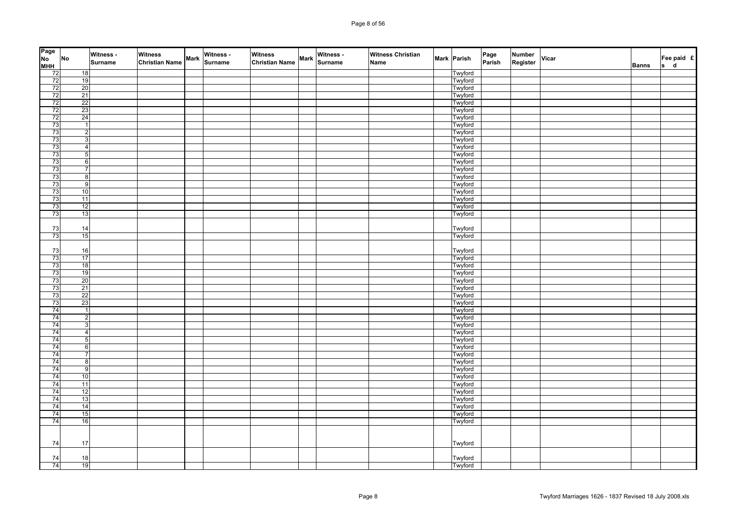#### Page 8 of 56

| Page<br>No<br><b>MHH</b> | No               | Witness -<br><b>Surname</b> | <b>Witness</b><br><b>Christian Name</b> | Mark | Witness -<br>Surname | <b>Witness</b><br><b>Christian Name</b> | <b>Mark</b> | Witness -<br><b>Surname</b> | <b>Witness Christian</b><br>Name | Mark Parish | Page<br>Parish | Number<br>Register | Vicar | <b>Banns</b> | Fee paid £<br>s d |
|--------------------------|------------------|-----------------------------|-----------------------------------------|------|----------------------|-----------------------------------------|-------------|-----------------------------|----------------------------------|-------------|----------------|--------------------|-------|--------------|-------------------|
| 72                       | 18               |                             |                                         |      |                      |                                         |             |                             |                                  | Twyford     |                |                    |       |              |                   |
| 72                       | 19               |                             |                                         |      |                      |                                         |             |                             |                                  | Twyford     |                |                    |       |              |                   |
| 72                       | 20               |                             |                                         |      |                      |                                         |             |                             |                                  | Twyford     |                |                    |       |              |                   |
| 72                       | 21               |                             |                                         |      |                      |                                         |             |                             |                                  | Twyford     |                |                    |       |              |                   |
| 72                       | 22               |                             |                                         |      |                      |                                         |             |                             |                                  | Twyford     |                |                    |       |              |                   |
| 72                       | 23               |                             |                                         |      |                      |                                         |             |                             |                                  | Twyford     |                |                    |       |              |                   |
| 72                       | 24               |                             |                                         |      |                      |                                         |             |                             |                                  | Twyford     |                |                    |       |              |                   |
| 73                       | $\overline{1}$   |                             |                                         |      |                      |                                         |             |                             |                                  | Twyford     |                |                    |       |              |                   |
| 73                       | $\overline{2}$   |                             |                                         |      |                      |                                         |             |                             |                                  | Twyford     |                |                    |       |              |                   |
| 73                       | 3                |                             |                                         |      |                      |                                         |             |                             |                                  | Twyford     |                |                    |       |              |                   |
| 73                       | $\overline{4}$   |                             |                                         |      |                      |                                         |             |                             |                                  | Twyford     |                |                    |       |              |                   |
| 73                       | 5                |                             |                                         |      |                      |                                         |             |                             |                                  | Twyford     |                |                    |       |              |                   |
| 73                       | $6 \overline{6}$ |                             |                                         |      |                      |                                         |             |                             |                                  | Twyford     |                |                    |       |              |                   |
| 73                       | $\overline{7}$   |                             |                                         |      |                      |                                         |             |                             |                                  | Twyford     |                |                    |       |              |                   |
| 73                       | 8                |                             |                                         |      |                      |                                         |             |                             |                                  | Twyford     |                |                    |       |              |                   |
| 73                       | $\overline{9}$   |                             |                                         |      |                      |                                         |             |                             |                                  | Twyford     |                |                    |       |              |                   |
| 73                       | 10               |                             |                                         |      |                      |                                         |             |                             |                                  | Twyford     |                |                    |       |              |                   |
| 73                       | 11               |                             |                                         |      |                      |                                         |             |                             |                                  | Twyford     |                |                    |       |              |                   |
| 73                       | 12               |                             |                                         |      |                      |                                         |             |                             |                                  | Twyford     |                |                    |       |              |                   |
| 73                       | 13               |                             |                                         |      |                      |                                         |             |                             |                                  | Twyford     |                |                    |       |              |                   |
|                          |                  |                             |                                         |      |                      |                                         |             |                             |                                  |             |                |                    |       |              |                   |
| 73                       | 14               |                             |                                         |      |                      |                                         |             |                             |                                  | Twyford     |                |                    |       |              |                   |
| 73                       | 15               |                             |                                         |      |                      |                                         |             |                             |                                  | Twyford     |                |                    |       |              |                   |
|                          |                  |                             |                                         |      |                      |                                         |             |                             |                                  |             |                |                    |       |              |                   |
| 73                       | 16               |                             |                                         |      |                      |                                         |             |                             |                                  | Twyford     |                |                    |       |              |                   |
| 73                       | 17               |                             |                                         |      |                      |                                         |             |                             |                                  | Twyford     |                |                    |       |              |                   |
| 73                       | 18               |                             |                                         |      |                      |                                         |             |                             |                                  | Twyford     |                |                    |       |              |                   |
| 73                       | 19               |                             |                                         |      |                      |                                         |             |                             |                                  | Twyford     |                |                    |       |              |                   |
| 73                       | 20               |                             |                                         |      |                      |                                         |             |                             |                                  | Twyford     |                |                    |       |              |                   |
| 73                       | 21               |                             |                                         |      |                      |                                         |             |                             |                                  | Twyford     |                |                    |       |              |                   |
| 73                       | 22               |                             |                                         |      |                      |                                         |             |                             |                                  | Twyford     |                |                    |       |              |                   |
| 73                       | 23               |                             |                                         |      |                      |                                         |             |                             |                                  | Twyford     |                |                    |       |              |                   |
| 74                       | $\overline{1}$   |                             |                                         |      |                      |                                         |             |                             |                                  | Twyford     |                |                    |       |              |                   |
| 74                       | $\overline{2}$   |                             |                                         |      |                      |                                         |             |                             |                                  | Twyford     |                |                    |       |              |                   |
| 74                       | 3                |                             |                                         |      |                      |                                         |             |                             |                                  | Twyford     |                |                    |       |              |                   |
| 74                       | $\overline{4}$   |                             |                                         |      |                      |                                         |             |                             |                                  | Twyford     |                |                    |       |              |                   |
| 74                       | $5\phantom{.0}$  |                             |                                         |      |                      |                                         |             |                             |                                  | Twyford     |                |                    |       |              |                   |
| 74                       | 6                |                             |                                         |      |                      |                                         |             |                             |                                  | Twyford     |                |                    |       |              |                   |
| 74                       | $\overline{7}$   |                             |                                         |      |                      |                                         |             |                             |                                  | Twyford     |                |                    |       |              |                   |
| 74                       | 8                |                             |                                         |      |                      |                                         |             |                             |                                  | Twyford     |                |                    |       |              |                   |
| 74                       | 9                |                             |                                         |      |                      |                                         |             |                             |                                  | Twyford     |                |                    |       |              |                   |
| 74                       | 10               |                             |                                         |      |                      |                                         |             |                             |                                  | Twyford     |                |                    |       |              |                   |
| 74                       | 11               |                             |                                         |      |                      |                                         |             |                             |                                  | Twyford     |                |                    |       |              |                   |
| 74                       | 12               |                             |                                         |      |                      |                                         |             |                             |                                  | Twyford     |                |                    |       |              |                   |
| 74                       | 13               |                             |                                         |      |                      |                                         |             |                             |                                  | Twyford     |                |                    |       |              |                   |
| 74                       | 14               |                             |                                         |      |                      |                                         |             |                             |                                  | Twyford     |                |                    |       |              |                   |
| 74                       | 15               |                             |                                         |      |                      |                                         |             |                             |                                  | Twyford     |                |                    |       |              |                   |
| 74                       | 16               |                             |                                         |      |                      |                                         |             |                             |                                  | Twyford     |                |                    |       |              |                   |
|                          |                  |                             |                                         |      |                      |                                         |             |                             |                                  |             |                |                    |       |              |                   |
|                          |                  |                             |                                         |      |                      |                                         |             |                             |                                  |             |                |                    |       |              |                   |
| 74                       | 17               |                             |                                         |      |                      |                                         |             |                             |                                  | Twyford     |                |                    |       |              |                   |
|                          |                  |                             |                                         |      |                      |                                         |             |                             |                                  |             |                |                    |       |              |                   |
| 74<br>74                 | 18<br>19         |                             |                                         |      |                      |                                         |             |                             |                                  | Twyford     |                |                    |       |              |                   |
|                          |                  |                             |                                         |      |                      |                                         |             |                             |                                  | Twyford     |                |                    |       |              |                   |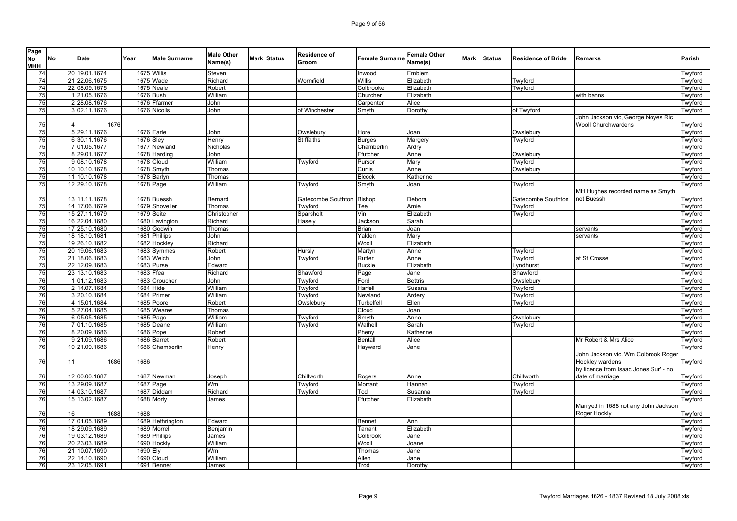| Page<br>No<br><b>MHH</b> | No | Date          | Year      | <b>Male Surname</b> | <b>Male Other</b><br>Name(s) | <b>Mark Status</b> | <b>Residence of</b><br>Groom | <b>Female Surname</b> | <b>Female Other</b><br>Name(s) | Mark | <b>Status</b> | <b>Residence of Bride</b> | <b>Remarks</b>                                         | Parish  |
|--------------------------|----|---------------|-----------|---------------------|------------------------------|--------------------|------------------------------|-----------------------|--------------------------------|------|---------------|---------------------------|--------------------------------------------------------|---------|
| 74                       |    | 20 19.01.1674 |           | 1675 Willis         | Steven                       |                    |                              | Inwood                | Emblem                         |      |               |                           |                                                        | Twyford |
| 74                       |    | 21 22.06.1675 |           | 1675 Wade           | Richard                      |                    | Wormfield                    | Willis                | Elizabeth                      |      |               | Twyford                   |                                                        | Twyford |
| 74                       |    | 22 08.09.1675 |           | 1675 Neale          | Robert                       |                    |                              | Colbrooke             | Elizabeth                      |      |               | Twyford                   |                                                        | Twyford |
| 75                       |    | 121.05.1676   |           | 1676 Bush           | William                      |                    |                              | Churcher              | Elizabeth                      |      |               |                           | with banns                                             | Twyford |
| 75                       |    | 2 28.08.1676  |           | 1676 Ffarmer        | John                         |                    |                              | Carpenter             | Alice                          |      |               |                           |                                                        | Twyford |
| 75                       |    | 3 02.11.1676  |           | 1676 Nicolls        | John                         |                    | of Winchester                | Smyth                 | Dorothy                        |      |               | of Twyford                |                                                        | Twyford |
|                          |    |               |           |                     |                              |                    |                              |                       |                                |      |               |                           | John Jackson vic, George Noyes Ric                     |         |
| 75                       |    | 1676          |           |                     |                              |                    |                              |                       |                                |      |               |                           | Wooll Churchwardens                                    | Twyford |
| 75                       |    | 5 29.11.1676  |           | 1676 Earle          | John                         |                    | Owslebury                    | Hore                  | Joan                           |      |               | Owslebury                 |                                                        | Twyford |
| 75                       |    | 6 30.11.1676  | 1676 Sley |                     | Henry                        |                    | St ffaiths                   | <b>Burges</b>         | Margery                        |      |               | Twyford                   |                                                        | Twyford |
| 75                       |    | 7 01.05.1677  |           | 1677 Newland        | Nicholas                     |                    |                              | Chamberlin            | Ardry                          |      |               |                           |                                                        | Twyford |
| 75                       |    | 8 29.01.1677  |           | 1678 Harding        | John                         |                    |                              | Ffutcher              | Anne                           |      |               | Owslebury                 |                                                        | Twyford |
| 75                       |    | 9 08.10.1678  |           | 1678 Cloud          | William                      |                    | Twyford                      | Pursor                | Mary                           |      |               | Twyford                   |                                                        | Twyford |
| 75                       |    | 10 10.10.1678 |           | 1678 Smyth          | Thomas                       |                    |                              | Curtis                | Anne                           |      |               | Owslebury                 |                                                        | Twyford |
| 75                       |    | 11 10.10.1678 |           | 1678 Barlyn         | Thomas                       |                    |                              | Elcock                | Katherine                      |      |               |                           |                                                        | Twyford |
| 75                       |    | 12 29.10.1678 |           | 1678 Page           | William                      |                    | Twyford                      | Smyth                 | Joan                           |      |               | Twyford                   |                                                        | Twyford |
|                          |    |               |           |                     |                              |                    |                              |                       |                                |      |               |                           | MH Hughes recorded name as Smyth                       |         |
| 75                       |    | 13 11.11.1678 |           | 1678 Buessh         | Bernard                      |                    | Gatecombe Southton           | <b>Bishop</b>         | Debora                         |      |               | Gatecombe Southton        | not Buessh                                             | Twyford |
| 75                       |    | 14 17.06.1679 |           | 1679 Shoveller      | Thomas                       |                    | Twyford                      | Tee                   | Amie                           |      |               | Twyford                   |                                                        | Twyford |
| 75                       |    | 15 27.11.1679 |           | 1679 Seite          | Christopher                  |                    | Sparsholt                    | Vin                   | Elizabeth                      |      |               | Twyford                   |                                                        | Twyford |
| 75                       |    | 16 22.04.1680 |           | 1680 Lavington      | Richard                      |                    | Hasely                       | Jackson               | Sarah                          |      |               |                           |                                                        | Twyford |
| 75                       |    | 17 25.10.1680 |           | 1680 Godwin         | Thomas                       |                    |                              | Brian                 | Joan                           |      |               |                           | servants                                               | Twyford |
| 75                       |    | 18 18.10.1681 |           | 1681 Phillips       | John                         |                    |                              | Yalden                | Mary                           |      |               |                           | servants                                               | Twyford |
| 75                       |    | 19 26.10.1682 | 1682      | Hockley             | Richard                      |                    |                              | Wooll                 | Elizabeth                      |      |               |                           |                                                        | Twyford |
| 75                       |    | 20 19.06.1683 | 1683      | Symmes              | Robert                       |                    | Hursly                       | Martyn                | Anne                           |      |               | Twyford                   |                                                        | Twyford |
| 75                       |    | 21 18.06.1683 |           | 1683 Welch          | John                         |                    | Twyford                      | Rutter                | Anne                           |      |               | Twyford                   | at St Crosse                                           | Twyford |
| 75                       |    | 22 12.09.1683 |           | 1683 Purse          | Edward                       |                    |                              | <b>Buckle</b>         | Elizabeth                      |      |               | _yndhurst                 |                                                        | Twyford |
| 75                       |    | 23 13.10.1683 | 1683      | Ffea                | Richard                      |                    | Shawford                     | Page                  | Jane                           |      |               | Shawford                  |                                                        | Twyford |
| 76                       |    | 101.12.1683   |           | 1683 Croucher       | John                         |                    | Twyford                      | Ford                  | <b>Bettris</b>                 |      |               | Owslebury                 |                                                        | Twyford |
| 76                       |    | 2 14.07.1684  |           | 1684 Hide           | William                      |                    | Twyford                      | Harfell               | Susana                         |      |               | Twyford                   |                                                        | Twyford |
| 76                       |    | 3 20.10.1684  |           | 1684 Primer         | William                      |                    | Twyford                      | Newland               | Ardery                         |      |               | Twyford                   |                                                        | Twyford |
| 76                       |    | 4 15.01.1684  |           | 1685 Poore          | Robert                       |                    | Owslebury                    | Turbelfell            | Ellen                          |      |               | Twyford                   |                                                        | Twyford |
| 76                       |    | 5 27.04.1685  | 1685      | Weares              | Thomas                       |                    |                              | Cloud                 | Joan                           |      |               |                           |                                                        | Twyford |
| 76                       |    | 6 05.05.1685  |           | 1685 Page           | William                      |                    | Twyford                      | Smyth                 | Anne                           |      |               | Owslebury                 |                                                        | Twyford |
| 76                       |    | 7 01.10.1685  |           | 1685 Deane          | William                      |                    | <b>Twyford</b>               | Wathell               | Sarah                          |      |               | Twyford                   |                                                        | Twyford |
| 76                       |    | 8 20.09.1686  |           | 1686 Pope           | Robert                       |                    |                              | Pheny                 | Katherine                      |      |               |                           |                                                        | Twyford |
| 76                       |    | 9 21.09.1686  |           | 1686 Barret         | Robert                       |                    |                              | <b>Bentall</b>        | Alice                          |      |               |                           | Mr Robert & Mrs Alice                                  | Twyford |
| 76                       |    | 10 21.09.1686 |           | 1686 Chamberlin     | Henry                        |                    |                              | Hayward               | Jane                           |      |               |                           |                                                        | Twyford |
| 76                       | 11 | 1686          | 1686      |                     |                              |                    |                              |                       |                                |      |               |                           | John Jackson vic. Wm Colbrook Roger<br>Hockley wardens | Twyford |
|                          |    |               |           |                     |                              |                    |                              |                       |                                |      |               |                           | by licence from Isaac Jones Sur' - no                  |         |
| 76                       |    | 12 00.00.1687 |           | 1687 Newman         | Joseph                       |                    | Chillworth                   | Rogers                | Anne                           |      |               | Chillworth                | date of marriage                                       | Twyford |
| 76                       |    | 13 29.09.1687 | 1687      | Page                | Wm                           |                    | Twyford                      | Morrant               | Hannah                         |      |               | Twyford                   |                                                        | Twyford |
| 76                       |    | 14 03.10.1687 |           | 1687 Diddam         | Richard                      |                    | Twyford                      | Tod                   | Susanna                        |      |               | Twyford                   |                                                        | Twyford |
| 76                       |    | 15 13.02.1687 |           | 1688 Morly          | James                        |                    |                              | Ffutcher              | Elizabeth                      |      |               |                           |                                                        | Twyford |
|                          |    |               |           |                     |                              |                    |                              |                       |                                |      |               |                           | Marryed in 1688 not any John Jackson                   |         |
| 76                       | 16 | 1688          | 1688      |                     |                              |                    |                              |                       |                                |      |               |                           | Roger Hockly                                           | Twyford |
| 76                       |    | 17 01.05.1689 |           | 1689 Hethrington    | Edward                       |                    |                              | Bennet                | Ann                            |      |               |                           |                                                        | Twyford |
| 76                       |    | 18 29.09.1689 |           | 1689 Morrell        | Benjamin                     |                    |                              | Tarrant               | Elizabeth                      |      |               |                           |                                                        | Twyford |
| 76                       |    | 19 03.12.1689 |           | 1689 Phillips       | James                        |                    |                              | Colbrook              | Jane                           |      |               |                           |                                                        | Twyford |
| 76                       |    | 20 23.03.1689 |           | 1690 Hockly         | William                      |                    |                              | Wooll                 | Joane                          |      |               |                           |                                                        | Twyford |
| 76                       |    | 21 10.07.1690 | 1690 Ely  |                     | Wm                           |                    |                              | Thomas                | Jane                           |      |               |                           |                                                        | Twyford |
| 76                       |    | 22 14.10.1690 |           | 1690 Cloud          | William                      |                    |                              | Allen                 | Jane                           |      |               |                           |                                                        | Twyford |
| 76                       |    | 23 12.05.1691 |           | 1691 Bennet         | James                        |                    |                              | Trod                  | Dorothy                        |      |               |                           |                                                        | Twyford |
|                          |    |               |           |                     |                              |                    |                              |                       |                                |      |               |                           |                                                        |         |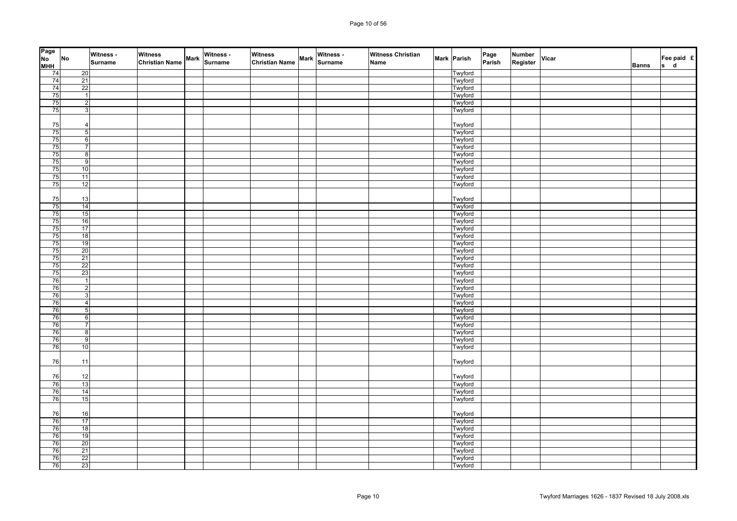#### Page 10 of 56

| Page<br>No<br><b>MHH</b> | <b>No</b>        | Witness -<br>Surname | <b>Witness</b><br><b>Christian Name</b> | <b>Mark</b> | Witness -<br>Surname | <b>Witness</b><br><b>Christian Name</b> | <b>Mark</b> | Witness -<br><b>Surname</b> | <b>Witness Christian</b><br>Name | Mark Parish        | Page<br>Parish | <b>Number</b><br>Register | <b>Vicar</b> | Banns | Fee paid $E$<br>s d |
|--------------------------|------------------|----------------------|-----------------------------------------|-------------|----------------------|-----------------------------------------|-------------|-----------------------------|----------------------------------|--------------------|----------------|---------------------------|--------------|-------|---------------------|
| 74                       | 20               |                      |                                         |             |                      |                                         |             |                             |                                  | Twyford            |                |                           |              |       |                     |
| 74                       | 21               |                      |                                         |             |                      |                                         |             |                             |                                  | Twyford            |                |                           |              |       |                     |
| 74                       | 22               |                      |                                         |             |                      |                                         |             |                             |                                  | Twyford            |                |                           |              |       |                     |
| 75                       | $\overline{1}$   |                      |                                         |             |                      |                                         |             |                             |                                  | Twyford            |                |                           |              |       |                     |
| 75                       | $\overline{2}$   |                      |                                         |             |                      |                                         |             |                             |                                  | Twyford            |                |                           |              |       |                     |
| 75                       | 3                |                      |                                         |             |                      |                                         |             |                             |                                  | Twyford            |                |                           |              |       |                     |
|                          |                  |                      |                                         |             |                      |                                         |             |                             |                                  |                    |                |                           |              |       |                     |
| 75                       | $\overline{4}$   |                      |                                         |             |                      |                                         |             |                             |                                  | Twyford            |                |                           |              |       |                     |
| $\frac{75}{75}$          | 5                |                      |                                         |             |                      |                                         |             |                             |                                  | Twyford            |                |                           |              |       |                     |
|                          | 6                |                      |                                         |             |                      |                                         |             |                             |                                  | Twyford            |                |                           |              |       |                     |
| 75                       | $\overline{7}$   |                      |                                         |             |                      |                                         |             |                             |                                  | Twyford            |                |                           |              |       |                     |
| 75                       | $\overline{8}$   |                      |                                         |             |                      |                                         |             |                             |                                  | Twyford            |                |                           |              |       |                     |
| 75                       | g                |                      |                                         |             |                      |                                         |             |                             |                                  | Twyford            |                |                           |              |       |                     |
| 75                       | 10               |                      |                                         |             |                      |                                         |             |                             |                                  | Twyford            |                |                           |              |       |                     |
| 75                       | 11               |                      |                                         |             |                      |                                         |             |                             |                                  | Twyford            |                |                           |              |       |                     |
| 75                       | 12               |                      |                                         |             |                      |                                         |             |                             |                                  | Twyford            |                |                           |              |       |                     |
|                          |                  |                      |                                         |             |                      |                                         |             |                             |                                  |                    |                |                           |              |       |                     |
| 75                       | 13               |                      |                                         |             |                      |                                         |             |                             |                                  | Twyford            |                |                           |              |       |                     |
| 75                       | 14               |                      |                                         |             |                      |                                         |             |                             |                                  | Twyford            |                |                           |              |       |                     |
| 75                       | 15               |                      |                                         |             |                      |                                         |             |                             |                                  | Twyford            |                |                           |              |       |                     |
| 75                       | 16               |                      |                                         |             |                      |                                         |             |                             |                                  | Twyford            |                |                           |              |       |                     |
| 75                       | 17               |                      |                                         |             |                      |                                         |             |                             |                                  | Twyford            |                |                           |              |       |                     |
| 75                       | 18               |                      |                                         |             |                      |                                         |             |                             |                                  | Twyford            |                |                           |              |       |                     |
| 75                       | 19               |                      |                                         |             |                      |                                         |             |                             |                                  | Twyford            |                |                           |              |       |                     |
| 75<br>75                 | 20<br>21         |                      |                                         |             |                      |                                         |             |                             |                                  | Twyford            |                |                           |              |       |                     |
| 75                       | 22               |                      |                                         |             |                      |                                         |             |                             |                                  | Twyford<br>Twyford |                |                           |              |       |                     |
| 75                       | 23               |                      |                                         |             |                      |                                         |             |                             |                                  | Twyford            |                |                           |              |       |                     |
| 76                       | $\overline{1}$   |                      |                                         |             |                      |                                         |             |                             |                                  | Twyford            |                |                           |              |       |                     |
| 76                       | $\overline{2}$   |                      |                                         |             |                      |                                         |             |                             |                                  | Twyford            |                |                           |              |       |                     |
| 76                       | 3                |                      |                                         |             |                      |                                         |             |                             |                                  | Twyford            |                |                           |              |       |                     |
| 76                       | $\overline{4}$   |                      |                                         |             |                      |                                         |             |                             |                                  | Twyford            |                |                           |              |       |                     |
| 76                       | $5 \overline{)}$ |                      |                                         |             |                      |                                         |             |                             |                                  | Twyford            |                |                           |              |       |                     |
| 76                       | 6                |                      |                                         |             |                      |                                         |             |                             |                                  | Twyford            |                |                           |              |       |                     |
| 76                       | $\overline{7}$   |                      |                                         |             |                      |                                         |             |                             |                                  | Twyford            |                |                           |              |       |                     |
| 76                       | 8                |                      |                                         |             |                      |                                         |             |                             |                                  | Twyford            |                |                           |              |       |                     |
| 76                       | $\overline{9}$   |                      |                                         |             |                      |                                         |             |                             |                                  | Twyford            |                |                           |              |       |                     |
| 76                       | 10               |                      |                                         |             |                      |                                         |             |                             |                                  | Twyford            |                |                           |              |       |                     |
| 76                       | 11               |                      |                                         |             |                      |                                         |             |                             |                                  | Twyford            |                |                           |              |       |                     |
| 76                       | 12               |                      |                                         |             |                      |                                         |             |                             |                                  | Twyford            |                |                           |              |       |                     |
| 76                       | 13               |                      |                                         |             |                      |                                         |             |                             |                                  | Twyford            |                |                           |              |       |                     |
| 76                       | 14               |                      |                                         |             |                      |                                         |             |                             |                                  | Twyford            |                |                           |              |       |                     |
| 76                       | 15               |                      |                                         |             |                      |                                         |             |                             |                                  | Twyford            |                |                           |              |       |                     |
| 76                       | 16               |                      |                                         |             |                      |                                         |             |                             |                                  | Twyford            |                |                           |              |       |                     |
| 76                       | 17               |                      |                                         |             |                      |                                         |             |                             |                                  | Twyford            |                |                           |              |       |                     |
| 76                       | 18               |                      |                                         |             |                      |                                         |             |                             |                                  | Twyford            |                |                           |              |       |                     |
| 76                       | 19               |                      |                                         |             |                      |                                         |             |                             |                                  | Twyford            |                |                           |              |       |                     |
| 76                       | 20               |                      |                                         |             |                      |                                         |             |                             |                                  | Twyford            |                |                           |              |       |                     |
| 76                       | 21               |                      |                                         |             |                      |                                         |             |                             |                                  | Twyford            |                |                           |              |       |                     |
| 76                       | 22               |                      |                                         |             |                      |                                         |             |                             |                                  | Twyford            |                |                           |              |       |                     |
| 76                       | 23               |                      |                                         |             |                      |                                         |             |                             |                                  | Twyford            |                |                           |              |       |                     |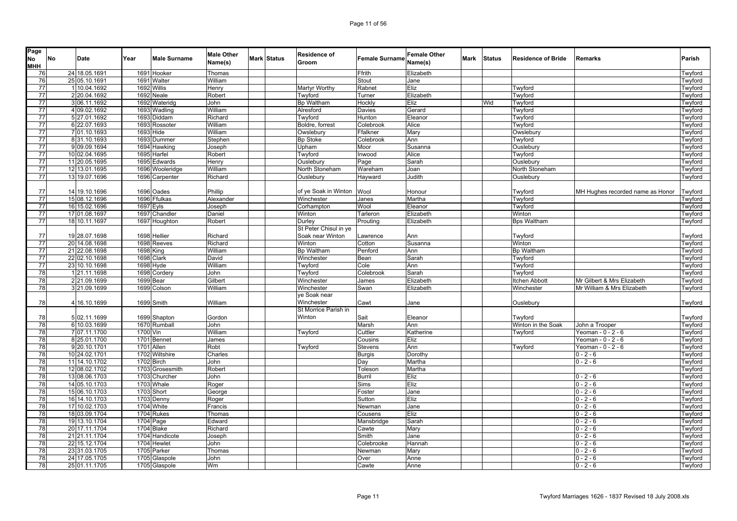| Page<br>No<br><b>MHH</b> | No | Date                           | Year                   | <b>Male Surname</b>          | <b>Male Other</b><br>Name(s) | <b>Mark Status</b> | Residence of<br>Groom       | <b>Female Surname</b> | <b>Female Other</b><br>Name(s) | Mark | Status | <b>Residence of Bride</b>   | <b>Remarks</b>                   | Parish             |
|--------------------------|----|--------------------------------|------------------------|------------------------------|------------------------------|--------------------|-----------------------------|-----------------------|--------------------------------|------|--------|-----------------------------|----------------------------------|--------------------|
| 76                       |    | 24 18.05.1691                  |                        | 1691 Hooker                  | Thomas                       |                    |                             | Ffrith                | Elizabeth                      |      |        |                             |                                  | Twyford            |
| 76                       |    | 25 05.10.1691                  |                        | 1691 Walter                  | William                      |                    |                             | Stout                 | Jane                           |      |        |                             |                                  | Twyford            |
| $\overline{77}$          |    | 1 10.04.1692                   |                        | 1692 Willis                  | Henry                        |                    | Martyr Worthy               | Rabnet                | Eliz                           |      |        | Twyford                     |                                  | Twyford            |
| 77                       |    | 2 20.04.1692                   |                        | 1692 Neale                   | Robert                       |                    | Twyford                     | Turner                | Elizabeth                      |      |        | Twyford                     |                                  | Twyford            |
| 77                       |    | 3 06.11.1692                   |                        | 1692 Wateridg                | John                         |                    | <b>Bp Waltham</b>           | Hockly                | Eliz                           |      | Wid    | Twyford                     |                                  | Twyford            |
| $\overline{77}$          |    | 4 09.02.1692                   |                        | 1693 Wadling                 | William                      |                    | Alresford                   | Davies                | Gerard                         |      |        | Twyford                     |                                  | Twyford            |
| $\overline{77}$          |    | 5 27.01.1692                   |                        | 1693 Diddam                  | Richard                      |                    | Twyford                     | Hunton                | Eleanor                        |      |        | Twyford                     |                                  | Twyford            |
| 77                       |    | 6 22.07.1693                   | 1693                   | Rossoter                     | William                      |                    | Boldre, forrest             | Colebrook             | Alice                          |      |        | Twyford                     |                                  | Twyford            |
| 77                       |    | 7 01.10.1693                   |                        | 1693 Hide                    | William                      |                    | Owslebury                   | Ffalkner              | Mary                           |      |        | Owslebury                   |                                  | Twyford            |
| 77                       |    | 8 31.10.1693                   |                        | 1693 Dummer                  | Stephen                      |                    | <b>Bp Stoke</b>             | Colebrook             | Ann                            |      |        | Twyford                     |                                  | Twyford            |
| 77<br>$\overline{77}$    |    | 9 09 09 1694<br>10 02.04.1695  |                        | 1694 Hawking<br>1695 Harfel  | Joseph<br>Robert             |                    | Upham                       | Moor                  | Susanna<br>Alice               |      |        | Ouslebury                   |                                  | Twyford            |
| $\overline{77}$          |    | 11 20.05.1695                  |                        | 1695 Edwards                 | Henry                        |                    | Twyford                     | Inwood                | Sarah                          |      |        | Twyford                     |                                  | Twyford<br>Twyford |
| 77                       |    | 12 13.01.1695                  |                        | 1696 Wooleridge              | William                      |                    | Ouslebury                   | Page                  | Joan                           |      |        | Ouslebury                   |                                  |                    |
| $\overline{77}$          |    | 13 19.07.1696                  |                        | 1696 Carpenter               | Richard                      |                    | North Stoneham<br>Ouslebury | Wareham<br>Hayward    | Judith                         |      |        | North Stoneham<br>Ouslebury |                                  | Twyford<br>Twyford |
|                          |    |                                |                        |                              |                              |                    |                             |                       |                                |      |        |                             |                                  |                    |
| 77                       |    | 14 19.10.1696                  |                        | 1696 Oades                   | Phillip                      |                    | of ye Soak in Winton Wool   |                       | Honour                         |      |        | Twyford                     | MH Hughes recorded name as Honor | Twyford            |
| $\overline{77}$          |    | 15 08.12.1696                  | 1696                   | Ffulkas                      | Alexander                    |                    | Winchester                  | Janes                 | Martha                         |      |        | Twyford                     |                                  | Twyford            |
| 77                       |    | 16 15.02.1696                  | $\overline{1697}$ Eyls |                              | Joseph                       |                    | Corhampton                  | Wool                  | Eleanor                        |      |        | Twyford                     |                                  | Twyford            |
| $\overline{77}$          |    | 17 01.08.1697                  |                        | 1697 Chandler                | Daniel                       |                    | Winton                      | Tarleron              | Elizabeth                      |      |        | Winton                      |                                  | Twyford            |
| 77                       |    | 18 10.11.1697                  | 1697                   | Houghton                     | Robert                       |                    | Durley                      | Prouting              | Elizabeth                      |      |        | <b>Bps Waltham</b>          |                                  | Twyford            |
|                          |    |                                |                        |                              |                              |                    | St Peter Chisul in ye       |                       |                                |      |        |                             |                                  |                    |
| 77                       |    | 19 28.07.1698                  |                        | 1698 Hellier                 | Richard                      |                    | Soak near Winton            | _awrence              | Ann                            |      |        | Twyford                     |                                  | Twyford            |
| $\overline{77}$          |    | 20 14.08.1698                  |                        | 1698 Reeves                  | Richard                      |                    | Winton                      | Cotton                | Susanna                        |      |        | Winton                      |                                  | Twyford            |
| $\overline{77}$          |    | 21 22.08.1698                  | 1698 King              |                              | William                      |                    | <b>Bp</b> Waltham           | Penford               | Ann                            |      |        | <b>Bp Waltham</b>           |                                  | Twyford            |
| 77                       |    | 22 02.10.1698                  |                        | 1698 Clark                   | David                        |                    | Winchester                  | Bean                  | Sarah                          |      |        | Twyford                     |                                  | Twyford            |
| 77                       |    | 23 10.10.1698                  |                        | 1698 Hyde                    | William                      |                    | Twyford                     | Cole                  | Ann                            |      |        | Twyford                     |                                  | Twyford            |
| 78                       |    | 1 21.11.1698                   |                        | 1698 Cordery                 | John                         |                    | Twyford                     | Colebrook             | Sarah                          |      |        | Twyford                     |                                  | Twyford            |
| 78                       |    | 2 21.09.1699                   |                        | 1699 Bear                    | Gilbert                      |                    | Winchester                  | James                 | Elizabeth                      |      |        | <b>Itchen Abbott</b>        | Mr Gilbert & Mrs Elizabeth       | Twyford            |
| 78                       |    | 3 21.09.1699                   |                        | 1699 Colson                  | William                      |                    | Winchester                  | Swan                  | Elizabeth                      |      |        | Winchester                  | Mr William & Mrs Elizabeth       | Twyford            |
|                          |    |                                |                        |                              |                              |                    | ye Soak near                |                       |                                |      |        |                             |                                  |                    |
| 78                       |    | 4 16.10.1699                   |                        | 1699 Smith                   | William                      |                    | Winchester                  | Cawt                  | Jane                           |      |        | Ouslebury                   |                                  | Twyford            |
|                          |    |                                |                        |                              |                              |                    | St Morrice Parish in        |                       |                                |      |        |                             |                                  |                    |
| 78                       |    | 5 02.11.1699                   |                        | 1699 Shapton                 | Gordon                       |                    | Winton                      | Sait                  | Eleanor                        |      |        | Twyford                     |                                  | Twyford            |
| 78                       |    | 6 10.03.1699                   |                        | 1670 Rumball                 | John                         |                    |                             | Marsh                 | Ann                            |      |        | Winton in the Soak          | John a Trooper                   | Twyford            |
| 78                       |    | 7 07.11.1700                   | 1700 Vin               |                              | William                      |                    | Twyford                     | Cuttler               | Katherine                      |      |        | Twyford                     | Yeoman - 0 - 2 - 6               | Twyford            |
| 78                       |    | 8 25.01.1700                   |                        | 1701 Bennet                  | James                        |                    |                             | Cousins               | Eliz                           |      |        |                             | Yeoman - 0 - 2 - 6               | Twyford            |
| 78                       |    | 9 20.10.1701                   |                        | 1701 Allen                   | Robt                         |                    | Twyford                     | <b>Stevens</b>        | Ann                            |      |        | Twyford                     | Yeoman - 0 - 2 - 6               | Twyford            |
| 78<br>78                 |    | 10 24.02.1701<br>11 14.10.1702 |                        | 1702 Wiltshire<br>1702 Birch | Charles                      |                    |                             | <b>Burgis</b>         | Dorothy                        |      |        |                             | $0 - 2 - 6$<br>$0 - 2 - 6$       | Twyford            |
| 78                       |    | 12 08 02 1702                  |                        | 1703 Grosesmith              | John<br>Robert               |                    |                             | Day<br>Toleson        | Martha<br>Martha               |      |        |                             |                                  | Twyford<br>Twyford |
| 78                       |    | 13 08.06.1703                  |                        | 1703 Churcher                | John                         |                    |                             | <b>Burril</b>         | Eliz                           |      |        |                             | $0 - 2 - 6$                      | Twyford            |
| 78                       |    | 14 05.10.1703                  |                        | 1703 Whale                   | Roger                        |                    |                             | Sims                  | Eliz                           |      |        |                             | $0 - 2 - 6$                      | Twyford            |
| 78                       |    | 15 06.10.1703                  |                        | 1703 Short                   | George                       |                    |                             | Foster                | Jane                           |      |        |                             | $0 - 2 - 6$                      | Twyford            |
| 78                       |    | 16 14.10.1703                  |                        | 1703 Denny                   | Roger                        |                    |                             | Sutton                | Eliz                           |      |        |                             | $0 - 2 - 6$                      | Twyford            |
| 78                       |    | 17 10.02.1703                  |                        | 1704 White                   | Francis                      |                    |                             | Newman                | Jane                           |      |        |                             | $0 - 2 - 6$                      | Twyford            |
| 78                       |    | 18 03.09.1704                  |                        | 1704 Rukes                   | Thomas                       |                    |                             | Cousens               | Eliz                           |      |        |                             | $0 - 2 - 6$                      | Twyford            |
| 78                       |    | 19 13.10.1704                  |                        | 1704 Page                    | Edward                       |                    |                             | Mansbridge            | Sarah                          |      |        |                             | $0 - 2 - 6$                      | Twyford            |
| 78                       |    | 20 17.11.1704                  |                        | 1704 Blake                   | Richard                      |                    |                             | Cawte                 | Mary                           |      |        |                             | $0 - 2 - 6$                      | Twyford            |
| 78                       |    | 21 21.11.1704                  |                        | 1704 Handicote               | Joseph                       |                    |                             | Smith                 | Jane                           |      |        |                             | $0 - 2 - 6$                      | Twyford            |
| 78                       |    | 22 15.12.1704                  |                        | 1704 Hewlet                  | John                         |                    |                             | Colebrooke            | Hannah                         |      |        |                             | $0 - 2 - 6$                      | Twyford            |
| 78                       |    | 23 31.03.1705                  |                        | 1705 Parker                  | Thomas                       |                    |                             | Newman                | Mary                           |      |        |                             | $0 - 2 - 6$                      | Twyford            |
| 78                       |    | 24 17.05.1705                  |                        | 1705 Glaspole                | John                         |                    |                             | Over                  | Anne                           |      |        |                             | $0 - 2 - 6$                      | Twyford            |
| 78                       |    | 25 01.11.1705                  |                        | 1705 Glaspole                | Wm                           |                    |                             | Cawte                 | Anne                           |      |        |                             | $0 - 2 - 6$                      | Twyford            |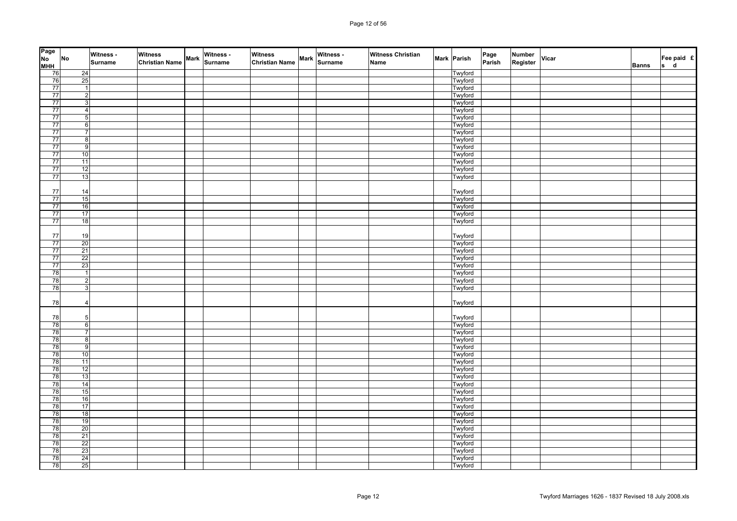#### Page 12 of 56

| Page<br>No<br><b>MHH</b> | No               | Witness -<br>Surname | <b>Witness</b><br><b>Christian Name</b> | Mark | Witness -<br>Surname | <b>Witness</b><br><b>Christian Name</b> | <b>Mark</b> | Witness -<br><b>Surname</b> | <b>Witness Christian</b><br><b>Name</b> | Mark Parish        | Page<br>Parish | Number<br>Register | Vicar | <b>Banns</b> | Fee paid £<br>s —<br>$\mathbf d$ |
|--------------------------|------------------|----------------------|-----------------------------------------|------|----------------------|-----------------------------------------|-------------|-----------------------------|-----------------------------------------|--------------------|----------------|--------------------|-------|--------------|----------------------------------|
| 76                       | 24               |                      |                                         |      |                      |                                         |             |                             |                                         | Twyford            |                |                    |       |              |                                  |
| 76                       | 25               |                      |                                         |      |                      |                                         |             |                             |                                         | Twyford            |                |                    |       |              |                                  |
| 77                       | $\overline{1}$   |                      |                                         |      |                      |                                         |             |                             |                                         | Twyford            |                |                    |       |              |                                  |
| 77                       | $\overline{2}$   |                      |                                         |      |                      |                                         |             |                             |                                         | Twyford            |                |                    |       |              |                                  |
| 77                       | 3                |                      |                                         |      |                      |                                         |             |                             |                                         | Twyford            |                |                    |       |              |                                  |
| 77                       | $\overline{4}$   |                      |                                         |      |                      |                                         |             |                             |                                         | Twyford            |                |                    |       |              |                                  |
| 77                       | $5 \overline{)}$ |                      |                                         |      |                      |                                         |             |                             |                                         | Twyford            |                |                    |       |              |                                  |
| 77                       | 6                |                      |                                         |      |                      |                                         |             |                             |                                         | Twyford            |                |                    |       |              |                                  |
| 77                       | $\overline{7}$   |                      |                                         |      |                      |                                         |             |                             |                                         | Twyford            |                |                    |       |              |                                  |
| 77                       | 8                |                      |                                         |      |                      |                                         |             |                             |                                         | Twyford            |                |                    |       |              |                                  |
| 77                       | 9                |                      |                                         |      |                      |                                         |             |                             |                                         | Twyford            |                |                    |       |              |                                  |
| 77                       | 10               |                      |                                         |      |                      |                                         |             |                             |                                         | Twyford            |                |                    |       |              |                                  |
| 77                       | 11               |                      |                                         |      |                      |                                         |             |                             |                                         | Twyford            |                |                    |       |              |                                  |
| 77                       | 12               |                      |                                         |      |                      |                                         |             |                             |                                         | Twyford            |                |                    |       |              |                                  |
| 77                       | 13               |                      |                                         |      |                      |                                         |             |                             |                                         | Twyford            |                |                    |       |              |                                  |
|                          |                  |                      |                                         |      |                      |                                         |             |                             |                                         |                    |                |                    |       |              |                                  |
| 77                       | 14               |                      |                                         |      |                      |                                         |             |                             |                                         | Twyford            |                |                    |       |              |                                  |
| 77                       | 15               |                      |                                         |      |                      |                                         |             |                             |                                         | Twyford            |                |                    |       |              |                                  |
| 77                       | 16               |                      |                                         |      |                      |                                         |             |                             |                                         | Twyford            |                |                    |       |              |                                  |
| 77                       | 17               |                      |                                         |      |                      |                                         |             |                             |                                         | Twyford            |                |                    |       |              |                                  |
| 77                       | 18               |                      |                                         |      |                      |                                         |             |                             |                                         | Twyford            |                |                    |       |              |                                  |
|                          |                  |                      |                                         |      |                      |                                         |             |                             |                                         |                    |                |                    |       |              |                                  |
| 77                       | 19               |                      |                                         |      |                      |                                         |             |                             |                                         | Twyford            |                |                    |       |              |                                  |
| 77                       | 20               |                      |                                         |      |                      |                                         |             |                             |                                         | Twyford            |                |                    |       |              |                                  |
| 77                       | 21               |                      |                                         |      |                      |                                         |             |                             |                                         | Twyford            |                |                    |       |              |                                  |
| 77                       | 22               |                      |                                         |      |                      |                                         |             |                             |                                         | Twyford            |                |                    |       |              |                                  |
| 77                       | 23               |                      |                                         |      |                      |                                         |             |                             |                                         | Twyford            |                |                    |       |              |                                  |
| 78                       | $\mathbf{1}$     |                      |                                         |      |                      |                                         |             |                             |                                         | Twyford            |                |                    |       |              |                                  |
| 78                       | $\overline{2}$   |                      |                                         |      |                      |                                         |             |                             |                                         | Twyford            |                |                    |       |              |                                  |
| 78                       | 3                |                      |                                         |      |                      |                                         |             |                             |                                         | Twyford            |                |                    |       |              |                                  |
|                          |                  |                      |                                         |      |                      |                                         |             |                             |                                         |                    |                |                    |       |              |                                  |
| 78                       | 4                |                      |                                         |      |                      |                                         |             |                             |                                         | Twyford            |                |                    |       |              |                                  |
|                          |                  |                      |                                         |      |                      |                                         |             |                             |                                         |                    |                |                    |       |              |                                  |
| 78<br>78                 | 5<br>6           |                      |                                         |      |                      |                                         |             |                             |                                         | Twyford<br>Twyford |                |                    |       |              |                                  |
| 78                       | $\overline{7}$   |                      |                                         |      |                      |                                         |             |                             |                                         | Twyford            |                |                    |       |              |                                  |
| 78                       | 8                |                      |                                         |      |                      |                                         |             |                             |                                         | Twyford            |                |                    |       |              |                                  |
| 78                       | $\overline{9}$   |                      |                                         |      |                      |                                         |             |                             |                                         | Twyford            |                |                    |       |              |                                  |
| 78                       | 10               |                      |                                         |      |                      |                                         |             |                             |                                         | Twyford            |                |                    |       |              |                                  |
| 78                       | 11               |                      |                                         |      |                      |                                         |             |                             |                                         | Twyford            |                |                    |       |              |                                  |
| 78                       | 12               |                      |                                         |      |                      |                                         |             |                             |                                         | Twyford            |                |                    |       |              |                                  |
| 78                       | 13               |                      |                                         |      |                      |                                         |             |                             |                                         | Twyford            |                |                    |       |              |                                  |
| 78                       | 14               |                      |                                         |      |                      |                                         |             |                             |                                         | Twyford            |                |                    |       |              |                                  |
| 78                       | 15               |                      |                                         |      |                      |                                         |             |                             |                                         | Twyford            |                |                    |       |              |                                  |
| 78                       | 16               |                      |                                         |      |                      |                                         |             |                             |                                         | Twyford            |                |                    |       |              |                                  |
| 78                       | 17               |                      |                                         |      |                      |                                         |             |                             |                                         | Twyford            |                |                    |       |              |                                  |
| 78                       | 18               |                      |                                         |      |                      |                                         |             |                             |                                         | Twyford            |                |                    |       |              |                                  |
| 78                       | 19               |                      |                                         |      |                      |                                         |             |                             |                                         | Twyford            |                |                    |       |              |                                  |
| 78                       | 20               |                      |                                         |      |                      |                                         |             |                             |                                         | Twyford            |                |                    |       |              |                                  |
| 78                       | 21               |                      |                                         |      |                      |                                         |             |                             |                                         | Twyford            |                |                    |       |              |                                  |
| 78                       | 22               |                      |                                         |      |                      |                                         |             |                             |                                         | Twyford            |                |                    |       |              |                                  |
| 78                       | 23               |                      |                                         |      |                      |                                         |             |                             |                                         | Twyford            |                |                    |       |              |                                  |
| 78                       | 24               |                      |                                         |      |                      |                                         |             |                             |                                         | Twyford            |                |                    |       |              |                                  |
| 78                       | 25               |                      |                                         |      |                      |                                         |             |                             |                                         | Twyford            |                |                    |       |              |                                  |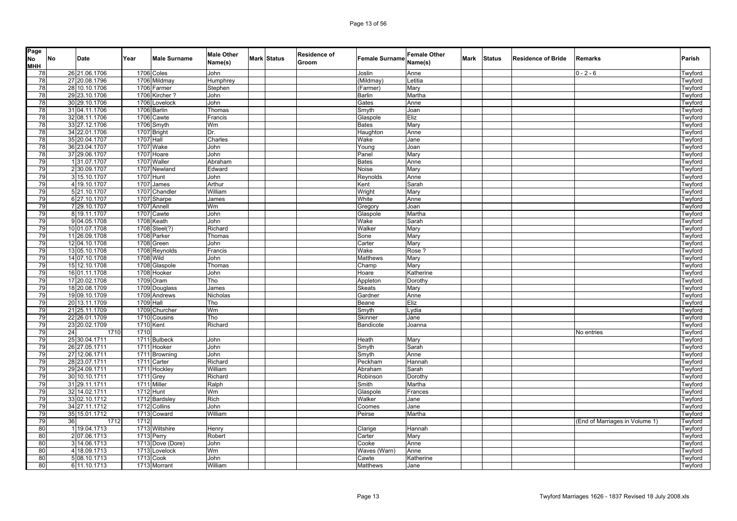| Page<br>No<br>мнн | No | Date                           | Year             | <b>Male Surname</b>           | <b>Male Other</b><br>Name(s) | <b>Mark Status</b> | Residence of<br>Groom | <b>Female Surname</b> | <b>Female Other</b><br>Name(s) | Mark | <b>Status</b> | <b>Residence of Bride</b> | Remarks                        | Parish             |
|-------------------|----|--------------------------------|------------------|-------------------------------|------------------------------|--------------------|-----------------------|-----------------------|--------------------------------|------|---------------|---------------------------|--------------------------------|--------------------|
| 78                |    | 26 21.06.1706                  |                  | 1706 Coles                    | John                         |                    |                       | Joslin                | Anne                           |      |               |                           | $0 - 2 - 6$                    | Twyford            |
| 78                |    | 27 20.08.1796                  |                  | 1706 Mildmay                  | Humphrey                     |                    |                       | (Mildmay)             | Letitia                        |      |               |                           |                                | Twyford            |
| 78                |    | 28 10.10.1706                  |                  | 1706 Farmer                   | Stephen                      |                    |                       | Farmer)               | Mary                           |      |               |                           |                                | Twyford            |
| 78                |    | 29 23.10.1706                  |                  | 1706 Kircher?                 | John                         |                    |                       | Barlin                | Martha                         |      |               |                           |                                | Twyford            |
| 78                |    | 30 29.10.1706                  |                  | 1706 Lovelock                 | John                         |                    |                       | Gates                 | Anne                           |      |               |                           |                                | Twyford            |
| 78                |    | 31 04.11.1706                  |                  | 1706 Barlin                   | Thomas                       |                    |                       | Smyth                 | Joan                           |      |               |                           |                                | Twyford            |
| 78                |    | 32 08.11.1706                  |                  | 1706 Cawte                    | Francis                      |                    |                       | Glaspole              | Eliz                           |      |               |                           |                                | Twyford            |
| 78                |    | 33 27.12.1706                  |                  | 1706 Smyth                    | Wm                           |                    |                       | <b>Bates</b>          | Mary                           |      |               |                           |                                | Twyford            |
| 78                |    | 34 22.01.1706                  |                  | 1707 Bright                   | Dr.                          |                    |                       | Haughton              | Anne                           |      |               |                           |                                | Twyford            |
| 78                |    | 35 20.04.1707                  | <b>1707 Hall</b> |                               | Charles                      |                    |                       | Wake                  | Jane                           |      |               |                           |                                | Twyford            |
| 78                |    | 36 23.04.1707                  |                  | 1707 Wake                     | John                         |                    |                       | Young                 | Joan                           |      |               |                           |                                | Twyford            |
| 78                |    | 37 29.06.1707                  |                  | 1707 Hoare<br>1707 Waller     | John                         |                    |                       | Panel                 | Mary                           |      |               |                           |                                | Twyford            |
| 79<br>79          |    | 131.07.1707                    |                  |                               | Abraham                      |                    |                       | <b>Bates</b>          | Anne                           |      |               |                           |                                | Twyford            |
| 79                |    | 2 30.09.1707<br>3 15.10.1707   |                  | 1707 Newland<br>1707 Hunt     | Edward<br>John               |                    |                       | Noise<br>Reynolds     | Mary<br>Anne                   |      |               |                           |                                | Twyford<br>Twyford |
| 79                |    | 4 19.10.1707                   |                  | 1707 James                    | Arthur                       |                    |                       | Kent                  | Sarah                          |      |               |                           |                                | Twyford            |
| 79                |    | 5 21.10.1707                   |                  | 1707 Chandler                 | William                      |                    |                       | Wright                | Mary                           |      |               |                           |                                | Twyford            |
| 79                |    | 6 27.10.1707                   | 1707             | Sharpe                        | James                        |                    |                       | White                 | Anne                           |      |               |                           |                                | Twyford            |
| 79                |    | 7 29.10.1707                   |                  | 1707 Annell                   | Wm                           |                    |                       | Gregory               | Joan                           |      |               |                           |                                | Twyford            |
| 79                |    | 8 19.11.1707                   |                  | 1707 Cawte                    | John                         |                    |                       | Glaspole              | Martha                         |      |               |                           |                                | Twyford            |
| 79                |    | 9 04.05.1708                   |                  | 1708 Keath                    | John                         |                    |                       | Wake                  | Sarah                          |      |               |                           |                                | Twyford            |
| 79                |    | 10 01.07.1708                  |                  | 1708 Steel(?)                 | Richard                      |                    |                       | Walker                | Mary                           |      |               |                           |                                | Twyford            |
| 79                |    | 11 26.09.1708                  |                  | 1708 Parker                   | Thomas                       |                    |                       | Sone                  | Mary                           |      |               |                           |                                | Twyford            |
| 79                |    | 12 04.10.1708                  |                  | 1708 Green                    | John                         |                    |                       | Carter                | Mary                           |      |               |                           |                                | Twyford            |
| 79                |    | 13 05.10.1708                  |                  | 1708 Reynolds                 | Francis                      |                    |                       | Wake                  | Rose?                          |      |               |                           |                                | Twyford            |
| 79                |    | 14 07.10.1708                  |                  | 1708 Wild                     | John                         |                    |                       | <b>Matthews</b>       | Mary                           |      |               |                           |                                | Twyford            |
| 79                |    | 15 12.10.1708                  |                  | 1708 Glaspole                 | Thomas                       |                    |                       | Champ                 | Mary                           |      |               |                           |                                | Twyford            |
| 79                |    | 16 01.11.1708                  |                  | 1708 Hooker                   | John                         |                    |                       | Hoare                 | Katherine                      |      |               |                           |                                | Twyford            |
| 79                |    | 17 20.02.1708                  |                  | 1709 Oram                     | Tho                          |                    |                       | Appleton              | Dorothy                        |      |               |                           |                                | Twyford            |
| 79                |    | 18 20.08.1709                  |                  | 1709 Douglass                 | James                        |                    |                       | Skeats                | Mary                           |      |               |                           |                                | Twyford            |
| 79                |    | 19 09.10.1709                  |                  | 1709 Andrews                  | Nicholas                     |                    |                       | Gardner               | Anne                           |      |               |                           |                                | Twyford            |
| 79                |    | 20 13.11.1709                  | 1709 Hall        |                               | Tho                          |                    |                       | Beane                 | Eliz                           |      |               |                           |                                | Twyford            |
| 79                |    | 21 25.11.1709                  |                  | 1709 Churcher                 | Wm                           |                    |                       | Smyth                 | Lydia                          |      |               |                           |                                | Twyford            |
| 79                |    | 22 26.01.1709                  |                  | 1710 Cousins                  | Tho                          |                    |                       | Skinner               | Jane                           |      |               |                           |                                | Twyford            |
| 79                |    | 23 20.02.1709                  |                  | 1710 Kent                     | Richard                      |                    |                       | Bandicote             | Joanna                         |      |               |                           |                                | Twyford            |
| 79                | 24 | 1710                           | 1710             |                               |                              |                    |                       |                       |                                |      |               |                           | No entries                     | Twyford            |
| 79                |    | 25 30.04.1711                  |                  | 1711 Bulbeck                  | John                         |                    |                       | Heath                 | Mary                           |      |               |                           |                                | Twyford            |
| 79                |    | 26 27.05.1711                  |                  | 1711 Hooker                   | John                         |                    |                       | Smyth                 | Sarah                          |      |               |                           |                                | Twyford            |
| 79                |    | 27 12.06.1711                  |                  | 1711 Browning                 | John                         |                    |                       | Smyth                 | Anne                           |      |               |                           |                                | Twyford            |
| 79                |    | 28 23.07.1711                  |                  | 1711 Carter                   | Richard                      |                    |                       | Peckham               | Hannah                         |      |               |                           |                                | Twyford            |
| 79                |    | 29 24.09.1711                  |                  | 1711 Hockley                  | William                      |                    |                       | Abraham               | Sarah                          |      |               |                           |                                | Twyford            |
| 79                |    | 30 10.10.1711                  |                  | 1711 Grey                     | Richard                      |                    |                       | Robinson              | Dorothy                        |      |               |                           |                                | Twyford            |
| 79                |    | 31 29.11.1711                  |                  | 1711 Miller                   | Ralph                        |                    |                       | Smith                 | Martha                         |      |               |                           |                                | Twyford            |
| 79                |    | 32 14.02.1711                  |                  | 1712 Hunt                     | Wm                           |                    |                       | Glaspole              | Frances                        |      |               |                           |                                | Twyford            |
| 79<br>79          |    | 33 02.10.1712<br>34 27.11.1712 |                  | 1712 Bardsley<br>1712 Collins | Rich<br>John                 |                    |                       | <b>Nalker</b>         | Jane                           |      |               |                           |                                | Twyford            |
| 79                |    | 35 15.01.1712                  |                  | 1713 Coward                   | William                      |                    |                       | Coomes<br>Peirse      | Jane<br>Martha                 |      |               |                           |                                | Twyford<br>Twyford |
| 79                | 36 | 1712                           | 1712             |                               |                              |                    |                       |                       |                                |      |               |                           | (End of Marriages in Volume 1) | Twyford            |
| 80                |    | 1 19.04.1713                   |                  | 1713 Wiltshire                | Henry                        |                    |                       | Clarige               | Hannah                         |      |               |                           |                                | Twyford            |
| 80                |    | 2 07.06.1713                   |                  | 1713 Perry                    | Robert                       |                    |                       | Carter                | Mary                           |      |               |                           |                                | Twyford            |
| 80                |    | 3 14.06.1713                   |                  | 1713 Dove (Dore)              | John                         |                    |                       | Cooke                 | Anne                           |      |               |                           |                                | Twyford            |
| 80                |    | 4 18.09.1713                   |                  | 1713 Lovelock                 | Wm                           |                    |                       | Waves (Warn)          | Anne                           |      |               |                           |                                | Twyford            |
| 80                |    | 5 08.10.1713                   |                  | 1713 Cook                     | John                         |                    |                       | Cawte                 | Katherine                      |      |               |                           |                                | Twyford            |
| 80                |    | 6 11.10.1713                   |                  | 1713 Morrant                  | William                      |                    |                       | Matthews              | Jane                           |      |               |                           |                                | Twyford            |
|                   |    |                                |                  |                               |                              |                    |                       |                       |                                |      |               |                           |                                |                    |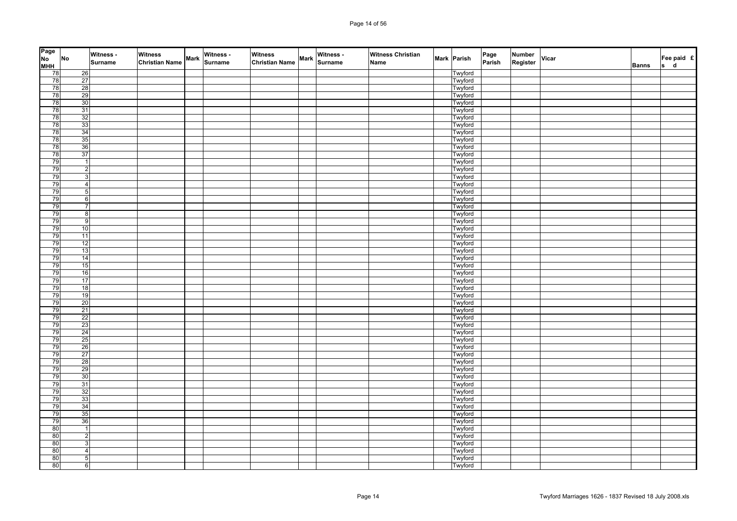#### Page 14 of 56

| Page<br>No<br><b>MHH</b> | No             | Witness -<br><b>Surname</b> | Witness<br><b>Christian Name</b> | <b>Mark</b> | Witness -<br><b>Surname</b> | <b>Witness</b><br><b>Christian Name</b> | <b>Mark</b> | Witness -<br>Surname | <b>Witness Christian</b><br>Name | Mark Parish        | Page<br>Parish | <b>Number</b><br>Register | <b>Vicar</b> | Banns | Fee paid $\mathbf{E}$<br>s d |
|--------------------------|----------------|-----------------------------|----------------------------------|-------------|-----------------------------|-----------------------------------------|-------------|----------------------|----------------------------------|--------------------|----------------|---------------------------|--------------|-------|------------------------------|
| 78                       | 26             |                             |                                  |             |                             |                                         |             |                      |                                  | Twyford            |                |                           |              |       |                              |
| 78                       | 27             |                             |                                  |             |                             |                                         |             |                      |                                  | Twyford            |                |                           |              |       |                              |
| 78                       | 28             |                             |                                  |             |                             |                                         |             |                      |                                  | Twyford            |                |                           |              |       |                              |
| 78                       | 29             |                             |                                  |             |                             |                                         |             |                      |                                  | Twyford            |                |                           |              |       |                              |
| 78                       | 30             |                             |                                  |             |                             |                                         |             |                      |                                  | Twyford            |                |                           |              |       |                              |
| 78                       | 31             |                             |                                  |             |                             |                                         |             |                      |                                  | Twyford            |                |                           |              |       |                              |
| 78                       | 32             |                             |                                  |             |                             |                                         |             |                      |                                  | Twyford            |                |                           |              |       |                              |
| 78                       | 33             |                             |                                  |             |                             |                                         |             |                      |                                  | Twyford            |                |                           |              |       |                              |
| 78                       | 34             |                             |                                  |             |                             |                                         |             |                      |                                  | Twyford            |                |                           |              |       |                              |
| 78                       | 35             |                             |                                  |             |                             |                                         |             |                      |                                  | Twyford            |                |                           |              |       |                              |
| 78                       | 36             |                             |                                  |             |                             |                                         |             |                      |                                  | Twyford            |                |                           |              |       |                              |
| 78                       | 37             |                             |                                  |             |                             |                                         |             |                      |                                  | Twyford            |                |                           |              |       |                              |
| 79                       | $\overline{1}$ |                             |                                  |             |                             |                                         |             |                      |                                  | Twyford            |                |                           |              |       |                              |
| 79                       | $\overline{2}$ |                             |                                  |             |                             |                                         |             |                      |                                  | Twyford            |                |                           |              |       |                              |
| 79                       | 3 <sup>1</sup> |                             |                                  |             |                             |                                         |             |                      |                                  | Twyford            |                |                           |              |       |                              |
| 79                       | $\overline{4}$ |                             |                                  |             |                             |                                         |             |                      |                                  | Twyford            |                |                           |              |       |                              |
| 79                       | 5              |                             |                                  |             |                             |                                         |             |                      |                                  | Twyford            |                |                           |              |       |                              |
| 79                       | 6              |                             |                                  |             |                             |                                         |             |                      |                                  | Twyford            |                |                           |              |       |                              |
| 79                       | $\overline{7}$ |                             |                                  |             |                             |                                         |             |                      |                                  | Twyford            |                |                           |              |       |                              |
| 79                       | 8              |                             |                                  |             |                             |                                         |             |                      |                                  | Twyford            |                |                           |              |       |                              |
| 79                       | 9              |                             |                                  |             |                             |                                         |             |                      |                                  | Twyford            |                |                           |              |       |                              |
| 79                       | 10             |                             |                                  |             |                             |                                         |             |                      |                                  | Twyford            |                |                           |              |       |                              |
| 79                       | 11             |                             |                                  |             |                             |                                         |             |                      |                                  | Twyford            |                |                           |              |       |                              |
| 79                       | 12             |                             |                                  |             |                             |                                         |             |                      |                                  | Twyford            |                |                           |              |       |                              |
| 79                       | 13             |                             |                                  |             |                             |                                         |             |                      |                                  | Twyford            |                |                           |              |       |                              |
| 79                       | 14             |                             |                                  |             |                             |                                         |             |                      |                                  | Twyford            |                |                           |              |       |                              |
| 79                       | 15<br>16       |                             |                                  |             |                             |                                         |             |                      |                                  | Twyford            |                |                           |              |       |                              |
| 79<br>79                 | 17             |                             |                                  |             |                             |                                         |             |                      |                                  | Twyford<br>Twyford |                |                           |              |       |                              |
| 79                       | 18             |                             |                                  |             |                             |                                         |             |                      |                                  | Twyford            |                |                           |              |       |                              |
| 79                       | 19             |                             |                                  |             |                             |                                         |             |                      |                                  | Twyford            |                |                           |              |       |                              |
| 79                       | 20             |                             |                                  |             |                             |                                         |             |                      |                                  | Twyford            |                |                           |              |       |                              |
| 79                       | 21             |                             |                                  |             |                             |                                         |             |                      |                                  | Twyford            |                |                           |              |       |                              |
| 79                       | 22             |                             |                                  |             |                             |                                         |             |                      |                                  | Twyford            |                |                           |              |       |                              |
| 79                       | 23             |                             |                                  |             |                             |                                         |             |                      |                                  | Twyford            |                |                           |              |       |                              |
| 79                       | 24             |                             |                                  |             |                             |                                         |             |                      |                                  | Twyford            |                |                           |              |       |                              |
| 79                       | 25             |                             |                                  |             |                             |                                         |             |                      |                                  | Twyford            |                |                           |              |       |                              |
| 79                       | 26             |                             |                                  |             |                             |                                         |             |                      |                                  | Twyford            |                |                           |              |       |                              |
| 79                       | 27             |                             |                                  |             |                             |                                         |             |                      |                                  | Twyford            |                |                           |              |       |                              |
| 79                       | 28             |                             |                                  |             |                             |                                         |             |                      |                                  | Twyford            |                |                           |              |       |                              |
| 79                       | 29             |                             |                                  |             |                             |                                         |             |                      |                                  | Twyford            |                |                           |              |       |                              |
| 79                       | 30             |                             |                                  |             |                             |                                         |             |                      |                                  | Twyford            |                |                           |              |       |                              |
| 79                       | 31             |                             |                                  |             |                             |                                         |             |                      |                                  | Twyford            |                |                           |              |       |                              |
| 79                       | 32             |                             |                                  |             |                             |                                         |             |                      |                                  | Twyford            |                |                           |              |       |                              |
| 79                       | 33             |                             |                                  |             |                             |                                         |             |                      |                                  | Twyford            |                |                           |              |       |                              |
| 79                       | 34             |                             |                                  |             |                             |                                         |             |                      |                                  | Twyford            |                |                           |              |       |                              |
| 79                       | 35             |                             |                                  |             |                             |                                         |             |                      |                                  | Twyford            |                |                           |              |       |                              |
| 79                       | 36             |                             |                                  |             |                             |                                         |             |                      |                                  | Twyford            |                |                           |              |       |                              |
| 80                       | 1              |                             |                                  |             |                             |                                         |             |                      |                                  | Twyford            |                |                           |              |       |                              |
| 80                       | $\overline{2}$ |                             |                                  |             |                             |                                         |             |                      |                                  | Twyford            |                |                           |              |       |                              |
| 80                       | 3 <sup>1</sup> |                             |                                  |             |                             |                                         |             |                      |                                  | Twyford            |                |                           |              |       |                              |
| 80                       | $\overline{4}$ |                             |                                  |             |                             |                                         |             |                      |                                  | Twyford            |                |                           |              |       |                              |
| 80                       | 5              |                             |                                  |             |                             |                                         |             |                      |                                  | Twyford            |                |                           |              |       |                              |
| 80                       | 6              |                             |                                  |             |                             |                                         |             |                      |                                  | Twyford            |                |                           |              |       |                              |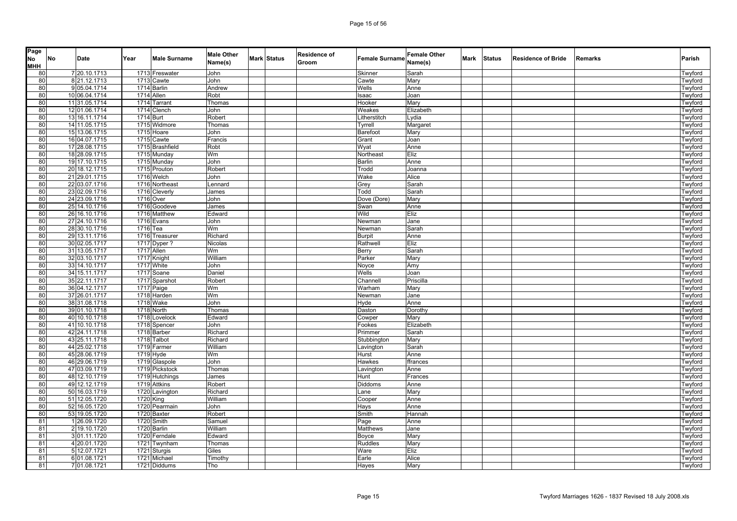| Page<br>No<br>Імнн | No | Date                           | Year        | <b>Male Surname</b>                      | <b>Male Other</b><br>Name(s) | <b>Mark Status</b> | Residence of<br>Groom | <b>Female Surname</b> | <b>Female Other</b><br>Name(s) | Mark | <b>Status</b> | <b>Residence of Bride</b> | Remarks | Parish             |
|--------------------|----|--------------------------------|-------------|------------------------------------------|------------------------------|--------------------|-----------------------|-----------------------|--------------------------------|------|---------------|---------------------------|---------|--------------------|
| 80                 |    | 7 20.10.1713                   |             | 1713 Freswater                           | John                         |                    |                       | Skinner               | Sarah                          |      |               |                           |         | Twyford            |
| 80                 |    | 8 21.12.1713                   |             | $\overline{1713}$ Cawte                  | John                         |                    |                       | Cawte                 | Marv                           |      |               |                           |         | Twyford            |
| 80                 |    | 9 05 04 1714                   |             | 1714 Barlin                              | Andrew                       |                    |                       | Wells                 | Anne                           |      |               |                           |         | Twyford            |
| 80                 |    | 10 06.04.1714                  |             | 1714 Allen                               | Robt                         |                    |                       | saac                  | Joan                           |      |               |                           |         | Twyford            |
| 80                 |    | 11 31.05.1714                  |             | 1714 Tarrant                             | Thomas                       |                    |                       | Hooker                | Mary                           |      |               |                           |         | Twyford            |
| 80                 |    | 12 01.06.1714                  |             | 1714 Clench                              | John                         |                    |                       | Weakes                | Elizabeth                      |      |               |                           |         | Twyford            |
| 80                 |    | 13 16.11.1714                  | $1714$ Burt |                                          | Robert                       |                    |                       | Litherstitch          | Lydia                          |      |               |                           |         | Twyford            |
| 80                 |    | 14 11.05.1715                  |             | 1715 Widmore                             | Thomas                       |                    |                       | Tyrrell               | Margaret                       |      |               |                           |         | Twyford            |
| 80                 |    | 15 13.06.1715                  |             | 1715 Hoare                               | John                         |                    |                       | Barefoot              | Mary                           |      |               |                           |         | Twyford            |
| 80                 |    | 16 04.07.1715                  |             | $\overline{1715}$ Cawte                  | Francis                      |                    |                       | Grant                 | Joan                           |      |               |                           |         | Twyford            |
| 80                 |    | 17 28.08.1715                  |             | 1715 Brashfield                          | Robt                         |                    |                       | Wyat                  | Anne                           |      |               |                           |         | Twyford            |
| 80                 |    | 18 28.09.1715                  |             | 1715 Munday                              | Wm                           |                    |                       | Northeast             | Eliz                           |      |               |                           |         | Twyford            |
| 80                 |    | 19 17.10.1715                  |             | 1715 Munday                              | John                         |                    |                       | <b>Barlin</b>         | Anne                           |      |               |                           |         | Twyford            |
| 80                 |    | 20 18.12.1715                  |             | 1715 Prouton                             | Robert                       |                    |                       | Trodd                 | Joanna                         |      |               |                           |         | Twyford            |
| 80                 |    | 21 29.01.1715                  |             | 1716 Welch                               | John                         |                    |                       | Wake                  | Alice                          |      |               |                           |         | Twyford            |
| 80                 |    | 22 03.07.1716                  |             | 1716 Northeast                           | Lennard                      |                    |                       | Grey                  | Sarah                          |      |               |                           |         | Twyford            |
| 80                 |    | 23 02.09.1716                  |             | 1716 Cleverly<br>$\overline{17}$ 16 Over | James                        |                    |                       | Todd                  | Sarah                          |      |               |                           |         | Twyford            |
| 80<br>80           |    | 24 23.09.1716<br>25 14.10.1716 |             | 1716 Goodeve                             | John<br>James                |                    |                       | Dove (Dore)<br>Swan   | Mary<br>Anne                   |      |               |                           |         | Twyford            |
| 80                 |    | 26 16.10.1716                  |             | 1716 Matthew                             | Edward                       |                    |                       | Wild                  | Eliz                           |      |               |                           |         | Twyford<br>Twyford |
| 80                 |    | 27 24.10.1716                  |             | 1716 Evans                               | John                         |                    |                       | Newman                | Jane                           |      |               |                           |         | Twyford            |
| 80                 |    | 28 30.10.1716                  | 1716 Tea    |                                          | Wm                           |                    |                       | Newman                | Sarah                          |      |               |                           |         | Twyford            |
| 80                 |    | 29 13.11.1716                  |             | 1716 Treasurer                           | Richard                      |                    |                       | <b>Burpit</b>         | Anne                           |      |               |                           |         | Twyford            |
| 80                 |    | 30 02.05.1717                  |             | 1717 Dyper ?                             | Nicolas                      |                    |                       | Rathwel               | Eliz                           |      |               |                           |         | Twyford            |
| 80                 |    | 31 13.05.1717                  |             | 1717 Allen                               | Wm                           |                    |                       | Berry                 | Sarah                          |      |               |                           |         | Twyford            |
| 80                 |    | 32 03.10.1717                  |             | 1717 Knight                              | William                      |                    |                       | Parker                | Mary                           |      |               |                           |         | Twyford            |
| 80                 |    | 33 14.10.1717                  |             | 1717 White                               | John                         |                    |                       | Noyce                 | Amy                            |      |               |                           |         | Twyford            |
| 80                 |    | 34 15.11.1717                  |             | 1717 Soane                               | Daniel                       |                    |                       | Wells                 | Joan                           |      |               |                           |         | Twyford            |
| 80                 |    | 35 22.11.1717                  |             | 1717 Sparshot                            | Robert                       |                    |                       | Channel               | Priscilla                      |      |               |                           |         | Twyford            |
| 80                 |    | 36 04.12.1717                  |             | 1717 Paige                               | Wm                           |                    |                       | Warham                | Mary                           |      |               |                           |         | Twyford            |
| 80                 |    | 37 26.01.1717                  |             | 1718 Harden                              | Wm                           |                    |                       | Newman                | Jane                           |      |               |                           |         | Twyford            |
| 80                 |    | 38 31.08.1718                  |             | 1718 Wake                                | John                         |                    |                       | Hyde                  | Anne                           |      |               |                           |         | Twyford            |
| 80                 |    | 39 01.10.1718                  |             | 1718 North                               | Thomas                       |                    |                       | Daston                | Dorothy                        |      |               |                           |         | Twyford            |
| 80                 |    | 40 10.10.1718                  |             | 1718 Lovelock                            | Edward                       |                    |                       | Cowper                | Mary                           |      |               |                           |         | Twyford            |
| 80                 |    | 41 10.10.1718                  |             | 1718 Spencer                             | John                         |                    |                       | Fookes                | Elizabeth                      |      |               |                           |         | Twyford            |
| 80                 |    | 42 24.11.1718                  |             | 1718 Barber                              | Richard                      |                    |                       | Primmer               | Sarah                          |      |               |                           |         | Twyford            |
| 80                 |    | 43 25.11.1718                  |             | 1718 Talbot                              | Richard                      |                    |                       | Stubbington           | Mary                           |      |               |                           |         | Twyford            |
| 80                 |    | 44 25.02.1718                  |             | 1719 Farmer                              | William                      |                    |                       | Lavington             | Sarah                          |      |               |                           |         | Twyford            |
| 80                 |    | 45 28.06.1719                  |             | 1719 Hyde                                | Wm                           |                    |                       | Hurst                 | Anne                           |      |               |                           |         | Twyford            |
| 80                 |    | 46 29.06.1719                  |             | 1719 Glaspole                            | John                         |                    |                       | Hawkes                | ffrances                       |      |               |                           |         | Twyford            |
| 80                 |    | 47 03.09.1719                  |             | 1719 Pickstock                           | Thomas                       |                    |                       | avington              | Anne                           |      |               |                           |         | Twyford            |
| 80                 |    | 48 12.10.1719                  |             | 1719 Hutchings                           | James                        |                    |                       | Hunt                  | Frances                        |      |               |                           |         | Twyford            |
| 80                 |    | 49 12.12.1719                  |             | 1719 Attkins                             | Robert                       |                    |                       | Diddoms               | Anne                           |      |               |                           |         | Twyford            |
| 80                 |    | 50 16.03.1719                  |             | 1720 Lavington                           | Richard                      |                    |                       | Lane                  | Mary                           |      |               |                           |         | Twyford            |
| 80                 |    | 51 12.05.1720                  |             | 1720 King                                | William                      |                    |                       | Cooper                | Anne                           |      |               |                           |         | Twyford            |
| 80                 |    | 52 16.05.1720                  |             | 1720 Pearmain                            | John                         |                    |                       | Hays                  | Anne                           |      |               |                           |         | Twyford            |
| 80                 |    | 53 19.05.1720                  |             | 1720 Baxter                              | Robert                       |                    |                       | Smith                 | Hannah                         |      |               |                           |         | Twyford            |
| 81                 |    | 1 26.09.1720                   |             | 1720 Smith                               | Samuel                       |                    |                       | Page                  | Anne                           |      |               |                           |         | Twyford            |
| 81                 |    | 2 19.10.1720                   |             | 1720 Barlin                              | William                      |                    |                       | Matthews              | Jane                           |      |               |                           |         | Twyford            |
| 81                 |    | 3 01.11.1720                   |             | 1720 Ferndale                            | Edward                       |                    |                       | Boyce                 | Mary                           |      |               |                           |         | Twyford            |
| 81                 |    | 4 20.01.1720                   |             | 1721 Twynham                             | Thomas                       |                    |                       | Ruddles               | Mary                           |      |               |                           |         | Twyford            |
| 81                 |    | 5 12.07.1721                   |             | 1721 Sturgis                             | Giles                        |                    |                       | Ware                  | Eliz                           |      |               |                           |         | Twyford            |
| 81                 |    | 6 01.08.1721                   |             | 1721 Michael                             | Timothy                      |                    |                       | Earle                 | Alice                          |      |               |                           |         | Twyford            |
| 81                 |    | 7 01.08.1721                   |             | 1721 Diddums                             | Tho                          |                    |                       | Hayes                 | Mary                           |      |               |                           |         | Twyford            |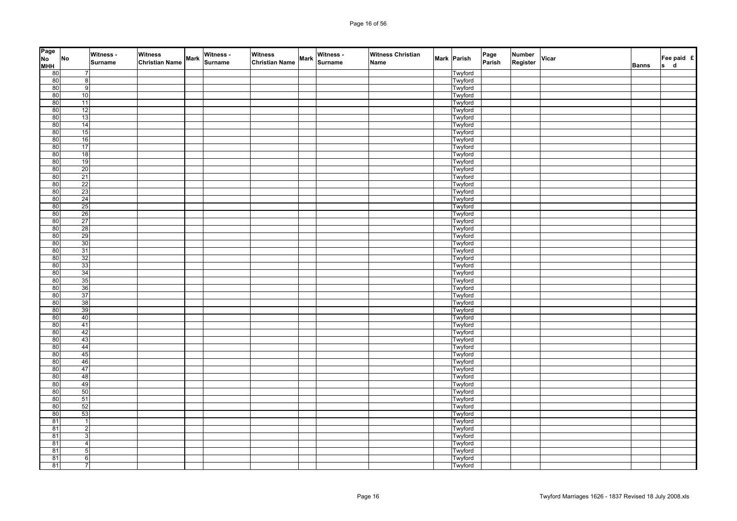#### Page 16 of 56

| Page<br>No<br>МНН | No               | Witness -<br>Surname | <b>Witness</b><br><b>Christian Name</b> | <b>Mark</b> | Witness -<br>Surname | <b>Witness</b><br><b>Christian Name</b> | <b>Mark</b> | Witness -<br><b>Surname</b> | <b>Witness Christian</b><br>Name | Mark Parish | Page<br>Parish | <b>Number</b><br>Register | Vicar | <b>Banns</b> | Fee paid $\mathbf{\pounds}$<br>s d |
|-------------------|------------------|----------------------|-----------------------------------------|-------------|----------------------|-----------------------------------------|-------------|-----------------------------|----------------------------------|-------------|----------------|---------------------------|-------|--------------|------------------------------------|
| 80                |                  |                      |                                         |             |                      |                                         |             |                             |                                  | Twyford     |                |                           |       |              |                                    |
| 80                | 8                |                      |                                         |             |                      |                                         |             |                             |                                  | Twyford     |                |                           |       |              |                                    |
| 80                | $\overline{9}$   |                      |                                         |             |                      |                                         |             |                             |                                  | Twyford     |                |                           |       |              |                                    |
| 80                | 10               |                      |                                         |             |                      |                                         |             |                             |                                  | Twyford     |                |                           |       |              |                                    |
| 80                | 11               |                      |                                         |             |                      |                                         |             |                             |                                  | Twyford     |                |                           |       |              |                                    |
| 80                | 12               |                      |                                         |             |                      |                                         |             |                             |                                  | Twyford     |                |                           |       |              |                                    |
| 80                | 13               |                      |                                         |             |                      |                                         |             |                             |                                  | Twyford     |                |                           |       |              |                                    |
| 80                | 14               |                      |                                         |             |                      |                                         |             |                             |                                  | Twyford     |                |                           |       |              |                                    |
| 80                | 15               |                      |                                         |             |                      |                                         |             |                             |                                  | Twyford     |                |                           |       |              |                                    |
| 80                | 16               |                      |                                         |             |                      |                                         |             |                             |                                  | Twyford     |                |                           |       |              |                                    |
| 80                | 17               |                      |                                         |             |                      |                                         |             |                             |                                  | Twyford     |                |                           |       |              |                                    |
| 80                | 18               |                      |                                         |             |                      |                                         |             |                             |                                  | Twyford     |                |                           |       |              |                                    |
| 80                | 19               |                      |                                         |             |                      |                                         |             |                             |                                  | Twyford     |                |                           |       |              |                                    |
| 80                | 20               |                      |                                         |             |                      |                                         |             |                             |                                  | Twyford     |                |                           |       |              |                                    |
| 80                | 21               |                      |                                         |             |                      |                                         |             |                             |                                  | Twyford     |                |                           |       |              |                                    |
| 80                | 22               |                      |                                         |             |                      |                                         |             |                             |                                  | Twyford     |                |                           |       |              |                                    |
| 80                | 23               |                      |                                         |             |                      |                                         |             |                             |                                  | Twyford     |                |                           |       |              |                                    |
| 80                | 24               |                      |                                         |             |                      |                                         |             |                             |                                  | Twyford     |                |                           |       |              |                                    |
| 80                | 25               |                      |                                         |             |                      |                                         |             |                             |                                  | Twyford     |                |                           |       |              |                                    |
| 80                | 26               |                      |                                         |             |                      |                                         |             |                             |                                  | Twyford     |                |                           |       |              |                                    |
| 80                | 27               |                      |                                         |             |                      |                                         |             |                             |                                  | Twyford     |                |                           |       |              |                                    |
| 80                | 28               |                      |                                         |             |                      |                                         |             |                             |                                  | Twyford     |                |                           |       |              |                                    |
| 80                | 29               |                      |                                         |             |                      |                                         |             |                             |                                  | Twyford     |                |                           |       |              |                                    |
| 80                | 30               |                      |                                         |             |                      |                                         |             |                             |                                  | Twyford     |                |                           |       |              |                                    |
| 80                | 31               |                      |                                         |             |                      |                                         |             |                             |                                  | Twyford     |                |                           |       |              |                                    |
| 80                | 32               |                      |                                         |             |                      |                                         |             |                             |                                  | Twyford     |                |                           |       |              |                                    |
| 80                | 33               |                      |                                         |             |                      |                                         |             |                             |                                  | Twyford     |                |                           |       |              |                                    |
| 80                | 34               |                      |                                         |             |                      |                                         |             |                             |                                  | Twyford     |                |                           |       |              |                                    |
| 80                | 35               |                      |                                         |             |                      |                                         |             |                             |                                  | Twyford     |                |                           |       |              |                                    |
| 80                | 36               |                      |                                         |             |                      |                                         |             |                             |                                  | Twyford     |                |                           |       |              |                                    |
| 80                | 37               |                      |                                         |             |                      |                                         |             |                             |                                  | Twyford     |                |                           |       |              |                                    |
| 80                | 38               |                      |                                         |             |                      |                                         |             |                             |                                  | Twyford     |                |                           |       |              |                                    |
| 80                | 39               |                      |                                         |             |                      |                                         |             |                             |                                  | Twyford     |                |                           |       |              |                                    |
| 80                | 40               |                      |                                         |             |                      |                                         |             |                             |                                  | Twyford     |                |                           |       |              |                                    |
| 80                | 41               |                      |                                         |             |                      |                                         |             |                             |                                  | Twyford     |                |                           |       |              |                                    |
| 80                | 42               |                      |                                         |             |                      |                                         |             |                             |                                  | Twyford     |                |                           |       |              |                                    |
| 80                | 43               |                      |                                         |             |                      |                                         |             |                             |                                  | Twyford     |                |                           |       |              |                                    |
| 80                | 44               |                      |                                         |             |                      |                                         |             |                             |                                  | Twyford     |                |                           |       |              |                                    |
| 80                | 45               |                      |                                         |             |                      |                                         |             |                             |                                  | Twyford     |                |                           |       |              |                                    |
| 80                | 46               |                      |                                         |             |                      |                                         |             |                             |                                  | Twyford     |                |                           |       |              |                                    |
| 80                | 47               |                      |                                         |             |                      |                                         |             |                             |                                  | Twyford     |                |                           |       |              |                                    |
| 80                | 48               |                      |                                         |             |                      |                                         |             |                             |                                  | Twyford     |                |                           |       |              |                                    |
| 80                | 49               |                      |                                         |             |                      |                                         |             |                             |                                  | Twyford     |                |                           |       |              |                                    |
| 80                | 50               |                      |                                         |             |                      |                                         |             |                             |                                  | Twyford     |                |                           |       |              |                                    |
| 80                | 51               |                      |                                         |             |                      |                                         |             |                             |                                  | Twyford     |                |                           |       |              |                                    |
| 80                | 52               |                      |                                         |             |                      |                                         |             |                             |                                  | Twyford     |                |                           |       |              |                                    |
| 80                | 53               |                      |                                         |             |                      |                                         |             |                             |                                  | Twyford     |                |                           |       |              |                                    |
| 81                | $\overline{1}$   |                      |                                         |             |                      |                                         |             |                             |                                  | Twyford     |                |                           |       |              |                                    |
| 81                | $\overline{2}$   |                      |                                         |             |                      |                                         |             |                             |                                  | Twyford     |                |                           |       |              |                                    |
| 81                | 3                |                      |                                         |             |                      |                                         |             |                             |                                  | Twyford     |                |                           |       |              |                                    |
| 81                | $\overline{4}$   |                      |                                         |             |                      |                                         |             |                             |                                  | Twyford     |                |                           |       |              |                                    |
| 81                | $5 \overline{5}$ |                      |                                         |             |                      |                                         |             |                             |                                  | Twyford     |                |                           |       |              |                                    |
| 81                | $6 \overline{}$  |                      |                                         |             |                      |                                         |             |                             |                                  | Twyford     |                |                           |       |              |                                    |
| 81                | $\overline{7}$   |                      |                                         |             |                      |                                         |             |                             |                                  | Twyford     |                |                           |       |              |                                    |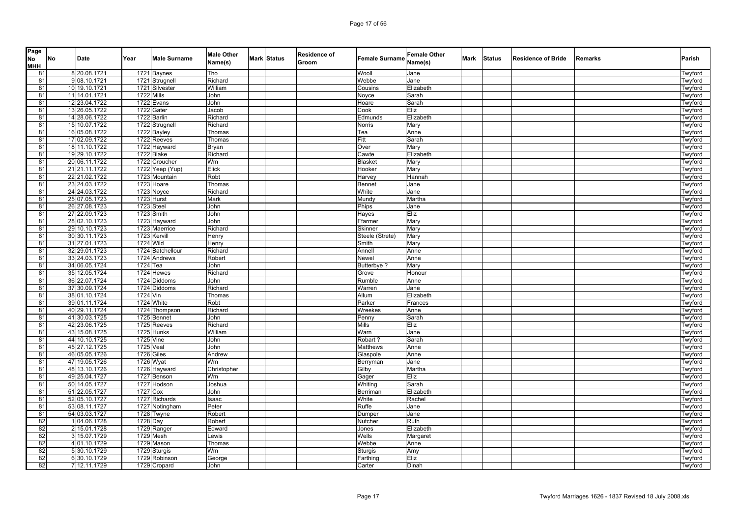| Page<br>No<br><b>MHH</b> | No | Date                           | Year             | <b>Male Surname</b>          | <b>Male Other</b><br>Name(s) | <b>Mark Status</b> | Residence of<br>Groom | <b>Female Surname</b> | <b>Female Other</b><br>Name(s) | Mark | <b>Status</b> | <b>Residence of Bride</b> | Remarks | Parish             |
|--------------------------|----|--------------------------------|------------------|------------------------------|------------------------------|--------------------|-----------------------|-----------------------|--------------------------------|------|---------------|---------------------------|---------|--------------------|
| 81                       |    | 8 20.08.1721                   |                  | 1721 Baynes                  | Tho                          |                    |                       | Wooll                 | Jane                           |      |               |                           |         | Twyford            |
| 81                       |    | 9 08.10.1721                   |                  | 1721 Strugnell               | Richard                      |                    |                       | Webbe                 | Jane                           |      |               |                           |         | Twyford            |
| 81                       |    | 10 19.10.1721                  |                  | 1721 Silvester               | William                      |                    |                       | Cousins               | Elizabeth                      |      |               |                           |         | Twyford            |
| 81                       |    | 11 14.01.1721                  | 1722 Mills       |                              | John                         |                    |                       | Noyce                 | Sarah                          |      |               |                           |         | Twyford            |
| 81                       |    | 12 23.04.1722                  |                  | 1722 Evans                   | John                         |                    |                       | Hoare                 | Sarah                          |      |               |                           |         | Twyford            |
| 81                       |    | 13 26.05.1722                  |                  | 1722 Gater                   | Jacob                        |                    |                       | Cook                  | Eliz                           |      |               |                           |         | Twyford            |
| 81                       |    | 14 28.06.1722                  |                  | 1722 Barlin                  | Richard                      |                    |                       | Edmunds               | Elizabeth                      |      |               |                           |         | Twyford            |
| 81                       |    | 15 10.07.1722                  |                  | 1722 Strugnell               | Richard                      |                    |                       | Norris                | Mary                           |      |               |                           |         | Twyford            |
| 81                       |    | 16 05.08.1722                  |                  | 1722 Bayley                  | Thomas                       |                    |                       | Теа                   | Anne                           |      |               |                           |         | Twyford            |
| 81                       |    | 17 02.09.1722                  |                  | 1722 Reeves                  | Thomas                       |                    |                       | Fitt                  | Sarah                          |      |               |                           |         | Twyford            |
| 81                       |    | 18 11.10.1722                  |                  | 1722 Hayward                 | Bryan                        |                    |                       | Over                  | Mary                           |      |               |                           |         | Twyford            |
| 81                       |    | 19 29.10.1722                  |                  | 1722 Blake                   | Richard                      |                    |                       | Cawte                 | Elizabeth                      |      |               |                           |         | Twyford            |
| 81                       |    | 20 06.11.1722                  |                  | 1722 Croucher                | Wm                           |                    |                       | <b>Blasket</b>        | Mary                           |      |               |                           |         | Twyford            |
| 81                       |    | 21 21.11.1722                  |                  | 1722 Yeep (Yup)              | Elick                        |                    |                       | Hooker                | Mary                           |      |               |                           |         | Twyford            |
| 81                       |    | 22 21.02.1722                  |                  | 1723 Mountain                | Robt                         |                    |                       | Harvey                | Hannah                         |      |               |                           |         | Twyford            |
| 81                       |    | 23 24.03.1722                  |                  | 1723 Hoare                   | Thomas                       |                    |                       | <b>Bennet</b>         | Jane                           |      |               |                           |         | Twyford            |
| 81                       |    | 24 24.03.1722                  |                  | 1723 Noyce                   | Richard                      |                    |                       | White                 | Jane                           |      |               |                           |         | Twyford            |
| 81                       |    | 25 07.05.1723                  |                  | 1723 Hurst                   | Mark                         |                    |                       | Mundy                 | Martha                         |      |               |                           |         | Twyford            |
| 81                       |    | 26 27.08.1723                  |                  | 1723 Steel                   | John                         |                    |                       | Phips                 | Jane                           |      |               |                           |         | Twyford            |
| 81                       |    | 27 22.09.1723                  |                  | 1723 Smith                   | John                         |                    |                       | Hayes                 | Eliz                           |      |               |                           |         | Twyford            |
| 81                       |    | 28 02.10.1723                  |                  | 1723 Hayward                 | John                         |                    |                       | Ffarmer               | Mary                           |      |               |                           |         | Twyford            |
| 81                       |    | 29 10.10.1723                  |                  | 1723 Maerrice                | Richard                      |                    |                       | Skinner               | Mary                           |      |               |                           |         | Twyford            |
| 81                       |    | 30 30.11.1723                  |                  | 1723 Kervill                 | Henry                        |                    |                       | Steele (Strete)       | Mary                           |      |               |                           |         | Twyford            |
| 81                       |    | 31 27.01.1723                  |                  | 1724 Wild                    | Henry                        |                    |                       | Smith                 | Mary                           |      |               |                           |         | Twyford            |
| 81                       |    | 32 29.01.1723                  |                  | 1724 Batchellour             | Richard                      |                    |                       | Annell                | Anne                           |      |               |                           |         | Twyford            |
| 81                       |    | 33 24.03.1723                  |                  | 1724 Andrews                 | Robert                       |                    |                       | Newel                 | Anne                           |      |               |                           |         | Twyford            |
| 81<br>81                 |    | 34 06.05.1724<br>35 12.05.1724 | $1724$ Tea       | 1724 Hewes                   | John<br>Richard              |                    |                       | Butterbye ?<br>Grove  | Mary<br>Honour                 |      |               |                           |         | Twyford            |
| 81                       |    |                                |                  |                              |                              |                    |                       |                       |                                |      |               |                           |         | Twyford            |
| 81                       |    | 36 22.07.1724<br>37 30.09.1724 |                  | 1724 Diddoms<br>1724 Diddoms | John<br>Richard              |                    |                       | Rumble<br>Warren      | Anne<br>Jane                   |      |               |                           |         | Twyford<br>Twyford |
| 81                       |    | 38 01.10.1724                  | 1724 Vin         |                              |                              |                    |                       | Allum                 |                                |      |               |                           |         |                    |
| 81                       |    | 39 01.11.1724                  |                  | 1724 White                   | Thomas<br>Robt               |                    |                       |                       | Elizabeth                      |      |               |                           |         | Twyford            |
| 81                       |    | 40 29.11.1724                  |                  | 1724 Thompson                | Richard                      |                    |                       | Parker<br>Wreekes     | Frances<br>Anne                |      |               |                           |         | Twyford<br>Twyford |
| 81                       |    | 41 30.03.1725                  |                  | 1725 Bennet                  | John                         |                    |                       | Penny                 | Sarah                          |      |               |                           |         | Twyford            |
| 81                       |    | 42 23.06.1725                  |                  | 1725 Reeves                  | Richard                      |                    |                       | Mills                 | Eliz                           |      |               |                           |         | Twyford            |
| 81                       |    | 43 15.08.1725                  |                  | 1725 Hunks                   | William                      |                    |                       | Warn                  | Jane                           |      |               |                           |         | Twyford            |
| 81                       |    | 44 10.10.1725                  |                  | <b>1725 Vine</b>             | John                         |                    |                       | Robart?               | Sarah                          |      |               |                           |         | Twyford            |
| 81                       |    | 45 27.12.1725                  | <b>1725</b> Veal |                              | John                         |                    |                       | <b>Matthews</b>       | Anne                           |      |               |                           |         | Twyford            |
| 81                       |    | 46 05.05.1726                  |                  | 1726 Giles                   | Andrew                       |                    |                       | Glaspole              | Anne                           |      |               |                           |         | Twyford            |
| 81                       |    | 47 19.05.1726                  |                  | $1726$ Wyat                  | Wm                           |                    |                       | Berryman              | Jane                           |      |               |                           |         | Twyford            |
| 81                       |    | 48 13.10.1726                  |                  | 1726 Hayward                 | Christopher                  |                    |                       | Gilby                 | Martha                         |      |               |                           |         | Twyford            |
| 81                       |    | 49 25.04.1727                  |                  | 1727 Benson                  | Wm                           |                    |                       | Gager                 | Eliz                           |      |               |                           |         | Twyford            |
| 81                       |    | 50 14.05.1727                  |                  | 1727 Hodson                  | Joshua                       |                    |                       | Whiting               | Sarah                          |      |               |                           |         | Twyford            |
| 81                       |    | 51 22.05.1727                  | 1727 Cox         |                              | John                         |                    |                       | Berriman              | Elizabeth                      |      |               |                           |         | Twyford            |
| 81                       |    | 52 05.10.1727                  |                  | 1727 Richards                | Isaac                        |                    |                       | White                 | Rachel                         |      |               |                           |         | Twyford            |
| 81                       |    | 53 08.11.1727                  |                  | 1727 Notingham               | Peter                        |                    |                       | Ruffe                 | Jane                           |      |               |                           |         | Twyford            |
| 81                       |    | 54 03.03.1727                  |                  | 1728 Twyne                   | Robert                       |                    |                       | Dumper                | Jane                           |      |               |                           |         | Twyford            |
| 82                       |    | 104.06.1728                    | 1728 Day         |                              | Robert                       |                    |                       | Nutcher               | Ruth                           |      |               |                           |         | Twyford            |
| 82                       |    | 2 15.01.1728                   |                  | 1729 Ranger                  | Edward                       |                    |                       | Jones                 | Elizabeth                      |      |               |                           |         | Twyford            |
| 82                       |    | 3 15.07.1729                   |                  | 1729 Mesh                    | Lewis                        |                    |                       | Wells                 | Margaret                       |      |               |                           |         | Twyford            |
| 82                       |    | 4 01.10.1729                   |                  | 1729 Mason                   | Thomas                       |                    |                       | Webbe                 | Anne                           |      |               |                           |         | Twyford            |
| 82                       |    | 5 30.10.1729                   |                  | 1729 Sturgis                 | Wm                           |                    |                       | Sturgis               | Amy                            |      |               |                           |         | Twyford            |
| 82                       |    | 6 30.10.1729                   |                  | 1729 Robinson                | George                       |                    |                       | Farthing              | Eliz                           |      |               |                           |         | Twyford            |
| 82                       |    | 7 12.11.1729                   |                  | 1729 Cropard                 | John                         |                    |                       | Carter                | Dinah                          |      |               |                           |         | Twyford            |
|                          |    |                                |                  |                              |                              |                    |                       |                       |                                |      |               |                           |         |                    |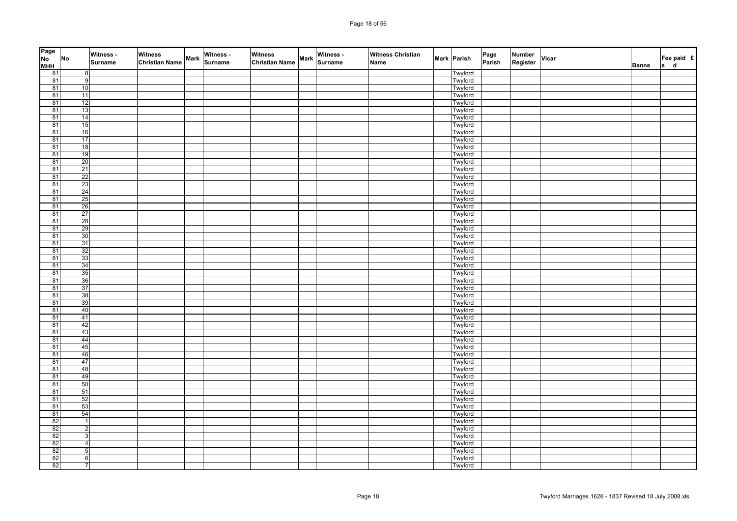#### Page 18 of 56

| Page<br>No<br>МНН | No               | Witness -<br>Surname | <b>Witness</b><br><b>Christian Name</b> | <b>Mark</b> | Witness -<br>Surname | <b>Witness</b><br><b>Christian Name</b> | <b>Mark</b> | Witness -<br><b>Surname</b> | <b>Witness Christian</b><br>Name | Mark Parish | Page<br>Parish | <b>Number</b><br>Register | Vicar | <b>Banns</b> | Fee paid $\mathbf{\pounds}$<br>s d |
|-------------------|------------------|----------------------|-----------------------------------------|-------------|----------------------|-----------------------------------------|-------------|-----------------------------|----------------------------------|-------------|----------------|---------------------------|-------|--------------|------------------------------------|
| 81                | 8 <sup>1</sup>   |                      |                                         |             |                      |                                         |             |                             |                                  | Twyford     |                |                           |       |              |                                    |
| 81                | 9                |                      |                                         |             |                      |                                         |             |                             |                                  | Twyford     |                |                           |       |              |                                    |
| 81                | 10               |                      |                                         |             |                      |                                         |             |                             |                                  | Twyford     |                |                           |       |              |                                    |
| 81                | 11               |                      |                                         |             |                      |                                         |             |                             |                                  | Twyford     |                |                           |       |              |                                    |
| 81                | 12               |                      |                                         |             |                      |                                         |             |                             |                                  | Twyford     |                |                           |       |              |                                    |
| 81                | 13               |                      |                                         |             |                      |                                         |             |                             |                                  | Twyford     |                |                           |       |              |                                    |
| 81                | 14               |                      |                                         |             |                      |                                         |             |                             |                                  | Twyford     |                |                           |       |              |                                    |
| 81                | 15               |                      |                                         |             |                      |                                         |             |                             |                                  | Twyford     |                |                           |       |              |                                    |
| 81                | 16               |                      |                                         |             |                      |                                         |             |                             |                                  | Twyford     |                |                           |       |              |                                    |
| 81                | 17               |                      |                                         |             |                      |                                         |             |                             |                                  | Twyford     |                |                           |       |              |                                    |
| 81                | 18               |                      |                                         |             |                      |                                         |             |                             |                                  | Twyford     |                |                           |       |              |                                    |
| 81                | 19               |                      |                                         |             |                      |                                         |             |                             |                                  | Twyford     |                |                           |       |              |                                    |
| 81                | 20               |                      |                                         |             |                      |                                         |             |                             |                                  | Twyford     |                |                           |       |              |                                    |
| 81                | 21               |                      |                                         |             |                      |                                         |             |                             |                                  | Twyford     |                |                           |       |              |                                    |
| 81                | 22               |                      |                                         |             |                      |                                         |             |                             |                                  | Twyford     |                |                           |       |              |                                    |
| 81                | 23               |                      |                                         |             |                      |                                         |             |                             |                                  | Twyford     |                |                           |       |              |                                    |
| 81                | 24               |                      |                                         |             |                      |                                         |             |                             |                                  | Twyford     |                |                           |       |              |                                    |
| 81                | 25               |                      |                                         |             |                      |                                         |             |                             |                                  | Twyford     |                |                           |       |              |                                    |
| 81                | 26               |                      |                                         |             |                      |                                         |             |                             |                                  | Twyford     |                |                           |       |              |                                    |
| 81                | 27               |                      |                                         |             |                      |                                         |             |                             |                                  | Twyford     |                |                           |       |              |                                    |
| 81                | 28               |                      |                                         |             |                      |                                         |             |                             |                                  | Twyford     |                |                           |       |              |                                    |
| 81                | 29               |                      |                                         |             |                      |                                         |             |                             |                                  | Twyford     |                |                           |       |              |                                    |
| 81                | 30               |                      |                                         |             |                      |                                         |             |                             |                                  | Twyford     |                |                           |       |              |                                    |
| 81                | 31               |                      |                                         |             |                      |                                         |             |                             |                                  | Twyford     |                |                           |       |              |                                    |
| 81                | 32               |                      |                                         |             |                      |                                         |             |                             |                                  | Twyford     |                |                           |       |              |                                    |
| 81                | 33               |                      |                                         |             |                      |                                         |             |                             |                                  | Twyford     |                |                           |       |              |                                    |
| 81                | 34               |                      |                                         |             |                      |                                         |             |                             |                                  | Twyford     |                |                           |       |              |                                    |
| 81                | 35               |                      |                                         |             |                      |                                         |             |                             |                                  | Twyford     |                |                           |       |              |                                    |
| 81                | 36               |                      |                                         |             |                      |                                         |             |                             |                                  | Twyford     |                |                           |       |              |                                    |
| 81                | 37               |                      |                                         |             |                      |                                         |             |                             |                                  | Twyford     |                |                           |       |              |                                    |
| 81                | 38               |                      |                                         |             |                      |                                         |             |                             |                                  | Twyford     |                |                           |       |              |                                    |
| 81                | 39               |                      |                                         |             |                      |                                         |             |                             |                                  | Twyford     |                |                           |       |              |                                    |
| 81                | 40               |                      |                                         |             |                      |                                         |             |                             |                                  | Twyford     |                |                           |       |              |                                    |
| 81                | 41               |                      |                                         |             |                      |                                         |             |                             |                                  | Twyford     |                |                           |       |              |                                    |
| 81                | 42               |                      |                                         |             |                      |                                         |             |                             |                                  | Twyford     |                |                           |       |              |                                    |
| 81                | 43               |                      |                                         |             |                      |                                         |             |                             |                                  | Twyford     |                |                           |       |              |                                    |
| 81                | 44               |                      |                                         |             |                      |                                         |             |                             |                                  | Twyford     |                |                           |       |              |                                    |
| 81                | 45               |                      |                                         |             |                      |                                         |             |                             |                                  | Twyford     |                |                           |       |              |                                    |
| 81                | 46               |                      |                                         |             |                      |                                         |             |                             |                                  | Twyford     |                |                           |       |              |                                    |
| 81                | 47               |                      |                                         |             |                      |                                         |             |                             |                                  | Twyford     |                |                           |       |              |                                    |
| 81                | 48               |                      |                                         |             |                      |                                         |             |                             |                                  | Twyford     |                |                           |       |              |                                    |
| 81                | 49               |                      |                                         |             |                      |                                         |             |                             |                                  | Twyford     |                |                           |       |              |                                    |
| 81                | 50               |                      |                                         |             |                      |                                         |             |                             |                                  | Twyford     |                |                           |       |              |                                    |
| 81                | 51               |                      |                                         |             |                      |                                         |             |                             |                                  | Twyford     |                |                           |       |              |                                    |
| 81                | 52               |                      |                                         |             |                      |                                         |             |                             |                                  | Twyford     |                |                           |       |              |                                    |
| 81                | 53               |                      |                                         |             |                      |                                         |             |                             |                                  | Twyford     |                |                           |       |              |                                    |
| 81                | 54               |                      |                                         |             |                      |                                         |             |                             |                                  | Twyford     |                |                           |       |              |                                    |
| 82                | $\overline{1}$   |                      |                                         |             |                      |                                         |             |                             |                                  | Twyford     |                |                           |       |              |                                    |
| 82                | $\overline{2}$   |                      |                                         |             |                      |                                         |             |                             |                                  | Twyford     |                |                           |       |              |                                    |
| 82                | 3                |                      |                                         |             |                      |                                         |             |                             |                                  | Twyford     |                |                           |       |              |                                    |
| 82                | $\overline{4}$   |                      |                                         |             |                      |                                         |             |                             |                                  | Twyford     |                |                           |       |              |                                    |
| 82                | $5 \overline{5}$ |                      |                                         |             |                      |                                         |             |                             |                                  | Twyford     |                |                           |       |              |                                    |
| 82                | $6 \overline{}$  |                      |                                         |             |                      |                                         |             |                             |                                  | Twyford     |                |                           |       |              |                                    |
| 82                | $\overline{7}$   |                      |                                         |             |                      |                                         |             |                             |                                  | Twyford     |                |                           |       |              |                                    |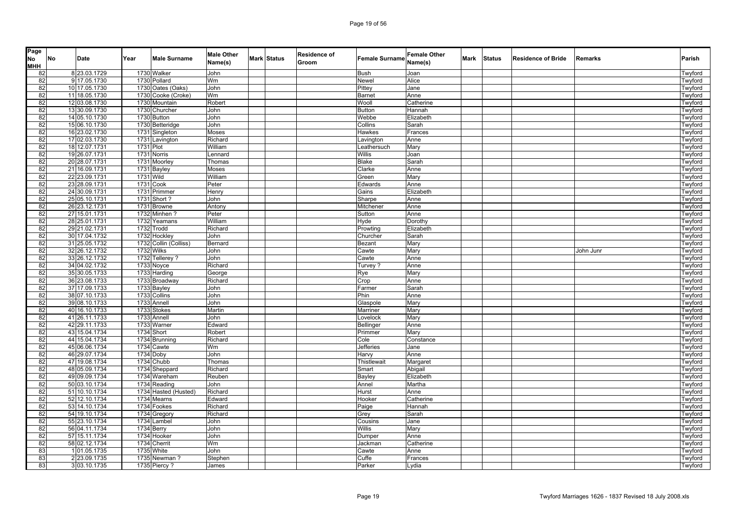| Page<br>No <sup>T</sup><br>мнн | No | Date                           | Year      | <b>Male Surname</b>         | <b>Male Other</b><br>Name(s) | <b>Mark Status</b> | Residence of<br>Groom | Female Surnam         | <b>Female Other</b><br>Name(s) | Mark | <b>Status</b> | <b>Residence of Bride</b> | <b>Remarks</b> | Parish             |
|--------------------------------|----|--------------------------------|-----------|-----------------------------|------------------------------|--------------------|-----------------------|-----------------------|--------------------------------|------|---------------|---------------------------|----------------|--------------------|
| 82                             |    | 8 23.03.1729                   |           | 1730 Walker                 | John                         |                    |                       | <b>Bush</b>           | Joan                           |      |               |                           |                | Twyford            |
| 82                             |    | 9 17.05.1730                   |           | 1730 Pollard                | Wm                           |                    |                       | Newel                 | Alice                          |      |               |                           |                | Twyford            |
| 82                             |    | 10 17.05.1730                  |           | 1730 Oates (Oaks)           | John                         |                    |                       | Pittey                | Jane                           |      |               |                           |                | Twyford            |
| 82                             |    | 11 18.05.1730                  |           | 1730 Cooke (Croke)          | Wm                           |                    |                       | <b>Barnet</b>         | Anne                           |      |               |                           |                | Twyford            |
| 82                             |    | 12 03.08.1730                  |           | 1730 Mountain               | Robert                       |                    |                       | Wooll                 | Catherine                      |      |               |                           |                | Twyford            |
| 82                             |    | 13 30.09.1730                  |           | 1730 Churcher               | John                         |                    |                       | <b>Button</b>         | Hannah                         |      |               |                           |                | Twyford            |
| 82                             |    | 14 05.10.1730                  |           | 1730 Button                 | John                         |                    |                       | Webbe                 | Elizabeth                      |      |               |                           |                | Twyford            |
| 82                             |    | 15 06.10.1730                  |           | 1730 Betteridge             | John                         |                    |                       | Collins               | Sarah                          |      |               |                           |                | Twyford            |
| 82                             |    | 16 23.02.1730                  |           | 1731 Singleton              | Moses                        |                    |                       | Hawkes                | Frances                        |      |               |                           |                | Twyford            |
| 82                             |    | 17 02.03.1730                  | 1731      | Lavington                   | Richard                      |                    |                       | Lavington             | Anne                           |      |               |                           |                | Twyford            |
| 82                             |    | 18 12.07.1731                  | 1731 Plot |                             | William                      |                    |                       | Leathersuch<br>Willis | Mary                           |      |               |                           |                | Twyford            |
| 82<br>82                       |    | 19 26.07.1731<br>20 28.07.1731 |           | 1731 Norris<br>1731 Moorley | Lennard<br>Thomas            |                    |                       | <b>Blake</b>          | Joan<br>Sarah                  |      |               |                           |                | Twyford<br>Twyford |
| 82                             |    | 21 16.09.1731                  |           | 1731 Bayley                 | Moses                        |                    |                       | Clarke                | Anne                           |      |               |                           |                | Twyford            |
| 82                             |    | 22 23.09.1731                  | 1731 Wild |                             | William                      |                    |                       | Green                 | Mary                           |      |               |                           |                | Twyford            |
| 82                             |    | 23 28.09.1731                  | 1731      | Cook                        | Peter                        |                    |                       | Edwards               | Anne                           |      |               |                           |                | Twyford            |
| 82                             |    | 24 30.09.1731                  |           | 1731 Primmer                | Henry                        |                    |                       | Gains                 | Elizabeth                      |      |               |                           |                | Twyford            |
| 82                             |    | 25 05.10.1731                  | 1731      | Short?                      | John                         |                    |                       | Sharpe                | Anne                           |      |               |                           |                | Twyford            |
| 82                             |    | 26 23.12.1731                  |           | 1731 Browne                 | Antony                       |                    |                       | Mitchener             | Anne                           |      |               |                           |                | Twyford            |
| 82                             |    | 27 15.01.1731                  |           | 1732 Minhen ?               | Peter                        |                    |                       | Sutton                | Anne                           |      |               |                           |                | Twyford            |
| 82                             |    | 28 25.01.1731                  | 1732      | Yeamans                     | William                      |                    |                       | Hyde                  | Dorothy                        |      |               |                           |                | Twyford            |
| 82                             |    | 29 21.02.1731                  |           | 1732 Trodd                  | Richard                      |                    |                       | Prowting              | Elizabeth                      |      |               |                           |                | Twyford            |
| 82                             |    | 30 17.04.1732                  |           | 1732 Hockley                | John                         |                    |                       | Churcher              | Sarah                          |      |               |                           |                | Twyford            |
| 82                             |    | 31 25.05.1732                  |           | 1732 Collin (Colliss)       | Bernard                      |                    |                       | Bezant                | Mary                           |      |               |                           |                | Twyford            |
| 82                             |    | 32 26.12.1732                  |           | 1732 Wilks                  | John                         |                    |                       | Cawte                 | Mary                           |      |               |                           | John Junr      | Twyford            |
| 82                             |    | 33 26.12.1732                  |           | 1732 Tellerey ?             | John                         |                    |                       | Cawte                 | Anne                           |      |               |                           |                | Twyford            |
| 82                             |    | 34 04.02.1732                  |           | 1733 Noyce                  | Richard                      |                    |                       | Turvey?               | Anne                           |      |               |                           |                | Twyford            |
| 82                             |    | 35 30.05.1733                  |           | 1733 Harding                | George                       |                    |                       | Rye                   | Mary                           |      |               |                           |                | Twyford            |
| 82                             |    | 36 23.08.1733                  | 1733      | Broadway                    | Richard                      |                    |                       | Crop                  | Anne                           |      |               |                           |                | Twyford            |
| 82                             |    | 37 17.09.1733                  |           | 1733 Bayley                 | John                         |                    |                       | Farmer                | Sarah                          |      |               |                           |                | Twyford            |
| 82                             |    | 38 07.10.1733                  | 1733      | Collins                     | John                         |                    |                       | Phin                  | Anne                           |      |               |                           |                | Twyford            |
| 82                             |    | 39 08.10.1733                  |           | 1733 Annell                 | John                         |                    |                       | Glaspole              | Mary                           |      |               |                           |                | Twyford            |
| 82                             |    | 40 16.10.1733                  |           | 1733 Stokes                 | Martin                       |                    |                       | Marriner              | Mary                           |      |               |                           |                | Twyford            |
| 82                             |    | 41 26.11.1733                  |           | 1733 Annell                 | John                         |                    |                       | Lovelock              | Mary                           |      |               |                           |                | Twyford            |
| 82                             |    | 42 29.11.1733                  |           | 1733 Warner                 | Edward                       |                    |                       | Bellinger             | Anne                           |      |               |                           |                | Twyford            |
| 82                             |    | 43 15.04.1734                  |           | 1734 Short                  | Robert                       |                    |                       | Primmer               | Mary                           |      |               |                           |                | Twyford            |
| 82                             |    | 44 15.04.1734                  |           | 1734 Brunning               | Richard                      |                    |                       | Cole                  | Constance                      |      |               |                           |                | Twyford            |
| 82                             |    | 45 06.06.1734                  |           | 1734 Cawte<br>1734 Doby     | Wm                           |                    |                       | <b>Jefferies</b>      | Jane                           |      |               |                           |                | Twyford            |
| 82<br>82                       |    | 46 29.07.1734<br>47 19.08.1734 |           | 1734 Chubb                  | John                         |                    |                       | Harvy                 | Anne                           |      |               |                           |                | Twyford            |
|                                |    | 48 05.09.1734                  |           | 1734 Sheppard               | Thomas<br>Richard            |                    |                       | Thistlewait<br>Smart  | Margaret<br>Abigail            |      |               |                           |                | Twyford<br>Twyford |
| 82<br>82                       |    | 49 09.09.1734                  |           | 1734 Wareham                | Reuben                       |                    |                       | Bayley                | Elizabeth                      |      |               |                           |                | Twyford            |
| 82                             |    | 50 03.10.1734                  |           | 1734 Reading                | John                         |                    |                       | Annel                 | Martha                         |      |               |                           |                | Twyford            |
| 82                             |    | 51 10.10.1734                  |           | 1734 Hasted (Husted)        | Richard                      |                    |                       | Hurst                 | Anne                           |      |               |                           |                | Twyford            |
| 82                             |    | 52 12.10.1734                  |           | 1734 Mearns                 | Edward                       |                    |                       | Hooker                | Catherine                      |      |               |                           |                | Twyford            |
| 82                             |    | 53 14.10.1734                  |           | 1734 Fookes                 | Richard                      |                    |                       | Paige                 | Hannah                         |      |               |                           |                | Twyford            |
| 82                             |    | 54 19.10.1734                  |           | 1734 Gregory                | Richard                      |                    |                       | Grey                  | Sarah                          |      |               |                           |                | Twyford            |
| 82                             |    | 55 23.10.1734                  |           | 1734 Lambel                 | John                         |                    |                       | Cousins               | Jane                           |      |               |                           |                | Twyford            |
| 82                             |    | 56 04.11.1734                  |           | 1734 Berry                  | John                         |                    |                       | Willis                | Mary                           |      |               |                           |                | Twyford            |
| 82                             |    | 57 15.11.1734                  |           | 1734 Hooker                 | John                         |                    |                       | Dumper                | Anne                           |      |               |                           |                | Twyford            |
| 82                             |    | 58 02.12.1734                  |           | 1734 Cherrit                | Wm                           |                    |                       | Jackman               | Catherine                      |      |               |                           |                | Twyford            |
| 83                             |    | 1 01.05.1735                   |           | 1735 White                  | John                         |                    |                       | Cawte                 | Anne                           |      |               |                           |                | Twyford            |
| 83                             |    | 2 23.09.1735                   |           | 1735 Newman?                | Stephen                      |                    |                       | Cuffe                 | Frances                        |      |               |                           |                | Twyford            |
| 83                             |    | 3 03.10.1735                   |           | 1735 Piercy ?               | James                        |                    |                       | Parker                | ∟ydia                          |      |               |                           |                | Twyford            |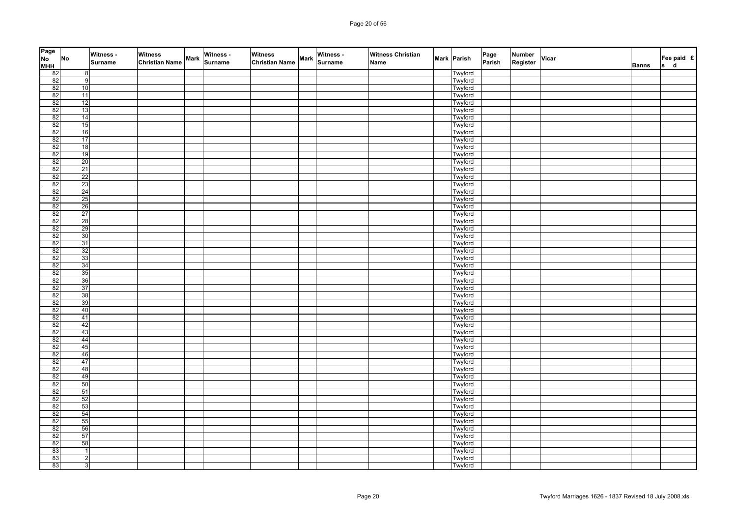#### Page 20 of 56

| Page<br>No<br>МНН | No             | Witness -<br>Surname | <b>Witness</b><br><b>Christian Name</b> | Mark | Witness -<br>Surname | <b>Witness</b><br><b>Christian Name</b> | <b>Mark</b> | Witness -<br>Surname | <b>Witness Christian</b><br>Name | Mark Parish        | Page<br>Parish | <b>Number</b><br>Register | Vicar | Banns | Fee paid $\mathbf{E}$<br>s d |
|-------------------|----------------|----------------------|-----------------------------------------|------|----------------------|-----------------------------------------|-------------|----------------------|----------------------------------|--------------------|----------------|---------------------------|-------|-------|------------------------------|
| 82                | 8              |                      |                                         |      |                      |                                         |             |                      |                                  | Twyford            |                |                           |       |       |                              |
| 82                | 9              |                      |                                         |      |                      |                                         |             |                      |                                  | Twyford            |                |                           |       |       |                              |
| 82                | 10             |                      |                                         |      |                      |                                         |             |                      |                                  | Twyford            |                |                           |       |       |                              |
| 82                | 11             |                      |                                         |      |                      |                                         |             |                      |                                  | Twyford            |                |                           |       |       |                              |
| 82                | 12             |                      |                                         |      |                      |                                         |             |                      |                                  | Twyford            |                |                           |       |       |                              |
| 82                | 13             |                      |                                         |      |                      |                                         |             |                      |                                  | Twyford            |                |                           |       |       |                              |
| 82                | 14             |                      |                                         |      |                      |                                         |             |                      |                                  | Twyford            |                |                           |       |       |                              |
| 82                | 15             |                      |                                         |      |                      |                                         |             |                      |                                  | Twyford            |                |                           |       |       |                              |
| 82                | 16             |                      |                                         |      |                      |                                         |             |                      |                                  | Twyford            |                |                           |       |       |                              |
| 82                | 17             |                      |                                         |      |                      |                                         |             |                      |                                  | Twyford            |                |                           |       |       |                              |
| 82                | 18             |                      |                                         |      |                      |                                         |             |                      |                                  | Twyford            |                |                           |       |       |                              |
| 82                | 19             |                      |                                         |      |                      |                                         |             |                      |                                  | Twyford            |                |                           |       |       |                              |
| 82                | 20             |                      |                                         |      |                      |                                         |             |                      |                                  | Twyford            |                |                           |       |       |                              |
| 82                | 21             |                      |                                         |      |                      |                                         |             |                      |                                  | Twyford            |                |                           |       |       |                              |
| 82                | 22             |                      |                                         |      |                      |                                         |             |                      |                                  | Twyford            |                |                           |       |       |                              |
| 82                | 23             |                      |                                         |      |                      |                                         |             |                      |                                  | Twyford            |                |                           |       |       |                              |
| 82                | 24             |                      |                                         |      |                      |                                         |             |                      |                                  | Twyford            |                |                           |       |       |                              |
| 82                | 25             |                      |                                         |      |                      |                                         |             |                      |                                  | Twyford            |                |                           |       |       |                              |
| 82                | 26             |                      |                                         |      |                      |                                         |             |                      |                                  | Twyford            |                |                           |       |       |                              |
| 82                | 27             |                      |                                         |      |                      |                                         |             |                      |                                  | Twyford            |                |                           |       |       |                              |
| 82                | 28             |                      |                                         |      |                      |                                         |             |                      |                                  | Twyford            |                |                           |       |       |                              |
| 82                | 29             |                      |                                         |      |                      |                                         |             |                      |                                  | Twyford            |                |                           |       |       |                              |
| 82                | 30             |                      |                                         |      |                      |                                         |             |                      |                                  | Twyford            |                |                           |       |       |                              |
| 82                | 31             |                      |                                         |      |                      |                                         |             |                      |                                  | Twyford            |                |                           |       |       |                              |
| 82                | 32             |                      |                                         |      |                      |                                         |             |                      |                                  | Twyford            |                |                           |       |       |                              |
| 82                | 33             |                      |                                         |      |                      |                                         |             |                      |                                  | Twyford            |                |                           |       |       |                              |
| 82                | 34             |                      |                                         |      |                      |                                         |             |                      |                                  | Twyford            |                |                           |       |       |                              |
| 82<br>82          | 35<br>36       |                      |                                         |      |                      |                                         |             |                      |                                  | Twyford<br>Twyford |                |                           |       |       |                              |
| 82                | 37             |                      |                                         |      |                      |                                         |             |                      |                                  | Twyford            |                |                           |       |       |                              |
| 82                | 38             |                      |                                         |      |                      |                                         |             |                      |                                  | Twyford            |                |                           |       |       |                              |
| 82                | 39             |                      |                                         |      |                      |                                         |             |                      |                                  | Twyford            |                |                           |       |       |                              |
| 82                | 40             |                      |                                         |      |                      |                                         |             |                      |                                  | Twyford            |                |                           |       |       |                              |
| 82                | 41             |                      |                                         |      |                      |                                         |             |                      |                                  | Twyford            |                |                           |       |       |                              |
| 82                | 42             |                      |                                         |      |                      |                                         |             |                      |                                  | Twyford            |                |                           |       |       |                              |
| 82                | 43             |                      |                                         |      |                      |                                         |             |                      |                                  | Twyford            |                |                           |       |       |                              |
| 82                | 44             |                      |                                         |      |                      |                                         |             |                      |                                  | Twyford            |                |                           |       |       |                              |
| 82                | 45             |                      |                                         |      |                      |                                         |             |                      |                                  | Twyford            |                |                           |       |       |                              |
| 82                | 46             |                      |                                         |      |                      |                                         |             |                      |                                  | Twyford            |                |                           |       |       |                              |
| 82                | 47             |                      |                                         |      |                      |                                         |             |                      |                                  | Twyford            |                |                           |       |       |                              |
| 82                | 48             |                      |                                         |      |                      |                                         |             |                      |                                  | Twyford            |                |                           |       |       |                              |
| 82                | 49             |                      |                                         |      |                      |                                         |             |                      |                                  | Twyford            |                |                           |       |       |                              |
| 82                | 50             |                      |                                         |      |                      |                                         |             |                      |                                  | Twyford            |                |                           |       |       |                              |
| 82                | 51             |                      |                                         |      |                      |                                         |             |                      |                                  | Twyford            |                |                           |       |       |                              |
| 82                | 52             |                      |                                         |      |                      |                                         |             |                      |                                  | Twyford            |                |                           |       |       |                              |
| 82                | 53             |                      |                                         |      |                      |                                         |             |                      |                                  | Twyford            |                |                           |       |       |                              |
| 82                | 54             |                      |                                         |      |                      |                                         |             |                      |                                  | Twyford            |                |                           |       |       |                              |
| 82                | 55             |                      |                                         |      |                      |                                         |             |                      |                                  | Twyford            |                |                           |       |       |                              |
| 82                | 56             |                      |                                         |      |                      |                                         |             |                      |                                  | Twyford            |                |                           |       |       |                              |
| 82                | 57             |                      |                                         |      |                      |                                         |             |                      |                                  | Twyford            |                |                           |       |       |                              |
| 82                | 58             |                      |                                         |      |                      |                                         |             |                      |                                  | Twyford            |                |                           |       |       |                              |
| 83                | $\mathbf{1}$   |                      |                                         |      |                      |                                         |             |                      |                                  | Twyford            |                |                           |       |       |                              |
| 83                | $\overline{2}$ |                      |                                         |      |                      |                                         |             |                      |                                  | Twyford            |                |                           |       |       |                              |
| 83                | $\overline{3}$ |                      |                                         |      |                      |                                         |             |                      |                                  | Twyford            |                |                           |       |       |                              |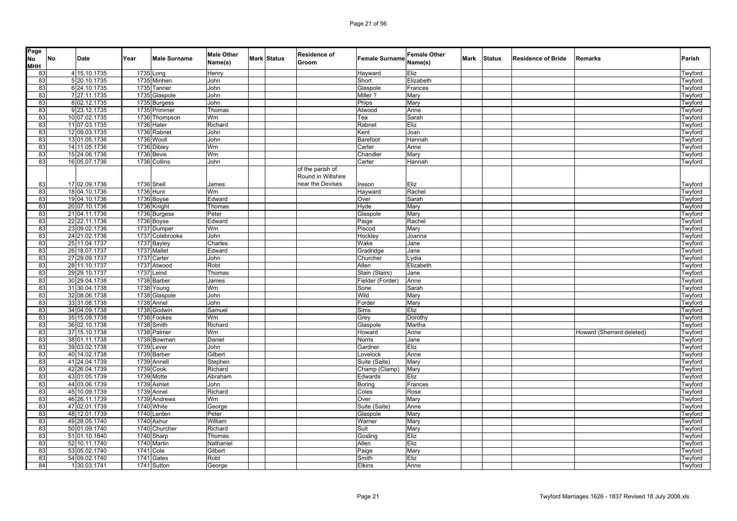| Page<br>No<br><b>MHH</b> | No | Date                           | Year | <b>Male Surname</b>        | <b>Male Other</b><br>Name(s) | <b>Mark Status</b> | Residence of<br>Groom                  | <b>Female Surname</b>     | <b>Female Other</b><br>Name(s) | Mark | Status | <b>Residence of Bride</b> | Remarks                   | Parish             |
|--------------------------|----|--------------------------------|------|----------------------------|------------------------------|--------------------|----------------------------------------|---------------------------|--------------------------------|------|--------|---------------------------|---------------------------|--------------------|
| 83                       |    | 4 15.10.1735                   |      | $\overline{17}35$ Long     | Henry                        |                    |                                        | Hayward                   | Eliz                           |      |        |                           |                           | Twyford            |
| 83                       |    | 5 20.10.1735                   |      | 1735 Minhen                | John                         |                    |                                        | Short                     | Elizabeth                      |      |        |                           |                           | Twyford            |
| 83                       |    | 6 24.10.1735                   |      | 1735 Tanner                | John                         |                    |                                        | Glaspole                  | Frances                        |      |        |                           |                           | Twyford            |
| 83                       |    | 7 27.11.1735                   |      | 1735 Glaspole              | John                         |                    |                                        | Miller?                   | Mary                           |      |        |                           |                           | Twyford            |
| 83                       |    | 8 02.12.1735                   |      | 1735 Burgess               | John                         |                    |                                        | Phips                     | Mary                           |      |        |                           |                           | Twyford            |
| 83                       |    | 9 23.12.1735                   |      | 1735 Primmer               | Thomas                       |                    |                                        | Atwood                    | Anne                           |      |        |                           |                           | Twyford            |
| 83                       |    | 10 07.02.1735                  |      | 1736 Thompson              | Wm                           |                    |                                        | Tea                       | Sarah                          |      |        |                           |                           | Twyford            |
| 83                       |    | 11 07.03.1735                  |      | 1736 Hater                 | Richard                      |                    |                                        | Rabnet                    | Eliz                           |      |        |                           |                           | Twyford            |
| 83                       |    | 12 09.03.1735                  |      | 1736 Rabnet                | John                         |                    |                                        | Kent                      | Joan                           |      |        |                           |                           | Twyford            |
| 83                       |    | 13 01.05.1736                  |      | 1736 Wooll                 | John                         |                    |                                        | Barefoot                  | Hannah                         |      |        |                           |                           | Twyford            |
| 83                       |    | 14 11.05.1736                  |      | 1736 Dibley                | Wm                           |                    |                                        | Carter                    | Anne                           |      |        |                           |                           | Twyford            |
| 83                       |    | 15 24.06.1736                  |      | 1736 Bevis                 | Wm                           |                    |                                        | Chandler                  | Mary                           |      |        |                           |                           | Twyford            |
| 83                       |    | 16 05.07.1736                  |      | 1736 Collins               | John                         |                    |                                        | Carter                    | Hannah                         |      |        |                           |                           | Twyford            |
|                          |    |                                |      |                            |                              |                    | of the parish of<br>Round in Wiltshire |                           |                                |      |        |                           |                           |                    |
| 83                       |    | 17 02.09.1736                  |      | 1736 Shell                 | James                        |                    | near the Devises                       | Ireson                    | Eliz                           |      |        |                           |                           | Twyford            |
| 83                       |    | 18 04.10.1736                  |      | 1736 Hunt                  | Wm                           |                    |                                        | Hayward                   | Rachel                         |      |        |                           |                           | Twyford            |
| 83                       |    | 19 04.10.1736                  |      | 1736 Boyse                 | Edward                       |                    |                                        | Over                      | Sarah                          |      |        |                           |                           | Twyford            |
| 83                       |    | 20 07.10.1736                  |      | 1736 Knight                | Thomas                       |                    |                                        | Hyde                      | Mary                           |      |        |                           |                           | Twyford            |
| 83                       |    | 21 04.11.1736                  |      | 1736 Burgess               | Peter                        |                    |                                        | Glaspole                  | Mary                           |      |        |                           |                           | Twyford            |
| 83                       |    | 22 22.11.1736                  |      | 1736 Boyse                 | Edward                       |                    |                                        | Paige                     | Rachel                         |      |        |                           |                           | Twyford            |
| 83                       |    | 23 09.02.1736                  |      | 1737 Dumper                | Wm                           |                    |                                        | Piscod                    | Mary                           |      |        |                           |                           | Twyford            |
| 83                       |    | 24 21.02.1736                  |      | 1737 Colebrooke            | John                         |                    |                                        | Hockley                   | Joanna                         |      |        |                           |                           | Twyford            |
| 83                       |    | 25 11.04.1737                  |      | 1737 Bayley                | Charles                      |                    |                                        | Wake                      | Jane                           |      |        |                           |                           | Twyford            |
| 83                       |    | 26 18.07.1737                  |      | 1737 Mallet                | Edward                       |                    |                                        | Gradridge                 | Jane                           |      |        |                           |                           | Twyford            |
| 83                       |    | 27 29.09.1737                  |      | 1737 Carter                | John                         |                    |                                        | Churcher                  | Lydia                          |      |        |                           |                           | Twyford            |
| 83                       |    | 28 11.10.1737                  |      | 1737 Atwood                | Robt                         |                    |                                        | Allen                     | Elizabeth                      |      |        |                           |                           | Twyford            |
| 83                       |    | 29 29 10 1737                  |      | 1737 Leind                 | Thomas                       |                    |                                        | Stain (Stairs)            | Jane                           |      |        |                           |                           | Twyford            |
| 83                       |    | 30 29.04.1738                  |      | 1738 Barber                | James                        |                    |                                        | Fielder (Forder)          | Anne                           |      |        |                           |                           | Twyford            |
| 83                       |    | 31 30.04.1738                  |      | 1738 Young                 | Wm                           |                    |                                        | Sone                      | Sarah                          |      |        |                           |                           | Twyford            |
| 83                       |    | 32 08.06.1738                  |      | 1738 Glaspole              | John                         |                    |                                        | Wild                      | Mary                           |      |        |                           |                           | Twyford            |
| 83                       |    | 33 31.08.1738                  |      | 1738 Annel                 | John                         |                    |                                        | Forder                    | Mary                           |      |        |                           |                           | Twyford            |
| 83                       |    | 34 04.09.1738                  |      | 1738 Godwin                | Samuel                       |                    |                                        | Sims                      | Eliz                           |      |        |                           |                           | Twyford            |
| 83                       |    | 35 15.09.1738                  |      | 1738 Fookes<br>1738 Smith  | Wm                           |                    |                                        | Grey                      | Dorothy                        |      |        |                           |                           | Twyford            |
| 83                       |    | 36 02.10.1738                  |      |                            | Richard                      |                    |                                        | Glaspole                  | Martha                         |      |        |                           |                           | Twyford            |
| 83                       |    | 37 15.10.1738                  |      | 1738 Palmer                | Wm                           |                    |                                        | Howard                    | Anne                           |      |        |                           | Howard (Sherrard deleted) | Twyford            |
| 83<br>83                 |    | 38 01.11.1738<br>39 03.02.1738 |      | 1738 Bowman<br>1739 Lever  | Daniel<br>John               |                    |                                        | Norris<br>Gardner         | Jane<br>Eliz                   |      |        |                           |                           | Twyford            |
|                          |    |                                |      |                            |                              |                    |                                        |                           |                                |      |        |                           |                           | Twyford            |
| 83<br>83                 |    | 40 14.02.1738<br>41 24.04.1739 |      | 1739 Barber<br>1739 Annell | Gilbert                      |                    |                                        | Lovelock<br>Suite (Saite) | Anne<br>Mary                   |      |        |                           |                           | Twyford<br>Twyford |
|                          |    | 42 26.04.1739                  |      | 1739 Cook                  | Stephen                      |                    |                                        |                           |                                |      |        |                           |                           |                    |
| 83<br>83                 |    | 43 01.05.1739                  |      | 1739 Motte                 | Richard<br>Abraham           |                    |                                        | Champ (Clamp)<br>Edwards  | Mary<br>Eliz                   |      |        |                           |                           | Twyford<br>Twyford |
| 83                       |    | 44 03.06.1739                  |      | 1739 Ashlet                | John                         |                    |                                        | Boring                    | Frances                        |      |        |                           |                           | Twyford            |
| 83                       |    | 45 10.09.1739                  |      | 1739 Annel                 | Richard                      |                    |                                        | Coles                     | Rose                           |      |        |                           |                           | Twyford            |
| 83                       |    | 46 26.11.1739                  |      | 1739 Andrews               | Wm                           |                    |                                        | Over                      | Mary                           |      |        |                           |                           | Twyford            |
| 83                       |    | 47 02.01.1739                  |      | 1740 White                 | George                       |                    |                                        | Suite (Saite)             | Anne                           |      |        |                           |                           | Twyford            |
| 83                       |    | 48 12.01.1739                  |      | 1740 Lenten                | Peter                        |                    |                                        | Glaspole                  | Mary                           |      |        |                           |                           | Twyford            |
| 83                       |    | 49 28.05.1740                  |      | 1740 Ashur                 | William                      |                    |                                        | Warner                    | Mary                           |      |        |                           |                           | Twyford            |
| 83                       |    | 50 01.09.1740                  |      | 1740 Churcher              | Richard                      |                    |                                        | Suit                      | Mary                           |      |        |                           |                           | Twyford            |
| 83                       |    | 51 01.10.1840                  |      | 1740 Sharp                 | Thomas                       |                    |                                        | Gosling                   | Eliz                           |      |        |                           |                           | Twyford            |
| 83                       |    | 52 10.11.1740                  |      | 1740 Martin                | Nathaniel                    |                    |                                        | Allen                     | Eliz                           |      |        |                           |                           | Twyford            |
| 83                       |    | 53 05.02.1740                  |      | $1741$ Cole                | Gilbert                      |                    |                                        | Paige                     | Mary                           |      |        |                           |                           | Twyford            |
| 83                       |    | 54 09.02.1740                  |      | 1741 Gates                 | Robt                         |                    |                                        | Smith                     | Eliz                           |      |        |                           |                           | Twyford            |
| 84                       |    | 1 30.03.1741                   |      | 1741 Sutton                | George                       |                    |                                        | <b>Elkins</b>             | Anne                           |      |        |                           |                           | Twyford            |
|                          |    |                                |      |                            |                              |                    |                                        |                           |                                |      |        |                           |                           |                    |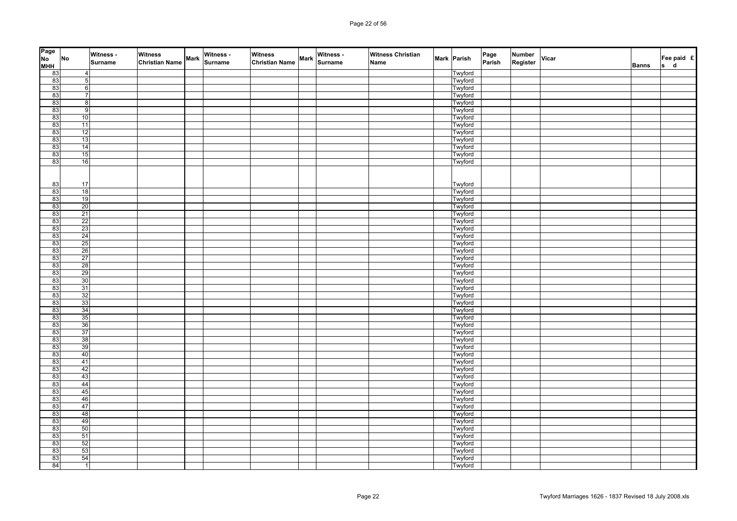| Page<br>No<br><b>MHH</b> | <b>No</b>       | Witness -<br><b>Surname</b> | <b>Witness</b><br><b>Christian Name</b> | <b>Mark</b> | Witness -<br>Surname | <b>Witness</b><br><b>Christian Name</b> | <b>Mark</b> | Witness -<br><b>Surname</b> | <b>Witness Christian</b><br>Name | Mark Parish |         | Page<br>Parish | Number<br>Register | <b>Vicar</b> | <b>Banns</b> | Fee paid £<br>s d |
|--------------------------|-----------------|-----------------------------|-----------------------------------------|-------------|----------------------|-----------------------------------------|-------------|-----------------------------|----------------------------------|-------------|---------|----------------|--------------------|--------------|--------------|-------------------|
| 83                       | $\overline{4}$  |                             |                                         |             |                      |                                         |             |                             |                                  |             | Twyford |                |                    |              |              |                   |
| 83                       | $\sqrt{5}$      |                             |                                         |             |                      |                                         |             |                             |                                  |             | Twyford |                |                    |              |              |                   |
| 83                       | 6               |                             |                                         |             |                      |                                         |             |                             |                                  |             | Twyford |                |                    |              |              |                   |
| 83                       | $\overline{7}$  |                             |                                         |             |                      |                                         |             |                             |                                  |             | Twyford |                |                    |              |              |                   |
| 83                       | ತ               |                             |                                         |             |                      |                                         |             |                             |                                  |             | Twyford |                |                    |              |              |                   |
| 83                       | 9               |                             |                                         |             |                      |                                         |             |                             |                                  |             | Twyford |                |                    |              |              |                   |
| 83                       | 10              |                             |                                         |             |                      |                                         |             |                             |                                  |             | Twyford |                |                    |              |              |                   |
| 83                       | 11              |                             |                                         |             |                      |                                         |             |                             |                                  |             | Twyford |                |                    |              |              |                   |
| 83                       | 12              |                             |                                         |             |                      |                                         |             |                             |                                  |             | Twyford |                |                    |              |              |                   |
| 83                       | 13              |                             |                                         |             |                      |                                         |             |                             |                                  |             | Twyford |                |                    |              |              |                   |
| 83                       | 14              |                             |                                         |             |                      |                                         |             |                             |                                  |             | Twyford |                |                    |              |              |                   |
| 83                       | 15              |                             |                                         |             |                      |                                         |             |                             |                                  |             | Twyford |                |                    |              |              |                   |
| 83                       | 16              |                             |                                         |             |                      |                                         |             |                             |                                  |             | Twyford |                |                    |              |              |                   |
|                          |                 |                             |                                         |             |                      |                                         |             |                             |                                  |             |         |                |                    |              |              |                   |
|                          |                 |                             |                                         |             |                      |                                         |             |                             |                                  |             |         |                |                    |              |              |                   |
| 83                       | 17              |                             |                                         |             |                      |                                         |             |                             |                                  |             | Twyford |                |                    |              |              |                   |
| 83                       | $\frac{1}{8}$   |                             |                                         |             |                      |                                         |             |                             |                                  |             | Twyford |                |                    |              |              |                   |
| 83                       | 19              |                             |                                         |             |                      |                                         |             |                             |                                  |             | Twyford |                |                    |              |              |                   |
| 83                       | 20              |                             |                                         |             |                      |                                         |             |                             |                                  |             | Twyford |                |                    |              |              |                   |
| 83                       | 21              |                             |                                         |             |                      |                                         |             |                             |                                  |             | Twyford |                |                    |              |              |                   |
| 83                       | 22              |                             |                                         |             |                      |                                         |             |                             |                                  |             | Twyford |                |                    |              |              |                   |
| 83                       | 23              |                             |                                         |             |                      |                                         |             |                             |                                  |             | Twyford |                |                    |              |              |                   |
| 83                       | 24              |                             |                                         |             |                      |                                         |             |                             |                                  |             | Twyford |                |                    |              |              |                   |
| 83                       | 25              |                             |                                         |             |                      |                                         |             |                             |                                  |             | Twyford |                |                    |              |              |                   |
| 83                       | 26              |                             |                                         |             |                      |                                         |             |                             |                                  |             | Twyford |                |                    |              |              |                   |
| 83                       | 27              |                             |                                         |             |                      |                                         |             |                             |                                  |             | Twyford |                |                    |              |              |                   |
| 83                       | 28              |                             |                                         |             |                      |                                         |             |                             |                                  |             | Twyford |                |                    |              |              |                   |
| 83                       | 29              |                             |                                         |             |                      |                                         |             |                             |                                  |             | Twyford |                |                    |              |              |                   |
| 83                       | 30              |                             |                                         |             |                      |                                         |             |                             |                                  |             | Twyford |                |                    |              |              |                   |
| 83                       | 31              |                             |                                         |             |                      |                                         |             |                             |                                  |             | Twyford |                |                    |              |              |                   |
| 83                       | 32              |                             |                                         |             |                      |                                         |             |                             |                                  |             | Twyford |                |                    |              |              |                   |
| 83                       | 33              |                             |                                         |             |                      |                                         |             |                             |                                  |             | Twyford |                |                    |              |              |                   |
| 83                       | $\overline{34}$ |                             |                                         |             |                      |                                         |             |                             |                                  |             | Twyford |                |                    |              |              |                   |
| 83                       | 35              |                             |                                         |             |                      |                                         |             |                             |                                  |             | Twyford |                |                    |              |              |                   |
| 83                       | 36              |                             |                                         |             |                      |                                         |             |                             |                                  |             | Twyford |                |                    |              |              |                   |
| 83                       | 37              |                             |                                         |             |                      |                                         |             |                             |                                  |             | Twyford |                |                    |              |              |                   |
| 83                       | 38              |                             |                                         |             |                      |                                         |             |                             |                                  |             | Twyford |                |                    |              |              |                   |
| 83                       | 39              |                             |                                         |             |                      |                                         |             |                             |                                  |             | Twyford |                |                    |              |              |                   |
| 83                       | 40              |                             |                                         |             |                      |                                         |             |                             |                                  |             | Twyford |                |                    |              |              |                   |
| 83                       | 41              |                             |                                         |             |                      |                                         |             |                             |                                  |             | Twyford |                |                    |              |              |                   |
| 83                       | 42              |                             |                                         |             |                      |                                         |             |                             |                                  |             | Twyford |                |                    |              |              |                   |
| 83                       | 43              |                             |                                         |             |                      |                                         |             |                             |                                  |             | Twyford |                |                    |              |              |                   |
| 83                       | 44              |                             |                                         |             |                      |                                         |             |                             |                                  |             | Twyford |                |                    |              |              |                   |
| 83                       | 45              |                             |                                         |             |                      |                                         |             |                             |                                  |             | Twyford |                |                    |              |              |                   |
| 83                       | 46              |                             |                                         |             |                      |                                         |             |                             |                                  |             | Twyford |                |                    |              |              |                   |
| 83                       | 47              |                             |                                         |             |                      |                                         |             |                             |                                  |             | Twyford |                |                    |              |              |                   |
| 83                       | 48              |                             |                                         |             |                      |                                         |             |                             |                                  |             | Twyford |                |                    |              |              |                   |
| 83                       | 49              |                             |                                         |             |                      |                                         |             |                             |                                  |             | Twyford |                |                    |              |              |                   |
| 83                       | 50              |                             |                                         |             |                      |                                         |             |                             |                                  |             | Twyford |                |                    |              |              |                   |
| 83                       | 51              |                             |                                         |             |                      |                                         |             |                             |                                  |             | Twyford |                |                    |              |              |                   |
| 83                       | 52              |                             |                                         |             |                      |                                         |             |                             |                                  |             | Twyford |                |                    |              |              |                   |
| 83                       | 53              |                             |                                         |             |                      |                                         |             |                             |                                  |             | Twyford |                |                    |              |              |                   |
| 83                       | 54              |                             |                                         |             |                      |                                         |             |                             |                                  |             | Twyford |                |                    |              |              |                   |
| 84                       | $\mathbf{1}$    |                             |                                         |             |                      |                                         |             |                             |                                  |             | Twyford |                |                    |              |              |                   |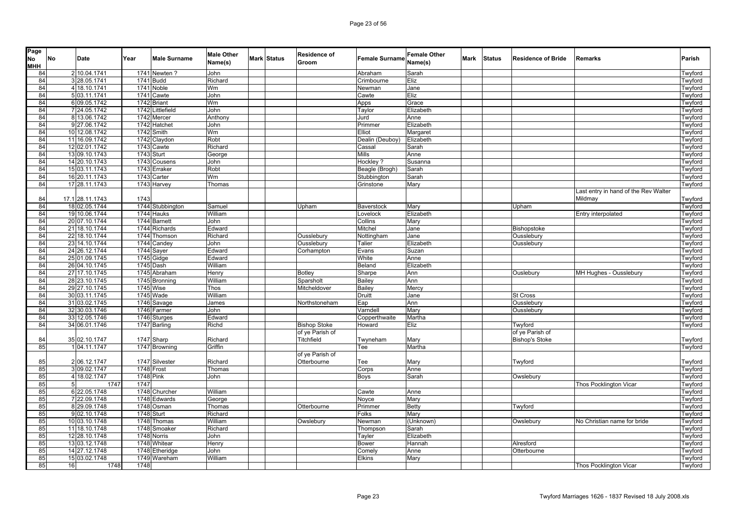| Page<br>No<br><b>MHH</b> | No | Date                             | Year | <b>Male Surname</b>           | <b>Male Other</b><br>Name(s) | <b>Mark Status</b> | Residence of<br>Groom | <b>Female Surname</b> | <b>Female Other</b><br>Name(s) | Mark | <b>Status</b> | Residence of Bride    | Remarks                                         | Parish             |
|--------------------------|----|----------------------------------|------|-------------------------------|------------------------------|--------------------|-----------------------|-----------------------|--------------------------------|------|---------------|-----------------------|-------------------------------------------------|--------------------|
| 84                       |    | 2 10.04.1741                     |      | 1741 Newten ?                 | John                         |                    |                       | Abraham               | Sarah                          |      |               |                       |                                                 | Twyford            |
| 84                       |    | 3 28.05.1741                     |      | <b>1741 Budd</b>              | Richard                      |                    |                       | Crimbourne            | Eliz                           |      |               |                       |                                                 | Twyford            |
| 84                       |    | 4 18.10.1741                     |      | 1741 Noble                    | Wm                           |                    |                       | Newman                | Jane                           |      |               |                       |                                                 | Twyford            |
| 84                       |    | 5 03.11.1741                     |      | 1741 Cawte                    | John                         |                    |                       | Cawte                 | Eliz                           |      |               |                       |                                                 | Twyford            |
| 84                       |    | 6 09.05.1742                     |      | 1742 Briant                   | Wm                           |                    |                       | Apps                  | Grace                          |      |               |                       |                                                 | Twyford            |
| 84                       |    | 7 24.05.1742                     |      | 1742 Littlefield              | John                         |                    |                       | Taylor                | Elizabeth                      |      |               |                       |                                                 | Twyford            |
| 84                       |    | 8 13.06.1742                     |      | 1742 Mercer                   | Anthony                      |                    |                       | Jurd                  | Anne                           |      |               |                       |                                                 | Twyford            |
| 84                       |    | 9 27.06.1742                     |      | 1742 Hatchet                  | John                         |                    |                       | Primmer               | Elizabeth                      |      |               |                       |                                                 | Twyford            |
| 84                       |    | 10 12.08.1742                    |      | 1742 Smith                    | Wm                           |                    |                       | Elliot                | Margaret                       |      |               |                       |                                                 | Twyford            |
| 84                       |    | 11 16.09.1742                    |      | 1742 Claydon                  | Robt                         |                    |                       | Dealin (Deuboy)       | Elizabeth                      |      |               |                       |                                                 | Twyford            |
| 84                       |    | 12 02.01.1742                    |      | 1743 Cawte                    | Richard                      |                    |                       | Cassal                | Sarah                          |      |               |                       |                                                 | Twyford            |
| 84                       |    | 13 09.10.1743                    |      | 1743 Sturt                    | George                       |                    |                       | Mills                 | Anne                           |      |               |                       |                                                 | Twyford            |
| 84                       |    | 14 20.10.1743                    |      | 1743 Cousens                  | John                         |                    |                       | Hockley?              | Susanna                        |      |               |                       |                                                 | Twyford            |
| 84                       |    | 15 03.11.1743                    |      | 1743 Erraker                  | Robt                         |                    |                       | Beagle (Brogh)        | Sarah                          |      |               |                       |                                                 | Twyford            |
| 84                       |    | 16 20.11.1743                    |      | 1743 Carter                   | Wm                           |                    |                       | Stubbington           | Sarah                          |      |               |                       |                                                 | Twyford            |
| 84                       |    | 17 28.11.1743                    |      | 1743 Harvey                   | Thomas                       |                    |                       | Grinstone             | Mary                           |      |               |                       |                                                 | Twyford            |
|                          |    |                                  | 1743 |                               |                              |                    |                       |                       |                                |      |               |                       | Last entry in hand of the Rev Walter<br>Mildmay |                    |
| 84<br>84                 |    | 17.1 28.11.1743<br>18 02.05.1744 |      | 1744 Stubbington              | Samuel                       |                    | Upham                 | <b>Baverstock</b>     | Mary                           |      |               | Upham                 |                                                 | Twyford<br>Twyford |
| 84                       |    | 19 10.06.1744                    |      | 1744 Hauks                    | William                      |                    |                       | ovelock               | Elizabeth                      |      |               |                       | Entry interpolated                              | Twyford            |
| 84                       |    | 20 07.10.1744                    |      | 1744 Barnett                  | John                         |                    |                       | Collins               | Mary                           |      |               |                       |                                                 | Twyford            |
| 84                       |    | 21 18.10.1744                    |      | 1744 Richards                 | Edward                       |                    |                       | Mitchel               | Jane                           |      |               | Bishopstoke           |                                                 | Twyford            |
| 84                       |    | 22 18.10.1744                    |      | 1744 Thomson                  | Richard                      |                    | Ousslebury            | Nottingham            | Jane                           |      |               | Ousslebury            |                                                 | Twyford            |
| 84                       |    | 23 14.10.1744                    |      | 1744 Candey                   | John                         |                    | Ousslebury            | <b>Talier</b>         | Elizabeth                      |      |               | Ousslebury            |                                                 | Twyford            |
| 84                       |    | 24 26.12.1744                    |      | 1744 Sayer                    | Edward                       |                    | Corhampton            | Evans                 | Suzan                          |      |               |                       |                                                 | Twyford            |
| 84                       |    | 25 01.09.1745                    |      | $\overline{17}$ 45 Gidge      | Edward                       |                    |                       | White                 | Anne                           |      |               |                       |                                                 | Twyford            |
| 84                       |    | 26 04.10.1745                    |      | 1745 Dash                     | William                      |                    |                       | Beland                | Elizabeth                      |      |               |                       |                                                 | Twyford            |
| 84                       |    | 27 17.10.1745                    |      | 1745 Abraham                  | Henry                        |                    | <b>Botley</b>         | Sharpe                | Ann                            |      |               | Ouslebury             | MH Hughes - Ousslebury                          | Twyford            |
| 84                       |    | 28 23.10.1745                    |      | 1745 Bronning                 | William                      |                    | Sparsholt             | Bailey                | Ann                            |      |               |                       |                                                 | Twyford            |
| 84                       |    | 29 27.10.1745                    |      | 1745 Wise                     | Thos                         |                    | Mitcheldover          | Bailey                | Mercy                          |      |               |                       |                                                 | Twyford            |
| 84                       |    | 30 03.11.1745                    |      | 1745 Wade                     | William                      |                    |                       | Druitt                | Jane                           |      |               | St Cross              |                                                 | Twyford            |
| 84                       |    | 31 03.02.1745                    |      | 1746 Savage                   | James                        |                    | Northstoneham         | Eap                   | Ann                            |      |               | Ousslebury            |                                                 | Twyford            |
| 84                       |    | 32 30.03.1746                    |      | 1746 Farmer                   | John                         |                    |                       | Varndell              | Mary                           |      |               | Ousslebury            |                                                 | Twyford            |
| 84                       |    | 33 12.05.1746                    |      | 1746 Sturges                  | Edward                       |                    |                       | Copperthwaite         | Martha                         |      |               |                       |                                                 | Twyford            |
| 84                       |    | 34 06.01.1746                    |      | 1747 Barling                  | Richd                        |                    | <b>Bishop Stoke</b>   | Howard                | Eliz                           |      |               | Twyford               |                                                 | Twyford            |
|                          |    |                                  |      |                               |                              |                    | of ye Parish of       |                       |                                |      |               | of ye Parish of       |                                                 |                    |
| 84                       |    | 35 02.10.1747                    |      | 1747 Sharp                    | Richard                      |                    | Titchfield            | Twyneham              | Mary                           |      |               | <b>Bishop's Stoke</b> |                                                 | Twyford            |
| 85                       |    | 1 04.11.1747                     |      | 1747 Browning                 | Griffin                      |                    |                       | Tee                   | Martha                         |      |               |                       |                                                 | Twyford            |
|                          |    |                                  |      |                               |                              |                    | of ye Parish of       |                       |                                |      |               |                       |                                                 |                    |
| 85                       |    | 2 06.12.1747                     |      | 1747 Silvester                | Richard                      |                    | Otterbourne           | Tee                   | Mary                           |      |               | Twyford               |                                                 | Twyford            |
| 85                       |    | 3 09.02.1747                     |      | 1748 Frost                    | Thomas                       |                    |                       | Corps                 | Anne                           |      |               |                       |                                                 | Twyford            |
| 85                       |    | 4 18.02.1747<br>1747             | 1747 | <b>1748 Pink</b>              | John                         |                    |                       | Boys                  | Sarah                          |      |               | Owslebury             |                                                 | Twyford            |
| 85                       | 5  |                                  |      |                               |                              |                    |                       |                       |                                |      |               |                       | Thos Pocklington Vicar                          | Twyford            |
| 85                       |    | 6 22.05.1748<br>7 22.09.1748     |      | 1748 Churcher<br>1748 Edwards | William                      |                    |                       | Cawte                 | Anne                           |      |               |                       |                                                 | Twyford            |
| 85<br>85                 |    | 8 29.09.1748                     |      | 1748 Osman                    | George                       |                    |                       | Noyce                 | Mary<br><b>Betty</b>           |      |               |                       |                                                 | Twyford            |
| 85                       |    | 9 02.10.1748                     |      | 1748 Sturt                    | Thomas<br>Richard            |                    | Otterbourne           | Primmer<br>Folks      | Mary                           |      |               | Twyford               |                                                 | Twyford<br>Twyford |
| 85                       |    | 10 03.10.1748                    |      | 1748 Thomas                   | William                      |                    | Owslebury             | Newman                | (Unknown)                      |      |               | Owslebury             | No Christian name for bride                     | Twyford            |
| 85                       |    | 11 18.10.1748                    |      | 1748 Smoaker                  | Richard                      |                    |                       | Thompson              | Sarah                          |      |               |                       |                                                 | Twyford            |
| 85                       |    | 12 28.10.1748                    |      | 1748 Norris                   | John                         |                    |                       | Tayler                | Elizabeth                      |      |               |                       |                                                 | Twyford            |
| 85                       |    | 13 03.12.1748                    |      | 1748 Whitear                  | Henry                        |                    |                       | Bower                 | Hannah                         |      |               | Alresford             |                                                 | Twyford            |
| 85                       |    | 14 27.12.1748                    |      | 1748 Etheridge                | John                         |                    |                       | Comely                | Anne                           |      |               | Otterbourne           |                                                 | Twyford            |
| 85                       |    | 15 03.02.1748                    |      | 1749 Wareham                  | William                      |                    |                       | Elkins                | Mary                           |      |               |                       |                                                 | Twyford            |
| 85                       | 16 | 1748                             | 1748 |                               |                              |                    |                       |                       |                                |      |               |                       | Thos Pocklington Vicar                          | Twyford            |
|                          |    |                                  |      |                               |                              |                    |                       |                       |                                |      |               |                       |                                                 |                    |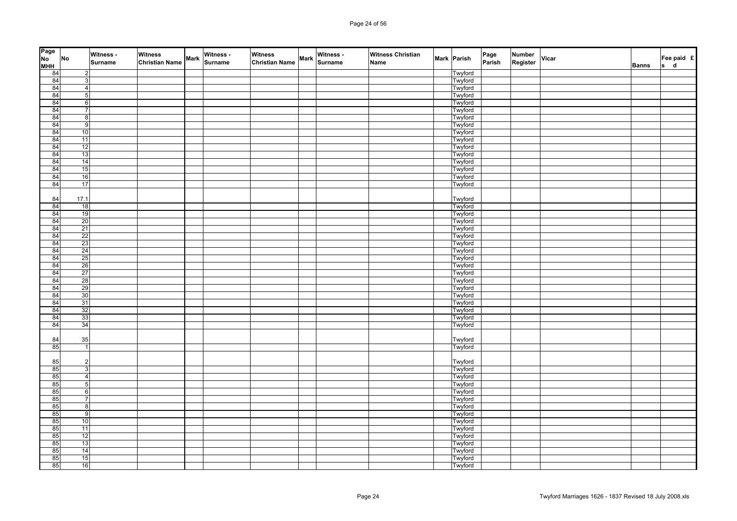| Page<br>No<br><b>MHH</b> | <b>No</b>        | Witness -<br><b>Surname</b> | <b>Witness</b><br><b>Christian Name</b> | <b>Mark</b> | Witness -<br>Surname | <b>Witness</b><br><b>Christian Name</b> | <b>Mark</b> | Witness -<br><b>Surname</b> | <b>Witness Christian</b><br>Name | Mark Parish | Page<br>Parish | Number<br>Register | Vicar | <b>Banns</b> | Fee paid £<br>s d |
|--------------------------|------------------|-----------------------------|-----------------------------------------|-------------|----------------------|-----------------------------------------|-------------|-----------------------------|----------------------------------|-------------|----------------|--------------------|-------|--------------|-------------------|
| 84                       |                  |                             |                                         |             |                      |                                         |             |                             |                                  | Twyford     |                |                    |       |              |                   |
| 84                       | 3                |                             |                                         |             |                      |                                         |             |                             |                                  | Twyford     |                |                    |       |              |                   |
| 84                       | $\overline{4}$   |                             |                                         |             |                      |                                         |             |                             |                                  | Twyford     |                |                    |       |              |                   |
| 84                       | $\sqrt{5}$       |                             |                                         |             |                      |                                         |             |                             |                                  | Twyford     |                |                    |       |              |                   |
| 84                       | $6 \overline{6}$ |                             |                                         |             |                      |                                         |             |                             |                                  | Twyford     |                |                    |       |              |                   |
| 84                       | $\overline{7}$   |                             |                                         |             |                      |                                         |             |                             |                                  | Twyford     |                |                    |       |              |                   |
| 84                       | 8                |                             |                                         |             |                      |                                         |             |                             |                                  | Twyford     |                |                    |       |              |                   |
| 84                       | $\overline{9}$   |                             |                                         |             |                      |                                         |             |                             |                                  | Twyford     |                |                    |       |              |                   |
| 84                       | 10               |                             |                                         |             |                      |                                         |             |                             |                                  | Twyford     |                |                    |       |              |                   |
| 84                       | 11               |                             |                                         |             |                      |                                         |             |                             |                                  | Twyford     |                |                    |       |              |                   |
| 84                       | 12               |                             |                                         |             |                      |                                         |             |                             |                                  | Twyford     |                |                    |       |              |                   |
| 84                       | 13               |                             |                                         |             |                      |                                         |             |                             |                                  | Twyford     |                |                    |       |              |                   |
| 84                       | 14               |                             |                                         |             |                      |                                         |             |                             |                                  | Twyford     |                |                    |       |              |                   |
| 84                       | 15               |                             |                                         |             |                      |                                         |             |                             |                                  | Twyford     |                |                    |       |              |                   |
| 84                       | 16               |                             |                                         |             |                      |                                         |             |                             |                                  | Twyford     |                |                    |       |              |                   |
| 84                       | 17               |                             |                                         |             |                      |                                         |             |                             |                                  | Twyford     |                |                    |       |              |                   |
|                          |                  |                             |                                         |             |                      |                                         |             |                             |                                  |             |                |                    |       |              |                   |
| 84                       | 17.1             |                             |                                         |             |                      |                                         |             |                             |                                  | Twyford     |                |                    |       |              |                   |
| 84                       | 18               |                             |                                         |             |                      |                                         |             |                             |                                  | Twyford     |                |                    |       |              |                   |
| 84                       | 19               |                             |                                         |             |                      |                                         |             |                             |                                  | Twyford     |                |                    |       |              |                   |
| 84                       | 20               |                             |                                         |             |                      |                                         |             |                             |                                  | Twyford     |                |                    |       |              |                   |
| 84                       | 21               |                             |                                         |             |                      |                                         |             |                             |                                  | Twyford     |                |                    |       |              |                   |
| 84                       | 22               |                             |                                         |             |                      |                                         |             |                             |                                  | Twyford     |                |                    |       |              |                   |
| 84                       | 23               |                             |                                         |             |                      |                                         |             |                             |                                  | Twyford     |                |                    |       |              |                   |
| 84                       | 24               |                             |                                         |             |                      |                                         |             |                             |                                  | Twyford     |                |                    |       |              |                   |
| 84                       | 25               |                             |                                         |             |                      |                                         |             |                             |                                  | Twyford     |                |                    |       |              |                   |
| 84                       | 26               |                             |                                         |             |                      |                                         |             |                             |                                  | Twyford     |                |                    |       |              |                   |
| 84                       | 27               |                             |                                         |             |                      |                                         |             |                             |                                  | Twyford     |                |                    |       |              |                   |
| 84                       | 28               |                             |                                         |             |                      |                                         |             |                             |                                  | Twyford     |                |                    |       |              |                   |
| 84                       | 29               |                             |                                         |             |                      |                                         |             |                             |                                  | Twyford     |                |                    |       |              |                   |
| 84                       | 30               |                             |                                         |             |                      |                                         |             |                             |                                  | Twyford     |                |                    |       |              |                   |
| 84                       | 31               |                             |                                         |             |                      |                                         |             |                             |                                  | Twyford     |                |                    |       |              |                   |
| 84                       | 32               |                             |                                         |             |                      |                                         |             |                             |                                  | Twyford     |                |                    |       |              |                   |
| 84                       | 33               |                             |                                         |             |                      |                                         |             |                             |                                  | Twyford     |                |                    |       |              |                   |
| 84                       | 34               |                             |                                         |             |                      |                                         |             |                             |                                  | Twyford     |                |                    |       |              |                   |
|                          |                  |                             |                                         |             |                      |                                         |             |                             |                                  |             |                |                    |       |              |                   |
| 84                       | 35               |                             |                                         |             |                      |                                         |             |                             |                                  | Twyford     |                |                    |       |              |                   |
| 85                       | $\mathbf{1}$     |                             |                                         |             |                      |                                         |             |                             |                                  | Twyford     |                |                    |       |              |                   |
| 85                       | $\overline{2}$   |                             |                                         |             |                      |                                         |             |                             |                                  | Twyford     |                |                    |       |              |                   |
| 85                       | 3                |                             |                                         |             |                      |                                         |             |                             |                                  | Twyford     |                |                    |       |              |                   |
| 85                       | $\overline{a}$   |                             |                                         |             |                      |                                         |             |                             |                                  | Twyford     |                |                    |       |              |                   |
| 85                       | 5                |                             |                                         |             |                      |                                         |             |                             |                                  | Twyford     |                |                    |       |              |                   |
| 85                       | 6                |                             |                                         |             |                      |                                         |             |                             |                                  | Twyford     |                |                    |       |              |                   |
| 85                       | $\overline{7}$   |                             |                                         |             |                      |                                         |             |                             |                                  | Twyford     |                |                    |       |              |                   |
| 85                       | 8                |                             |                                         |             |                      |                                         |             |                             |                                  | Twyford     |                |                    |       |              |                   |
| 85                       | 9                |                             |                                         |             |                      |                                         |             |                             |                                  | Twyford     |                |                    |       |              |                   |
| 85                       | 10               |                             |                                         |             |                      |                                         |             |                             |                                  | Twyford     |                |                    |       |              |                   |
| 85                       | 11               |                             |                                         |             |                      |                                         |             |                             |                                  | Twyford     |                |                    |       |              |                   |
| 85                       | 12               |                             |                                         |             |                      |                                         |             |                             |                                  | Twyford     |                |                    |       |              |                   |
| 85                       | 13               |                             |                                         |             |                      |                                         |             |                             |                                  | Twyford     |                |                    |       |              |                   |
| 85                       | 14               |                             |                                         |             |                      |                                         |             |                             |                                  | Twyford     |                |                    |       |              |                   |
| 85                       | 15               |                             |                                         |             |                      |                                         |             |                             |                                  | Twyford     |                |                    |       |              |                   |
| 85                       | 16               |                             |                                         |             |                      |                                         |             |                             |                                  | Twyford     |                |                    |       |              |                   |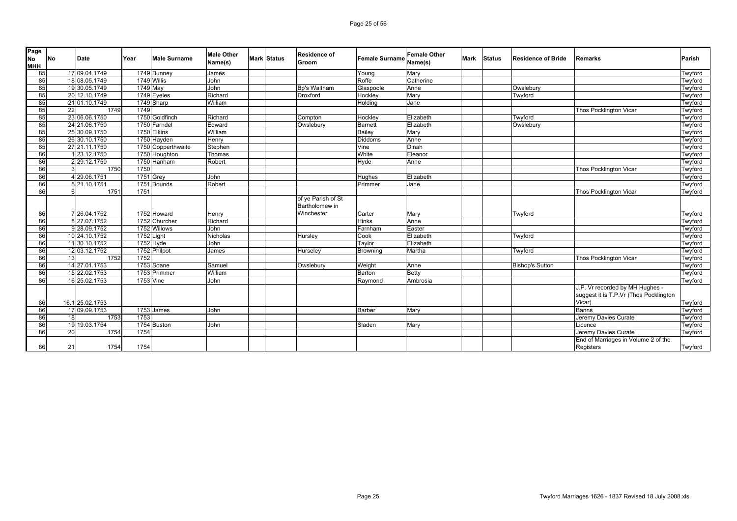| Page<br><b>No</b><br>Імнн | <b>No</b> | <b>Date</b>             | Year     | <b>Male Surname</b> | <b>Male Other</b><br>Name(s) | <b>Mark Status</b> | <b>Residence of</b><br>Groom                       | <b>Female Surname</b> | <b>Female Other</b><br>Name(s) | Mark | <b>Status</b> | <b>Residence of Bride</b> | <b>Remarks</b>                                                                      | Parish  |
|---------------------------|-----------|-------------------------|----------|---------------------|------------------------------|--------------------|----------------------------------------------------|-----------------------|--------------------------------|------|---------------|---------------------------|-------------------------------------------------------------------------------------|---------|
| 85                        |           | 17 09.04.1749           |          | 1749 Bunney         | James                        |                    |                                                    | Young                 | Mary                           |      |               |                           |                                                                                     | Twyford |
| 85                        |           | 18 08 05 1749           |          | 1749 Willis         | John                         |                    |                                                    | Roffe                 | Catherine                      |      |               |                           |                                                                                     | Twyford |
| 85                        |           | 19 30.05.1749           | 1749 May |                     | John                         |                    | <b>Bp's Waltham</b>                                | Glaspoole             | Anne                           |      |               | Owslebury                 |                                                                                     | Twyford |
| 85                        |           | 20 12.10.1749           |          | 1749 Eyeles         | Richard                      |                    | <b>Droxford</b>                                    | Hockley               | Mary                           |      |               | Twyford                   |                                                                                     | Twyford |
| 85                        |           | 21 01.10.1749           |          | 1749 Sharp          | William                      |                    |                                                    | Holding               | Jane                           |      |               |                           |                                                                                     | Twyford |
| 85                        |           | 1749<br>22              | 1749     |                     |                              |                    |                                                    |                       |                                |      |               |                           | Thos Pocklington Vicar                                                              | Twyford |
| 85                        |           | 23 06.06.1750           |          | 1750 Goldfinch      | Richard                      |                    | Compton                                            | Hockley               | Elizabeth                      |      |               | Twyford                   |                                                                                     | Twyford |
| 85                        |           | 24 21.06.1750           |          | 1750 Farndel        | Edward                       |                    | Owslebury                                          | <b>Barnett</b>        | Elizabeth                      |      |               | Owslebury                 |                                                                                     | Twyford |
| 85                        |           | 25 30.09.1750           |          | 1750 Elkins         | William                      |                    |                                                    | Bailey                | Mary                           |      |               |                           |                                                                                     | Twyford |
| 85                        |           | 26 30.10.1750           |          | 1750 Havden         | Henry                        |                    |                                                    | <b>Diddoms</b>        | Anne                           |      |               |                           |                                                                                     | Twyford |
| 85                        |           | 27 21.11.1750           |          | 1750 Copperthwaite  | Stephen                      |                    |                                                    | Vine                  | Dinah                          |      |               |                           |                                                                                     | Twyford |
| 86                        |           | 123.12.1750             |          | 1750 Houghton       | Thomas                       |                    |                                                    | White                 | Eleanor                        |      |               |                           |                                                                                     | Twyford |
| 86                        |           | 2 29.12.1750            |          | 1750 Hanham         | Robert                       |                    |                                                    | Hyde                  | Anne                           |      |               |                           |                                                                                     | Twyford |
| 86                        |           | 1750                    | 1750     |                     |                              |                    |                                                    |                       |                                |      |               |                           | <b>Thos Pocklington Vicar</b>                                                       | Twyford |
| 86                        |           | 4 29.06.1751            |          | 1751 Grev           | John                         |                    |                                                    | Hughes                | Elizabeth                      |      |               |                           |                                                                                     | Twyford |
| 86                        |           | 5 21.10.1751            |          | 1751 Bounds         | Robert                       |                    |                                                    | Primmer               | Jane                           |      |               |                           |                                                                                     | Twyford |
| 86                        |           | 1751                    | 1751     |                     |                              |                    |                                                    |                       |                                |      |               |                           | <b>Thos Pocklington Vicar</b>                                                       | Twyford |
| 86                        |           | 7 26.04.1752            |          | 1752 Howard         | Henry                        |                    | of ye Parish of St<br>Bartholomew in<br>Winchester | Carter                | Mary                           |      |               | Twyford                   |                                                                                     | Twyford |
| 86                        |           | 8 27.07.1752            |          | 1752 Churcher       | Richard                      |                    |                                                    | <b>Hinks</b>          | Anne                           |      |               |                           |                                                                                     | Twyford |
| 86                        |           | 9 28.09.1752            |          | 1752 Willows        | <b>John</b>                  |                    |                                                    | Farnham               | Easter                         |      |               |                           |                                                                                     | Twyford |
| 86                        |           | 10 24.10.1752           |          | 1752 Light          | <b>Nicholas</b>              |                    | Hurslev                                            | Cook                  | Elizabeth                      |      |               | Twyford                   |                                                                                     | Twyford |
| 86                        |           | 11 30.10.1752           |          | 1752 Hyde           | John                         |                    |                                                    | Taylor                | Elizabeth                      |      |               |                           |                                                                                     | Twyford |
| 86                        |           | 12 03.12.1752           |          | 1752 Philpot        | James                        |                    | Hurseley                                           | <b>Browning</b>       | Martha                         |      |               | Twyford                   |                                                                                     | Twyford |
| 86                        |           | 1752<br>13 <sub>l</sub> | 1752     |                     |                              |                    |                                                    |                       |                                |      |               |                           | <b>Thos Pocklington Vicar</b>                                                       | Twyford |
| 86                        |           | 14 27.01.1753           |          | 1753 Soane          | Samuel                       |                    | Owslebury                                          | Weight                | Anne                           |      |               | <b>Bishop's Sutton</b>    |                                                                                     | Twyford |
| 86                        |           | 15 22.02.1753           |          | 1753 Primmer        | William                      |                    |                                                    | <b>Barton</b>         | <b>Betty</b>                   |      |               |                           |                                                                                     | Twyford |
| 86                        |           | 16 25.02.1753           |          | <b>1753 Vine</b>    | John                         |                    |                                                    | Raymond               | Ambrosia                       |      |               |                           |                                                                                     | Twyford |
| 86                        |           | 16.1 25.02.1753         |          |                     |                              |                    |                                                    |                       |                                |      |               |                           | J.P. Vr recorded by MH Hughes -<br>suggest it is T.P.Vr )Thos Pocklington<br>Vicar) | Twyford |
| 86                        |           | 17 09.09.1753           |          | 1753 James          | John                         |                    |                                                    | <b>Barber</b>         | Mary                           |      |               |                           | <b>Banns</b>                                                                        | Twyford |
| 86                        |           | 18<br>1753              | 1753     |                     |                              |                    |                                                    |                       |                                |      |               |                           | Jeremy Davies Curate                                                                | Twyford |
| 86                        |           | 19 19 03 1754           |          | 1754 Buston         | John                         |                    |                                                    | Sladen                | Mary                           |      |               |                           | Licence                                                                             | Twyford |
| 86                        |           | 1754<br>20              | 1754     |                     |                              |                    |                                                    |                       |                                |      |               |                           | Jeremy Davies Curate                                                                | Twyford |
| 86                        |           | 1754<br>21              | 1754     |                     |                              |                    |                                                    |                       |                                |      |               |                           | End of Marriages in Volume 2 of the<br>Registers                                    | Twyford |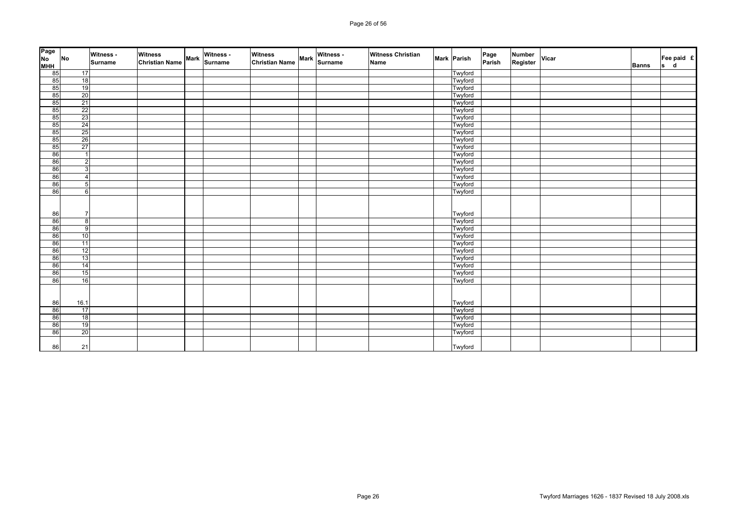#### Page 26 of 56

| Page<br>No<br><u>MHH</u> | No             | Witness -<br><b>Surname</b> | <b>Witness</b><br><b>Christian Name</b> | <b>Mark</b> | Witness -<br>Surname | <b>Witness</b><br><b>Christian Name</b> | <b>Mark</b> | Witness -<br><b>Surname</b> | <b>Witness Christian</b><br>Name | Mark Parish | Page<br>Parish | Number<br>Register | Vicar | <b>Banns</b> | Fee paid $\mathbf{\pounds}$<br>s d |
|--------------------------|----------------|-----------------------------|-----------------------------------------|-------------|----------------------|-----------------------------------------|-------------|-----------------------------|----------------------------------|-------------|----------------|--------------------|-------|--------------|------------------------------------|
| 85                       | 17             |                             |                                         |             |                      |                                         |             |                             |                                  | Twyford     |                |                    |       |              |                                    |
| 85                       | 18             |                             |                                         |             |                      |                                         |             |                             |                                  | Twyford     |                |                    |       |              |                                    |
| 85                       | 19             |                             |                                         |             |                      |                                         |             |                             |                                  | Twyford     |                |                    |       |              |                                    |
| 85                       | 20             |                             |                                         |             |                      |                                         |             |                             |                                  | Twyford     |                |                    |       |              |                                    |
| 85                       | 21             |                             |                                         |             |                      |                                         |             |                             |                                  | Twyford     |                |                    |       |              |                                    |
| 85                       | 22             |                             |                                         |             |                      |                                         |             |                             |                                  | Twyford     |                |                    |       |              |                                    |
| 85                       | 23             |                             |                                         |             |                      |                                         |             |                             |                                  | Twyford     |                |                    |       |              |                                    |
| 85                       | 24             |                             |                                         |             |                      |                                         |             |                             |                                  | Twyford     |                |                    |       |              |                                    |
| 85                       | 25             |                             |                                         |             |                      |                                         |             |                             |                                  | Twyford     |                |                    |       |              |                                    |
| 85                       | 26             |                             |                                         |             |                      |                                         |             |                             |                                  | Twyford     |                |                    |       |              |                                    |
| 85                       | 27             |                             |                                         |             |                      |                                         |             |                             |                                  | Twyford     |                |                    |       |              |                                    |
| 86                       | $\overline{1}$ |                             |                                         |             |                      |                                         |             |                             |                                  | Twyford     |                |                    |       |              |                                    |
| 86                       |                | $\overline{2}$              |                                         |             |                      |                                         |             |                             |                                  | Twyford     |                |                    |       |              |                                    |
| 86                       |                | $\overline{3}$              |                                         |             |                      |                                         |             |                             |                                  | Twyford     |                |                    |       |              |                                    |
| 86                       |                | 4 <sup>1</sup>              |                                         |             |                      |                                         |             |                             |                                  | Twyford     |                |                    |       |              |                                    |
| 86                       |                | 5                           |                                         |             |                      |                                         |             |                             |                                  | Twyford     |                |                    |       |              |                                    |
| 86                       |                | 6                           |                                         |             |                      |                                         |             |                             |                                  | Twyford     |                |                    |       |              |                                    |
| 86                       | $\overline{7}$ |                             |                                         |             |                      |                                         |             |                             |                                  | Twyford     |                |                    |       |              |                                    |
| 86                       |                | $\overline{8}$              |                                         |             |                      |                                         |             |                             |                                  | Twyford     |                |                    |       |              |                                    |
| 86                       |                | $\overline{9}$              |                                         |             |                      |                                         |             |                             |                                  | Twyford     |                |                    |       |              |                                    |
| 86                       | 10             |                             |                                         |             |                      |                                         |             |                             |                                  | Twyford     |                |                    |       |              |                                    |
| 86                       | 11             |                             |                                         |             |                      |                                         |             |                             |                                  | Twyford     |                |                    |       |              |                                    |
| 86                       | 12             |                             |                                         |             |                      |                                         |             |                             |                                  | Twyford     |                |                    |       |              |                                    |
| 86                       | 13             |                             |                                         |             |                      |                                         |             |                             |                                  | Twyford     |                |                    |       |              |                                    |
| 86                       | 14             |                             |                                         |             |                      |                                         |             |                             |                                  | Twyford     |                |                    |       |              |                                    |
| 86                       | 15             |                             |                                         |             |                      |                                         |             |                             |                                  | Twyford     |                |                    |       |              |                                    |
| 86                       | 16             |                             |                                         |             |                      |                                         |             |                             |                                  | Twyford     |                |                    |       |              |                                    |
| 86                       | 16.1           |                             |                                         |             |                      |                                         |             |                             |                                  | Twyford     |                |                    |       |              |                                    |
| 86                       | 17             |                             |                                         |             |                      |                                         |             |                             |                                  | Twyford     |                |                    |       |              |                                    |
| 86                       | 18             |                             |                                         |             |                      |                                         |             |                             |                                  | Twyford     |                |                    |       |              |                                    |
| 86                       | 19             |                             |                                         |             |                      |                                         |             |                             |                                  | Twyford     |                |                    |       |              |                                    |
| 86                       | 20             |                             |                                         |             |                      |                                         |             |                             |                                  | Twyford     |                |                    |       |              |                                    |
| 86                       | 21             |                             |                                         |             |                      |                                         |             |                             |                                  | Twyford     |                |                    |       |              |                                    |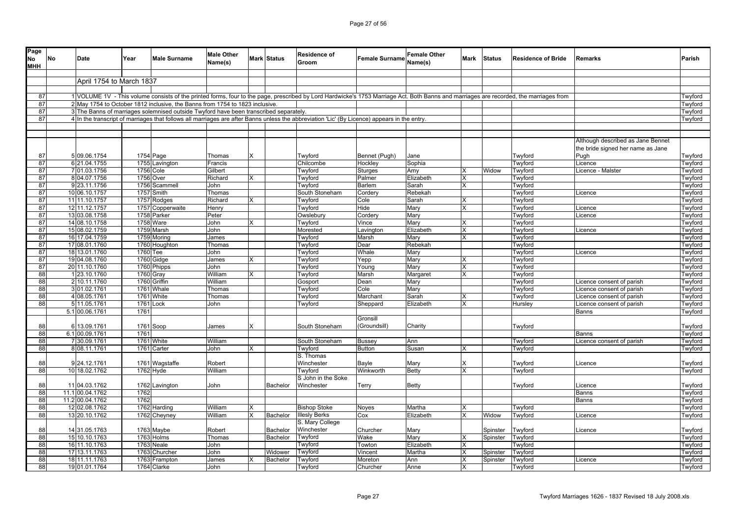| April 1754 to March 1837<br>87<br>1 VOLUME 1V - This volume consists of the printed forms, four to the page, prescribed by Lord Hardwicke's 1753 Marriage Act. Both Banns and marriages are recorded, the marriages from<br>Twyford<br>87<br>2 May 1754 to October 1812 inclusive, the Banns from 1754 to 1823 inclusive.<br>Twyford<br>87<br>3 The Banns of marriages solemnised outside Twyford have been transcribed separately.<br>Twyford<br>4 In the transcript of marriages that follows all marriages are after Banns unless the abbreviation 'Lic' (By Licence) appears in the entry.<br>87<br>Twyford<br>Although described as Jane Bennet<br>the bride signed her name as Jane<br>5 09.06.1754<br>1754 Page<br>Twyford<br>Bennet (Pugh)<br>Twyford<br>Pugh<br>Twyford<br>87<br>Thomas<br>Jane<br>6 21.04.1755<br>1755 Lavington<br>Chilcombe<br>Twyford<br>Twyford<br>87<br>Francis<br>Hockley<br>Sophia<br>Licence<br>87<br>7 01.03.1756<br>1756 Cole<br>Gilbert<br>Twyford<br>Sturges<br>Amy<br>Widow<br>Twyford<br>icence - Malster<br>Twyford<br>87<br>8 04.07.1756<br>1756 Over<br>Twyford<br>Palmer<br>Elizabeth<br>Twyford<br>Twyford<br>Richard<br>x<br>1756 Scammell<br>87<br>9 23.11.1756<br>Barlem<br>John<br>Twyford<br>Sarah<br>Twyford<br>Twyford<br>X<br>10 06.10.1757<br>1757 Smith<br>87<br>Thomas<br>South Stoneham<br>Cordery<br>Rebekah<br>Twyford<br>Twyford<br>Licence<br>11 11.10.1757<br>1757 Rodges<br>87<br>Richard<br>x<br>Cole<br>Sarah<br>Twyford<br>Twyford<br>Twyford<br>87<br>12 11.12.1757<br>1757 Copperwaite<br>Hide<br>Twyford<br>Henry<br>Twyford<br>Mary<br>Twyford<br>Licence<br>87<br>13 03.08.1758<br>1758 Parker<br>Twyford<br>Peter<br>Owslebury<br>Cordery<br>Mary<br>Licence<br>Twyford<br>87<br>1758 Ware<br>14 08.10.1758<br>Vince<br>Twyford<br>John<br>Twyford<br>Mary<br>Twyford<br>x<br>15 08.02.1759<br>1759 Marsh<br>87<br>Elizabeth<br>Twyford<br>John<br>Morested<br>avington<br>Twyford<br>.icence<br>87<br>16 17.04.1759<br>1759 Moring<br>James<br>Marsh<br>Mary<br>Twyford<br>Twyford<br>Twyford<br>87<br>17 08.01.1760<br>1760 Houghton<br>Thomas<br>Twyford<br>Dear<br>Rebekah<br>Twyford<br>Twyford<br>18 13.01.1760<br>1760 Tee<br>87<br>Whale<br>Twyford<br>John<br>Twyford<br>Mary<br>Licence<br>Twyford<br>1760 Gidge<br>87<br>19 04.08.1760<br>James<br>х<br>Twyford<br>Yepp<br>Mary<br>Twyford<br>Twyford<br>х<br>20 11.10.1760<br>1760 Phipps<br>87<br>John<br>Twyford<br>Mary<br>Twyford<br>Twyford<br>Young<br>88<br>1 23.10.1760<br>1760 Gray<br>William<br>Marsh<br>Twyford<br>Twyford<br>Twyford<br>Margaret<br>88<br>1760 Griffin<br>2 10.11.1760<br>William<br>Twyford<br>Gosport<br>Dean<br>Mary<br>Twyford<br>icence consent of parish<br>1761 Whale<br>3 01.02.1761<br>88<br>Thomas<br>Twyford<br>Cole<br>Mary<br>Twyford<br>Licence consent of parish<br>Twyford<br>1761 White<br>88<br>4 08.05.1761<br>Marchant<br>Sarah<br>Twyford<br>Twyford<br>Thomas<br>Twyford<br>Licence consent of parish<br>1761 Lock<br>88<br>5 11.05.1761<br>Twyford<br>Sheppard<br>Elizabeth<br>Hursley<br>Licence consent of parish<br>Twyford<br>John<br>5.1 00.06.1761<br>1761<br>Twyford<br>Banns<br>Gronsill<br>1761 Soop<br>88<br>6 13.09.1761<br>South Stoneham<br>(Groundsill)<br>Charity<br>Twyford<br>Twyford<br>James<br>1761<br>88<br>6.1 00.09.1761<br>Twyford<br>Banns<br>7 30.09.1761<br>1761 White<br>South Stoneham<br>88<br>William<br><b>Bussey</b><br>Ann<br>Twyford<br>Twyford<br>Licence consent of parish<br>88<br>8 08.11.1761<br>1761 Carter<br>Twyford<br>Twyford<br>Twyford<br>John<br><b>Button</b><br>Susan<br>S. Thomas<br>9 24.12.1761<br>1761 Wagstaffe<br>Robert<br>Winchester<br>Bayle<br>Mary<br>Twyford<br>Twyford<br>88<br>Licence<br>10 18.02.1762<br>1762 Hyde<br>88<br>William<br>Twyford<br>Winkworth<br><b>Betty</b><br>Twyford<br>Twyford<br>S John in the Soke<br>11 04.03.1762<br>1762 Lavington<br>Winchester<br>88<br>John<br>Bachelor<br>Twyford<br>Twyford<br>Terry<br>Betty<br>Licence<br>1762<br>11.1 00.04.1762<br>88<br>Banns<br>Twyford<br>1762<br>11.2 00.04.1762<br>88<br>Banns<br>Twyford<br>88<br>12 02.08.1762<br>1762 Harding<br>William<br><b>Bishop Stoke</b><br>Twyford<br>Noyes<br>Martha<br>Twyford<br>88<br>13 20.10.1762<br>1762 Cheyney<br><b>Illesly Berks</b><br>Twyford<br>William<br>X<br>Bachelor<br>Cox<br>Elizabeth<br>Widow<br>Twyford<br>X<br>Licence<br>S. Mary College<br>1763 Maybe<br>Winchester<br>88<br>14 31.05.1763<br>Robert<br>Bachelor<br>Churcher<br>Mary<br>Spinster<br>Twyford<br>Twyford<br>Licence<br>15 10.10.1763<br>1763 Holms<br>Bachelor<br>Twyford<br>88<br>Thomas<br>Wake<br>Mary<br>Spinster<br>Twyford<br>Twyford<br>88<br>16 11.10.1763<br>1763 Neale<br>John<br>Twyford<br>Towton<br>Elizabeth<br>Twyford<br>Twyford<br>Twyford<br>88<br>17 13.11.1763<br>1763 Churcher<br>John<br>/incent<br>Martha<br>Twyford<br>Widower<br>Spinster<br>Twyford<br>88<br>18 11.11.1763<br>1763 Frampton<br>Bachelor<br>Twyford<br>James<br>Moreton<br>Ann<br>Spinster<br>Twyford<br>Licence<br>Twyford<br>88<br>19 01.01.1764<br>1764 Clarke<br>John<br>Twyford<br>Anne<br>Twyford<br>Twyford<br>Churcher<br>ΙX | Page<br>No<br><b>MHH</b> | No | Date | Year | <b>Male Surname</b> | <b>Male Other</b><br>Name(s) | <b>Mark Status</b> | Residence of<br>Groom | <b>Female Surname</b> | <b>Female Other</b><br>Name(s) | Mark | <b>Status</b> | <b>Residence of Bride</b> | Remarks | Parish |
|----------------------------------------------------------------------------------------------------------------------------------------------------------------------------------------------------------------------------------------------------------------------------------------------------------------------------------------------------------------------------------------------------------------------------------------------------------------------------------------------------------------------------------------------------------------------------------------------------------------------------------------------------------------------------------------------------------------------------------------------------------------------------------------------------------------------------------------------------------------------------------------------------------------------------------------------------------------------------------------------------------------------------------------------------------------------------------------------------------------------------------------------------------------------------------------------------------------------------------------------------------------------------------------------------------------------------------------------------------------------------------------------------------------------------------------------------------------------------------------------------------------------------------------------------------------------------------------------------------------------------------------------------------------------------------------------------------------------------------------------------------------------------------------------------------------------------------------------------------------------------------------------------------------------------------------------------------------------------------------------------------------------------------------------------------------------------------------------------------------------------------------------------------------------------------------------------------------------------------------------------------------------------------------------------------------------------------------------------------------------------------------------------------------------------------------------------------------------------------------------------------------------------------------------------------------------------------------------------------------------------------------------------------------------------------------------------------------------------------------------------------------------------------------------------------------------------------------------------------------------------------------------------------------------------------------------------------------------------------------------------------------------------------------------------------------------------------------------------------------------------------------------------------------------------------------------------------------------------------------------------------------------------------------------------------------------------------------------------------------------------------------------------------------------------------------------------------------------------------------------------------------------------------------------------------------------------------------------------------------------------------------------------------------------------------------------------------------------------------------------------------------------------------------------------------------------------------------------------------------------------------------------------------------------------------------------------------------------------------------------------------------------------------------------------------------------------------------------------------------------------------------------------------------------------------------------------------------------------------------------------------------------------------------------------------------------------------------------------------------------------------------------------------------------------------------------------------------------------------------------------------------------------------------------------------------------------------------------------------------------------------------------------------------------------------------------------------------------------------------------------------------------------------------------------------------------------------------------------------------------------------------------------------------------------------------------------------------------------------------------------------------------------------------------------------------------------------------------------------------------------------------------------------------------------------|--------------------------|----|------|------|---------------------|------------------------------|--------------------|-----------------------|-----------------------|--------------------------------|------|---------------|---------------------------|---------|--------|
|                                                                                                                                                                                                                                                                                                                                                                                                                                                                                                                                                                                                                                                                                                                                                                                                                                                                                                                                                                                                                                                                                                                                                                                                                                                                                                                                                                                                                                                                                                                                                                                                                                                                                                                                                                                                                                                                                                                                                                                                                                                                                                                                                                                                                                                                                                                                                                                                                                                                                                                                                                                                                                                                                                                                                                                                                                                                                                                                                                                                                                                                                                                                                                                                                                                                                                                                                                                                                                                                                                                                                                                                                                                                                                                                                                                                                                                                                                                                                                                                                                                                                                                                                                                                                                                                                                                                                                                                                                                                                                                                                                                                                                                                                                                                                                                                                                                                                                                                                                                                                                                                                                                                                                                  |                          |    |      |      |                     |                              |                    |                       |                       |                                |      |               |                           |         |        |
|                                                                                                                                                                                                                                                                                                                                                                                                                                                                                                                                                                                                                                                                                                                                                                                                                                                                                                                                                                                                                                                                                                                                                                                                                                                                                                                                                                                                                                                                                                                                                                                                                                                                                                                                                                                                                                                                                                                                                                                                                                                                                                                                                                                                                                                                                                                                                                                                                                                                                                                                                                                                                                                                                                                                                                                                                                                                                                                                                                                                                                                                                                                                                                                                                                                                                                                                                                                                                                                                                                                                                                                                                                                                                                                                                                                                                                                                                                                                                                                                                                                                                                                                                                                                                                                                                                                                                                                                                                                                                                                                                                                                                                                                                                                                                                                                                                                                                                                                                                                                                                                                                                                                                                                  |                          |    |      |      |                     |                              |                    |                       |                       |                                |      |               |                           |         |        |
|                                                                                                                                                                                                                                                                                                                                                                                                                                                                                                                                                                                                                                                                                                                                                                                                                                                                                                                                                                                                                                                                                                                                                                                                                                                                                                                                                                                                                                                                                                                                                                                                                                                                                                                                                                                                                                                                                                                                                                                                                                                                                                                                                                                                                                                                                                                                                                                                                                                                                                                                                                                                                                                                                                                                                                                                                                                                                                                                                                                                                                                                                                                                                                                                                                                                                                                                                                                                                                                                                                                                                                                                                                                                                                                                                                                                                                                                                                                                                                                                                                                                                                                                                                                                                                                                                                                                                                                                                                                                                                                                                                                                                                                                                                                                                                                                                                                                                                                                                                                                                                                                                                                                                                                  |                          |    |      |      |                     |                              |                    |                       |                       |                                |      |               |                           |         |        |
|                                                                                                                                                                                                                                                                                                                                                                                                                                                                                                                                                                                                                                                                                                                                                                                                                                                                                                                                                                                                                                                                                                                                                                                                                                                                                                                                                                                                                                                                                                                                                                                                                                                                                                                                                                                                                                                                                                                                                                                                                                                                                                                                                                                                                                                                                                                                                                                                                                                                                                                                                                                                                                                                                                                                                                                                                                                                                                                                                                                                                                                                                                                                                                                                                                                                                                                                                                                                                                                                                                                                                                                                                                                                                                                                                                                                                                                                                                                                                                                                                                                                                                                                                                                                                                                                                                                                                                                                                                                                                                                                                                                                                                                                                                                                                                                                                                                                                                                                                                                                                                                                                                                                                                                  |                          |    |      |      |                     |                              |                    |                       |                       |                                |      |               |                           |         |        |
|                                                                                                                                                                                                                                                                                                                                                                                                                                                                                                                                                                                                                                                                                                                                                                                                                                                                                                                                                                                                                                                                                                                                                                                                                                                                                                                                                                                                                                                                                                                                                                                                                                                                                                                                                                                                                                                                                                                                                                                                                                                                                                                                                                                                                                                                                                                                                                                                                                                                                                                                                                                                                                                                                                                                                                                                                                                                                                                                                                                                                                                                                                                                                                                                                                                                                                                                                                                                                                                                                                                                                                                                                                                                                                                                                                                                                                                                                                                                                                                                                                                                                                                                                                                                                                                                                                                                                                                                                                                                                                                                                                                                                                                                                                                                                                                                                                                                                                                                                                                                                                                                                                                                                                                  |                          |    |      |      |                     |                              |                    |                       |                       |                                |      |               |                           |         |        |
|                                                                                                                                                                                                                                                                                                                                                                                                                                                                                                                                                                                                                                                                                                                                                                                                                                                                                                                                                                                                                                                                                                                                                                                                                                                                                                                                                                                                                                                                                                                                                                                                                                                                                                                                                                                                                                                                                                                                                                                                                                                                                                                                                                                                                                                                                                                                                                                                                                                                                                                                                                                                                                                                                                                                                                                                                                                                                                                                                                                                                                                                                                                                                                                                                                                                                                                                                                                                                                                                                                                                                                                                                                                                                                                                                                                                                                                                                                                                                                                                                                                                                                                                                                                                                                                                                                                                                                                                                                                                                                                                                                                                                                                                                                                                                                                                                                                                                                                                                                                                                                                                                                                                                                                  |                          |    |      |      |                     |                              |                    |                       |                       |                                |      |               |                           |         |        |
|                                                                                                                                                                                                                                                                                                                                                                                                                                                                                                                                                                                                                                                                                                                                                                                                                                                                                                                                                                                                                                                                                                                                                                                                                                                                                                                                                                                                                                                                                                                                                                                                                                                                                                                                                                                                                                                                                                                                                                                                                                                                                                                                                                                                                                                                                                                                                                                                                                                                                                                                                                                                                                                                                                                                                                                                                                                                                                                                                                                                                                                                                                                                                                                                                                                                                                                                                                                                                                                                                                                                                                                                                                                                                                                                                                                                                                                                                                                                                                                                                                                                                                                                                                                                                                                                                                                                                                                                                                                                                                                                                                                                                                                                                                                                                                                                                                                                                                                                                                                                                                                                                                                                                                                  |                          |    |      |      |                     |                              |                    |                       |                       |                                |      |               |                           |         |        |
|                                                                                                                                                                                                                                                                                                                                                                                                                                                                                                                                                                                                                                                                                                                                                                                                                                                                                                                                                                                                                                                                                                                                                                                                                                                                                                                                                                                                                                                                                                                                                                                                                                                                                                                                                                                                                                                                                                                                                                                                                                                                                                                                                                                                                                                                                                                                                                                                                                                                                                                                                                                                                                                                                                                                                                                                                                                                                                                                                                                                                                                                                                                                                                                                                                                                                                                                                                                                                                                                                                                                                                                                                                                                                                                                                                                                                                                                                                                                                                                                                                                                                                                                                                                                                                                                                                                                                                                                                                                                                                                                                                                                                                                                                                                                                                                                                                                                                                                                                                                                                                                                                                                                                                                  |                          |    |      |      |                     |                              |                    |                       |                       |                                |      |               |                           |         |        |
|                                                                                                                                                                                                                                                                                                                                                                                                                                                                                                                                                                                                                                                                                                                                                                                                                                                                                                                                                                                                                                                                                                                                                                                                                                                                                                                                                                                                                                                                                                                                                                                                                                                                                                                                                                                                                                                                                                                                                                                                                                                                                                                                                                                                                                                                                                                                                                                                                                                                                                                                                                                                                                                                                                                                                                                                                                                                                                                                                                                                                                                                                                                                                                                                                                                                                                                                                                                                                                                                                                                                                                                                                                                                                                                                                                                                                                                                                                                                                                                                                                                                                                                                                                                                                                                                                                                                                                                                                                                                                                                                                                                                                                                                                                                                                                                                                                                                                                                                                                                                                                                                                                                                                                                  |                          |    |      |      |                     |                              |                    |                       |                       |                                |      |               |                           |         |        |
|                                                                                                                                                                                                                                                                                                                                                                                                                                                                                                                                                                                                                                                                                                                                                                                                                                                                                                                                                                                                                                                                                                                                                                                                                                                                                                                                                                                                                                                                                                                                                                                                                                                                                                                                                                                                                                                                                                                                                                                                                                                                                                                                                                                                                                                                                                                                                                                                                                                                                                                                                                                                                                                                                                                                                                                                                                                                                                                                                                                                                                                                                                                                                                                                                                                                                                                                                                                                                                                                                                                                                                                                                                                                                                                                                                                                                                                                                                                                                                                                                                                                                                                                                                                                                                                                                                                                                                                                                                                                                                                                                                                                                                                                                                                                                                                                                                                                                                                                                                                                                                                                                                                                                                                  |                          |    |      |      |                     |                              |                    |                       |                       |                                |      |               |                           |         |        |
|                                                                                                                                                                                                                                                                                                                                                                                                                                                                                                                                                                                                                                                                                                                                                                                                                                                                                                                                                                                                                                                                                                                                                                                                                                                                                                                                                                                                                                                                                                                                                                                                                                                                                                                                                                                                                                                                                                                                                                                                                                                                                                                                                                                                                                                                                                                                                                                                                                                                                                                                                                                                                                                                                                                                                                                                                                                                                                                                                                                                                                                                                                                                                                                                                                                                                                                                                                                                                                                                                                                                                                                                                                                                                                                                                                                                                                                                                                                                                                                                                                                                                                                                                                                                                                                                                                                                                                                                                                                                                                                                                                                                                                                                                                                                                                                                                                                                                                                                                                                                                                                                                                                                                                                  |                          |    |      |      |                     |                              |                    |                       |                       |                                |      |               |                           |         |        |
|                                                                                                                                                                                                                                                                                                                                                                                                                                                                                                                                                                                                                                                                                                                                                                                                                                                                                                                                                                                                                                                                                                                                                                                                                                                                                                                                                                                                                                                                                                                                                                                                                                                                                                                                                                                                                                                                                                                                                                                                                                                                                                                                                                                                                                                                                                                                                                                                                                                                                                                                                                                                                                                                                                                                                                                                                                                                                                                                                                                                                                                                                                                                                                                                                                                                                                                                                                                                                                                                                                                                                                                                                                                                                                                                                                                                                                                                                                                                                                                                                                                                                                                                                                                                                                                                                                                                                                                                                                                                                                                                                                                                                                                                                                                                                                                                                                                                                                                                                                                                                                                                                                                                                                                  |                          |    |      |      |                     |                              |                    |                       |                       |                                |      |               |                           |         |        |
|                                                                                                                                                                                                                                                                                                                                                                                                                                                                                                                                                                                                                                                                                                                                                                                                                                                                                                                                                                                                                                                                                                                                                                                                                                                                                                                                                                                                                                                                                                                                                                                                                                                                                                                                                                                                                                                                                                                                                                                                                                                                                                                                                                                                                                                                                                                                                                                                                                                                                                                                                                                                                                                                                                                                                                                                                                                                                                                                                                                                                                                                                                                                                                                                                                                                                                                                                                                                                                                                                                                                                                                                                                                                                                                                                                                                                                                                                                                                                                                                                                                                                                                                                                                                                                                                                                                                                                                                                                                                                                                                                                                                                                                                                                                                                                                                                                                                                                                                                                                                                                                                                                                                                                                  |                          |    |      |      |                     |                              |                    |                       |                       |                                |      |               |                           |         |        |
|                                                                                                                                                                                                                                                                                                                                                                                                                                                                                                                                                                                                                                                                                                                                                                                                                                                                                                                                                                                                                                                                                                                                                                                                                                                                                                                                                                                                                                                                                                                                                                                                                                                                                                                                                                                                                                                                                                                                                                                                                                                                                                                                                                                                                                                                                                                                                                                                                                                                                                                                                                                                                                                                                                                                                                                                                                                                                                                                                                                                                                                                                                                                                                                                                                                                                                                                                                                                                                                                                                                                                                                                                                                                                                                                                                                                                                                                                                                                                                                                                                                                                                                                                                                                                                                                                                                                                                                                                                                                                                                                                                                                                                                                                                                                                                                                                                                                                                                                                                                                                                                                                                                                                                                  |                          |    |      |      |                     |                              |                    |                       |                       |                                |      |               |                           |         |        |
|                                                                                                                                                                                                                                                                                                                                                                                                                                                                                                                                                                                                                                                                                                                                                                                                                                                                                                                                                                                                                                                                                                                                                                                                                                                                                                                                                                                                                                                                                                                                                                                                                                                                                                                                                                                                                                                                                                                                                                                                                                                                                                                                                                                                                                                                                                                                                                                                                                                                                                                                                                                                                                                                                                                                                                                                                                                                                                                                                                                                                                                                                                                                                                                                                                                                                                                                                                                                                                                                                                                                                                                                                                                                                                                                                                                                                                                                                                                                                                                                                                                                                                                                                                                                                                                                                                                                                                                                                                                                                                                                                                                                                                                                                                                                                                                                                                                                                                                                                                                                                                                                                                                                                                                  |                          |    |      |      |                     |                              |                    |                       |                       |                                |      |               |                           |         |        |
|                                                                                                                                                                                                                                                                                                                                                                                                                                                                                                                                                                                                                                                                                                                                                                                                                                                                                                                                                                                                                                                                                                                                                                                                                                                                                                                                                                                                                                                                                                                                                                                                                                                                                                                                                                                                                                                                                                                                                                                                                                                                                                                                                                                                                                                                                                                                                                                                                                                                                                                                                                                                                                                                                                                                                                                                                                                                                                                                                                                                                                                                                                                                                                                                                                                                                                                                                                                                                                                                                                                                                                                                                                                                                                                                                                                                                                                                                                                                                                                                                                                                                                                                                                                                                                                                                                                                                                                                                                                                                                                                                                                                                                                                                                                                                                                                                                                                                                                                                                                                                                                                                                                                                                                  |                          |    |      |      |                     |                              |                    |                       |                       |                                |      |               |                           |         |        |
|                                                                                                                                                                                                                                                                                                                                                                                                                                                                                                                                                                                                                                                                                                                                                                                                                                                                                                                                                                                                                                                                                                                                                                                                                                                                                                                                                                                                                                                                                                                                                                                                                                                                                                                                                                                                                                                                                                                                                                                                                                                                                                                                                                                                                                                                                                                                                                                                                                                                                                                                                                                                                                                                                                                                                                                                                                                                                                                                                                                                                                                                                                                                                                                                                                                                                                                                                                                                                                                                                                                                                                                                                                                                                                                                                                                                                                                                                                                                                                                                                                                                                                                                                                                                                                                                                                                                                                                                                                                                                                                                                                                                                                                                                                                                                                                                                                                                                                                                                                                                                                                                                                                                                                                  |                          |    |      |      |                     |                              |                    |                       |                       |                                |      |               |                           |         |        |
|                                                                                                                                                                                                                                                                                                                                                                                                                                                                                                                                                                                                                                                                                                                                                                                                                                                                                                                                                                                                                                                                                                                                                                                                                                                                                                                                                                                                                                                                                                                                                                                                                                                                                                                                                                                                                                                                                                                                                                                                                                                                                                                                                                                                                                                                                                                                                                                                                                                                                                                                                                                                                                                                                                                                                                                                                                                                                                                                                                                                                                                                                                                                                                                                                                                                                                                                                                                                                                                                                                                                                                                                                                                                                                                                                                                                                                                                                                                                                                                                                                                                                                                                                                                                                                                                                                                                                                                                                                                                                                                                                                                                                                                                                                                                                                                                                                                                                                                                                                                                                                                                                                                                                                                  |                          |    |      |      |                     |                              |                    |                       |                       |                                |      |               |                           |         |        |
|                                                                                                                                                                                                                                                                                                                                                                                                                                                                                                                                                                                                                                                                                                                                                                                                                                                                                                                                                                                                                                                                                                                                                                                                                                                                                                                                                                                                                                                                                                                                                                                                                                                                                                                                                                                                                                                                                                                                                                                                                                                                                                                                                                                                                                                                                                                                                                                                                                                                                                                                                                                                                                                                                                                                                                                                                                                                                                                                                                                                                                                                                                                                                                                                                                                                                                                                                                                                                                                                                                                                                                                                                                                                                                                                                                                                                                                                                                                                                                                                                                                                                                                                                                                                                                                                                                                                                                                                                                                                                                                                                                                                                                                                                                                                                                                                                                                                                                                                                                                                                                                                                                                                                                                  |                          |    |      |      |                     |                              |                    |                       |                       |                                |      |               |                           |         |        |
|                                                                                                                                                                                                                                                                                                                                                                                                                                                                                                                                                                                                                                                                                                                                                                                                                                                                                                                                                                                                                                                                                                                                                                                                                                                                                                                                                                                                                                                                                                                                                                                                                                                                                                                                                                                                                                                                                                                                                                                                                                                                                                                                                                                                                                                                                                                                                                                                                                                                                                                                                                                                                                                                                                                                                                                                                                                                                                                                                                                                                                                                                                                                                                                                                                                                                                                                                                                                                                                                                                                                                                                                                                                                                                                                                                                                                                                                                                                                                                                                                                                                                                                                                                                                                                                                                                                                                                                                                                                                                                                                                                                                                                                                                                                                                                                                                                                                                                                                                                                                                                                                                                                                                                                  |                          |    |      |      |                     |                              |                    |                       |                       |                                |      |               |                           |         |        |
|                                                                                                                                                                                                                                                                                                                                                                                                                                                                                                                                                                                                                                                                                                                                                                                                                                                                                                                                                                                                                                                                                                                                                                                                                                                                                                                                                                                                                                                                                                                                                                                                                                                                                                                                                                                                                                                                                                                                                                                                                                                                                                                                                                                                                                                                                                                                                                                                                                                                                                                                                                                                                                                                                                                                                                                                                                                                                                                                                                                                                                                                                                                                                                                                                                                                                                                                                                                                                                                                                                                                                                                                                                                                                                                                                                                                                                                                                                                                                                                                                                                                                                                                                                                                                                                                                                                                                                                                                                                                                                                                                                                                                                                                                                                                                                                                                                                                                                                                                                                                                                                                                                                                                                                  |                          |    |      |      |                     |                              |                    |                       |                       |                                |      |               |                           |         |        |
|                                                                                                                                                                                                                                                                                                                                                                                                                                                                                                                                                                                                                                                                                                                                                                                                                                                                                                                                                                                                                                                                                                                                                                                                                                                                                                                                                                                                                                                                                                                                                                                                                                                                                                                                                                                                                                                                                                                                                                                                                                                                                                                                                                                                                                                                                                                                                                                                                                                                                                                                                                                                                                                                                                                                                                                                                                                                                                                                                                                                                                                                                                                                                                                                                                                                                                                                                                                                                                                                                                                                                                                                                                                                                                                                                                                                                                                                                                                                                                                                                                                                                                                                                                                                                                                                                                                                                                                                                                                                                                                                                                                                                                                                                                                                                                                                                                                                                                                                                                                                                                                                                                                                                                                  |                          |    |      |      |                     |                              |                    |                       |                       |                                |      |               |                           |         |        |
|                                                                                                                                                                                                                                                                                                                                                                                                                                                                                                                                                                                                                                                                                                                                                                                                                                                                                                                                                                                                                                                                                                                                                                                                                                                                                                                                                                                                                                                                                                                                                                                                                                                                                                                                                                                                                                                                                                                                                                                                                                                                                                                                                                                                                                                                                                                                                                                                                                                                                                                                                                                                                                                                                                                                                                                                                                                                                                                                                                                                                                                                                                                                                                                                                                                                                                                                                                                                                                                                                                                                                                                                                                                                                                                                                                                                                                                                                                                                                                                                                                                                                                                                                                                                                                                                                                                                                                                                                                                                                                                                                                                                                                                                                                                                                                                                                                                                                                                                                                                                                                                                                                                                                                                  |                          |    |      |      |                     |                              |                    |                       |                       |                                |      |               |                           |         |        |
|                                                                                                                                                                                                                                                                                                                                                                                                                                                                                                                                                                                                                                                                                                                                                                                                                                                                                                                                                                                                                                                                                                                                                                                                                                                                                                                                                                                                                                                                                                                                                                                                                                                                                                                                                                                                                                                                                                                                                                                                                                                                                                                                                                                                                                                                                                                                                                                                                                                                                                                                                                                                                                                                                                                                                                                                                                                                                                                                                                                                                                                                                                                                                                                                                                                                                                                                                                                                                                                                                                                                                                                                                                                                                                                                                                                                                                                                                                                                                                                                                                                                                                                                                                                                                                                                                                                                                                                                                                                                                                                                                                                                                                                                                                                                                                                                                                                                                                                                                                                                                                                                                                                                                                                  |                          |    |      |      |                     |                              |                    |                       |                       |                                |      |               |                           |         |        |
|                                                                                                                                                                                                                                                                                                                                                                                                                                                                                                                                                                                                                                                                                                                                                                                                                                                                                                                                                                                                                                                                                                                                                                                                                                                                                                                                                                                                                                                                                                                                                                                                                                                                                                                                                                                                                                                                                                                                                                                                                                                                                                                                                                                                                                                                                                                                                                                                                                                                                                                                                                                                                                                                                                                                                                                                                                                                                                                                                                                                                                                                                                                                                                                                                                                                                                                                                                                                                                                                                                                                                                                                                                                                                                                                                                                                                                                                                                                                                                                                                                                                                                                                                                                                                                                                                                                                                                                                                                                                                                                                                                                                                                                                                                                                                                                                                                                                                                                                                                                                                                                                                                                                                                                  |                          |    |      |      |                     |                              |                    |                       |                       |                                |      |               |                           |         |        |
|                                                                                                                                                                                                                                                                                                                                                                                                                                                                                                                                                                                                                                                                                                                                                                                                                                                                                                                                                                                                                                                                                                                                                                                                                                                                                                                                                                                                                                                                                                                                                                                                                                                                                                                                                                                                                                                                                                                                                                                                                                                                                                                                                                                                                                                                                                                                                                                                                                                                                                                                                                                                                                                                                                                                                                                                                                                                                                                                                                                                                                                                                                                                                                                                                                                                                                                                                                                                                                                                                                                                                                                                                                                                                                                                                                                                                                                                                                                                                                                                                                                                                                                                                                                                                                                                                                                                                                                                                                                                                                                                                                                                                                                                                                                                                                                                                                                                                                                                                                                                                                                                                                                                                                                  |                          |    |      |      |                     |                              |                    |                       |                       |                                |      |               |                           |         |        |
|                                                                                                                                                                                                                                                                                                                                                                                                                                                                                                                                                                                                                                                                                                                                                                                                                                                                                                                                                                                                                                                                                                                                                                                                                                                                                                                                                                                                                                                                                                                                                                                                                                                                                                                                                                                                                                                                                                                                                                                                                                                                                                                                                                                                                                                                                                                                                                                                                                                                                                                                                                                                                                                                                                                                                                                                                                                                                                                                                                                                                                                                                                                                                                                                                                                                                                                                                                                                                                                                                                                                                                                                                                                                                                                                                                                                                                                                                                                                                                                                                                                                                                                                                                                                                                                                                                                                                                                                                                                                                                                                                                                                                                                                                                                                                                                                                                                                                                                                                                                                                                                                                                                                                                                  |                          |    |      |      |                     |                              |                    |                       |                       |                                |      |               |                           |         |        |
|                                                                                                                                                                                                                                                                                                                                                                                                                                                                                                                                                                                                                                                                                                                                                                                                                                                                                                                                                                                                                                                                                                                                                                                                                                                                                                                                                                                                                                                                                                                                                                                                                                                                                                                                                                                                                                                                                                                                                                                                                                                                                                                                                                                                                                                                                                                                                                                                                                                                                                                                                                                                                                                                                                                                                                                                                                                                                                                                                                                                                                                                                                                                                                                                                                                                                                                                                                                                                                                                                                                                                                                                                                                                                                                                                                                                                                                                                                                                                                                                                                                                                                                                                                                                                                                                                                                                                                                                                                                                                                                                                                                                                                                                                                                                                                                                                                                                                                                                                                                                                                                                                                                                                                                  |                          |    |      |      |                     |                              |                    |                       |                       |                                |      |               |                           |         |        |
|                                                                                                                                                                                                                                                                                                                                                                                                                                                                                                                                                                                                                                                                                                                                                                                                                                                                                                                                                                                                                                                                                                                                                                                                                                                                                                                                                                                                                                                                                                                                                                                                                                                                                                                                                                                                                                                                                                                                                                                                                                                                                                                                                                                                                                                                                                                                                                                                                                                                                                                                                                                                                                                                                                                                                                                                                                                                                                                                                                                                                                                                                                                                                                                                                                                                                                                                                                                                                                                                                                                                                                                                                                                                                                                                                                                                                                                                                                                                                                                                                                                                                                                                                                                                                                                                                                                                                                                                                                                                                                                                                                                                                                                                                                                                                                                                                                                                                                                                                                                                                                                                                                                                                                                  |                          |    |      |      |                     |                              |                    |                       |                       |                                |      |               |                           |         |        |
|                                                                                                                                                                                                                                                                                                                                                                                                                                                                                                                                                                                                                                                                                                                                                                                                                                                                                                                                                                                                                                                                                                                                                                                                                                                                                                                                                                                                                                                                                                                                                                                                                                                                                                                                                                                                                                                                                                                                                                                                                                                                                                                                                                                                                                                                                                                                                                                                                                                                                                                                                                                                                                                                                                                                                                                                                                                                                                                                                                                                                                                                                                                                                                                                                                                                                                                                                                                                                                                                                                                                                                                                                                                                                                                                                                                                                                                                                                                                                                                                                                                                                                                                                                                                                                                                                                                                                                                                                                                                                                                                                                                                                                                                                                                                                                                                                                                                                                                                                                                                                                                                                                                                                                                  |                          |    |      |      |                     |                              |                    |                       |                       |                                |      |               |                           |         |        |
|                                                                                                                                                                                                                                                                                                                                                                                                                                                                                                                                                                                                                                                                                                                                                                                                                                                                                                                                                                                                                                                                                                                                                                                                                                                                                                                                                                                                                                                                                                                                                                                                                                                                                                                                                                                                                                                                                                                                                                                                                                                                                                                                                                                                                                                                                                                                                                                                                                                                                                                                                                                                                                                                                                                                                                                                                                                                                                                                                                                                                                                                                                                                                                                                                                                                                                                                                                                                                                                                                                                                                                                                                                                                                                                                                                                                                                                                                                                                                                                                                                                                                                                                                                                                                                                                                                                                                                                                                                                                                                                                                                                                                                                                                                                                                                                                                                                                                                                                                                                                                                                                                                                                                                                  |                          |    |      |      |                     |                              |                    |                       |                       |                                |      |               |                           |         |        |
|                                                                                                                                                                                                                                                                                                                                                                                                                                                                                                                                                                                                                                                                                                                                                                                                                                                                                                                                                                                                                                                                                                                                                                                                                                                                                                                                                                                                                                                                                                                                                                                                                                                                                                                                                                                                                                                                                                                                                                                                                                                                                                                                                                                                                                                                                                                                                                                                                                                                                                                                                                                                                                                                                                                                                                                                                                                                                                                                                                                                                                                                                                                                                                                                                                                                                                                                                                                                                                                                                                                                                                                                                                                                                                                                                                                                                                                                                                                                                                                                                                                                                                                                                                                                                                                                                                                                                                                                                                                                                                                                                                                                                                                                                                                                                                                                                                                                                                                                                                                                                                                                                                                                                                                  |                          |    |      |      |                     |                              |                    |                       |                       |                                |      |               |                           |         |        |
|                                                                                                                                                                                                                                                                                                                                                                                                                                                                                                                                                                                                                                                                                                                                                                                                                                                                                                                                                                                                                                                                                                                                                                                                                                                                                                                                                                                                                                                                                                                                                                                                                                                                                                                                                                                                                                                                                                                                                                                                                                                                                                                                                                                                                                                                                                                                                                                                                                                                                                                                                                                                                                                                                                                                                                                                                                                                                                                                                                                                                                                                                                                                                                                                                                                                                                                                                                                                                                                                                                                                                                                                                                                                                                                                                                                                                                                                                                                                                                                                                                                                                                                                                                                                                                                                                                                                                                                                                                                                                                                                                                                                                                                                                                                                                                                                                                                                                                                                                                                                                                                                                                                                                                                  |                          |    |      |      |                     |                              |                    |                       |                       |                                |      |               |                           |         |        |
|                                                                                                                                                                                                                                                                                                                                                                                                                                                                                                                                                                                                                                                                                                                                                                                                                                                                                                                                                                                                                                                                                                                                                                                                                                                                                                                                                                                                                                                                                                                                                                                                                                                                                                                                                                                                                                                                                                                                                                                                                                                                                                                                                                                                                                                                                                                                                                                                                                                                                                                                                                                                                                                                                                                                                                                                                                                                                                                                                                                                                                                                                                                                                                                                                                                                                                                                                                                                                                                                                                                                                                                                                                                                                                                                                                                                                                                                                                                                                                                                                                                                                                                                                                                                                                                                                                                                                                                                                                                                                                                                                                                                                                                                                                                                                                                                                                                                                                                                                                                                                                                                                                                                                                                  |                          |    |      |      |                     |                              |                    |                       |                       |                                |      |               |                           |         |        |
|                                                                                                                                                                                                                                                                                                                                                                                                                                                                                                                                                                                                                                                                                                                                                                                                                                                                                                                                                                                                                                                                                                                                                                                                                                                                                                                                                                                                                                                                                                                                                                                                                                                                                                                                                                                                                                                                                                                                                                                                                                                                                                                                                                                                                                                                                                                                                                                                                                                                                                                                                                                                                                                                                                                                                                                                                                                                                                                                                                                                                                                                                                                                                                                                                                                                                                                                                                                                                                                                                                                                                                                                                                                                                                                                                                                                                                                                                                                                                                                                                                                                                                                                                                                                                                                                                                                                                                                                                                                                                                                                                                                                                                                                                                                                                                                                                                                                                                                                                                                                                                                                                                                                                                                  |                          |    |      |      |                     |                              |                    |                       |                       |                                |      |               |                           |         |        |
|                                                                                                                                                                                                                                                                                                                                                                                                                                                                                                                                                                                                                                                                                                                                                                                                                                                                                                                                                                                                                                                                                                                                                                                                                                                                                                                                                                                                                                                                                                                                                                                                                                                                                                                                                                                                                                                                                                                                                                                                                                                                                                                                                                                                                                                                                                                                                                                                                                                                                                                                                                                                                                                                                                                                                                                                                                                                                                                                                                                                                                                                                                                                                                                                                                                                                                                                                                                                                                                                                                                                                                                                                                                                                                                                                                                                                                                                                                                                                                                                                                                                                                                                                                                                                                                                                                                                                                                                                                                                                                                                                                                                                                                                                                                                                                                                                                                                                                                                                                                                                                                                                                                                                                                  |                          |    |      |      |                     |                              |                    |                       |                       |                                |      |               |                           |         |        |
|                                                                                                                                                                                                                                                                                                                                                                                                                                                                                                                                                                                                                                                                                                                                                                                                                                                                                                                                                                                                                                                                                                                                                                                                                                                                                                                                                                                                                                                                                                                                                                                                                                                                                                                                                                                                                                                                                                                                                                                                                                                                                                                                                                                                                                                                                                                                                                                                                                                                                                                                                                                                                                                                                                                                                                                                                                                                                                                                                                                                                                                                                                                                                                                                                                                                                                                                                                                                                                                                                                                                                                                                                                                                                                                                                                                                                                                                                                                                                                                                                                                                                                                                                                                                                                                                                                                                                                                                                                                                                                                                                                                                                                                                                                                                                                                                                                                                                                                                                                                                                                                                                                                                                                                  |                          |    |      |      |                     |                              |                    |                       |                       |                                |      |               |                           |         |        |
|                                                                                                                                                                                                                                                                                                                                                                                                                                                                                                                                                                                                                                                                                                                                                                                                                                                                                                                                                                                                                                                                                                                                                                                                                                                                                                                                                                                                                                                                                                                                                                                                                                                                                                                                                                                                                                                                                                                                                                                                                                                                                                                                                                                                                                                                                                                                                                                                                                                                                                                                                                                                                                                                                                                                                                                                                                                                                                                                                                                                                                                                                                                                                                                                                                                                                                                                                                                                                                                                                                                                                                                                                                                                                                                                                                                                                                                                                                                                                                                                                                                                                                                                                                                                                                                                                                                                                                                                                                                                                                                                                                                                                                                                                                                                                                                                                                                                                                                                                                                                                                                                                                                                                                                  |                          |    |      |      |                     |                              |                    |                       |                       |                                |      |               |                           |         |        |
|                                                                                                                                                                                                                                                                                                                                                                                                                                                                                                                                                                                                                                                                                                                                                                                                                                                                                                                                                                                                                                                                                                                                                                                                                                                                                                                                                                                                                                                                                                                                                                                                                                                                                                                                                                                                                                                                                                                                                                                                                                                                                                                                                                                                                                                                                                                                                                                                                                                                                                                                                                                                                                                                                                                                                                                                                                                                                                                                                                                                                                                                                                                                                                                                                                                                                                                                                                                                                                                                                                                                                                                                                                                                                                                                                                                                                                                                                                                                                                                                                                                                                                                                                                                                                                                                                                                                                                                                                                                                                                                                                                                                                                                                                                                                                                                                                                                                                                                                                                                                                                                                                                                                                                                  |                          |    |      |      |                     |                              |                    |                       |                       |                                |      |               |                           |         |        |
|                                                                                                                                                                                                                                                                                                                                                                                                                                                                                                                                                                                                                                                                                                                                                                                                                                                                                                                                                                                                                                                                                                                                                                                                                                                                                                                                                                                                                                                                                                                                                                                                                                                                                                                                                                                                                                                                                                                                                                                                                                                                                                                                                                                                                                                                                                                                                                                                                                                                                                                                                                                                                                                                                                                                                                                                                                                                                                                                                                                                                                                                                                                                                                                                                                                                                                                                                                                                                                                                                                                                                                                                                                                                                                                                                                                                                                                                                                                                                                                                                                                                                                                                                                                                                                                                                                                                                                                                                                                                                                                                                                                                                                                                                                                                                                                                                                                                                                                                                                                                                                                                                                                                                                                  |                          |    |      |      |                     |                              |                    |                       |                       |                                |      |               |                           |         |        |
|                                                                                                                                                                                                                                                                                                                                                                                                                                                                                                                                                                                                                                                                                                                                                                                                                                                                                                                                                                                                                                                                                                                                                                                                                                                                                                                                                                                                                                                                                                                                                                                                                                                                                                                                                                                                                                                                                                                                                                                                                                                                                                                                                                                                                                                                                                                                                                                                                                                                                                                                                                                                                                                                                                                                                                                                                                                                                                                                                                                                                                                                                                                                                                                                                                                                                                                                                                                                                                                                                                                                                                                                                                                                                                                                                                                                                                                                                                                                                                                                                                                                                                                                                                                                                                                                                                                                                                                                                                                                                                                                                                                                                                                                                                                                                                                                                                                                                                                                                                                                                                                                                                                                                                                  |                          |    |      |      |                     |                              |                    |                       |                       |                                |      |               |                           |         |        |
|                                                                                                                                                                                                                                                                                                                                                                                                                                                                                                                                                                                                                                                                                                                                                                                                                                                                                                                                                                                                                                                                                                                                                                                                                                                                                                                                                                                                                                                                                                                                                                                                                                                                                                                                                                                                                                                                                                                                                                                                                                                                                                                                                                                                                                                                                                                                                                                                                                                                                                                                                                                                                                                                                                                                                                                                                                                                                                                                                                                                                                                                                                                                                                                                                                                                                                                                                                                                                                                                                                                                                                                                                                                                                                                                                                                                                                                                                                                                                                                                                                                                                                                                                                                                                                                                                                                                                                                                                                                                                                                                                                                                                                                                                                                                                                                                                                                                                                                                                                                                                                                                                                                                                                                  |                          |    |      |      |                     |                              |                    |                       |                       |                                |      |               |                           |         |        |
|                                                                                                                                                                                                                                                                                                                                                                                                                                                                                                                                                                                                                                                                                                                                                                                                                                                                                                                                                                                                                                                                                                                                                                                                                                                                                                                                                                                                                                                                                                                                                                                                                                                                                                                                                                                                                                                                                                                                                                                                                                                                                                                                                                                                                                                                                                                                                                                                                                                                                                                                                                                                                                                                                                                                                                                                                                                                                                                                                                                                                                                                                                                                                                                                                                                                                                                                                                                                                                                                                                                                                                                                                                                                                                                                                                                                                                                                                                                                                                                                                                                                                                                                                                                                                                                                                                                                                                                                                                                                                                                                                                                                                                                                                                                                                                                                                                                                                                                                                                                                                                                                                                                                                                                  |                          |    |      |      |                     |                              |                    |                       |                       |                                |      |               |                           |         |        |
|                                                                                                                                                                                                                                                                                                                                                                                                                                                                                                                                                                                                                                                                                                                                                                                                                                                                                                                                                                                                                                                                                                                                                                                                                                                                                                                                                                                                                                                                                                                                                                                                                                                                                                                                                                                                                                                                                                                                                                                                                                                                                                                                                                                                                                                                                                                                                                                                                                                                                                                                                                                                                                                                                                                                                                                                                                                                                                                                                                                                                                                                                                                                                                                                                                                                                                                                                                                                                                                                                                                                                                                                                                                                                                                                                                                                                                                                                                                                                                                                                                                                                                                                                                                                                                                                                                                                                                                                                                                                                                                                                                                                                                                                                                                                                                                                                                                                                                                                                                                                                                                                                                                                                                                  |                          |    |      |      |                     |                              |                    |                       |                       |                                |      |               |                           |         |        |
|                                                                                                                                                                                                                                                                                                                                                                                                                                                                                                                                                                                                                                                                                                                                                                                                                                                                                                                                                                                                                                                                                                                                                                                                                                                                                                                                                                                                                                                                                                                                                                                                                                                                                                                                                                                                                                                                                                                                                                                                                                                                                                                                                                                                                                                                                                                                                                                                                                                                                                                                                                                                                                                                                                                                                                                                                                                                                                                                                                                                                                                                                                                                                                                                                                                                                                                                                                                                                                                                                                                                                                                                                                                                                                                                                                                                                                                                                                                                                                                                                                                                                                                                                                                                                                                                                                                                                                                                                                                                                                                                                                                                                                                                                                                                                                                                                                                                                                                                                                                                                                                                                                                                                                                  |                          |    |      |      |                     |                              |                    |                       |                       |                                |      |               |                           |         |        |
|                                                                                                                                                                                                                                                                                                                                                                                                                                                                                                                                                                                                                                                                                                                                                                                                                                                                                                                                                                                                                                                                                                                                                                                                                                                                                                                                                                                                                                                                                                                                                                                                                                                                                                                                                                                                                                                                                                                                                                                                                                                                                                                                                                                                                                                                                                                                                                                                                                                                                                                                                                                                                                                                                                                                                                                                                                                                                                                                                                                                                                                                                                                                                                                                                                                                                                                                                                                                                                                                                                                                                                                                                                                                                                                                                                                                                                                                                                                                                                                                                                                                                                                                                                                                                                                                                                                                                                                                                                                                                                                                                                                                                                                                                                                                                                                                                                                                                                                                                                                                                                                                                                                                                                                  |                          |    |      |      |                     |                              |                    |                       |                       |                                |      |               |                           |         |        |
|                                                                                                                                                                                                                                                                                                                                                                                                                                                                                                                                                                                                                                                                                                                                                                                                                                                                                                                                                                                                                                                                                                                                                                                                                                                                                                                                                                                                                                                                                                                                                                                                                                                                                                                                                                                                                                                                                                                                                                                                                                                                                                                                                                                                                                                                                                                                                                                                                                                                                                                                                                                                                                                                                                                                                                                                                                                                                                                                                                                                                                                                                                                                                                                                                                                                                                                                                                                                                                                                                                                                                                                                                                                                                                                                                                                                                                                                                                                                                                                                                                                                                                                                                                                                                                                                                                                                                                                                                                                                                                                                                                                                                                                                                                                                                                                                                                                                                                                                                                                                                                                                                                                                                                                  |                          |    |      |      |                     |                              |                    |                       |                       |                                |      |               |                           |         |        |
|                                                                                                                                                                                                                                                                                                                                                                                                                                                                                                                                                                                                                                                                                                                                                                                                                                                                                                                                                                                                                                                                                                                                                                                                                                                                                                                                                                                                                                                                                                                                                                                                                                                                                                                                                                                                                                                                                                                                                                                                                                                                                                                                                                                                                                                                                                                                                                                                                                                                                                                                                                                                                                                                                                                                                                                                                                                                                                                                                                                                                                                                                                                                                                                                                                                                                                                                                                                                                                                                                                                                                                                                                                                                                                                                                                                                                                                                                                                                                                                                                                                                                                                                                                                                                                                                                                                                                                                                                                                                                                                                                                                                                                                                                                                                                                                                                                                                                                                                                                                                                                                                                                                                                                                  |                          |    |      |      |                     |                              |                    |                       |                       |                                |      |               |                           |         |        |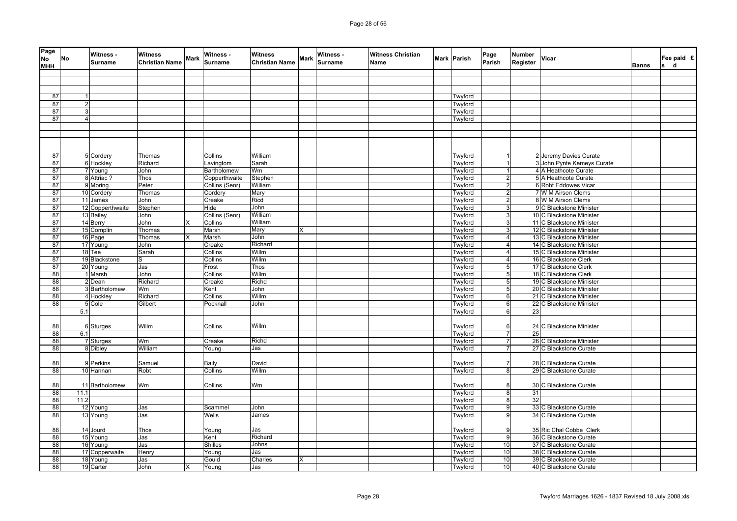| Page<br><b>No</b><br>МНН | No             | Witness -<br><b>Surname</b> | Witness<br><b>Christian Name</b> | Mark | <b>Witness -</b><br><b>Surname</b> | <b>Witness</b><br><b>Christian Name</b> | Mark | Witness -<br><b>Surname</b> | Witness Christian<br><b>Name</b> | Mark Parish        | Page<br>Parish      | <b>Number</b><br><b>Register</b> | <b>Vicar</b>                                       | Banns | Fee paid £<br>s.<br>d |
|--------------------------|----------------|-----------------------------|----------------------------------|------|------------------------------------|-----------------------------------------|------|-----------------------------|----------------------------------|--------------------|---------------------|----------------------------------|----------------------------------------------------|-------|-----------------------|
|                          |                |                             |                                  |      |                                    |                                         |      |                             |                                  |                    |                     |                                  |                                                    |       |                       |
|                          |                |                             |                                  |      |                                    |                                         |      |                             |                                  |                    |                     |                                  |                                                    |       |                       |
|                          |                |                             |                                  |      |                                    |                                         |      |                             |                                  |                    |                     |                                  |                                                    |       |                       |
| 87                       | 11             |                             |                                  |      |                                    |                                         |      |                             |                                  | Twyford            |                     |                                  |                                                    |       |                       |
| 87                       | $\overline{2}$ |                             |                                  |      |                                    |                                         |      |                             |                                  | Twyford            |                     |                                  |                                                    |       |                       |
| 87                       | 3              |                             |                                  |      |                                    |                                         |      |                             |                                  | Twyford            |                     |                                  |                                                    |       |                       |
| 87                       | 4 <sup>1</sup> |                             |                                  |      |                                    |                                         |      |                             |                                  | Twyford            |                     |                                  |                                                    |       |                       |
|                          |                |                             |                                  |      |                                    |                                         |      |                             |                                  |                    |                     |                                  |                                                    |       |                       |
|                          |                |                             |                                  |      |                                    |                                         |      |                             |                                  |                    |                     |                                  |                                                    |       |                       |
|                          |                |                             |                                  |      |                                    |                                         |      |                             |                                  |                    |                     |                                  |                                                    |       |                       |
| 87                       |                | 5 Cordery                   | Thomas                           |      | Collins                            | William                                 |      |                             |                                  | Twyford            |                     |                                  | 2 Jeremy Davies Curate                             |       |                       |
| 87                       |                | 6 Hockley                   | Richard                          |      | Lavingtom                          | Sarah                                   |      |                             |                                  | Twyford            | $\mathbf{1}$        |                                  | 3 John Pynte Kemeys Curate                         |       |                       |
| 87                       |                | 7 Young                     | John                             |      | Bartholomew                        | Wm                                      |      |                             |                                  | Twyford            |                     |                                  | 4 A Heathcote Curate                               |       |                       |
| 87                       |                | 8 Attriac                   | Thos                             |      | Copperthwaite                      | Stephen                                 |      |                             |                                  | Twyford            | $\overline{2}$      |                                  | 5 A Heathcote Curate                               |       |                       |
| 87                       |                | 9 Moring                    | Peter                            |      | Collins (Senr)                     | William                                 |      |                             |                                  | Twyford            | $\overline{2}$      |                                  | 6 Robt Eddowes Vicar                               |       |                       |
| 87                       |                | 10 Cordery                  | Thomas                           |      | Cordery                            | Mary                                    |      |                             |                                  | Twyford            | $\overline{2}$      |                                  | 7 W M Airson Clems                                 |       |                       |
| 87                       |                | 11 James                    | John                             |      | Creake                             | Ricd                                    |      |                             |                                  | Twyford            | $\overline{2}$      |                                  | 8 W M Airson Clems                                 |       |                       |
| 87                       |                | 12 Copperthwaite            | Stephen                          |      | Hide                               | John                                    |      |                             |                                  | Twyford            | 3                   |                                  | 9 C Blackstone Minister                            |       |                       |
| 87                       |                | 13 Bailey                   | John                             |      | Collins (Senr)                     | William                                 |      |                             |                                  | Twyford            | 3                   |                                  | 10 C Blackstone Minister                           |       |                       |
| 87                       |                | 14 Berry                    | John                             |      | Collins                            | William                                 |      |                             |                                  | Twyford            | 3                   |                                  | 11 C Blackstone Minister                           |       |                       |
| 87                       |                | 15 Complin                  | Thomas                           |      | Marsh                              | Mary                                    |      |                             |                                  | Twyford            | 3                   |                                  | 12 C Blackstone Minister                           |       |                       |
| 87                       |                | 16 Page                     | Thomas                           |      | Marsh                              | John                                    |      |                             |                                  | Twyford            | $\overline{a}$      |                                  | 13 C Blackstone Minister                           |       |                       |
| 87                       |                | 17 Young                    | John                             |      | Creake                             | Richard                                 |      |                             |                                  | Twyford            | $\overline{4}$      |                                  | 14 C Blackstone Minister                           |       |                       |
| 87                       |                | 18 Tee                      | Sarah                            |      | Collins                            | Willm                                   |      |                             |                                  | Twyford            | $\overline{4}$      |                                  | 15 C Blackstone Minister                           |       |                       |
| 87                       |                | 19 Blackstone               | S                                |      | Collins                            | Willm                                   |      |                             |                                  | Twyford            | $\overline{4}$      |                                  | 16 C Blackstone Clerk                              |       |                       |
| 87                       |                | 20 Young                    | Jas                              |      | Frost                              | Thos                                    |      |                             |                                  | Twyford            | $\sqrt{5}$          |                                  | 17 C Blackstone Clerk                              |       |                       |
| 88                       |                | 1 Marsh                     | John                             |      | Collins                            | <b>Willm</b>                            |      |                             |                                  | Twyford            | $\sqrt{5}$          |                                  | 18 C Blackstone Clerk                              |       |                       |
| 88                       |                | 2 Dean                      | Richard                          |      | Creake                             | Richd                                   |      |                             |                                  | Twyford            | $\sqrt{5}$          |                                  | 19 C Blackstone Minister                           |       |                       |
| 88                       |                | 3 Bartholomew               | Wm                               |      | Kent                               | John                                    |      |                             |                                  | Twyford            | $5\overline{)}$     |                                  | 20 C Blackstone Minister                           |       |                       |
| 88                       |                | 4 Hockley                   | Richard                          |      | Collins                            | Willm                                   |      |                             |                                  | Twyford            | 6                   |                                  | 21 C Blackstone Minister                           |       |                       |
| 88                       |                | 5 Cole                      | Gilbert                          |      | Pocknal                            | John                                    |      |                             |                                  | Twyford            | $6\phantom{.}6$     |                                  | 22 C Blackstone Minister                           |       |                       |
|                          | 5.1            |                             |                                  |      |                                    |                                         |      |                             |                                  | Twyford            | 6                   | 23                               |                                                    |       |                       |
|                          |                |                             |                                  |      |                                    |                                         |      |                             |                                  |                    |                     |                                  |                                                    |       |                       |
| 88<br>88                 | 6.1            | 6 Sturges                   | Willm                            |      | Collins                            | Willm                                   |      |                             |                                  | Twyford            | 6<br>$\overline{7}$ | 25                               | 24 C Blackstone Minister                           |       |                       |
| 88                       |                |                             |                                  |      |                                    | Richd                                   |      |                             |                                  | Twyford            | $\overline{7}$      |                                  |                                                    |       |                       |
| 88                       |                | 7 Sturges<br>8 Dibley       | Wm<br>William                    |      | Creake<br>Young                    | Jas                                     |      |                             |                                  | Twyford<br>Twyford | $\overline{7}$      |                                  | 26 C Blackstone Minister<br>27 C Blackstone Curate |       |                       |
|                          |                |                             |                                  |      |                                    |                                         |      |                             |                                  |                    |                     |                                  |                                                    |       |                       |
| 88                       |                | 9 Perkins                   | Samuel                           |      | Baily                              | David                                   |      |                             |                                  | Twyford            | 7                   |                                  | 28 C Blackstone Curate                             |       |                       |
| 88                       |                | 10 Hannan                   | Robt                             |      | Collins                            | Willm                                   |      |                             |                                  | Twyford            | ø                   |                                  | 29 C Blackstone Curate                             |       |                       |
|                          |                |                             |                                  |      |                                    |                                         |      |                             |                                  |                    |                     |                                  |                                                    |       |                       |
| 88                       |                | 11 Bartholomew              | Wm                               |      | Collins                            | Wm                                      |      |                             |                                  | Twyford            | 8                   |                                  | 30 C Blackstone Curate                             |       |                       |
| 88                       | 11.1           |                             |                                  |      |                                    |                                         |      |                             |                                  | Twyford            | 8                   | 31                               |                                                    |       |                       |
| 88                       | 11.2           |                             |                                  |      |                                    |                                         |      |                             |                                  | Twyford            | 8                   | 32                               |                                                    |       |                       |
| 88                       |                | 12 Young                    | Jas                              |      | Scammel                            | John                                    |      |                             |                                  | Twyford            | Θ                   |                                  | 33 C Blackstone Curate                             |       |                       |
| 88                       |                | 13 Young                    | Jas                              |      | Wells                              | James                                   |      |                             |                                  | Twyford            | 9                   |                                  | 34 C Blackstone Curate                             |       |                       |
|                          |                |                             |                                  |      |                                    |                                         |      |                             |                                  |                    |                     |                                  |                                                    |       |                       |
| 88                       |                | 14 Jourd                    | Thos                             |      | Young                              | Jas                                     |      |                             |                                  | Twyford            | 9                   |                                  | 35 Ric Chal Cobbe Clerk                            |       |                       |
| 88                       |                | 15 Young                    | Jas                              |      | Kent                               | Richard                                 |      |                             |                                  | Twyford            | 9                   |                                  | 36 C Blackstone Curate                             |       |                       |
| 88                       |                | 16 Young                    | Jas                              |      | <b>Shilles</b>                     | Johns                                   |      |                             |                                  | Twyford            | 10                  |                                  | 37 C Blackstone Curate                             |       |                       |
| 88                       |                | 17 Copperwaite              | Henry                            |      | Young                              | Jas                                     |      |                             |                                  | Twyford            | 10                  |                                  | 38 C Blackstone Curate                             |       |                       |
| 88                       |                | 18 Young                    | Jas                              |      | Gould                              | Charles                                 |      |                             |                                  | Twyford            | 10                  |                                  | 39 C Blackstone Curate                             |       |                       |
| 88                       |                | 19 Carter                   | John                             |      | Young                              | Jas                                     |      |                             |                                  | Twyford            | 10                  |                                  | 40 C Blackstone Curate                             |       |                       |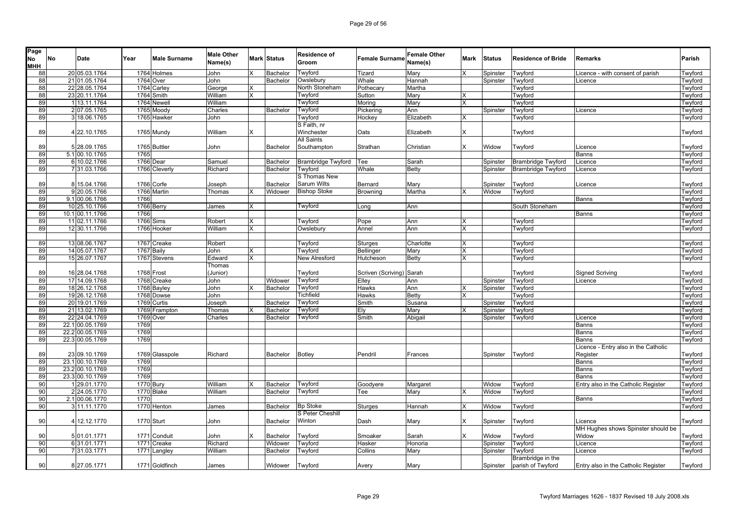| 20 05.03.1764<br>1764 Holmes<br>John<br>Bachelor<br>Twyford<br>Tizard<br>Mary<br>Spinster<br>Twyford<br>88<br>icence - with consent of parish<br>21 01.05.1764<br>88<br>1764 Over<br>Bachelor<br>Owslebury<br>Whale<br><b>Twyford</b><br>John<br>Hannah<br>Spinster<br>icence<br>88<br>22 28.05.1764<br>1764 Carley<br>Pothecary<br>Twyford<br>George<br>North Stoneham<br>Martha<br>88<br>23 20.11.1764<br>1764 Smith<br>William<br>Twyford<br>Sutton<br>Twyford<br>х<br>Mary<br>89<br>1 13.11.1764<br>1764 Newell<br>Twyford<br>Moring<br>William<br>Mary<br>Twyford<br>89<br>2 07.05.1765<br>1765 Moody<br>Charles<br>Bachelor<br>Twyford<br>Pickering<br>Ann<br>Twyford<br>Spinster<br>Licence<br>89<br>3 18.06.1765<br>1765 Hawker<br>John<br>Twyford<br>Twyford<br>Hockey<br>Elizabeth<br>S Faith, nr<br>4 22.10.1765<br>1765 Mundy<br>Winchester<br>89<br>William<br>ΙX<br>Oats<br>Elizabeth<br>Twyford<br><b>All Saints</b><br>5 28.09.1765<br>Southampton<br>89<br>1765 Buttler<br>John<br>Bachelor<br>Strathan<br>Christian<br>Widow<br>Twyford<br>.icence<br>1765<br>89<br>5.1 00.10.1765<br>Banns<br>89<br>6 10.02.1766<br>1766 Dear<br>Samuel<br>Bachelor<br><b>Brambridge Twyford</b><br>Tee<br>Sarah<br>Spinster<br><b>Brambridge Twyford</b><br>icence<br>731.03.1766<br>1766 Cleverly<br>Twyford<br>Whale<br>89<br>Richard<br>Bachelor<br>Betty<br><b>Brambridge Twyford</b><br>Spinster<br>icence<br>S Thomas New<br>1766 Corfe<br><b>Sarum Wilts</b><br>89<br>8 15.04.1766<br>Joseph<br>Bachelor<br>Mary<br>Spinster<br>Twyford<br>icence<br>Bernard<br>9 20.05.1766<br>89<br>1766 Martin<br>Thomas<br>Widower<br><b>Bishop Stoke</b><br>Martha<br>Widow<br>Twyford<br>x<br><b>Browning</b><br>89<br>9.1 00.06.1766<br>1766<br>Banns<br>89<br>10 25.10.1766<br>1766 Berry<br>South Stoneham<br>Twyford<br>Ann<br>James<br>x<br>Long<br>1766<br>89<br>10.1 00.11.1766<br><b>Banns</b><br>89<br>11 02.11.1766<br>1766 Sims<br>Robert<br>Twyford<br>Twyford<br>x<br>Pope<br>Ann<br>12 30.11.1766<br>89<br>1766 Hooker<br>William<br>X<br>Owslebury<br>Annel<br>Ānn<br>Twyford<br>13 08.06.1767<br>1767 Creake<br>89<br>Twyford<br>Charlotte<br>Twyford<br>Robert<br>Sturges<br>14 05.07.1767<br>1767 Baily<br>Twyford<br>89<br>John<br>Bellinger<br>Mary<br>Twyford<br>89<br>15 26.07.1767<br>1767 Stevens<br>Edward<br><b>New Alresford</b><br><b>Betty</b><br>Twyford<br>X<br>Hutcheson<br>Thomas<br>89<br>16 28.04.1768<br>Twyford<br>1768 Frost<br>(Junior)<br>Scriven (Scriving) Sarah<br>Twyford<br><b>Signed Scriving</b><br>17 14.09.1768<br>1768 Creake<br>Twyford<br>89<br>John<br>Widower<br>Elley<br>Ann<br>Spinster<br>Twyford<br>Licence<br>1768 Bayley<br>Twyford<br>89<br>18 26.12.1768<br>Bachelor<br>Hawks<br>Ann<br>Twyford<br>John<br>Spinster<br>89<br>19 26.12.1768<br>1768 Dowse<br>Tichfield<br>John<br>Hawks<br><b>Betty</b><br>Twyford<br>89<br>20 19.01.1769<br>1769 Curtis<br>Twyford<br>Smith<br>Joseph<br>Bachelor<br>Susana<br>Spinster<br>Twyford<br>89<br>21 13.02.1769<br>1769 Frampton<br>Ely<br>Thomas<br>Twyford<br>Mary<br>Twyford<br>Bachelor<br>Spinster<br>22 24.04.1769<br>89<br>1769 Over<br>Twyford<br>Charles<br>Bachelor<br>Smith<br>Abigail<br>Spinster<br>Twyford<br>Licence<br>1769<br>89<br>22.1 00.05.1769<br>Banns<br>1769<br>89<br>22.2 00.05.1769<br>Banns<br>89<br>22.3 00.05.1769<br>1769<br>Banns<br>icence - Entry also in the Catholic<br>23 09.10.1769<br>Register<br>89<br>1769 Glasspole<br>Richard<br>Bachelor<br><b>Botley</b><br>Pendril<br>Twyford<br>Frances<br>Spinster | Twyford<br>Twyford<br>Twyford<br>Twyford<br>Twyford<br>Twyford<br>Twyford<br>Twyford<br>Twyford<br>Twyford<br>Twyford<br>Twyford<br>Twyford |
|-------------------------------------------------------------------------------------------------------------------------------------------------------------------------------------------------------------------------------------------------------------------------------------------------------------------------------------------------------------------------------------------------------------------------------------------------------------------------------------------------------------------------------------------------------------------------------------------------------------------------------------------------------------------------------------------------------------------------------------------------------------------------------------------------------------------------------------------------------------------------------------------------------------------------------------------------------------------------------------------------------------------------------------------------------------------------------------------------------------------------------------------------------------------------------------------------------------------------------------------------------------------------------------------------------------------------------------------------------------------------------------------------------------------------------------------------------------------------------------------------------------------------------------------------------------------------------------------------------------------------------------------------------------------------------------------------------------------------------------------------------------------------------------------------------------------------------------------------------------------------------------------------------------------------------------------------------------------------------------------------------------------------------------------------------------------------------------------------------------------------------------------------------------------------------------------------------------------------------------------------------------------------------------------------------------------------------------------------------------------------------------------------------------------------------------------------------------------------------------------------------------------------------------------------------------------------------------------------------------------------------------------------------------------------------------------------------------------------------------------------------------------------------------------------------------------------------------------------------------------------------------------------------------------------------------------------------------------------------------------------------------------------------------------------------------------------------------------------------------------------------------------------------------------------------------------------------------------------------------------------------------------------------------------------------------------------------------------------------------------------------------------------------------------------------------------------------------------------------------------------------------------------------------------------------------|---------------------------------------------------------------------------------------------------------------------------------------------|
|                                                                                                                                                                                                                                                                                                                                                                                                                                                                                                                                                                                                                                                                                                                                                                                                                                                                                                                                                                                                                                                                                                                                                                                                                                                                                                                                                                                                                                                                                                                                                                                                                                                                                                                                                                                                                                                                                                                                                                                                                                                                                                                                                                                                                                                                                                                                                                                                                                                                                                                                                                                                                                                                                                                                                                                                                                                                                                                                                                                                                                                                                                                                                                                                                                                                                                                                                                                                                                                                                                                                                             |                                                                                                                                             |
|                                                                                                                                                                                                                                                                                                                                                                                                                                                                                                                                                                                                                                                                                                                                                                                                                                                                                                                                                                                                                                                                                                                                                                                                                                                                                                                                                                                                                                                                                                                                                                                                                                                                                                                                                                                                                                                                                                                                                                                                                                                                                                                                                                                                                                                                                                                                                                                                                                                                                                                                                                                                                                                                                                                                                                                                                                                                                                                                                                                                                                                                                                                                                                                                                                                                                                                                                                                                                                                                                                                                                             |                                                                                                                                             |
|                                                                                                                                                                                                                                                                                                                                                                                                                                                                                                                                                                                                                                                                                                                                                                                                                                                                                                                                                                                                                                                                                                                                                                                                                                                                                                                                                                                                                                                                                                                                                                                                                                                                                                                                                                                                                                                                                                                                                                                                                                                                                                                                                                                                                                                                                                                                                                                                                                                                                                                                                                                                                                                                                                                                                                                                                                                                                                                                                                                                                                                                                                                                                                                                                                                                                                                                                                                                                                                                                                                                                             |                                                                                                                                             |
|                                                                                                                                                                                                                                                                                                                                                                                                                                                                                                                                                                                                                                                                                                                                                                                                                                                                                                                                                                                                                                                                                                                                                                                                                                                                                                                                                                                                                                                                                                                                                                                                                                                                                                                                                                                                                                                                                                                                                                                                                                                                                                                                                                                                                                                                                                                                                                                                                                                                                                                                                                                                                                                                                                                                                                                                                                                                                                                                                                                                                                                                                                                                                                                                                                                                                                                                                                                                                                                                                                                                                             |                                                                                                                                             |
|                                                                                                                                                                                                                                                                                                                                                                                                                                                                                                                                                                                                                                                                                                                                                                                                                                                                                                                                                                                                                                                                                                                                                                                                                                                                                                                                                                                                                                                                                                                                                                                                                                                                                                                                                                                                                                                                                                                                                                                                                                                                                                                                                                                                                                                                                                                                                                                                                                                                                                                                                                                                                                                                                                                                                                                                                                                                                                                                                                                                                                                                                                                                                                                                                                                                                                                                                                                                                                                                                                                                                             |                                                                                                                                             |
|                                                                                                                                                                                                                                                                                                                                                                                                                                                                                                                                                                                                                                                                                                                                                                                                                                                                                                                                                                                                                                                                                                                                                                                                                                                                                                                                                                                                                                                                                                                                                                                                                                                                                                                                                                                                                                                                                                                                                                                                                                                                                                                                                                                                                                                                                                                                                                                                                                                                                                                                                                                                                                                                                                                                                                                                                                                                                                                                                                                                                                                                                                                                                                                                                                                                                                                                                                                                                                                                                                                                                             |                                                                                                                                             |
|                                                                                                                                                                                                                                                                                                                                                                                                                                                                                                                                                                                                                                                                                                                                                                                                                                                                                                                                                                                                                                                                                                                                                                                                                                                                                                                                                                                                                                                                                                                                                                                                                                                                                                                                                                                                                                                                                                                                                                                                                                                                                                                                                                                                                                                                                                                                                                                                                                                                                                                                                                                                                                                                                                                                                                                                                                                                                                                                                                                                                                                                                                                                                                                                                                                                                                                                                                                                                                                                                                                                                             |                                                                                                                                             |
|                                                                                                                                                                                                                                                                                                                                                                                                                                                                                                                                                                                                                                                                                                                                                                                                                                                                                                                                                                                                                                                                                                                                                                                                                                                                                                                                                                                                                                                                                                                                                                                                                                                                                                                                                                                                                                                                                                                                                                                                                                                                                                                                                                                                                                                                                                                                                                                                                                                                                                                                                                                                                                                                                                                                                                                                                                                                                                                                                                                                                                                                                                                                                                                                                                                                                                                                                                                                                                                                                                                                                             |                                                                                                                                             |
|                                                                                                                                                                                                                                                                                                                                                                                                                                                                                                                                                                                                                                                                                                                                                                                                                                                                                                                                                                                                                                                                                                                                                                                                                                                                                                                                                                                                                                                                                                                                                                                                                                                                                                                                                                                                                                                                                                                                                                                                                                                                                                                                                                                                                                                                                                                                                                                                                                                                                                                                                                                                                                                                                                                                                                                                                                                                                                                                                                                                                                                                                                                                                                                                                                                                                                                                                                                                                                                                                                                                                             |                                                                                                                                             |
|                                                                                                                                                                                                                                                                                                                                                                                                                                                                                                                                                                                                                                                                                                                                                                                                                                                                                                                                                                                                                                                                                                                                                                                                                                                                                                                                                                                                                                                                                                                                                                                                                                                                                                                                                                                                                                                                                                                                                                                                                                                                                                                                                                                                                                                                                                                                                                                                                                                                                                                                                                                                                                                                                                                                                                                                                                                                                                                                                                                                                                                                                                                                                                                                                                                                                                                                                                                                                                                                                                                                                             |                                                                                                                                             |
|                                                                                                                                                                                                                                                                                                                                                                                                                                                                                                                                                                                                                                                                                                                                                                                                                                                                                                                                                                                                                                                                                                                                                                                                                                                                                                                                                                                                                                                                                                                                                                                                                                                                                                                                                                                                                                                                                                                                                                                                                                                                                                                                                                                                                                                                                                                                                                                                                                                                                                                                                                                                                                                                                                                                                                                                                                                                                                                                                                                                                                                                                                                                                                                                                                                                                                                                                                                                                                                                                                                                                             |                                                                                                                                             |
|                                                                                                                                                                                                                                                                                                                                                                                                                                                                                                                                                                                                                                                                                                                                                                                                                                                                                                                                                                                                                                                                                                                                                                                                                                                                                                                                                                                                                                                                                                                                                                                                                                                                                                                                                                                                                                                                                                                                                                                                                                                                                                                                                                                                                                                                                                                                                                                                                                                                                                                                                                                                                                                                                                                                                                                                                                                                                                                                                                                                                                                                                                                                                                                                                                                                                                                                                                                                                                                                                                                                                             |                                                                                                                                             |
|                                                                                                                                                                                                                                                                                                                                                                                                                                                                                                                                                                                                                                                                                                                                                                                                                                                                                                                                                                                                                                                                                                                                                                                                                                                                                                                                                                                                                                                                                                                                                                                                                                                                                                                                                                                                                                                                                                                                                                                                                                                                                                                                                                                                                                                                                                                                                                                                                                                                                                                                                                                                                                                                                                                                                                                                                                                                                                                                                                                                                                                                                                                                                                                                                                                                                                                                                                                                                                                                                                                                                             |                                                                                                                                             |
|                                                                                                                                                                                                                                                                                                                                                                                                                                                                                                                                                                                                                                                                                                                                                                                                                                                                                                                                                                                                                                                                                                                                                                                                                                                                                                                                                                                                                                                                                                                                                                                                                                                                                                                                                                                                                                                                                                                                                                                                                                                                                                                                                                                                                                                                                                                                                                                                                                                                                                                                                                                                                                                                                                                                                                                                                                                                                                                                                                                                                                                                                                                                                                                                                                                                                                                                                                                                                                                                                                                                                             |                                                                                                                                             |
|                                                                                                                                                                                                                                                                                                                                                                                                                                                                                                                                                                                                                                                                                                                                                                                                                                                                                                                                                                                                                                                                                                                                                                                                                                                                                                                                                                                                                                                                                                                                                                                                                                                                                                                                                                                                                                                                                                                                                                                                                                                                                                                                                                                                                                                                                                                                                                                                                                                                                                                                                                                                                                                                                                                                                                                                                                                                                                                                                                                                                                                                                                                                                                                                                                                                                                                                                                                                                                                                                                                                                             |                                                                                                                                             |
|                                                                                                                                                                                                                                                                                                                                                                                                                                                                                                                                                                                                                                                                                                                                                                                                                                                                                                                                                                                                                                                                                                                                                                                                                                                                                                                                                                                                                                                                                                                                                                                                                                                                                                                                                                                                                                                                                                                                                                                                                                                                                                                                                                                                                                                                                                                                                                                                                                                                                                                                                                                                                                                                                                                                                                                                                                                                                                                                                                                                                                                                                                                                                                                                                                                                                                                                                                                                                                                                                                                                                             |                                                                                                                                             |
|                                                                                                                                                                                                                                                                                                                                                                                                                                                                                                                                                                                                                                                                                                                                                                                                                                                                                                                                                                                                                                                                                                                                                                                                                                                                                                                                                                                                                                                                                                                                                                                                                                                                                                                                                                                                                                                                                                                                                                                                                                                                                                                                                                                                                                                                                                                                                                                                                                                                                                                                                                                                                                                                                                                                                                                                                                                                                                                                                                                                                                                                                                                                                                                                                                                                                                                                                                                                                                                                                                                                                             | Twyford                                                                                                                                     |
|                                                                                                                                                                                                                                                                                                                                                                                                                                                                                                                                                                                                                                                                                                                                                                                                                                                                                                                                                                                                                                                                                                                                                                                                                                                                                                                                                                                                                                                                                                                                                                                                                                                                                                                                                                                                                                                                                                                                                                                                                                                                                                                                                                                                                                                                                                                                                                                                                                                                                                                                                                                                                                                                                                                                                                                                                                                                                                                                                                                                                                                                                                                                                                                                                                                                                                                                                                                                                                                                                                                                                             | Twyford                                                                                                                                     |
|                                                                                                                                                                                                                                                                                                                                                                                                                                                                                                                                                                                                                                                                                                                                                                                                                                                                                                                                                                                                                                                                                                                                                                                                                                                                                                                                                                                                                                                                                                                                                                                                                                                                                                                                                                                                                                                                                                                                                                                                                                                                                                                                                                                                                                                                                                                                                                                                                                                                                                                                                                                                                                                                                                                                                                                                                                                                                                                                                                                                                                                                                                                                                                                                                                                                                                                                                                                                                                                                                                                                                             | Twyford                                                                                                                                     |
|                                                                                                                                                                                                                                                                                                                                                                                                                                                                                                                                                                                                                                                                                                                                                                                                                                                                                                                                                                                                                                                                                                                                                                                                                                                                                                                                                                                                                                                                                                                                                                                                                                                                                                                                                                                                                                                                                                                                                                                                                                                                                                                                                                                                                                                                                                                                                                                                                                                                                                                                                                                                                                                                                                                                                                                                                                                                                                                                                                                                                                                                                                                                                                                                                                                                                                                                                                                                                                                                                                                                                             | Twyford                                                                                                                                     |
|                                                                                                                                                                                                                                                                                                                                                                                                                                                                                                                                                                                                                                                                                                                                                                                                                                                                                                                                                                                                                                                                                                                                                                                                                                                                                                                                                                                                                                                                                                                                                                                                                                                                                                                                                                                                                                                                                                                                                                                                                                                                                                                                                                                                                                                                                                                                                                                                                                                                                                                                                                                                                                                                                                                                                                                                                                                                                                                                                                                                                                                                                                                                                                                                                                                                                                                                                                                                                                                                                                                                                             | Twyford                                                                                                                                     |
|                                                                                                                                                                                                                                                                                                                                                                                                                                                                                                                                                                                                                                                                                                                                                                                                                                                                                                                                                                                                                                                                                                                                                                                                                                                                                                                                                                                                                                                                                                                                                                                                                                                                                                                                                                                                                                                                                                                                                                                                                                                                                                                                                                                                                                                                                                                                                                                                                                                                                                                                                                                                                                                                                                                                                                                                                                                                                                                                                                                                                                                                                                                                                                                                                                                                                                                                                                                                                                                                                                                                                             | Twyford                                                                                                                                     |
|                                                                                                                                                                                                                                                                                                                                                                                                                                                                                                                                                                                                                                                                                                                                                                                                                                                                                                                                                                                                                                                                                                                                                                                                                                                                                                                                                                                                                                                                                                                                                                                                                                                                                                                                                                                                                                                                                                                                                                                                                                                                                                                                                                                                                                                                                                                                                                                                                                                                                                                                                                                                                                                                                                                                                                                                                                                                                                                                                                                                                                                                                                                                                                                                                                                                                                                                                                                                                                                                                                                                                             |                                                                                                                                             |
|                                                                                                                                                                                                                                                                                                                                                                                                                                                                                                                                                                                                                                                                                                                                                                                                                                                                                                                                                                                                                                                                                                                                                                                                                                                                                                                                                                                                                                                                                                                                                                                                                                                                                                                                                                                                                                                                                                                                                                                                                                                                                                                                                                                                                                                                                                                                                                                                                                                                                                                                                                                                                                                                                                                                                                                                                                                                                                                                                                                                                                                                                                                                                                                                                                                                                                                                                                                                                                                                                                                                                             | Twyford                                                                                                                                     |
|                                                                                                                                                                                                                                                                                                                                                                                                                                                                                                                                                                                                                                                                                                                                                                                                                                                                                                                                                                                                                                                                                                                                                                                                                                                                                                                                                                                                                                                                                                                                                                                                                                                                                                                                                                                                                                                                                                                                                                                                                                                                                                                                                                                                                                                                                                                                                                                                                                                                                                                                                                                                                                                                                                                                                                                                                                                                                                                                                                                                                                                                                                                                                                                                                                                                                                                                                                                                                                                                                                                                                             | Twyford                                                                                                                                     |
|                                                                                                                                                                                                                                                                                                                                                                                                                                                                                                                                                                                                                                                                                                                                                                                                                                                                                                                                                                                                                                                                                                                                                                                                                                                                                                                                                                                                                                                                                                                                                                                                                                                                                                                                                                                                                                                                                                                                                                                                                                                                                                                                                                                                                                                                                                                                                                                                                                                                                                                                                                                                                                                                                                                                                                                                                                                                                                                                                                                                                                                                                                                                                                                                                                                                                                                                                                                                                                                                                                                                                             | Twyford                                                                                                                                     |
|                                                                                                                                                                                                                                                                                                                                                                                                                                                                                                                                                                                                                                                                                                                                                                                                                                                                                                                                                                                                                                                                                                                                                                                                                                                                                                                                                                                                                                                                                                                                                                                                                                                                                                                                                                                                                                                                                                                                                                                                                                                                                                                                                                                                                                                                                                                                                                                                                                                                                                                                                                                                                                                                                                                                                                                                                                                                                                                                                                                                                                                                                                                                                                                                                                                                                                                                                                                                                                                                                                                                                             | Twyford                                                                                                                                     |
|                                                                                                                                                                                                                                                                                                                                                                                                                                                                                                                                                                                                                                                                                                                                                                                                                                                                                                                                                                                                                                                                                                                                                                                                                                                                                                                                                                                                                                                                                                                                                                                                                                                                                                                                                                                                                                                                                                                                                                                                                                                                                                                                                                                                                                                                                                                                                                                                                                                                                                                                                                                                                                                                                                                                                                                                                                                                                                                                                                                                                                                                                                                                                                                                                                                                                                                                                                                                                                                                                                                                                             | Twyford                                                                                                                                     |
|                                                                                                                                                                                                                                                                                                                                                                                                                                                                                                                                                                                                                                                                                                                                                                                                                                                                                                                                                                                                                                                                                                                                                                                                                                                                                                                                                                                                                                                                                                                                                                                                                                                                                                                                                                                                                                                                                                                                                                                                                                                                                                                                                                                                                                                                                                                                                                                                                                                                                                                                                                                                                                                                                                                                                                                                                                                                                                                                                                                                                                                                                                                                                                                                                                                                                                                                                                                                                                                                                                                                                             | Twyford                                                                                                                                     |
|                                                                                                                                                                                                                                                                                                                                                                                                                                                                                                                                                                                                                                                                                                                                                                                                                                                                                                                                                                                                                                                                                                                                                                                                                                                                                                                                                                                                                                                                                                                                                                                                                                                                                                                                                                                                                                                                                                                                                                                                                                                                                                                                                                                                                                                                                                                                                                                                                                                                                                                                                                                                                                                                                                                                                                                                                                                                                                                                                                                                                                                                                                                                                                                                                                                                                                                                                                                                                                                                                                                                                             | Twyford                                                                                                                                     |
|                                                                                                                                                                                                                                                                                                                                                                                                                                                                                                                                                                                                                                                                                                                                                                                                                                                                                                                                                                                                                                                                                                                                                                                                                                                                                                                                                                                                                                                                                                                                                                                                                                                                                                                                                                                                                                                                                                                                                                                                                                                                                                                                                                                                                                                                                                                                                                                                                                                                                                                                                                                                                                                                                                                                                                                                                                                                                                                                                                                                                                                                                                                                                                                                                                                                                                                                                                                                                                                                                                                                                             | Twyford                                                                                                                                     |
|                                                                                                                                                                                                                                                                                                                                                                                                                                                                                                                                                                                                                                                                                                                                                                                                                                                                                                                                                                                                                                                                                                                                                                                                                                                                                                                                                                                                                                                                                                                                                                                                                                                                                                                                                                                                                                                                                                                                                                                                                                                                                                                                                                                                                                                                                                                                                                                                                                                                                                                                                                                                                                                                                                                                                                                                                                                                                                                                                                                                                                                                                                                                                                                                                                                                                                                                                                                                                                                                                                                                                             | Twyford                                                                                                                                     |
|                                                                                                                                                                                                                                                                                                                                                                                                                                                                                                                                                                                                                                                                                                                                                                                                                                                                                                                                                                                                                                                                                                                                                                                                                                                                                                                                                                                                                                                                                                                                                                                                                                                                                                                                                                                                                                                                                                                                                                                                                                                                                                                                                                                                                                                                                                                                                                                                                                                                                                                                                                                                                                                                                                                                                                                                                                                                                                                                                                                                                                                                                                                                                                                                                                                                                                                                                                                                                                                                                                                                                             | Twyford                                                                                                                                     |
|                                                                                                                                                                                                                                                                                                                                                                                                                                                                                                                                                                                                                                                                                                                                                                                                                                                                                                                                                                                                                                                                                                                                                                                                                                                                                                                                                                                                                                                                                                                                                                                                                                                                                                                                                                                                                                                                                                                                                                                                                                                                                                                                                                                                                                                                                                                                                                                                                                                                                                                                                                                                                                                                                                                                                                                                                                                                                                                                                                                                                                                                                                                                                                                                                                                                                                                                                                                                                                                                                                                                                             | Twyford                                                                                                                                     |
|                                                                                                                                                                                                                                                                                                                                                                                                                                                                                                                                                                                                                                                                                                                                                                                                                                                                                                                                                                                                                                                                                                                                                                                                                                                                                                                                                                                                                                                                                                                                                                                                                                                                                                                                                                                                                                                                                                                                                                                                                                                                                                                                                                                                                                                                                                                                                                                                                                                                                                                                                                                                                                                                                                                                                                                                                                                                                                                                                                                                                                                                                                                                                                                                                                                                                                                                                                                                                                                                                                                                                             | Twyford                                                                                                                                     |
|                                                                                                                                                                                                                                                                                                                                                                                                                                                                                                                                                                                                                                                                                                                                                                                                                                                                                                                                                                                                                                                                                                                                                                                                                                                                                                                                                                                                                                                                                                                                                                                                                                                                                                                                                                                                                                                                                                                                                                                                                                                                                                                                                                                                                                                                                                                                                                                                                                                                                                                                                                                                                                                                                                                                                                                                                                                                                                                                                                                                                                                                                                                                                                                                                                                                                                                                                                                                                                                                                                                                                             | Twyford                                                                                                                                     |
|                                                                                                                                                                                                                                                                                                                                                                                                                                                                                                                                                                                                                                                                                                                                                                                                                                                                                                                                                                                                                                                                                                                                                                                                                                                                                                                                                                                                                                                                                                                                                                                                                                                                                                                                                                                                                                                                                                                                                                                                                                                                                                                                                                                                                                                                                                                                                                                                                                                                                                                                                                                                                                                                                                                                                                                                                                                                                                                                                                                                                                                                                                                                                                                                                                                                                                                                                                                                                                                                                                                                                             |                                                                                                                                             |
|                                                                                                                                                                                                                                                                                                                                                                                                                                                                                                                                                                                                                                                                                                                                                                                                                                                                                                                                                                                                                                                                                                                                                                                                                                                                                                                                                                                                                                                                                                                                                                                                                                                                                                                                                                                                                                                                                                                                                                                                                                                                                                                                                                                                                                                                                                                                                                                                                                                                                                                                                                                                                                                                                                                                                                                                                                                                                                                                                                                                                                                                                                                                                                                                                                                                                                                                                                                                                                                                                                                                                             | Twyford                                                                                                                                     |
| 23.1 00.10.1769<br>1769<br>89<br>Banns                                                                                                                                                                                                                                                                                                                                                                                                                                                                                                                                                                                                                                                                                                                                                                                                                                                                                                                                                                                                                                                                                                                                                                                                                                                                                                                                                                                                                                                                                                                                                                                                                                                                                                                                                                                                                                                                                                                                                                                                                                                                                                                                                                                                                                                                                                                                                                                                                                                                                                                                                                                                                                                                                                                                                                                                                                                                                                                                                                                                                                                                                                                                                                                                                                                                                                                                                                                                                                                                                                                      | Twyford                                                                                                                                     |
| 89<br>23.2 00.10.1769<br>1769<br><b>Banns</b>                                                                                                                                                                                                                                                                                                                                                                                                                                                                                                                                                                                                                                                                                                                                                                                                                                                                                                                                                                                                                                                                                                                                                                                                                                                                                                                                                                                                                                                                                                                                                                                                                                                                                                                                                                                                                                                                                                                                                                                                                                                                                                                                                                                                                                                                                                                                                                                                                                                                                                                                                                                                                                                                                                                                                                                                                                                                                                                                                                                                                                                                                                                                                                                                                                                                                                                                                                                                                                                                                                               | Twyford                                                                                                                                     |
| 89<br>23.3 00.10.1769<br>1769<br>Banns                                                                                                                                                                                                                                                                                                                                                                                                                                                                                                                                                                                                                                                                                                                                                                                                                                                                                                                                                                                                                                                                                                                                                                                                                                                                                                                                                                                                                                                                                                                                                                                                                                                                                                                                                                                                                                                                                                                                                                                                                                                                                                                                                                                                                                                                                                                                                                                                                                                                                                                                                                                                                                                                                                                                                                                                                                                                                                                                                                                                                                                                                                                                                                                                                                                                                                                                                                                                                                                                                                                      | Twyford                                                                                                                                     |
| 90<br>129.01.1770<br>1770 Bury<br>Twyford<br>William<br>Bachelor<br>Widow<br>Goodyere<br>Margaret<br>Twyford<br>Entry also in the Catholic Register                                                                                                                                                                                                                                                                                                                                                                                                                                                                                                                                                                                                                                                                                                                                                                                                                                                                                                                                                                                                                                                                                                                                                                                                                                                                                                                                                                                                                                                                                                                                                                                                                                                                                                                                                                                                                                                                                                                                                                                                                                                                                                                                                                                                                                                                                                                                                                                                                                                                                                                                                                                                                                                                                                                                                                                                                                                                                                                                                                                                                                                                                                                                                                                                                                                                                                                                                                                                         | Twyford                                                                                                                                     |
| 90<br>2 24.05.1770<br>1770 Blake<br>William<br>Twyford<br>Bachelor<br>Twyford<br>Tee<br>Mary<br>Widow                                                                                                                                                                                                                                                                                                                                                                                                                                                                                                                                                                                                                                                                                                                                                                                                                                                                                                                                                                                                                                                                                                                                                                                                                                                                                                                                                                                                                                                                                                                                                                                                                                                                                                                                                                                                                                                                                                                                                                                                                                                                                                                                                                                                                                                                                                                                                                                                                                                                                                                                                                                                                                                                                                                                                                                                                                                                                                                                                                                                                                                                                                                                                                                                                                                                                                                                                                                                                                                       | Twyford                                                                                                                                     |
| 1770<br>2.1 00.06.1770<br>90<br><b>Banns</b>                                                                                                                                                                                                                                                                                                                                                                                                                                                                                                                                                                                                                                                                                                                                                                                                                                                                                                                                                                                                                                                                                                                                                                                                                                                                                                                                                                                                                                                                                                                                                                                                                                                                                                                                                                                                                                                                                                                                                                                                                                                                                                                                                                                                                                                                                                                                                                                                                                                                                                                                                                                                                                                                                                                                                                                                                                                                                                                                                                                                                                                                                                                                                                                                                                                                                                                                                                                                                                                                                                                | Twyford                                                                                                                                     |
| 90<br>1770 Henton<br><b>Bp Stoke</b><br>3 11.11.1770<br>Bachelor<br>Sturges<br>Widow<br>Twyford<br>James<br>Hannah                                                                                                                                                                                                                                                                                                                                                                                                                                                                                                                                                                                                                                                                                                                                                                                                                                                                                                                                                                                                                                                                                                                                                                                                                                                                                                                                                                                                                                                                                                                                                                                                                                                                                                                                                                                                                                                                                                                                                                                                                                                                                                                                                                                                                                                                                                                                                                                                                                                                                                                                                                                                                                                                                                                                                                                                                                                                                                                                                                                                                                                                                                                                                                                                                                                                                                                                                                                                                                          | Twyford                                                                                                                                     |
| S Peter Cheshill                                                                                                                                                                                                                                                                                                                                                                                                                                                                                                                                                                                                                                                                                                                                                                                                                                                                                                                                                                                                                                                                                                                                                                                                                                                                                                                                                                                                                                                                                                                                                                                                                                                                                                                                                                                                                                                                                                                                                                                                                                                                                                                                                                                                                                                                                                                                                                                                                                                                                                                                                                                                                                                                                                                                                                                                                                                                                                                                                                                                                                                                                                                                                                                                                                                                                                                                                                                                                                                                                                                                            |                                                                                                                                             |
| Winton<br>90<br>4 12.12.1770<br>1770 Sturt<br>Bachelor<br>Dash<br>John<br>Mary<br>Spinster<br>Twyford<br>icence                                                                                                                                                                                                                                                                                                                                                                                                                                                                                                                                                                                                                                                                                                                                                                                                                                                                                                                                                                                                                                                                                                                                                                                                                                                                                                                                                                                                                                                                                                                                                                                                                                                                                                                                                                                                                                                                                                                                                                                                                                                                                                                                                                                                                                                                                                                                                                                                                                                                                                                                                                                                                                                                                                                                                                                                                                                                                                                                                                                                                                                                                                                                                                                                                                                                                                                                                                                                                                             | Twyford                                                                                                                                     |
|                                                                                                                                                                                                                                                                                                                                                                                                                                                                                                                                                                                                                                                                                                                                                                                                                                                                                                                                                                                                                                                                                                                                                                                                                                                                                                                                                                                                                                                                                                                                                                                                                                                                                                                                                                                                                                                                                                                                                                                                                                                                                                                                                                                                                                                                                                                                                                                                                                                                                                                                                                                                                                                                                                                                                                                                                                                                                                                                                                                                                                                                                                                                                                                                                                                                                                                                                                                                                                                                                                                                                             | MH Hughes shows Spinster should be                                                                                                          |
| 90<br>1771 Conduit<br>Twyford<br>Smoaker<br>Sarah<br>Widow<br>Twyford<br>Widow<br>5 01.01.1771<br>John<br>Bachelor                                                                                                                                                                                                                                                                                                                                                                                                                                                                                                                                                                                                                                                                                                                                                                                                                                                                                                                                                                                                                                                                                                                                                                                                                                                                                                                                                                                                                                                                                                                                                                                                                                                                                                                                                                                                                                                                                                                                                                                                                                                                                                                                                                                                                                                                                                                                                                                                                                                                                                                                                                                                                                                                                                                                                                                                                                                                                                                                                                                                                                                                                                                                                                                                                                                                                                                                                                                                                                          |                                                                                                                                             |
| 90<br>6 31.01.1771<br>1771 Creake<br>Richard<br>Twyford<br>Widower<br>Twyford<br>Hasker<br>Honoria<br>Spinster<br>icence                                                                                                                                                                                                                                                                                                                                                                                                                                                                                                                                                                                                                                                                                                                                                                                                                                                                                                                                                                                                                                                                                                                                                                                                                                                                                                                                                                                                                                                                                                                                                                                                                                                                                                                                                                                                                                                                                                                                                                                                                                                                                                                                                                                                                                                                                                                                                                                                                                                                                                                                                                                                                                                                                                                                                                                                                                                                                                                                                                                                                                                                                                                                                                                                                                                                                                                                                                                                                                    | Twyford                                                                                                                                     |
| Twyford<br>90 <sub>1</sub><br>731.03.1771<br>1771 Langley<br>William<br>Bachelor<br>Collins<br>Twyford<br>Mary<br>Spinster<br>icence                                                                                                                                                                                                                                                                                                                                                                                                                                                                                                                                                                                                                                                                                                                                                                                                                                                                                                                                                                                                                                                                                                                                                                                                                                                                                                                                                                                                                                                                                                                                                                                                                                                                                                                                                                                                                                                                                                                                                                                                                                                                                                                                                                                                                                                                                                                                                                                                                                                                                                                                                                                                                                                                                                                                                                                                                                                                                                                                                                                                                                                                                                                                                                                                                                                                                                                                                                                                                        | Twyford                                                                                                                                     |
| Brambridge in the<br>90<br>Twyford<br>parish of Twyford<br>8 27.05.1771<br>1771 Goldfinch<br>James<br>Widower<br>Mary<br>Spinster<br>Entry also in the Catholic Register<br>Avery                                                                                                                                                                                                                                                                                                                                                                                                                                                                                                                                                                                                                                                                                                                                                                                                                                                                                                                                                                                                                                                                                                                                                                                                                                                                                                                                                                                                                                                                                                                                                                                                                                                                                                                                                                                                                                                                                                                                                                                                                                                                                                                                                                                                                                                                                                                                                                                                                                                                                                                                                                                                                                                                                                                                                                                                                                                                                                                                                                                                                                                                                                                                                                                                                                                                                                                                                                           | Twyford                                                                                                                                     |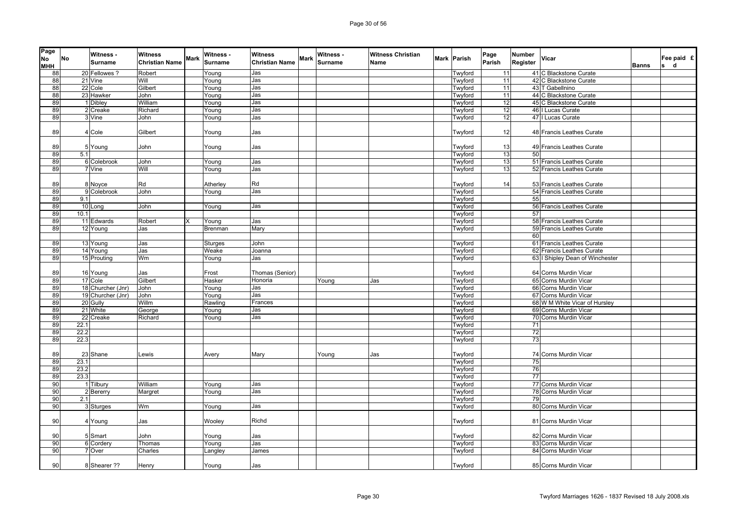| Page<br><b>No</b><br><b>MHH</b> | No   | Witness -<br><b>Surname</b> | <b>Witness</b><br><b>Christian Name</b> | Mark | Witness -<br>Surname | <b>Witness</b><br><b>Christian Name</b> | Mark | <b>Witness -</b><br><b>Surname</b> | <b>Witness Christian</b><br>Name | Mark Parish        | Page<br>Parish | Number<br><b>Register</b> | Vicar                                                  | Banns | Fee paid £<br>s.<br>d |
|---------------------------------|------|-----------------------------|-----------------------------------------|------|----------------------|-----------------------------------------|------|------------------------------------|----------------------------------|--------------------|----------------|---------------------------|--------------------------------------------------------|-------|-----------------------|
| 88                              |      | 20 Fellowes ?               | Robert                                  |      | Young                | Jas                                     |      |                                    |                                  | Twyford            | 11             |                           | 41 C Blackstone Curate                                 |       |                       |
| 88                              |      | 21 Vine                     | Will                                    |      | Young                | Jas                                     |      |                                    |                                  | Twyford            | 11             |                           | 42 C Blackstone Curate                                 |       |                       |
| 88                              |      | 22 Cole                     | Gilbert                                 |      | Young                | Jas                                     |      |                                    |                                  | Twyford            | 11             |                           | 43 T Gabellnino                                        |       |                       |
| 88                              |      | 23 Hawker                   | John                                    |      | Young                | Jas                                     |      |                                    |                                  | Twyford            | 11             |                           | 44 C Blackstone Curate                                 |       |                       |
| 89                              |      | 1 Dibley                    | William                                 |      | Young                | Jas                                     |      |                                    |                                  | Twyford            | 12             |                           | 45 C Blackstone Curate                                 |       |                       |
| 89                              |      | 2 Creake                    | Richard                                 |      | Young                | Jas                                     |      |                                    |                                  | Twyford            | 12             |                           | 46   Lucas Curate                                      |       |                       |
| 89                              |      | 3 Vine                      | John                                    |      | Young                | Jas                                     |      |                                    |                                  | Twyford            | 12             |                           | 47   Lucas Curate                                      |       |                       |
| 89                              |      | 4 Cole                      | Gilbert                                 |      | Young                | Jas                                     |      |                                    |                                  | Twyford            | 12             |                           | 48 Francis Leathes Curate                              |       |                       |
| 89                              |      | 5 Young                     | John                                    |      | Young                | Jas                                     |      |                                    |                                  | Twyford            | 13             |                           | 49 Francis Leathes Curate                              |       |                       |
| 89                              | 5.1  |                             |                                         |      |                      |                                         |      |                                    |                                  | Twyford            | 13             | 50                        |                                                        |       |                       |
| 89                              |      | 6 Colebrook                 | John                                    |      | Young                | Jas                                     |      |                                    |                                  | Twyford            | 13             |                           | 51 Francis Leathes Curate                              |       |                       |
| 89                              |      | 7 Vine                      | Will                                    |      | Young                | Jas                                     |      |                                    |                                  | Twyford            | 13             |                           | 52 Francis Leathes Curate                              |       |                       |
| 89                              |      | 8 Noyce                     | Rd                                      |      | Atherley             | Rd                                      |      |                                    |                                  | Twyford            | 14             |                           | 53 Francis Leathes Curate                              |       |                       |
| 89                              |      | 9 Colebrook                 | John                                    |      | Young                | Jas                                     |      |                                    |                                  | Twyford            |                |                           | 54 Francis Leathes Curate                              |       |                       |
| 89                              | 9.1  |                             |                                         |      |                      |                                         |      |                                    |                                  | Twyford            |                | 55                        |                                                        |       |                       |
| 89                              |      | 10 Long                     | John                                    |      | Young                | Jas                                     |      |                                    |                                  | Twyford            |                |                           | 56 Francis Leathes Curate                              |       |                       |
| 89                              | 10.1 |                             |                                         |      |                      |                                         |      |                                    |                                  | Twyford            |                | 57                        |                                                        |       |                       |
| 89<br>89                        |      | 11 Edwards                  | Robert                                  |      | Young                | Jas<br>Mary                             |      |                                    |                                  | Twyford            |                |                           | 58 Francis Leathes Curate<br>59 Francis Leathes Curate |       |                       |
|                                 |      | 12 Young                    | Jas                                     |      | Brenman              |                                         |      |                                    |                                  | Twyford            |                | 60                        |                                                        |       |                       |
| 89                              |      |                             |                                         |      |                      |                                         |      |                                    |                                  |                    |                |                           | 61 Francis Leathes Curate                              |       |                       |
| 89                              |      | 13 Young<br>14 Young        | Jas<br>Jas                              |      | Sturges<br>Weake     | John<br>Joanna                          |      |                                    |                                  | Twyford<br>Twyford |                |                           | 62 Francis Leathes Curate                              |       |                       |
| 89                              |      | 15 Prouting                 | Wm                                      |      | Young                | Jas                                     |      |                                    |                                  | Twyford            |                |                           | 63   Shipley Dean of Winchester                        |       |                       |
| 89                              |      | 16 Young                    | Jas                                     |      | Frost                | Thomas (Senior)                         |      |                                    |                                  | Twyford            |                |                           | 64 Corns Murdin Vicar                                  |       |                       |
| 89                              |      | 17 Cole                     | Gilbert                                 |      | Hasker               | Honoria                                 |      | Young                              | Jas                              | Twyford            |                |                           | 65 Corns Murdin Vicar                                  |       |                       |
| 89                              |      | 18 Churcher (Jnr)           | John                                    |      | Young                | Jas                                     |      |                                    |                                  | Twyford            |                |                           | 66 Corns Murdin Vicar                                  |       |                       |
| 89                              |      | 19 Churcher (Jnr)           | John                                    |      | Young                | Jas                                     |      |                                    |                                  | Twyford            |                |                           | 67 Corns Murdin Vicar                                  |       |                       |
| 89                              |      | 20 Gully                    | Willm                                   |      | Rawling              | Frances                                 |      |                                    |                                  | Twyford            |                |                           | 68 W M White Vicar of Hursley                          |       |                       |
| 89                              |      | 21 White                    | George                                  |      | Young                | Jas                                     |      |                                    |                                  | Twyford            |                |                           | 69 Corns Murdin Vicar                                  |       |                       |
| 89                              |      | 22 Creake                   | Richard                                 |      | Young                | Jas                                     |      |                                    |                                  | Twyford            |                |                           | 70 Corns Murdin Vicar                                  |       |                       |
| 89                              | 22.1 |                             |                                         |      |                      |                                         |      |                                    |                                  | Twyford            |                | 71                        |                                                        |       |                       |
| 89                              | 22.2 |                             |                                         |      |                      |                                         |      |                                    |                                  | Twyford            |                | 72                        |                                                        |       |                       |
| 89                              | 22.3 |                             |                                         |      |                      |                                         |      |                                    |                                  | Twyford            |                | 73                        |                                                        |       |                       |
|                                 |      |                             |                                         |      |                      |                                         |      |                                    |                                  |                    |                |                           |                                                        |       |                       |
| 89                              |      | 23 Shane                    | _ewis                                   |      | Avery                | Mary                                    |      | Young                              | Jas                              | Twyford            |                |                           | 74 Corns Murdin Vicar                                  |       |                       |
| 89                              | 23.1 |                             |                                         |      |                      |                                         |      |                                    |                                  | Twyford            |                | 75                        |                                                        |       |                       |
| 89                              | 23.2 |                             |                                         |      |                      |                                         |      |                                    |                                  | Twyford            |                | 76                        |                                                        |       |                       |
| 89                              | 23.3 |                             |                                         |      |                      |                                         |      |                                    |                                  | Twyford            |                | <b>77</b>                 |                                                        |       |                       |
| 90                              |      | 1 Tilbury                   | William                                 |      | Young                | Jas                                     |      |                                    |                                  | Twyford            |                |                           | 77 Corns Murdin Vicar                                  |       |                       |
| 90                              |      | 2 Bererry                   | Margret                                 |      | Young                | Jas                                     |      |                                    |                                  | Twyford            |                |                           | 78 Corns Murdin Vicar                                  |       |                       |
| 90                              | 2.1  |                             |                                         |      |                      |                                         |      |                                    |                                  | Twyford            |                | 79                        |                                                        |       |                       |
| 90                              |      | 3 Sturges                   | Wm                                      |      | Young                | Jas                                     |      |                                    |                                  | Twyford            |                |                           | 80 Corns Murdin Vicar                                  |       |                       |
| 90                              |      | 4 Young                     | Jas                                     |      | Wooley               | Richd                                   |      |                                    |                                  | Twyford            |                |                           | 81 Corns Murdin Vicar                                  |       |                       |
| 90                              |      | 5 Smart                     | John                                    |      | Young                | Jas                                     |      |                                    |                                  | Twyford            |                |                           | 82 Corns Murdin Vicar                                  |       |                       |
| 90                              |      | 6 Cordery                   | Thomas                                  |      | Young                | Jas                                     |      |                                    |                                  | Twyford            |                |                           | 83 Corns Murdin Vicar                                  |       |                       |
| 90                              |      | 7 Over                      | Charles                                 |      | angley               | James                                   |      |                                    |                                  | Twyford            |                |                           | 84 Corns Murdin Vicar                                  |       |                       |
| 90                              |      | 8 Shearer ??                | Henry                                   |      | Young                | Jas                                     |      |                                    |                                  | Twyford            |                |                           | 85 Corns Murdin Vicar                                  |       |                       |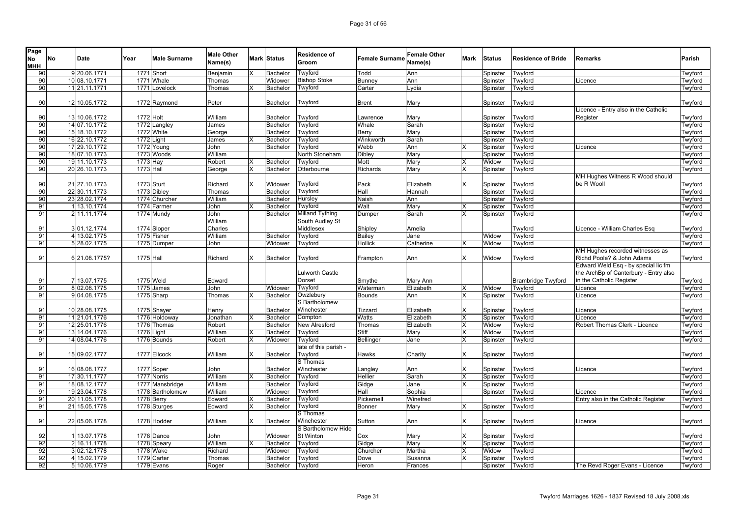| Page<br>No<br><b>MHH</b> | No | Date                           | Year             | <b>Male Surname</b>        | <b>Male Other</b><br>Name(s) |    | <b>Mark Status</b>   | Residence of<br>Groom                  | <b>Female Surname</b>     | <b>Female Other</b><br>Name(s) | Mark | <b>Status</b>        | <b>Residence of Bride</b> | Remarks                                                                                                  | Parish             |
|--------------------------|----|--------------------------------|------------------|----------------------------|------------------------------|----|----------------------|----------------------------------------|---------------------------|--------------------------------|------|----------------------|---------------------------|----------------------------------------------------------------------------------------------------------|--------------------|
| 90                       |    | 9 20.06.1771                   |                  | 1771 Short                 | Benjamin                     | X  | Bachelor             | Twyford                                | Todd                      | Ann                            |      | Spinster             | Twyford                   |                                                                                                          | Twyford            |
| 90                       |    | 10 08.10.1771                  |                  | 1771 Whale                 | Thomas                       |    | Widower              | <b>Bishop Stoke</b>                    | Bunney                    | Ann                            |      | Spinster             | Twyford                   | Licence                                                                                                  | Twyford            |
| 90                       |    | 1121.11.1771                   |                  | 1771 Lovelock              | Thomas                       |    | Bachelor             | Twyford                                | Carter                    | Lydia                          |      | Spinster             | Twyford                   |                                                                                                          | Twyford            |
|                          |    |                                |                  |                            |                              |    |                      |                                        |                           |                                |      |                      |                           |                                                                                                          |                    |
| 90                       |    | 12 10.05.1772                  |                  | 1772 Raymond               | Peter                        |    | Bachelor             | Twyford                                | <b>Brent</b>              | Mary                           |      | Spinster             | Twyford                   |                                                                                                          | Twyford            |
|                          |    |                                |                  |                            |                              |    |                      |                                        |                           |                                |      |                      |                           | Licence - Entry also in the Catholic                                                                     |                    |
| 90                       |    | 13 10.06.1772                  | 1772 Holt        |                            | William                      |    | Bachelor             | Twyford                                | Lawrence                  | Mary                           |      | Spinster             | Twyford                   | Register                                                                                                 | Twyford            |
| 90<br>90                 |    | 14 07.10.1772<br>15 18.10.1772 |                  | 1772 Langley<br>1772 White | James                        |    | Bachelor             | Twyford<br>Twyford                     | Whale                     | Sarah                          |      | Spinster             | Twyford                   |                                                                                                          | Twyford            |
| 90                       |    | 16 22.10.1772                  |                  | $1772$ Light               | George<br>James              |    | Bachelor<br>Bachelor | Twyford                                | Berry<br>Winkworth        | Mary<br>Sarah                  |      | Spinster<br>Spinster | Twyford<br>Twyford        |                                                                                                          | Twyford<br>Twyford |
| 90                       |    | 17 29.10.1772                  |                  | 1772 Young                 | John                         |    | Bachelor             | Twyford                                | Webb                      | Ann                            |      | Spinster             | Twyford                   | Licence                                                                                                  | Twyford            |
| 90                       |    | 18 07.10.1773                  |                  | 1773 Woods                 | William                      |    |                      | North Stoneham                         | Dibley                    | Mary                           |      | Spinster             | Twyford                   |                                                                                                          | Twyford            |
| 90                       |    | 19 11.10.1773                  | 1773 Hay         |                            | Robert                       | ΙX | Bachelor             | Twyford                                | Mott                      | Mary                           |      | Widow                | Twyford                   |                                                                                                          | Twyford            |
| 90                       |    | 20 26.10.1773                  | 1773 Hall        |                            | George                       | X  | Bachelor             | Otterbourne                            | <b>Richards</b>           | Mary                           |      | Spinster             | Twyford                   |                                                                                                          | Twyford            |
|                          |    |                                |                  |                            |                              |    |                      |                                        |                           |                                |      |                      |                           | MH Hughes Witness R Wood should                                                                          |                    |
| 90                       |    | 21 27.10.1773                  |                  | 1773 Sturt                 | Richard                      | ΙX | Widower              | Twyford                                | Pack                      | Elizabeth                      |      | Spinster             | Twyford                   | be R Wooll                                                                                               | Twyford            |
| 90                       |    | 22 30.11.1773                  |                  | 1773 Dibley                | Thomas                       |    | Bachelor             | Twyford                                | Hall                      | Hannah                         |      | Spinster             | Twyford                   |                                                                                                          | Twyford            |
| 90                       |    | 23 28.02.1774                  |                  | 1774 Churcher              | William                      |    | Bachelor             | Hursley                                | Naish                     | Ann                            |      | Spinster             | Twyford                   |                                                                                                          | Twyford            |
| 91                       |    | 1 13.10.1774                   |                  | 1774 Farmer                | John                         |    | Bachelor             | Twyford                                | Wait                      | Mary                           |      | Spinster             | Twyford                   |                                                                                                          | Twyford            |
| 91                       |    | 2 11.11.1774                   |                  | 1774 Mundy                 | John                         |    | Bachelor             | <b>Milland Tything</b>                 | Dumper                    | Sarah                          |      | Spinster             | Twyford                   |                                                                                                          | Twyford            |
|                          |    |                                |                  |                            | William                      |    |                      | South Audley St                        |                           |                                |      |                      |                           |                                                                                                          |                    |
| 91                       |    | 3 01.12.1774                   |                  | 1774 Sloper                | Charles                      |    |                      | Middlesex                              | Shipley                   | Amelia                         |      |                      | Twyford                   | Licence - William Charles Esg                                                                            | Twyford            |
| 91                       |    | 4 13.02.1775                   |                  | 1775 Fisher                | William                      |    | Bachelor             | Twyford                                | Bailey                    | Jane                           |      | Widow                | Twyford                   |                                                                                                          | Twyford            |
| 91                       |    | 5 28.02.1775                   |                  | 1775 Dumper                | John                         |    | Widower              | Twyford                                | Hollick                   | Catherine                      |      | Widow                | Twyford                   |                                                                                                          | Twyford            |
| 91                       |    | 6 21.08.1775?                  | <b>1775 Hall</b> |                            | Richard                      | ΙX | Bachelor             | Twyford                                | Frampton                  | Ann                            | X    | Widow                | Twyford                   | MH Hughes recorded witnesses as<br>Richd Poole? & John Adams                                             | Twyford            |
|                          |    |                                |                  |                            |                              |    |                      | ulworth Castle<br>Dorset               |                           |                                |      |                      |                           | Edward Weld Esq - by special lic fm<br>the ArchBp of Canterbury - Entry also<br>in the Catholic Register |                    |
| 91<br>91                 |    | 7 13.07.1775<br>8 02.08.1775   |                  | 1775 Weld<br>$1775$ James  | Edward<br>John               |    |                      | Twyford                                | Smythe                    | Mary Ann<br>Elizabeth          |      | Widow                | <b>Brambridge Twyford</b> |                                                                                                          | Twyford            |
| 91                       |    | 9 04.08.1775                   |                  | 1775 Sharp                 | Thomas                       | ΙX | Widower<br>Bachelor  | Owzlebury                              | Waterman<br><b>Bounds</b> | Ann                            | x    | Spinster             | Twyford<br>Twyford        | Licence<br>Licence                                                                                       | Twyford<br>Twvford |
| 91                       |    | 10 28.08.1775                  |                  | 1775 Shayer                | Henry                        |    | Bachelor             | S Bartholomew<br>Winchester            | Tizzard                   | Elizabeth                      |      | Spinster             | Twyford                   | Licence                                                                                                  | Twyford            |
| 91                       |    | 11 21.01.1776                  |                  | 1776 Holdoway              | Jonathan                     | X  | Bachelor             | Compton                                | Watts                     | Elizabeth                      | X    | Spinster             | Twyford                   | Licence                                                                                                  | Twyford            |
| 91                       |    | 12 25.01.1776                  |                  | 1776 Thomas                | Robert                       |    | Bachelor             | New Alresford                          | Thomas                    | Elizabeth                      | X    | Widow                | Twyford                   | Robert Thomas Clerk - Licence                                                                            | Twyford            |
| 91                       |    | 13 14.04.1776                  |                  | 1776 Light                 | William                      | ΙX | Bachelor             | Twyford                                | Stiff                     | Mary                           | X    | Widow                | Twyford                   |                                                                                                          | Twyford            |
| 91                       |    | 14 08 04 1776                  |                  | 1776 Bounds                | Robert                       | lχ | Widower              | Twyford                                | Bellinger                 | Jane                           | X    | Spinster             | Twyford                   |                                                                                                          | Twyford            |
| 91                       |    | 15 09.02.1777                  |                  | 1777 Ellcock               | William                      | ΙX | Bachelor             | late of this parish -<br>Twyford       | Hawks                     | Charity                        |      | Spinster             | Twyford                   |                                                                                                          | Twyford            |
|                          |    |                                |                  |                            |                              |    |                      | S Thomas                               |                           |                                |      |                      |                           |                                                                                                          |                    |
| 91                       |    | 16 08.08.1777                  |                  | 1777 Soper                 | John                         |    | Bachelor             | Winchester                             | Langley                   | Ann                            | х    | Spinster             | Twyford                   | Licence                                                                                                  | Twyford            |
| 91                       |    | 17 30.11.1777                  |                  | 1777 Norris                | William                      |    | Bachelor             | Twyford                                | Hellier                   | Sarah                          |      | Spinster             | Twyford                   |                                                                                                          | Twyford            |
| 91                       |    | 18 08.12.1777                  |                  | 1777 Mansbridge            | William                      |    | Bachelor             | Twyford                                | Gidge                     | Jane                           |      | Spinster             | Twyford                   |                                                                                                          | Twyford            |
| 91                       |    | 19 23.04.1778                  |                  | 1778 Bartholomew           | William                      |    | Widower              | Twyford                                | Hall                      | Sophia                         |      | Spinster             | Twyford                   | Licence                                                                                                  | Twyford            |
| 91                       |    | 20 11.05.1778                  |                  | 1778 Berry                 | Edward                       | ΙX | Bachelor             | Twyford                                | Pickernell                | Winefred                       |      |                      | Twyford                   | Entry also in the Catholic Register                                                                      | Twyford            |
| 91                       |    | 21 15.05.1778                  |                  | 1778 Sturges               | Edward                       | Ιx | Bachelor             | Twyford                                | Bonner                    | Mary                           | X    | Spinster             | Twyford                   |                                                                                                          | Twyford            |
| 91                       |    | 22 05.06.1778                  |                  | 1778 Hodder                | William                      | lχ | Bachelor             | S Thomas<br>Winchester                 | Sutton                    | Ann                            |      | Spinster             | Twyford                   | Licence                                                                                                  | Twyford            |
| 92                       |    | 1 13.07.1778                   |                  | 1778 Dance                 | John                         |    | Widower              | S Bartholomew Hide<br><b>St Winton</b> | Cox                       | Mary                           |      | Spinster             | Twyford                   |                                                                                                          | Twyford            |
| 92                       |    | 2 16.11.1778                   |                  | 1778 Speary                | William                      | ΙX | Bachelor             | Twyford                                | Gidge                     | Mary                           | ΙX   | Spinster             | Twyford                   |                                                                                                          | Twyford            |
| 92                       |    | 3 02.12.1778                   |                  | 1778 Wake                  | Richard                      |    | Widower              | Twyford                                | Churcher                  | Martha                         |      | Widow                | Twyford                   |                                                                                                          | Twyford            |
| 92                       |    | 4 15.02.1779                   |                  | 1779 Carter                | Thomas                       |    | Bachelor             | Twyford                                | Dove                      | Susanna                        |      | Spinster             | Twyford                   |                                                                                                          | Twyford            |
| 92                       |    | 5 10.06.1779                   |                  | 1779 Evans                 | Roger                        |    | Bachelor             | Twyford                                | Heron                     | Frances                        |      | Spinster             | Twyford                   | The Revd Roger Evans - Licence                                                                           | Twyford            |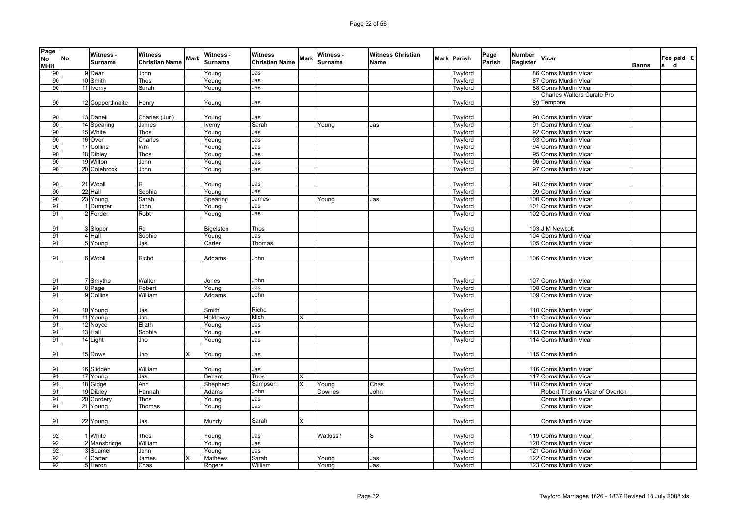| Page<br><b>No</b><br><b>MHH</b> | Witness -<br><b>No</b><br><b>Surname</b> | <b>Witness</b><br><b>Christian Name</b> | Mark | Witness -<br><b>Surname</b> | <b>Witness</b><br><b>Christian Name</b> | Mark | Witness -<br><b>Surname</b> | <b>Witness Christian</b><br>Name | Mark Parish        | Page<br>Parish | <b>Number</b><br><b>Register</b> | Vicar                                            | <b>Banns</b> | Fee paid £<br>s.<br>d |
|---------------------------------|------------------------------------------|-----------------------------------------|------|-----------------------------|-----------------------------------------|------|-----------------------------|----------------------------------|--------------------|----------------|----------------------------------|--------------------------------------------------|--------------|-----------------------|
| 90                              | 9 Dear                                   | John                                    |      | Young                       | Jas                                     |      |                             |                                  | Twyford            |                |                                  | 86 Corns Murdin Vicar                            |              |                       |
| 90                              | 10 Smith                                 | Thos                                    |      | Young                       | Jas                                     |      |                             |                                  | Twyford            |                |                                  | 87 Corns Murdin Vicar                            |              |                       |
| 90                              | 11 Ivemy                                 | Sarah                                   |      | Young                       | $\overline{\mathsf{Jas}}$               |      |                             |                                  | Twyford            |                |                                  | 88 Corns Murdin Vicar                            |              |                       |
|                                 |                                          |                                         |      |                             |                                         |      |                             |                                  |                    |                |                                  | Charles Walters Curate Pro                       |              |                       |
| 90                              | 12 Copperthnaite                         | Henry                                   |      | Young                       | Jas                                     |      |                             |                                  | Twyford            |                |                                  | 89 Tempore                                       |              |                       |
|                                 |                                          |                                         |      |                             |                                         |      |                             |                                  |                    |                |                                  |                                                  |              |                       |
| 90                              | 13 Danell                                | Charles (Jun)                           |      | Young                       | Jas                                     |      |                             |                                  | Twyford            |                |                                  | 90 Corns Murdin Vicar                            |              |                       |
| 90                              | 14 Spearing                              | James                                   |      | Ivemy                       | Sarah                                   |      | Young                       | Jas                              | Twyford            |                |                                  | 91 Corns Murdin Vicar                            |              |                       |
| 90                              | 15 White                                 | Thos                                    |      | Young                       | Jas                                     |      |                             |                                  | Twyford            |                |                                  | 92 Corns Murdin Vicar                            |              |                       |
| 90                              | 16 Over                                  | Charles                                 |      | Young                       | Jas                                     |      |                             |                                  | Twyford            |                |                                  | 93 Corns Murdin Vicar                            |              |                       |
| 90                              | 17 Collins                               | Wm                                      |      | Young                       | Jas                                     |      |                             |                                  | Twyford            |                |                                  | 94 Corns Murdin Vicar                            |              |                       |
| 90                              | 18 Dibley                                | Thos                                    |      | Young                       | Jas                                     |      |                             |                                  | Twyford            |                |                                  | 95 Corns Murdin Vicar                            |              |                       |
| 90                              | 19 Wilton                                | John                                    |      | Young                       | Jas                                     |      |                             |                                  | Twyford            |                |                                  | 96 Corns Murdin Vicar                            |              |                       |
| 90                              | 20 Colebrook                             | John                                    |      | Young                       | Jas                                     |      |                             |                                  | Twyford            |                |                                  | 97 Corns Murdin Vicar                            |              |                       |
|                                 |                                          |                                         |      |                             |                                         |      |                             |                                  |                    |                |                                  |                                                  |              |                       |
| 90                              | 21 Wooll                                 | R                                       |      | Young                       | Jas                                     |      |                             |                                  | Twyford            |                |                                  | 98 Corns Murdin Vicar                            |              |                       |
| 90                              | $22$ Hall                                | Sophia                                  |      | Young                       | Jas                                     |      |                             |                                  | Twyford            |                |                                  | 99 Corns Murdin Vicar                            |              |                       |
| 90                              | 23 Young                                 | Sarah                                   |      | Spearing                    | James                                   |      | Young                       | Jas                              | Twyford            |                |                                  | 100 Corns Murdin Vicar                           |              |                       |
| 91                              | 1 Dumper                                 | John                                    |      | Young                       | Jas                                     |      |                             |                                  | Twyford            |                |                                  | 101 Corns Murdin Vicar                           |              |                       |
| 91                              | 2 Forder                                 | Robt                                    |      | Young                       | Jas                                     |      |                             |                                  | Twyford            |                |                                  | 102 Corns Murdin Vicar                           |              |                       |
|                                 |                                          |                                         |      |                             | Thos                                    |      |                             |                                  |                    |                |                                  |                                                  |              |                       |
| 91                              | 3 Sloper                                 | Rd                                      |      | Bigelston                   | Jas                                     |      |                             |                                  | Twyford            |                |                                  | 103 J M Newbolt                                  |              |                       |
| 91<br>91                        | 4 Hall                                   | Sophie                                  |      | Young                       |                                         |      |                             |                                  | Twyford            |                |                                  | 104 Corns Murdin Vicar<br>105 Corns Murdin Vicar |              |                       |
|                                 | 5 Young                                  | Jas                                     |      | Carter                      | Thomas                                  |      |                             |                                  | Twyford            |                |                                  |                                                  |              |                       |
| 91                              | 6 Wooll                                  | Richd                                   |      | Addams                      | John                                    |      |                             |                                  | Twyford            |                |                                  | 106 Corns Murdin Vicar                           |              |                       |
|                                 |                                          |                                         |      |                             |                                         |      |                             |                                  |                    |                |                                  |                                                  |              |                       |
| 91                              | 7 Smythe                                 | Walter                                  |      | Jones                       | John                                    |      |                             |                                  | Twyford            |                |                                  | 107 Corns Murdin Vicar                           |              |                       |
| 91                              | 8 Page                                   | Robert                                  |      | Young                       | Jas                                     |      |                             |                                  | Twyford            |                |                                  | 108 Corns Murdin Vicar                           |              |                       |
| 91                              | 9 Collins                                | William                                 |      | Addams                      | John                                    |      |                             |                                  | Twyford            |                |                                  | 109 Corns Murdin Vicar                           |              |                       |
| 91                              | 10 Young                                 | Jas                                     |      | Smith                       | Richd                                   |      |                             |                                  | Twyford            |                |                                  | 110 Corns Murdin Vicar                           |              |                       |
| 91                              | 11 Young                                 | Jas                                     |      | Holdoway                    | Mich                                    | X    |                             |                                  | Twyford            |                |                                  | 111 Corns Murdin Vicar                           |              |                       |
| 91                              | 12 Noyce                                 | Elizth                                  |      | Young                       | Jas                                     |      |                             |                                  | Twyford            |                |                                  | 112 Corns Murdin Vicar                           |              |                       |
| 91                              | 13 Hall                                  | Sophia                                  |      | Young                       | Jas                                     |      |                             |                                  | Twyford            |                |                                  | 113 Corns Murdin Vicar                           |              |                       |
| 91                              | 14 Light                                 | Jno                                     |      | Young                       | Jas                                     |      |                             |                                  | Twyford            |                |                                  | 114 Corns Murdin Vicar                           |              |                       |
| 91                              | 15 Dows                                  | Jno                                     | X    | Young                       | Jas                                     |      |                             |                                  | Twyford            |                |                                  | 115 Corns Murdin                                 |              |                       |
|                                 |                                          | William                                 |      |                             | Jas                                     |      |                             |                                  |                    |                |                                  |                                                  |              |                       |
| 91<br>91                        | 16 Slidden<br>17 Young                   | Jas                                     |      | Young<br>Bezant             | Thos                                    |      |                             |                                  | Twyford<br>Twyford |                |                                  | 116 Corns Murdin Vicar<br>117 Corns Murdin Vicar |              |                       |
| 91                              | 18 Gidge                                 | Ann                                     |      | Shepherd                    | Sampson                                 | X    | Young                       | Chas                             | Twyford            |                |                                  | 118 Corns Murdin Vicar                           |              |                       |
| 91                              | 19 Dibley                                | Hannah                                  |      | Adams                       | John                                    |      | Downes                      | John                             | Twyford            |                |                                  | Robert Thomas Vicar of Overton                   |              |                       |
| 91                              | 20 Cordery                               | Thos                                    |      | Young                       | Jas                                     |      |                             |                                  | Twyford            |                |                                  | Corns Murdin Vicar                               |              |                       |
| 91                              | 21 Young                                 | Thomas                                  |      | Young                       | Jas                                     |      |                             |                                  | Twyford            |                |                                  | Corns Murdin Vicar                               |              |                       |
|                                 |                                          |                                         |      |                             |                                         |      |                             |                                  |                    |                |                                  |                                                  |              |                       |
| 91                              | 22 Young                                 | las                                     |      | Mundy                       | Sarah                                   |      |                             |                                  | Twyford            |                |                                  | Corns Murdin Vicar                               |              |                       |
| 92                              | 1 White                                  | Thos                                    |      | Young                       | Jas                                     |      | Watkiss?                    | S                                | Twyford            |                |                                  | 119 Corns Murdin Vicar                           |              |                       |
| 92                              | 2 Mansbridge                             | William                                 |      | Young                       | Jas                                     |      |                             |                                  | Twyford            |                |                                  | 120 Corns Murdin Vicar                           |              |                       |
| 92                              | 3 Scamel                                 | John                                    |      | Young                       | Jas                                     |      |                             |                                  | Twyford            |                |                                  | 121 Corns Murdin Vicar                           |              |                       |
| 92                              | 4 Carter                                 | James                                   |      | Mathews                     | Sarah                                   |      | Young                       | Jas                              | Twyford            |                |                                  | 122 Corns Murdin Vicar                           |              |                       |
| 92                              | 5 Heron                                  | Chas                                    |      | Rogers                      | William                                 |      | Young                       | Jas                              | Twyford            |                |                                  | 123 Corns Murdin Vicar                           |              |                       |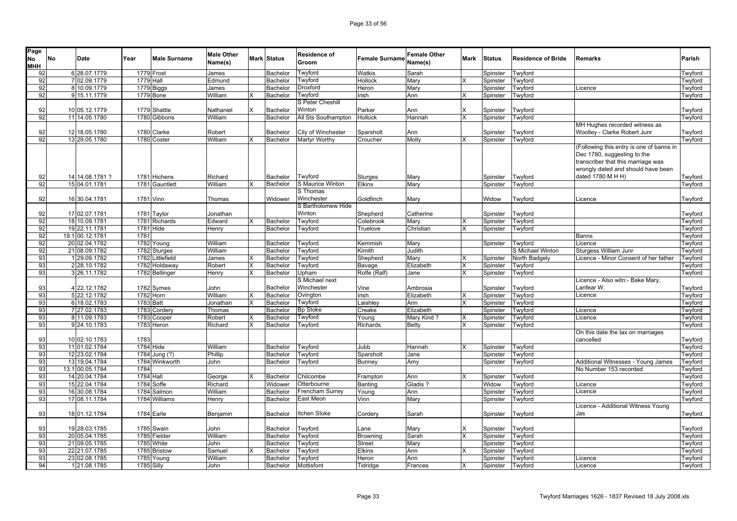| Page<br>No<br><b>MHH</b> | No | Date            | Year             | <b>Male Surname</b>          | <b>Male Other</b><br>Name(s) |    | <b>Mark Status</b> | Residence of<br>Groom            | <b>Female Surname</b> | <b>Female Other</b><br>Name(s) | <b>Mark</b> | <b>Status</b>        | <b>Residence of Bride</b> | <b>Remarks</b>                                                                                                                                                           | Parish             |
|--------------------------|----|-----------------|------------------|------------------------------|------------------------------|----|--------------------|----------------------------------|-----------------------|--------------------------------|-------------|----------------------|---------------------------|--------------------------------------------------------------------------------------------------------------------------------------------------------------------------|--------------------|
| 92                       |    | 6 28.07.1779    |                  | 1779 Frost                   | James                        |    | Bachelor           | Twyford                          | Watkis                | Sarah                          |             | Spinster             | Twyford                   |                                                                                                                                                                          | Twyford            |
| 92                       |    | 7 02.09.1779    | <b>1779 Hall</b> |                              | Edmund                       |    | <b>Bachelor</b>    | Twyford                          | Hollock               | Mary                           |             | Spinster             | Twyford                   |                                                                                                                                                                          | Twyford            |
| 92                       |    | 8 10.09.1779    |                  | 1779 Biggs                   | James                        |    | Bachelor           | Droxford                         | Heron                 | Mary                           |             | Spinster             | Twyford                   | Licence                                                                                                                                                                  | Twyford            |
| 92                       |    | 9 15.11.1779    |                  | 1779 Bone                    | William                      |    | Bachelor           | Twyford                          | <b>rish</b>           | Ann                            |             | Spinster             | Twyford                   |                                                                                                                                                                          | Twyford            |
|                          |    |                 |                  |                              |                              |    |                    | S Peter Cheshill                 |                       |                                |             |                      |                           |                                                                                                                                                                          |                    |
| 92                       |    | 10 05.12.1779   |                  | 1779 Shattle                 | Nathaniel                    |    | Bachelor           | Winton                           | Parker                | Ann                            |             | Spinster             | Twyford                   |                                                                                                                                                                          | Twyford            |
| 92                       |    | 11 14.05.1780   |                  | 1780 Gibbons                 | William                      |    | Bachelor           | All Sts Southampton              | <b>Hollock</b>        | Hannah                         | x           | Spinster             | Twyford                   |                                                                                                                                                                          | Twyford            |
|                          |    |                 |                  |                              |                              |    |                    |                                  |                       |                                |             |                      |                           | MH Hughes recorded witness as                                                                                                                                            |                    |
| 92                       |    | 12 18.05.1780   |                  | 1780 Clarke                  | Robert                       |    | Bachelor           | Cily of Winchester               | Sparsholt             | Ann                            |             | Spinster             | <b>Twyford</b>            | Woolley - Clarke Robert Junr                                                                                                                                             | Twyford            |
| 92                       |    | 13 29.05.1780   |                  | 1780 Coster                  | William                      |    | Bachelor           | Martyr Worthy                    | Croucher              | Molly                          |             | Spinster             | Twyford                   |                                                                                                                                                                          | Twyford            |
|                          |    |                 |                  |                              |                              |    |                    | Twyford                          |                       |                                |             |                      |                           | (Following this entry is one of banns in<br>Dec 1780, suggesting to the<br>transcriber that this marriage was<br>wrongly dated and should have been<br>dated 1780 M H H) |                    |
| 92                       |    | 14 14 08 1781 ? |                  | 1781 Hichens                 | Richard                      |    | Bachelor           |                                  | Sturges               | Marv                           |             | Spinster             | Twyford                   |                                                                                                                                                                          | Twvford            |
| 92                       |    | 15 04.01.1781   |                  | 1781 Gauntlett               | William                      |    | Bachelor           | S Maurice Winton                 | Elkins                | Mary                           |             | Spinster             | Twyford                   |                                                                                                                                                                          | Twyford            |
|                          |    |                 |                  |                              |                              |    |                    | S Thomas                         |                       |                                |             |                      |                           |                                                                                                                                                                          |                    |
| 92                       |    | 16 30.04.1781   | 1781 Vinn        |                              | Thomas                       |    | Widower            | Winchester<br>S Bartholomew Hide | Goldfinch             | Mary                           |             | Widow                | Twyford                   | Licence                                                                                                                                                                  | Twyford            |
| 92                       |    | 17 02.07.1781   |                  |                              |                              |    |                    | Winton                           |                       |                                |             |                      |                           |                                                                                                                                                                          |                    |
| 92                       |    | 18 10.09.1781   |                  | 1781 Taylor<br>1781 Richards | Jonathan<br>Edward           |    | Bachelor           | Twyford                          | Shepherd<br>Colebrook | Catherine<br>Mary              |             | Spinster             | <b>Twyford</b><br>Twyford |                                                                                                                                                                          | Twyford<br>Twyford |
| 92                       |    | 19 22.11.1781   |                  | 1781 Hide                    | Henry                        |    | Bachelor           | Twyford                          | <b>Truelove</b>       | Christian                      |             | Spinster<br>Spinster | <b>Twyford</b>            |                                                                                                                                                                          | Twyford            |
| 92                       |    | 19.1 00.12.1781 | 1781             |                              |                              |    |                    |                                  |                       |                                |             |                      |                           | Banns                                                                                                                                                                    |                    |
| 92                       |    | 20 02.04.1782   |                  | 1782 Young                   | William                      |    | Bachelor           | Twyford                          | Kemmish               | Mary                           |             | Spinster             | Twyford                   | Licence                                                                                                                                                                  | Twyford            |
| 92                       |    | 21 08:09.1782   |                  | 1782 Sturges                 | William                      |    | Bachelor           | Twyford                          | Kimith                | Judith                         |             |                      | S Michael Winton          | Sturgess William Junr                                                                                                                                                    | Twyford<br>Twyford |
| 93                       |    | 1 29.09.1782    |                  | 1782 Littlefield             | James                        | ΙX | Bachelor           | Twyford                          | Shepherd              | Mary                           | ΙX          | Spinster             | North Badgely             | Licence - Minor Consent of her father                                                                                                                                    | Twyford            |
| 93                       |    | 2 28.10.1782    |                  | 1782 Holdaway                | Robert                       |    | Bachelor           | Twyford                          | Bavage                | Elizabeth                      |             | Spinster             | Twyford                   |                                                                                                                                                                          | Twyford            |
| 93                       |    | 3 26.11.1782    |                  | 1782 Bellinger               | Henry                        |    | Bachelor           | Upham                            | Rolfe (Ralf)          | Jane                           |             | Spinster             | Twyford                   |                                                                                                                                                                          | Twyford            |
|                          |    |                 |                  |                              |                              |    |                    | S Michael next                   |                       |                                |             |                      |                           | Licence - Also witn:- Bake Mary,                                                                                                                                         |                    |
| 93                       |    | 4 22.12.1782    |                  | 1782 Symes                   | John                         |    | Bachelor           | Winchester                       | Vine                  | Ambrosia                       |             | Spinster             | <b>Twyford</b>            | Lanfear W.                                                                                                                                                               | Twyford            |
| 93                       |    | 5 22.12.1782    |                  | 1782 Horn                    | William                      | ΙX | Bachelor           | Ovington                         | Irish                 | Elizabeth                      |             | Spinster             | Twyford                   | Licence                                                                                                                                                                  | Twyford            |
| 93                       |    | 6 18.02.1783    | 1783 Batt        |                              | Jonathan                     |    | Bachelor           | Twyford                          | aishley               | Ann                            |             | Spinster             | <b>Twyford</b>            |                                                                                                                                                                          | Twyford            |
| 93                       |    | 7 27.02.1783    |                  | 1783 Cordery                 | Thomas                       |    | Bachelor           | <b>Bp Stoke</b>                  | Creake                | Elizabeth                      |             | Spinster             | Twyford                   | Licence                                                                                                                                                                  | Twyford            |
| 93                       |    | 8 11.09.1783    |                  | 1783 Cooper                  | Robert                       | X  | Bachelor           | Twyford                          | Young                 | Mary Kind?                     |             | Spinster             | Twyford                   | Licence                                                                                                                                                                  | Twyford            |
| 93                       |    | 9 24.10.1783    |                  | 1783 Heron                   | Richard                      |    | Bachelor           | Twyford                          | Richards              | Betty                          |             | Spinster             | Twyford                   |                                                                                                                                                                          | Twyford            |
| 93                       |    | 10 02.10.1783   | 1783             |                              |                              |    |                    |                                  |                       |                                |             |                      |                           | On this date the tax on marriages<br>cancelled                                                                                                                           | Twyford            |
| 93                       |    | 11 01.02.1784   |                  | 1784 Hide                    | William                      |    | Bachelor           | Twyford                          | Jubb                  | Hannah                         |             | Spinster             | Twyford                   |                                                                                                                                                                          | Twyford            |
| 93                       |    | 12 23.02.1784   |                  | 1784 Jung (?)                | Phillip                      |    | Bachelor           | Twyford                          | Sparsholt             | Jane                           |             | Spinster             | Twyford                   |                                                                                                                                                                          | Twyford            |
| 93                       |    | 13 19.04.1784   |                  | 1784 Winkworth               | John                         |    | Bachelor           | Twyford                          | <b>Bunney</b>         | Amy                            |             | Spinster             | Twyford                   | Additional Witnesses - Young James                                                                                                                                       | Twyford            |
| 93                       |    | 13.1 00.05.1784 | 1784             |                              |                              |    |                    |                                  |                       |                                |             |                      |                           | No Number 153 recorded                                                                                                                                                   | Twyford            |
| 93                       |    | 14 20.04.1784   | 1784 Hall        |                              | George                       |    | Bachelor           | Chilcombe                        | Frampton              | Ann                            |             | Spinster             | Twyford                   |                                                                                                                                                                          | Twyford            |
| 93                       |    | 15 22.04.1784   |                  | 1784 Soffe                   | Richard                      |    | Widower            | Otterbourne                      | Banting               | Gladis?                        |             | Widow                | <b>Twyford</b>            | Licence                                                                                                                                                                  | Twyford            |
| 93                       |    | 16 30.08.1784   |                  | 1784 Salmon                  | William                      |    | Bachelor           | Frencham Surrey                  | Young                 | Ann                            |             | Spinster             | Twyford                   | Licence                                                                                                                                                                  | Twyford            |
| 93                       |    | 17 08.11.1784   |                  | 1784 Williams                | Henry                        |    | Bachelor           | East Meon                        | Vinn                  | Mary                           |             | Spinster             | Twyford                   |                                                                                                                                                                          | Twyford            |
|                          |    |                 |                  |                              |                              |    |                    |                                  |                       |                                |             |                      |                           | Licence - Additional Witness Young                                                                                                                                       |                    |
| 93                       |    | 18 01.12.1784   |                  | 1784 Earle                   | Benjamin                     |    | Bachelor           | tchen Stoke                      | Cordery               | Sarah                          |             | Spinster             | Twyford                   | Jas                                                                                                                                                                      | Twyford            |
| 93                       |    | 19 28.03.1785   |                  | 1785 Swain                   | John                         |    | Bachelor           | Twyford                          | _ane                  | Mary                           |             | Spinster             | Twyford                   |                                                                                                                                                                          | Twyford            |
| 93                       |    | 20 05.04.1785   |                  | 1785 Fielder                 | William                      |    | Bachelor           | Twyford                          | Browning              | Sarah                          |             | Spinster             | Twyford                   |                                                                                                                                                                          | Twyford            |
| 93                       |    | 21 09.05.1785   |                  | 1785 White                   | John                         |    | Bachelor           | Twyford                          | Street                | Mary                           |             | Spinster             | Twyford                   |                                                                                                                                                                          | Twyford            |
| 93                       |    | 22 21.07.1785   |                  | 1785 Bristow                 | Samuel                       |    | Bachelor           | Twyford                          | Elkins                | Ann                            |             | Spinster             | Twyford                   |                                                                                                                                                                          | Twyford            |
| 93                       |    | 23 02.08.1785   |                  | 1785 Young                   | William                      |    | Bachelor           | Twyford                          | Heron                 | Ann                            |             | Spinster             | Twyford                   | .icence                                                                                                                                                                  | Twyford            |
| 94                       |    | 121.08.1785     | 1785 Silly       |                              | John                         |    | Bachelor           | Mottisfont                       | Tidridge              | Frances                        |             | Spinster             | Twyford                   | Licence                                                                                                                                                                  | Twyford            |
|                          |    |                 |                  |                              |                              |    |                    |                                  |                       |                                |             |                      |                           |                                                                                                                                                                          |                    |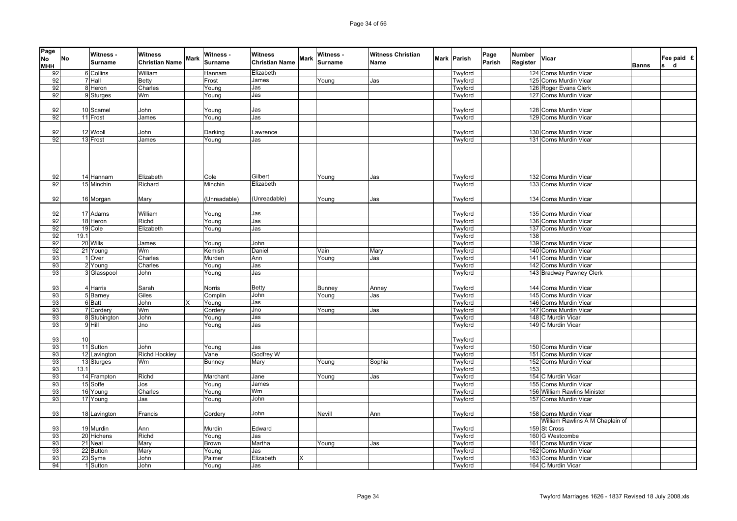| Page<br><b>No</b><br><b>MHH</b> | No              | Witness -<br><b>Surname</b> | Witness<br><b>Christian Name</b> | <b>Mark</b> | <b>Witness -</b><br>Surname | <b>Witness</b><br><b>Christian Name</b> | Mark | Witness -<br><b>Surname</b> | <b>Witness Christian</b><br><b>Name</b> | Mark Parish        | Page<br>Parish | <b>Number</b><br><b>Register</b> | <b>Vicar</b>                                     | Banns | Fee paid £<br>s d |
|---------------------------------|-----------------|-----------------------------|----------------------------------|-------------|-----------------------------|-----------------------------------------|------|-----------------------------|-----------------------------------------|--------------------|----------------|----------------------------------|--------------------------------------------------|-------|-------------------|
| 92                              |                 | 6 Collins                   | William                          |             | Hannam                      | Elizabeth                               |      |                             |                                         | Twyford            |                |                                  | 124 Corns Murdin Vicar                           |       |                   |
| 92                              |                 | 7 Hall                      | Betty                            |             | Frost                       | James                                   |      | Young                       | Jas                                     | Twyford            |                |                                  | 125 Corns Murdin Vicar                           |       |                   |
| 92                              |                 | 8 Heron                     | Charles                          |             | Young                       | Jas                                     |      |                             |                                         | Twyford            |                |                                  | 126 Roger Evans Clerk                            |       |                   |
| 92                              |                 | 9 Sturges                   | Wm                               |             | Young                       | Jas                                     |      |                             |                                         | Twyford            |                |                                  | 127 Corns Murdin Vicar                           |       |                   |
|                                 |                 |                             |                                  |             |                             |                                         |      |                             |                                         |                    |                |                                  |                                                  |       |                   |
| 92                              |                 | 10 Scamel                   | John                             |             | Young                       | Jas                                     |      |                             |                                         | Twyford            |                |                                  | 128 Corns Murdin Vicar                           |       |                   |
| 92                              |                 | 11 Frost                    | James                            |             | Young                       | Jas                                     |      |                             |                                         | Twyford            |                |                                  | 129 Corns Murdin Vicar                           |       |                   |
| 92                              |                 | 12 Wooll                    | John                             |             | Darking                     | Lawrence                                |      |                             |                                         | Twyford            |                |                                  | 130 Corns Murdin Vicar                           |       |                   |
| 92                              |                 | 13 Frost                    | James                            |             | Young                       | Jas                                     |      |                             |                                         | Twyford            |                |                                  | 131 Corns Murdin Vicar                           |       |                   |
| 92                              |                 | 14 Hannam                   | Elizabeth                        |             | Cole                        | Gilbert                                 |      | Young                       | Jas                                     | Twyford            |                |                                  | 132 Corns Murdin Vicar                           |       |                   |
| 92                              |                 | 15 Minchin                  | Richard                          |             | Minchin                     | Elizabeth                               |      |                             |                                         | Twyford            |                |                                  | 133 Corns Murdin Vicar                           |       |                   |
| 92                              |                 | 16 Morgan                   | Mary                             |             | (Unreadable)                | (Unreadable)                            |      | Young                       | Jas                                     | Twyford            |                |                                  | 134 Corns Murdin Vicar                           |       |                   |
|                                 |                 |                             |                                  |             |                             |                                         |      |                             |                                         |                    |                |                                  |                                                  |       |                   |
| 92<br>92                        |                 | 17 Adams<br>18 Heron        | William<br>Richd                 |             | Young<br>Young              | Jas<br>Jas                              |      |                             |                                         | Twyford<br>Twyford |                |                                  | 135 Corns Murdin Vicar<br>136 Corns Murdin Vicar |       |                   |
| 92                              |                 | 19 Cole                     | Elizabeth                        |             | Young                       | Jas                                     |      |                             |                                         | Twyford            |                |                                  | 137 Corns Murdin Vicar                           |       |                   |
|                                 | 19.1            |                             |                                  |             |                             |                                         |      |                             |                                         | Twyford            |                | 138                              |                                                  |       |                   |
| 92<br>92                        |                 | 20 Wills                    |                                  |             |                             | John                                    |      |                             |                                         | Twyford            |                |                                  | 139 Corns Murdin Vicar                           |       |                   |
| 92                              |                 | 21 Young                    | James<br>Wm                      |             | Young<br>Kemish             | Daniel                                  |      | Vain                        | Mary                                    | Twyford            |                |                                  | 140 Corns Murdin Vicar                           |       |                   |
| 93                              |                 | 1 Over                      | Charles                          |             | Murden                      | Ann                                     |      | Young                       | Jas                                     | Twyford            |                |                                  | 141 Corns Murdin Vicar                           |       |                   |
| 93                              |                 | 2 Young                     | Charles                          |             | Young                       | Jas                                     |      |                             |                                         | Twyford            |                |                                  | 142 Corns Murdin Vicar                           |       |                   |
| 93                              |                 | 3 Glasspool                 | John                             |             | Young                       | Jas                                     |      |                             |                                         | Twyford            |                |                                  | 143 Bradway Pawney Clerk                         |       |                   |
|                                 |                 |                             |                                  |             |                             |                                         |      |                             |                                         |                    |                |                                  |                                                  |       |                   |
| 93                              |                 | 4 Harris                    | Sarah                            |             | Norris                      | <b>Betty</b>                            |      | <b>Bunney</b>               | Anney                                   | Twyford            |                |                                  | 144 Corns Murdin Vicar                           |       |                   |
| 93                              |                 | 5 Barney                    | Giles                            |             | Complin                     | John                                    |      | Young                       | Jas                                     | Twyford            |                |                                  | 145 Corns Murdin Vicar                           |       |                   |
| 93                              |                 | 6 Batt                      | John                             |             | Young                       | Jas                                     |      |                             |                                         | Twyford            |                |                                  | 146 Corns Murdin Vicar                           |       |                   |
| 93                              |                 | 7 Cordery                   | Wm                               |             | Cordery                     | Jno                                     |      | Young                       | Jas                                     | Twyford            |                |                                  | 147 Corns Murdin Vicar                           |       |                   |
| 93                              |                 | 8 Stubington                | John                             |             | Young                       | Jas                                     |      |                             |                                         | Twyford            |                |                                  | 148 C Murdin Vicar                               |       |                   |
| 93                              |                 | 9 Hill                      | Jno                              |             | Young                       | Jas                                     |      |                             |                                         | Twyford            |                |                                  | 149 C Murdin Vicar                               |       |                   |
| 93                              | 10 <sup>1</sup> |                             |                                  |             |                             |                                         |      |                             |                                         | Twyford            |                |                                  |                                                  |       |                   |
| 93                              |                 | 11 Sutton                   | John                             |             | Young                       | Jas                                     |      |                             |                                         | Twyford            |                |                                  | 150 Corns Murdin Vicar                           |       |                   |
| 93                              |                 | 12 Lavington                | <b>Richd Hockley</b>             |             | Vane                        | Godfrey W                               |      |                             |                                         | Twyford            |                |                                  | 151 Corns Murdin Vicar                           |       |                   |
| 93                              |                 | 13 Sturges                  | Wm                               |             | <b>Bunney</b>               | Mary                                    |      | Young                       | Sophia                                  | Twyford            |                |                                  | 152 Corns Murdin Vicar                           |       |                   |
| 93                              | 13.1            |                             |                                  |             |                             |                                         |      |                             |                                         | Twyford            |                | 153                              |                                                  |       |                   |
| 93                              |                 | 14 Frampton                 | Richd                            |             | Marchant                    | Jane                                    |      | Young                       | Jas                                     | Twyford            |                |                                  | 154 C Murdin Vicar                               |       |                   |
| 93                              |                 | 15 Soffe                    | Jos                              |             | Young                       | James                                   |      |                             |                                         | Twyford            |                |                                  | 155 Corns Murdin Vicar                           |       |                   |
| 93                              |                 | 16 Young                    | Charles                          |             | Young                       | Wm                                      |      |                             |                                         | Twyford            |                |                                  | 156 William Rawlins Minister                     |       |                   |
| 93                              |                 | 17 Young                    | Jas                              |             | Young                       | John                                    |      |                             |                                         | Twyford            |                |                                  | 157 Corns Murdin Vicar                           |       |                   |
| 93                              |                 | 18 Lavington                | Francis                          |             | Cordery                     | John                                    |      | Nevill                      | Ann                                     | Twyford            |                |                                  | 158 Corns Murdin Vicar                           |       |                   |
|                                 |                 |                             |                                  |             |                             |                                         |      |                             |                                         |                    |                |                                  | William Rawlins A M Chaplain of                  |       |                   |
| 93                              |                 | 19 Murdin                   | Ann                              |             | Murdin                      | Edward                                  |      |                             |                                         | Twyford            |                |                                  | 159 St Cross                                     |       |                   |
| 93                              |                 | 20 Hichens                  | Richd                            |             | Young                       | Jas                                     |      |                             |                                         | Twyford            |                |                                  | 160 G Westcombe<br>161 Corns Murdin Vicar        |       |                   |
| 93                              |                 | 21 Neal                     | Mary                             |             | <b>Brown</b>                | Martha                                  |      | Young                       | Jas                                     | Twyford            |                |                                  |                                                  |       |                   |
| 93                              |                 | 22 Button                   | Mary                             |             | Young                       | Jas                                     |      |                             |                                         | Twyford            |                |                                  | 162 Corns Murdin Vicar                           |       |                   |
| 93                              |                 | 23 Syme                     | John                             |             | Palmer                      | Elizabeth                               |      |                             |                                         | Twyford            |                |                                  | 163 Corns Murdin Vicar                           |       |                   |
| 94                              |                 | 1 Sutton                    | John                             |             | Young                       | Jas                                     |      |                             |                                         | Twyford            |                |                                  | 164 C Murdin Vicar                               |       |                   |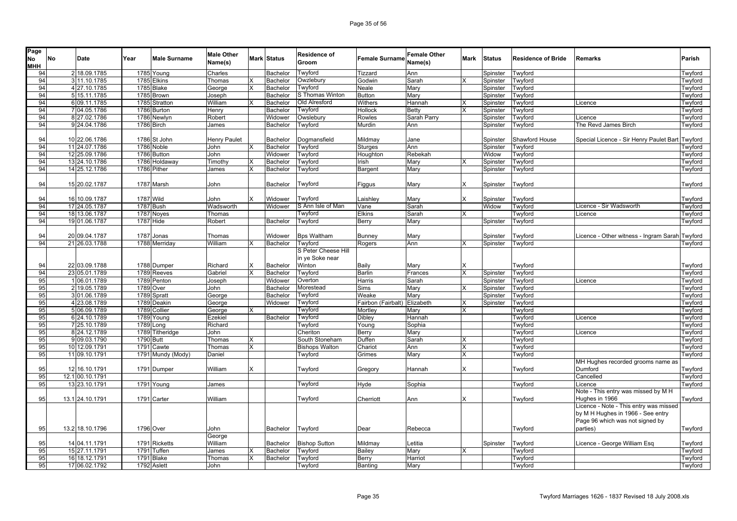| Page<br>No<br><b>MHH</b> | No | Date                         | Year      | <b>Male Surname</b>      | <b>Male Other</b><br>Name(s) |    | <b>Mark Status</b>   | Residence of<br>Groom | <b>Female Surname</b>         | <b>Female Other</b><br>Name(s) | Mark | <b>Status</b> | <b>Residence of Bride</b> | Remarks                                                              | Parish             |
|--------------------------|----|------------------------------|-----------|--------------------------|------------------------------|----|----------------------|-----------------------|-------------------------------|--------------------------------|------|---------------|---------------------------|----------------------------------------------------------------------|--------------------|
| 94                       |    | 218.09.1785                  |           | 1785 Young               | Charles                      |    | Bachelor             | Twyford               | <b>Tizzard</b>                | Ann                            |      | Spinster      | Twyford                   |                                                                      | Twvford            |
| 94                       |    | 311.10.1785                  |           | 1785 Elkins              | Thomas                       |    | Bachelor             | Owzlebury             | Godwin                        | Sarah                          |      | Spinster      | <b>Twyford</b>            |                                                                      | Twyford            |
| 94                       |    | 4 27.10.1785                 |           | 1785 Blake               | George                       |    | Bachelor             | Twyford               | Neale                         | Mary                           |      | Spinster      | <b>Twyford</b>            |                                                                      | Twyford            |
| 94                       |    | 515.11.1785                  |           | 1785 Brown               | Joseph                       |    | Bachelor             | S Thomas Winton       | <b>Button</b>                 | Marv                           |      | Spinster      | Twyford                   |                                                                      | Twyford            |
| 94                       |    | 6 09.11.1785                 |           | 1785 Stratton            | William                      |    | <b>Bachelor</b>      | Old Alresford         | Withers                       | Hannah                         |      | Spinster      | Twyford                   | Licence                                                              | Twyford            |
| 94                       |    | 7 04.05.1786                 |           | 1786 Burton              | Henry                        |    | Bachelor             | Twyford               | Hollock                       | <b>Betty</b>                   |      | Spinster      | Twyford                   |                                                                      | Twyford            |
| 94                       |    | 8 27.02.1786                 |           | 1786 Newlyn              | Robert                       |    | Widower              | Owslebury             | Rowles                        | Sarah Parry                    |      | Spinster      | <b>Twyford</b>            | Licence                                                              | Twyford            |
| 94                       |    | 9 24.04.1786                 |           | 1786 Birch               | James                        |    | Bachelor             | Twyford               | Murdin                        | Ann                            |      | Spinster      | Twyford                   | The Revd James Birch                                                 | Twyford            |
|                          |    |                              |           |                          |                              |    |                      |                       |                               |                                |      |               |                           |                                                                      |                    |
| 94                       |    | 10 22.06.1786                |           | 1786 St John             | Henry Paulet                 |    | Bachelor             | Dogmansfield          | Mildmay                       | Jane                           |      | Spinster      | <b>Shawford House</b>     | Special Licence - Sir Henry Paulet Bart                              | Twyford            |
| 94                       |    | 11 24.07.1786                |           | 1786 Noble               | John                         |    | Bachelor             | Twyford               | <b>Sturges</b>                | Ann                            |      | Spinster      | Twyford                   |                                                                      | Twyford            |
| 94                       |    | 12 25.09.1786                |           | 1786 Button              | John                         |    | Widower              | Twyford               | Houghton                      | Rebekah                        |      | Widow         | Twyford                   |                                                                      | Twyford            |
| 94                       |    | 13 24.10.1786                |           | 1786 Holdaway            | Timothy                      |    | Bachelor             | Twyford               | lrish                         | Mary                           |      | Spinster      | Twyford                   |                                                                      | Twyford            |
| 94                       |    | 14 25.12.1786                |           | 1786 Pither              | James                        | X  | Bachelor             | Twyford               | Bargent                       | Mary                           |      | Spinster      | Twyford                   |                                                                      | Twyford            |
| 94                       |    | 15 20.02.1787                |           | 1787 Marsh               | John                         |    | Bachelor             | Twyford               | Figgus                        | Mary                           |      | Spinster      | Twyford                   |                                                                      | Twyford            |
|                          |    |                              |           |                          |                              |    |                      |                       |                               |                                |      |               |                           |                                                                      |                    |
| 94                       |    | 16 10.09.1787                | 1787 Wild |                          | John                         |    | Widower              | Twyford               | aishlevـ                      | Marv                           |      | Spinster      | Twyford                   |                                                                      | Twyford            |
| 94                       |    | 17 24.05.1787                |           | 1787 Bush                | Wadsworth                    |    | Widower              | S Ann Isle of Man     | Vane                          | Sarah                          |      | Widow         | Twyford                   | Licence - Sir Wadsworth                                              | Twyford            |
| 94                       |    | 18 13.06.1787                |           | 1787 Noyes               | Thomas                       |    |                      | Twyford               | Elkins                        | Sarah                          |      |               | Twyford                   | Licence                                                              | Twyford            |
| 94                       |    | 19 01.06.1787                |           | 1787 Hide                | Robert                       |    | Bachelor             | Twyford               | Berry                         | Mary                           |      | Spinster      | Twyford                   |                                                                      | Twyford            |
|                          |    |                              |           |                          |                              |    |                      |                       |                               |                                |      |               |                           |                                                                      |                    |
| 94                       |    | 20 09:04.1787                |           | 1787 Jonas               | Thomas                       |    | Widower              | <b>Bps Waltham</b>    | Bunney                        | Mary                           |      | Spinster      | Twyford                   | Licence - Other witness - Ingram Sarah Twyford                       |                    |
| 94                       |    | 21 26.03.1788                |           | 1788 Merriday            | William                      | X  | Bachelor             | Twyford               | Rogers                        | Ann                            |      | Spinster      | Twyford                   |                                                                      | Twyford            |
|                          |    |                              |           |                          |                              |    |                      | S Peter Cheese Hill   |                               |                                |      |               |                           |                                                                      |                    |
|                          |    |                              |           |                          |                              |    |                      | in ye Soke near       |                               |                                |      |               |                           |                                                                      |                    |
| 94<br>94                 |    | 22 03.09.1788                |           | 1788 Dumper              | Richard                      | X  | Bachelor             | Winton                | Baily<br>Barlin               | Mary                           |      |               | Twyford                   |                                                                      | Twyford            |
|                          |    | 23 05.01.1789                |           | 1789 Reeves              | Gabriel                      |    | Bachelor             | Twyford               |                               | Frances                        |      | Spinster      | Twyford                   |                                                                      | Twyford            |
| 95                       |    | 1 06.01.1789                 |           | 1789 Penton              | Joseph                       |    | Widower              | Overton               | Harris                        | Sarah                          |      | Spinster      | Twyford                   | Licence                                                              | Twyford            |
| 95<br>95                 |    | 2 19.05.1789<br>3 01.06.1789 |           | 1789 Over<br>1789 Spratt | John                         |    | Bachelor<br>Bachelor | Morestead<br>Twyford  | Sims<br>Weake                 | Mary<br>Mary                   |      | Spinster      | Twyford                   |                                                                      | Twyford<br>Twyford |
| 95                       |    | 4 23.08.1789                 |           | 1789 Deakin              | George                       |    | Widower              | Twyford               |                               | Elizabeth                      |      | Spinster      | Twyford                   |                                                                      |                    |
| 95                       |    | 5 06 09 1789                 |           | 1789 Collier             | George                       |    |                      | Twyford               | Fairbon (Fairbalt)<br>Mortley | Mary                           |      | Spinster      | Twyford                   |                                                                      | Twyford<br>Twyford |
|                          |    | 6 24.10.1789                 |           | 1789 Young               | George<br>Ezekiel            |    |                      | Twyford               |                               | Hannah                         |      |               | Twyford                   |                                                                      |                    |
| 95<br>95                 |    | 7 25.10.1789                 |           | 1789 Long                | Richard                      |    | Bachelor             | Twyford               | Dibley<br>Young               |                                |      |               | Twyford<br>Twyford        | Licence                                                              | Twyford<br>Twyford |
| 95                       |    | 8 24.12.1789                 |           | 1789 Titheridge          | John                         |    |                      | Cheriton              | Berry                         | Sophia<br>Mary                 |      |               |                           | Licence                                                              | Twyford            |
| 95                       |    | 9 09 03 1790                 | 1790 Butt |                          |                              | х  |                      | South Stoneham        | Duffen                        |                                |      |               | Twyford                   |                                                                      | Twyford            |
| 95                       |    | 10 12.09.1791                |           | 1791 Cawte               | Thomas<br>Thomas             |    |                      | <b>Bishops Walton</b> | Chariot                       | Sarah<br>Ann                   |      |               | Twyford<br>Twyford        |                                                                      | Twyford            |
| 95                       |    | 11 09.10.1791                |           | 1791 Mundy (Mody)        | Daniel                       |    |                      | Twyford               | Grimes                        | Mary                           | X    |               | Twyford                   |                                                                      | Twyford            |
|                          |    |                              |           |                          |                              |    |                      |                       |                               |                                |      |               |                           | MH Hughes recorded grooms name as                                    |                    |
| 95                       |    | 12 16.10.1791                |           | 1791 Dumper              | William                      | ΙX |                      | Twyford               | Gregory                       | Hannah                         |      |               | Twyford                   | Dumford                                                              | Twyford            |
| 95                       |    | 12.1 00.10.1791              |           |                          |                              |    |                      |                       |                               |                                |      |               |                           | Cancelled                                                            | Twyford            |
| 95                       |    | 13 23.10.1791                |           | 1791 Young               | James                        |    |                      | Twyford               | Hyde                          | Sophia                         |      |               | Twyford                   | Licence                                                              | Twyford            |
|                          |    |                              |           |                          |                              |    |                      |                       |                               |                                |      |               |                           | Note - This entry was missed by M H                                  |                    |
| 95                       |    | 13.1 24.10.1791              |           | 1791 Carter              | William                      |    |                      | Twyford               | Cherriott                     | Ann                            |      |               | Twyford                   | Hughes in 1966<br>Licence - Note - This entry was missed             | Twyford            |
|                          |    |                              |           |                          |                              |    |                      |                       |                               |                                |      |               |                           | by M H Hughes in 1966 - See entry<br>Page 96 which was not signed by |                    |
| 95                       |    | 13.2 18.10.1796              |           | 1796 Over                | John                         |    | Bachelor             | Twyford               | Dear                          | Rebecca                        |      |               | Twyford                   | parties)                                                             | Twyford            |
|                          |    |                              |           |                          | George                       |    |                      |                       |                               |                                |      |               |                           |                                                                      |                    |
| 95                       |    | 14 04.11.1791                |           | 1791 Ricketts            | William                      |    | Bachelor             | <b>Bishop Sutton</b>  | Mildmay                       | Letitia                        |      | Spinster      | Twyford                   | Licence - George William Esq                                         | Twyford            |
| 95                       |    | 15 27.11.1791                |           | 1791 Tuffen              | James                        |    | Bachelor             | Twyford               | Bailey                        | Mary                           |      |               | Twyford                   |                                                                      | Twyford            |
| 95                       |    | 16 18.12.1791                |           | 1791 Blake               | Thomas                       |    | Bachelor             | Twyford               | Berry                         | Harriot                        |      |               | Twyford                   |                                                                      | Twyford            |
| 95                       |    | 17 06.02.1792                |           | 1792 Aslett              | John                         |    |                      | Twyford               | Banting                       | Mary                           |      |               | Twyford                   |                                                                      | Twyford            |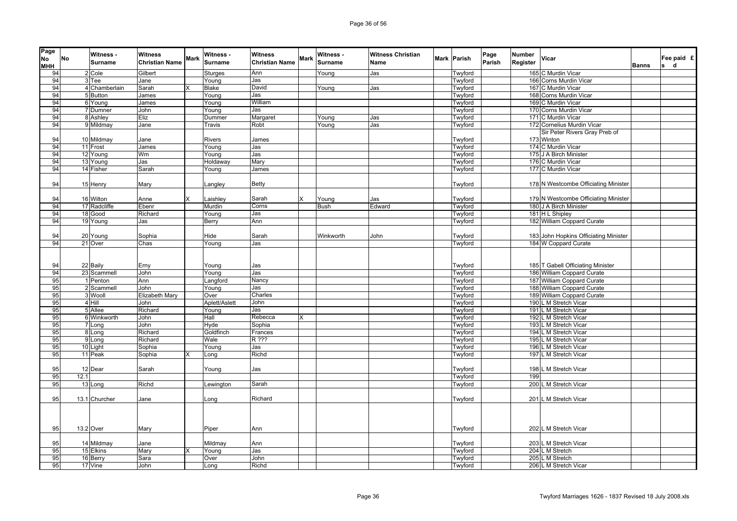| Page<br>No<br><b>MHH</b> | Witness -<br>No<br><b>Surname</b> | <b>Witness</b><br><b>Christian Name</b> | <b>Mark</b> | <b>Witness -</b><br><b>Surname</b> | <b>Witness</b><br><b>Christian Name</b> | Mark | Witness -<br><b>Surname</b> | <b>Witness Christian</b><br>Name | <b>Mark Parish</b> | Page<br>Parish | <b>Number</b><br><b>Register</b> | Vicar                                 | <b>Banns</b> | Fee paid £<br>d<br>s. |
|--------------------------|-----------------------------------|-----------------------------------------|-------------|------------------------------------|-----------------------------------------|------|-----------------------------|----------------------------------|--------------------|----------------|----------------------------------|---------------------------------------|--------------|-----------------------|
| 94                       | 2 Cole                            | Gilbert                                 |             | <b>Sturges</b>                     | Ann                                     |      | Young                       | Jas                              | Twyford            |                |                                  | 165 C Murdin Vicar                    |              |                       |
| 94                       | 3 Tee                             | Jane                                    |             | Young                              | Jas                                     |      |                             |                                  | Twyford            |                |                                  | 166 Corns Murdin Vicar                |              |                       |
| 94                       | 4 Chamberlain                     | Sarah                                   | X           | Blake                              | David                                   |      | Young                       | Jas                              | Twyford            |                |                                  | 167 C Murdin Vicar                    |              |                       |
| 94                       | 5 Button                          | James                                   |             | Young                              | Jas                                     |      |                             |                                  | Twyford            |                |                                  | 168 Corns Murdin Vicar                |              |                       |
| 94                       | 6 Young                           | James                                   |             | Young                              | William                                 |      |                             |                                  | Twyford            |                |                                  | 169 C Murdin Vicar                    |              |                       |
| 94                       | 7 Dumner                          | John                                    |             | Young                              | Jas                                     |      |                             |                                  | Twyford            |                |                                  | 170 Corns Murdin Vicar                |              |                       |
| 94                       | 8 Ashley                          | Eliz                                    |             | Dummer                             | Margaret                                |      | Young                       | Jas                              | Twyford            |                |                                  | 171 C Murdin Vicar                    |              |                       |
| 94                       | 9 Mildmay                         | Jane                                    |             | Travis                             | Robt                                    |      | Young                       | Jas                              | Twyford            |                |                                  | 172 Cornelius Murdin Vicar            |              |                       |
|                          |                                   |                                         |             |                                    |                                         |      |                             |                                  |                    |                |                                  | Sir Peter Rivers Gray Preb of         |              |                       |
| 94                       | 10 Mildmay                        | Jane                                    |             | Rivers                             | James                                   |      |                             |                                  | Twyford            |                |                                  | 173 Winton                            |              |                       |
| 94                       | 11 Frost                          | James                                   |             | Young                              | Jas                                     |      |                             |                                  | Twyford            |                |                                  | 174 C Murdin Vicar                    |              |                       |
| 94                       | 12 Young                          | Wm                                      |             | Young                              | Jas                                     |      |                             |                                  | Twyford            |                |                                  | 175 J A Birch Minister                |              |                       |
| 94                       | 13 Young                          | Jas                                     |             | Holdaway                           | Mary                                    |      |                             |                                  | Twyford            |                |                                  | 176 C Murdin Vicar                    |              |                       |
| 94                       | 14 Fisher                         | Sarah                                   |             | Young                              | James                                   |      |                             |                                  | Twyford            |                |                                  | 177 C Murdin Vicar                    |              |                       |
| 94                       | 15 Henry                          | Mary                                    |             | _angley                            | <b>Betty</b>                            |      |                             |                                  | Twyford            |                |                                  | 178 N Westcombe Officiating Minister  |              |                       |
|                          | 16 Wilton                         |                                         | X           | Laishley                           | Sarah                                   |      |                             |                                  |                    |                |                                  | 179 N Westcombe Officiating Minister  |              |                       |
| 94<br>94                 | 17 Radcliffe                      | Anne<br>Ebenr                           |             | Murdin                             | Corns                                   |      | Young<br><b>Bush</b>        | Jas<br>Edward                    | Twyford<br>Twyford |                |                                  | 180 J A Birch Minister                |              |                       |
| 94                       | 18 Good                           | Richard                                 |             | Young                              | Jas                                     |      |                             |                                  | Twyford            |                |                                  | 181 H L Shipley                       |              |                       |
| 94                       | 19 Young                          | Jas                                     |             | Berry                              | Ann                                     |      |                             |                                  | Twyford            |                |                                  | 182 William Coppard Curate            |              |                       |
|                          |                                   |                                         |             |                                    |                                         |      |                             |                                  |                    |                |                                  |                                       |              |                       |
| 94                       | 20 Young                          | Sophia                                  |             | Hide                               | Sarah                                   |      | Winkworth                   | John                             | Twyford            |                |                                  | 183 John Hopkins Officiating Minister |              |                       |
| 94                       | 21 Over                           | Chas                                    |             | Young                              | Jas                                     |      |                             |                                  | Twyford            |                |                                  | 184 W Coppard Curate                  |              |                       |
|                          |                                   |                                         |             |                                    |                                         |      |                             |                                  |                    |                |                                  |                                       |              |                       |
|                          |                                   |                                         |             |                                    |                                         |      |                             |                                  |                    |                |                                  |                                       |              |                       |
| 94                       | 22 Baily                          | Erny                                    |             | Young                              | Jas                                     |      |                             |                                  | Twyford            |                |                                  | 185 T Gabell Officiating Minister     |              |                       |
| 94                       | 23 Scammell                       | John                                    |             | Young                              | Jas                                     |      |                             |                                  | Twyford            |                |                                  | 186 William Coppard Curate            |              |                       |
| 95                       | 1 Penton                          | Ann                                     |             | Langford                           | Nancy                                   |      |                             |                                  | Twyford            |                |                                  | 187 William Coppard Curate            |              |                       |
| 95                       | 2 Scammell                        | John                                    |             | Young                              | Jas                                     |      |                             |                                  | Twyford            |                |                                  | 188 William Coppard Curate            |              |                       |
| 95                       | 3 Wooll                           | Elizabeth Mary                          |             | Over                               | Charles                                 |      |                             |                                  | Twyford            |                |                                  | 189 William Coppard Curate            |              |                       |
| 95                       | 4 Hill                            | John                                    |             | Aplett/Aslett                      | John                                    |      |                             |                                  | Twyford            |                |                                  | 190 L M Stretch Vicar                 |              |                       |
| 95                       | 5 Allee                           | Richard                                 |             | Young                              | Jas                                     |      |                             |                                  | Twyford            |                |                                  | 191 L M Stretch Vicar                 |              |                       |
| 95                       | 6 Winkworth                       | John                                    |             | Hall                               | Rebecca                                 |      |                             |                                  | Twyford            |                |                                  | 192 L M Stretch Vicar                 |              |                       |
| 95                       | 7 Long                            | John                                    |             | Hyde                               | Sophia                                  |      |                             |                                  | Twyford            |                |                                  | 193 L M Stretch Vicar                 |              |                       |
| 95                       | 8 Long                            | Richard                                 |             | Goldfinch                          | Frances                                 |      |                             |                                  | Twyford            |                |                                  | 194 L M Stretch Vicar                 |              |                       |
| 95                       | 9 Long                            | Richard                                 |             | Wale                               | R ???                                   |      |                             |                                  | Twyford            |                |                                  | 195 L M Stretch Vicar                 |              |                       |
| 95                       | 10 Light                          | Sophia                                  |             | Young                              | Jas                                     |      |                             |                                  | Twyford            |                |                                  | 196 L M Stretch Vicar                 |              |                       |
| 95                       | 11 Peak                           | Sophia                                  | X           | _ong                               | Richd                                   |      |                             |                                  | Twyford            |                |                                  | 197 L M Stretch Vicar                 |              |                       |
|                          |                                   |                                         |             |                                    |                                         |      |                             |                                  |                    |                |                                  |                                       |              |                       |
| 95                       | 12 Dear                           | Sarah                                   |             | Young                              | Jas                                     |      |                             |                                  | Twyford            |                |                                  | 198 L M Stretch Vicar                 |              |                       |
| 95                       | 12.1                              |                                         |             |                                    |                                         |      |                             |                                  | Twyford            |                | 199                              |                                       |              |                       |
| 95                       | 13 Long                           | Richd                                   |             | ewington                           | Sarah                                   |      |                             |                                  | Twyford            |                | 200                              | M Stretch Vicar                       |              |                       |
| 95                       | 13.1 Churcher                     | Jane                                    |             | Long                               | Richard                                 |      |                             |                                  | Twyford            |                |                                  | 201 L M Stretch Vicar                 |              |                       |
|                          |                                   |                                         |             |                                    |                                         |      |                             |                                  |                    |                |                                  |                                       |              |                       |
| 95                       | 13.2 Over                         | Mary                                    |             | Piper                              | Ann                                     |      |                             |                                  | Twyford            |                |                                  | 202 L M Stretch Vicar                 |              |                       |
| 95                       | 14 Mildmay                        | Jane                                    |             | Mildmay                            | Ann                                     |      |                             |                                  | Twyford            |                |                                  | 203 L M Stretch Vicar                 |              |                       |
| 95                       | 15 Elkins                         | Mary                                    | X           | Young                              | Jas                                     |      |                             |                                  | Twyford            |                |                                  | 204 L M Stretch                       |              |                       |
| 95                       | 16 Berry                          | Sara                                    |             | Over                               | John                                    |      |                             |                                  | Twyford            |                |                                  | 205 L M Stretch                       |              |                       |
| 95                       | 17 Vine                           | John                                    |             | Long                               | Richd                                   |      |                             |                                  | Twyford            |                |                                  | 206 L M Stretch Vicar                 |              |                       |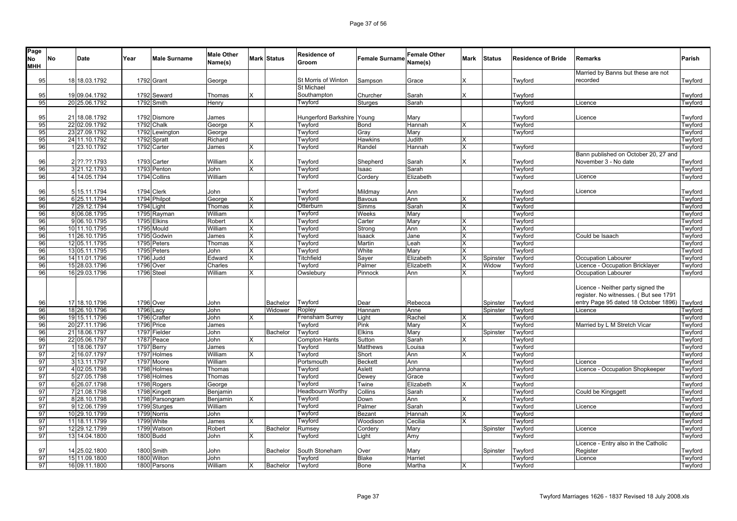| Page<br><b>No</b><br><b>MHH</b> | No | Date                           | Year | <b>Male Surname</b>         | <b>Male Other</b><br>Name(s) |          | <b>Mark Status</b> | <b>Residence of</b><br>Groom | <b>Female Surname</b> | <b>Female Other</b><br>Name(s) | Mark | <b>Status</b> | <b>Residence of Bride</b> | Remarks                                                                                                             | Parish             |
|---------------------------------|----|--------------------------------|------|-----------------------------|------------------------------|----------|--------------------|------------------------------|-----------------------|--------------------------------|------|---------------|---------------------------|---------------------------------------------------------------------------------------------------------------------|--------------------|
|                                 |    |                                |      |                             |                              |          |                    |                              |                       |                                |      |               |                           | Married by Banns but these are not                                                                                  |                    |
| 95                              |    | 18 18 03 1792                  |      | 1792 Grant                  | George                       |          |                    | St Morris of Winton          | Sampson               | Grace                          |      |               | Twyford                   | recorded                                                                                                            | Twyford            |
|                                 |    |                                |      |                             |                              |          |                    | <b>St Michael</b>            |                       |                                |      |               |                           |                                                                                                                     |                    |
| 95<br>95                        |    | 19 09 04 1792<br>20 25.06.1792 |      | 1792 Seward<br>1792 Smith   | Thomas                       | X        |                    | Southampton                  | Churcher              | Sarah                          |      |               | Twyford                   |                                                                                                                     | Twyford            |
|                                 |    |                                |      |                             | Henry                        |          |                    | Twyford                      | Sturges               | Sarah                          |      |               | Twyford                   | Licence                                                                                                             | Twyford            |
| 95                              |    | 21 18.08.1792                  |      | 1792 Dismore                | James                        |          |                    | Hungerford Barkshire Young   |                       | Mary                           |      |               | Twyford                   | Licence                                                                                                             | Twyford            |
| 95                              |    | 22 02.09.1792                  |      | 1792 Chalk                  | George                       | <b>X</b> |                    | Twyford                      | <b>Bond</b>           | Hannah                         | x    |               | Twyford                   |                                                                                                                     | Twyford            |
| 95                              |    | 23 27.09.1792                  |      | 1792 Lewington              | George                       |          |                    | Twyford                      | Gray                  | Mary                           |      |               | Twyford                   |                                                                                                                     | Twyford            |
| 95                              |    | 24 11.10.1792                  |      | 1792 Spratt                 | Richard                      |          |                    | Twyford                      | Hawkins               | Judith                         | X    |               |                           |                                                                                                                     | Twyford            |
| 96                              |    | 123.10.1792                    |      | 1792 Carter                 | James                        | X        |                    | Twyford                      | Randel                | Hannah                         | X    |               | Twyford                   |                                                                                                                     | Twyford            |
|                                 |    |                                |      |                             |                              |          |                    |                              |                       |                                |      |               |                           | Bann published on October 20, 27 and                                                                                |                    |
| 96                              |    | 2 ??.??.1793                   |      | 1793 Carter                 | William                      | X        |                    | Twyford                      | Shepherd              | Sarah                          |      |               | Twyford                   | November 3 - No date                                                                                                | Twyford            |
| 96                              |    | 3 21.12.1793                   |      | 1793 Penton                 | <b>John</b>                  | lχ       |                    | Twyford                      | Isaac                 | Sarah                          |      |               | Twyford                   |                                                                                                                     | Twyford            |
| 96                              |    | 4 14.05.1794                   |      | 1794 Collins                | William                      |          |                    | Twyford                      | Cordery               | Elizabeth                      |      |               | Twyford                   | Licence                                                                                                             | Twyford            |
|                                 |    |                                |      |                             |                              |          |                    |                              |                       |                                |      |               |                           |                                                                                                                     |                    |
| 96                              |    | 5 15.11.1794                   |      | 1794 Clerk                  | John                         |          |                    | Twyford                      | Mildmay               | Ann                            |      |               | Twyford                   | Licence                                                                                                             | Twyford            |
| 96                              |    | 6 25.11.1794                   |      | 1794 Philpot                | George                       | ΙX       |                    | Twyford                      | Bavous                | Ann                            | X    |               | Twyford                   |                                                                                                                     | Twyford            |
| 96                              |    | 7 29.12.1794                   |      | $1794$ Light                | Thomas                       | X        |                    | Otterburn                    | Simms                 | Sarah                          |      |               | Twyford                   |                                                                                                                     | Twyford            |
| 96<br>96                        |    | 8 06.08.1795<br>9 06.10.1795   |      | 1795 Rayman<br>1795 Elkins  | William<br>Robert            | X        |                    | Twyford<br>Twyford           | Weeks<br>Carter       | Mary<br>Mary                   | х    |               | Twyford<br>Twyford        |                                                                                                                     | Twyford<br>Twyford |
| 96                              |    | 10 11.10.1795                  |      | 1795 Mould                  | William                      | ΙX       |                    | Twyford                      | Strong                | Ann                            |      |               | Twyford                   |                                                                                                                     | Twyford            |
| 96                              |    | 11 26.10.1795                  |      | 1795 Godwin                 | James                        | ΙX       |                    | Twyford                      | Isaack                | Jane                           | X    |               | Twyford                   | Could be Isaach                                                                                                     | Twyford            |
| 96                              |    | 12 05.11.1795                  |      | 1795 Peters                 | Thomas                       | X        |                    | Twyford                      | Martin                | Leah                           | ΙX   |               | Twyford                   |                                                                                                                     | Twyford            |
| 96                              |    | 13 05.11.1795                  |      | 1795 Peters                 | John                         | Ιx       |                    | Twyford                      | White                 | Mary                           |      |               | Twyford                   |                                                                                                                     | Twyford            |
| 96                              |    | 14 11.01.1796                  |      | 1796 Judd                   | Edward                       | X        |                    | Titchfield                   | Sayer                 | Elizabeth                      | х    | Spinster      | Twyford                   | Occupation Labourer                                                                                                 | Twyford            |
| 96                              |    | 15 28.03.1796                  |      | 1796 Over                   | Charles                      |          |                    | Twyford                      | Palmer                | Elizabeth                      | X    | Widow         | Twyford                   | Licence - Occupation Bricklayer                                                                                     | Twyford            |
| 96                              |    | 16 29.03.1796                  |      | 1796 Steel                  | William                      | X        |                    | Owslebury                    | Pinnock               | Ann                            | X    |               | Twyford                   | Occupation Labourer                                                                                                 | Twyford            |
| 96                              |    | 17 18.10.1796                  |      | 1796 Over                   | John                         |          | Bachelor           | Twyford                      | Dear                  | Rebecca                        |      | Spinster      | Twyford                   | Licence - Neither party signed the<br>register. No witnesses. (But see 1791<br>entry Page 95 dated 18 October 1896) | Twyford            |
| 96                              |    | 18 26.10.1796                  |      | $1796$ Lacy                 | John                         |          | Widower            | Ropley                       | Hannam                | Anne                           |      | Spinster      | Twyford                   | Licence                                                                                                             | Twyford            |
| 96                              |    | 19 15.11.1796                  |      | 1796 Crafter                | <b>John</b>                  | X        |                    | Frensham Surrey              | Light                 | Rachel                         | X    |               | Twyford                   |                                                                                                                     | Twyford            |
| 96                              |    | 20 27.11.1796                  |      | 1796 Price                  | James                        |          |                    | Twyford                      | Pink                  | Mary                           |      |               | Twyford                   | Married by L M Stretch Vicar                                                                                        | Twyford            |
| 96                              |    | 21 18.06.1797                  |      | 1797 Fielder                | John                         |          | Bachelor           | Twyford                      | Elkins                | Mary                           |      | Spinster      | Twyford                   |                                                                                                                     | Twyford            |
| 96                              |    | 22 05.06.1797                  |      | 1787 Peace                  | John                         | X        |                    | Compton Hants                | Sutton                | Sarah                          |      |               | Twyford                   |                                                                                                                     | Twyford            |
| 97                              |    | 1 18.06.1797                   |      | 1797 Berry                  | James                        |          |                    | Twyford                      | <b>Matthews</b>       | Louisa                         |      |               | Twyford                   |                                                                                                                     | Twyford            |
| 97                              |    | 2 16.07.1797                   |      | 1797 Holmes                 | William                      | X        |                    | Twyford                      | Short                 | Ann                            |      |               | Twyford                   |                                                                                                                     | Twyford            |
| 97                              |    | 3 13.11.1797                   |      | 1797 Moore                  | William                      |          |                    | Portsmouth                   | <b>Beckett</b>        | Ann                            |      |               | Twyford                   | Licence                                                                                                             | Twyford            |
| 97                              |    | 4 02.05.1798                   |      | 1798 Holmes                 | Thomas                       |          |                    | Twyford                      | Aslett                | Johanna                        |      |               | Twyford                   | Licence - Occupation Shopkeeper                                                                                     | Twyford            |
| 97                              |    | 5 27.05.1798                   |      | 1798 Holmes                 | Thomas                       |          |                    | Twyford                      | Dewey                 | Grace                          |      |               | Twyford                   |                                                                                                                     | Twyford            |
| 97<br>97                        |    | 6 26.07.1798<br>721.08.1798    |      | 1798 Rogers<br>1798 Kingett | George                       |          |                    | Twyford<br>Headbourn Worthy  | Twine<br>Collins      | Elizabeth<br>Sarah             | X    |               | Twyford<br>Twyford        |                                                                                                                     | Twyford<br>Twyford |
| 97                              |    | 8 28.10.1798                   |      | 1798 Parsongram             | Benjamin<br>Benjamin         | ΙX       |                    | Twyford                      | Down                  | Ann                            |      |               | Twyford                   | Could be Kingsgett                                                                                                  | Twyford            |
| 97                              |    | 9 12.06.1799                   |      | 1799 Sturges                | William                      |          |                    | Twyford                      | Palmer                | Sarah                          |      |               | Twyford                   | Licence                                                                                                             | Twyford            |
| 97                              |    | 10 29.10.1799                  |      | 1799 Norris                 | John                         |          |                    | Twyford                      | Bezant                | Hannah                         |      |               | Twyford                   |                                                                                                                     | Twyford            |
| 97                              |    | 11 18.11.1799                  |      | 1799 White                  | James                        |          |                    | Twyford                      | Woodison              | Cecilia                        |      |               | Twyford                   |                                                                                                                     | Twyford            |
| 97                              |    | 12 29.12.1799                  |      | 1799 Watson                 | Robert                       |          | Bachelor           | Rumsey                       | Cordery               | Mary                           |      | Spinster      | Twyford                   | Licence                                                                                                             | Twyford            |
| 97                              |    | 13 14.04.1800                  |      | 1800 Budd                   | John                         | X        |                    | Twyford                      | Light                 | Amy                            |      |               | Twyford                   |                                                                                                                     | Twyford            |
|                                 |    |                                |      |                             |                              |          |                    |                              |                       |                                |      |               |                           | Licence - Entry also in the Catholic                                                                                |                    |
| 97                              |    | 14 25.02.1800                  |      | 1800 Smith                  | John                         |          | Bachelor           | South Stoneham               | Over                  | Mary                           |      | Spinster      | Twyford                   | Register                                                                                                            | Twyford            |
| 97                              |    | 15 11.09.1800                  |      | 1800 Wilton                 | John                         |          |                    | Twyford                      | <b>Blake</b>          | Harriet                        |      |               | Twyford                   | Licence                                                                                                             | Twyford            |
| 97                              |    | 16 09.11.1800                  |      | 1800 Parsons                | William                      | ΙX       | Bachelor           | Twyford                      | <b>Bone</b>           | Martha                         | ΙX   |               | Twyford                   |                                                                                                                     | Twyford            |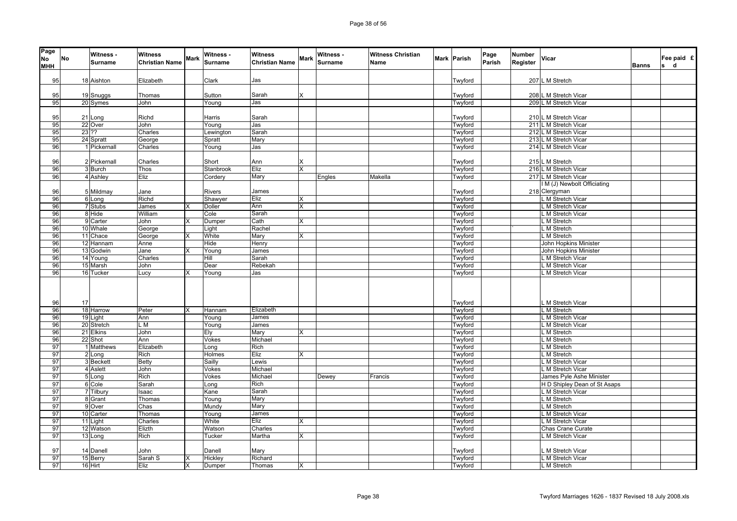| Page<br>No<br><b>MHH</b> | Witness -<br>No<br><b>Surname</b> | <b>Witness</b><br><b>Christian Name</b> | Mark | Witness -<br><b>Surname</b> | Witness<br><b>Christian Name</b> | Mark | <b>Witness -</b><br><b>Surname</b> | <b>Witness Christian</b><br><b>Name</b> | <b>Mark Parish</b> | Page<br>Parish | <b>Number</b><br>Register | Vicar                                          | <b>Banns</b> | Fee paid £<br>s.<br>d |
|--------------------------|-----------------------------------|-----------------------------------------|------|-----------------------------|----------------------------------|------|------------------------------------|-----------------------------------------|--------------------|----------------|---------------------------|------------------------------------------------|--------------|-----------------------|
| 95                       | 18 Aishton                        | Elizabeth                               |      | Clark                       | Jas                              |      |                                    |                                         | Twyford            |                |                           | 207 L M Stretch                                |              |                       |
| 95                       | 19 Snuggs                         | Thomas                                  |      | Sutton                      | Sarah                            | x    |                                    |                                         | Twyford            |                |                           | 208 L M Stretch Vicar                          |              |                       |
| 95                       | 20 Symes                          | John                                    |      | Young                       | Jas                              |      |                                    |                                         | Twyford            |                |                           | 209 L M Stretch Vicar                          |              |                       |
|                          |                                   |                                         |      |                             |                                  |      |                                    |                                         |                    |                |                           |                                                |              |                       |
| 95                       | 21 Long                           | Richd                                   |      | Harris                      | Sarah<br>Jas                     |      |                                    |                                         | Twyford            |                |                           | 210 L M Stretch Vicar                          |              |                       |
| 95                       | 22 Over                           | John                                    |      | Young                       |                                  |      |                                    |                                         | Twyford            |                |                           | 211 L M Stretch Vicar                          |              |                       |
| 95<br>95                 | 23 ??<br>24 Spratt                | Charles                                 |      | Lewington<br>Spratt         | Sarah<br>Mary                    |      |                                    |                                         | Twyford<br>Twyford |                |                           | 212 L M Stretch Vicar<br>213 L M Stretch Vicar |              |                       |
| 96                       | Pickernall                        | George<br>Charles                       |      | Young                       | Jas                              |      |                                    |                                         | Twyford            |                |                           | 214 L M Stretch Vicar                          |              |                       |
|                          |                                   |                                         |      |                             |                                  |      |                                    |                                         |                    |                |                           |                                                |              |                       |
| 96                       | 2 Pickernall                      | Charles                                 |      | Short                       | Ann                              |      |                                    |                                         | Twyford            |                |                           | 215 L M Stretch                                |              |                       |
| 96                       | 3 Burch                           | Thos                                    |      | Stanbrook                   | Eliz                             | X    |                                    |                                         | Twyford            |                |                           | 216 L M Stretch Vicar                          |              |                       |
| 96                       | 4 Ashley                          | Eliz                                    |      | Cordery                     | Mary                             |      | Engles                             | Makella                                 | Twyford            |                |                           | 217 L M Stretch Vicar                          |              |                       |
|                          |                                   |                                         |      |                             |                                  |      |                                    |                                         |                    |                |                           | I M (J) Newbolt Officiating                    |              |                       |
| 96                       | 5 Mildmay                         | Jane                                    |      | <b>Rivers</b>               | James                            |      |                                    |                                         | Twyford            |                |                           | 218 Clergyman                                  |              |                       |
| 96                       | 6 Long                            | Richd                                   |      | Shawyer                     | Eliz                             | x    |                                    |                                         | Twyford            |                |                           | L M Stretch Vicar                              |              |                       |
| 96                       | 7 Stubs                           | James                                   | X    | Doller                      | Ann                              | X    |                                    |                                         | Twyford            |                |                           | L M Stretch Vicar                              |              |                       |
| 96                       | 8 Hide                            | William                                 |      | Cole                        | Sarah                            |      |                                    |                                         | Twyford            |                |                           | L M Stretch Vicar                              |              |                       |
| 96                       | 9 Carter                          | John                                    | x    | Dumper                      | Cath                             | X    |                                    |                                         | Twyford            |                |                           | L M Stretch                                    |              |                       |
| 96                       | 10 Whale                          | George                                  |      | Light                       | Rache                            |      |                                    |                                         | Twyford            |                |                           | L M Stretch                                    |              |                       |
| 96                       | 11 Chace                          | George                                  | X    | White                       | Mary                             | x    |                                    |                                         | Twyford            |                |                           | L M Stretch                                    |              |                       |
| 96                       | 12 Hannam                         | Anne                                    |      | Hide                        | Henry                            |      |                                    |                                         | Twyford            |                |                           | John Hopkins Minister                          |              |                       |
| 96                       | 13 Godwin                         | Jane                                    | x    | Young                       | James                            |      |                                    |                                         | Twyford            |                |                           | John Hopkins Minister                          |              |                       |
| 96                       | 14 Young                          | Charles                                 |      | Hill                        | Sarah                            |      |                                    |                                         | Twyford            |                |                           | L M Stretch Vicar                              |              |                       |
| 96                       | 15 Marsh                          | John                                    |      | Dear                        | Rebekah                          |      |                                    |                                         | Twyford            |                |                           | L M Stretch Vicar                              |              |                       |
| 96                       | 16 Tucker                         | Lucy                                    | X    | Young                       | Jas                              |      |                                    |                                         | Twyford            |                |                           | L M Stretch Vicar                              |              |                       |
|                          |                                   |                                         |      |                             |                                  |      |                                    |                                         |                    |                |                           |                                                |              |                       |
| 96<br>96                 | 17<br>18 Harrow                   | Peter                                   | X    | Hannam                      | Elizabeth                        |      |                                    |                                         | Twyford<br>Twyford |                |                           | . M Stretch Vicar<br>L M Stretch               |              |                       |
| 96                       | 19 Light                          | Ann                                     |      | Young                       | James                            |      |                                    |                                         | Twyford            |                |                           | L M Stretch Vicar                              |              |                       |
| 96                       | 20 Stretch                        | L M                                     |      | Young                       | James                            |      |                                    |                                         | Twyford            |                |                           | L M Stretch Vicar                              |              |                       |
| 96                       | 21 Elkins                         | John                                    |      | Ely                         | Mary                             |      |                                    |                                         | Twyford            |                |                           | L M Stretch                                    |              |                       |
| 96                       | 22 Shot                           | Ann                                     |      | Vokes                       | Michael                          |      |                                    |                                         | Twyford            |                |                           | L M Stretch                                    |              |                       |
| 97                       | 1 Matthews                        | Elizabeth                               |      | Long                        | Rich                             |      |                                    |                                         | Twyford            |                |                           | M Stretch                                      |              |                       |
| 97                       | 2 Long                            | <b>Rich</b>                             |      | Holmes                      | Eliz                             | X    |                                    |                                         | Twyford            |                |                           | L M Stretch                                    |              |                       |
| 97                       | 3 Beckett                         | <b>Betty</b>                            |      | Sailly                      | Lewis                            |      |                                    |                                         | Twyford            |                |                           | L M Stretch Vicar                              |              |                       |
| 97                       | 4 Aslett                          | John                                    |      | Vokes                       | Michael                          |      |                                    |                                         | Twyford            |                |                           | L M Stretch Vicar                              |              |                       |
| 97                       | 5 Long                            | Rich                                    |      | Vokes                       | Michael                          |      | Dewey                              | Francis                                 | Twyford            |                |                           | James Pyle Ashe Minister                       |              |                       |
| 97                       | 6 Cole                            | Sarah                                   |      | Long                        | Rich                             |      |                                    |                                         | Twyford            |                |                           | H D Shipley Dean of St Asaps                   |              |                       |
| 97                       | 7 Tilbury                         | Isaac                                   |      | Kane                        | Sarah                            |      |                                    |                                         | Twyford            |                |                           | L M Stretch Vicar                              |              |                       |
| 97                       | 8 Grant                           | Thomas                                  |      | Young                       | Mary                             |      |                                    |                                         | Twyford            |                |                           | L M Stretch                                    |              |                       |
| 97                       | 9 Over                            | Chas                                    |      | Mundy                       | Mary                             |      |                                    |                                         | Twyford            |                |                           | L M Stretch                                    |              |                       |
| 97                       | 10 Carter                         | Thomas                                  |      | Young                       | James                            |      |                                    |                                         | Twyford            |                |                           | L M Stretch Vicar                              |              |                       |
| 97                       | 11 Light                          | Charles                                 |      | White                       | Eliz                             |      |                                    |                                         | Twyford            |                |                           | L M Stretch Vicar                              |              |                       |
| 97                       | 12 Watson                         | Elizth                                  |      | Watson                      | Charles                          |      |                                    |                                         | Twyford            |                |                           | Chas Crane Curate                              |              |                       |
| 97                       | 13 Long                           | Rich                                    |      | Tucker                      | Martha                           | x    |                                    |                                         | Twyford            |                |                           | L M Stretch Vicar                              |              |                       |
| 97                       | 14 Danell                         | John                                    |      | Danell                      | Mary                             |      |                                    |                                         | Twyford            |                |                           | M Stretch Vicar                                |              |                       |
| 97                       | 15 Berry                          | Sarah S                                 | X    | Hickley                     | Richard                          |      |                                    |                                         | Twyford            |                |                           | M Stretch Vicar                                |              |                       |
| 97                       | 16 Hirt                           | Eliz                                    | X    | Dumper                      | Thomas                           | х    |                                    |                                         | Twyford            |                |                           | L M Stretch                                    |              |                       |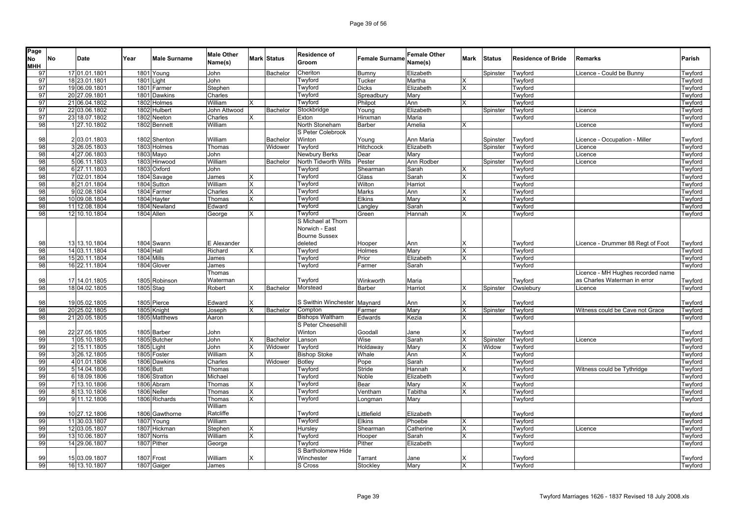| Page<br>No<br><b>MHH</b> | No | <b>Date</b>   | Year             | <b>Male Surname</b> | <b>Male Other</b><br>Name(s) |    | <b>Mark Status</b> | <b>Residence of</b><br>Groom                      | lFemale Surname  | <b>Female Other</b><br>Name(s) | Mark | <b>Status</b> | <b>Residence of Bride</b> | Remarks                                                           | Parish  |
|--------------------------|----|---------------|------------------|---------------------|------------------------------|----|--------------------|---------------------------------------------------|------------------|--------------------------------|------|---------------|---------------------------|-------------------------------------------------------------------|---------|
| 97                       |    | 17 01.01.1801 |                  | 1801 Young          | John                         |    | Bachelor           | Cheriton                                          | Bumny            | Elizabeth                      |      | Spinster      | Twyford                   | Licence - Could be Bunny                                          | Twyford |
| 97                       |    | 18 23.01.1801 |                  | 1801 Light          | John                         |    |                    | Twyford                                           | Tucker           | Martha                         |      |               | Twyford                   |                                                                   | Twyford |
| 97                       |    | 19 06.09.1801 |                  | 1801 Farmer         | Stephen                      |    |                    | Twyford                                           | <b>Dicks</b>     | Elizabeth                      | X    |               | Twyford                   |                                                                   | Twyford |
| 97                       |    | 20 27.09.1801 |                  | 1801 Dawkins        | Charles                      |    |                    | Twyford                                           | Spreadbury       | Mary                           |      |               | Twyford                   |                                                                   | Twyford |
| 97                       |    | 21 06:04.1802 |                  | 1802 Holmes         | William                      |    |                    | Twyford                                           | Philpot          | Ann                            |      |               | Twyford                   |                                                                   | Twyford |
| 97                       |    | 22 03.06.1802 |                  | 1802 Hulbert        | John Attwood                 |    | Bachelor           | Stockbridge                                       | Young            | Elizabeth                      |      | Spinster      | Twyford                   | Licence                                                           | Twyford |
| 97                       |    | 23 18.07.1802 |                  | 1802 Neeton         | Charles                      | х  |                    | Exton                                             | Hinxman          | Maria                          |      |               | Twyford                   |                                                                   | Twyford |
| 98                       |    | 127.10.1802   |                  | 1802 Bennett        | William                      |    |                    | North Stoneham                                    | Barber           | Amelia                         |      |               |                           | Licence                                                           | Twyford |
|                          |    |               |                  |                     |                              |    |                    | S Peter Colebrook                                 |                  |                                |      |               |                           |                                                                   |         |
| 98                       |    | 2 03.01.1803  |                  | 1802 Shenton        | William                      |    | Bachelor           | Winton                                            | Young            | Ann Maria                      |      | Spinster      | Twyford                   | Licence - Occupation - Miller                                     | Twyford |
| 98                       |    | 3 26.05.1803  |                  | 1803 Holmes         | Thomas                       |    | Widower            | Twyford                                           | <b>Hitchcock</b> | Elizabeth                      |      | Spinster      | Twyford                   | Licence                                                           | Twyford |
| 98                       |    | 4 27.06.1803  |                  | 1803 Mayo           | John                         |    |                    | Newbury Berks                                     | Dear             | Mary                           |      |               | Twyford                   | Licence                                                           | Twyford |
| 98                       |    | 5 06.11.1803  |                  | 1803 Hinwood        | William                      |    | Bachelor           | North Tidworth Wilts                              | Pester           | Ann Rodber                     |      | Spinster      | Twyford                   | Licence                                                           | Twyford |
| 98                       |    | 6 27.11.1803  |                  | 1803 Oxford         | <b>John</b>                  |    |                    | Twyford                                           | Shearman         | Sarah                          | X    |               | Twyford                   |                                                                   | Twyford |
| 98                       |    | 7 02.01.1804  |                  | 1804 Savage         | James                        | ΙX |                    | Twyford                                           | Glass            | Sarah                          |      |               | Twyford                   |                                                                   | Twyford |
| 98                       |    | 8 21.01.1804  |                  | 1804 Sutton         | William                      | X  |                    | Twyford                                           | Wilton           | Harriot                        |      |               | Twyford                   |                                                                   | Twyford |
| 98                       |    | 9 02.08.1804  |                  | 1804 Farmer         | Charles                      | ΙX |                    | Twyford                                           | Marks            | Ann                            |      |               | Twyford                   |                                                                   | Twyford |
| 98                       |    | 10 09:08.1804 | 1804             | Hayter              | Thomas                       | X  |                    | Twyford                                           | Elkins           | Mary                           | X    |               | Twyford                   |                                                                   | Twyford |
| 98                       |    | 11 12.08.1804 |                  | 1804 Newland        | Edward                       |    |                    | Twyford                                           | _angley          | Sarah                          |      |               | Twyford                   |                                                                   | Twyford |
| 98                       |    | 12 10.10.1804 |                  | 1804 Allen          | George                       | X  |                    | Twyford<br>S Michael at Thorn                     | Green            | Hannah                         | X    |               | Twyford                   |                                                                   | Twyford |
| 98                       |    | 13 13.10.1804 |                  | 1804 Swann          | E Alexander                  |    |                    | Norwich - East<br><b>Bourne Sussex</b><br>deleted | Hooper           | Ann                            | х    |               | Twyford                   | Licence - Drummer 88 Regt of Foot                                 | Twyford |
| 98                       |    | 14 03.11.1804 | <b>1804 Hall</b> |                     | Richard                      | ΙX |                    | Twyford                                           | Holmes           | Mary                           | X    |               | Twyford                   |                                                                   | Twyford |
| 98                       |    | 15 20.11.1804 |                  | 1804 Mills          | James                        |    |                    | Twyford                                           | Prior            | Elizabeth                      | X    |               | Twyford                   |                                                                   | Twyford |
| 98                       |    | 16 22.11.1804 |                  | 1804 Glover         | James                        |    |                    | Twyford                                           | Farmer           | Sarah                          |      |               | Twyford                   |                                                                   | Twyford |
| 98                       |    | 17 14.01.1805 |                  | 1805 Robinson       | Thomas<br>Waterman           |    |                    | Twyford                                           | Winkworth        | Maria                          |      |               | Twyford                   | Licence - MH Hughes recorded name<br>as Charles Waterman in error | Twyford |
| 98                       |    | 18 04.02.1805 |                  | 1805 Stag           | Robert                       | ΙX | Bachelor           | Morstead                                          | <b>Barber</b>    | Harriot                        | x    | Spinster      | Owslebury                 | Licence                                                           | Twyford |
|                          |    |               |                  |                     |                              |    |                    |                                                   |                  |                                |      |               |                           |                                                                   |         |
| 98                       |    | 19 05.02.1805 |                  | 1805 Pierce         | Edward                       | ΙX |                    | S Swithin Winchester Maynard                      |                  | Ann                            |      |               | Twyford                   |                                                                   | Twyford |
| 98                       |    | 20 25.02.1805 |                  | 1805 Knight         | Joseph                       | lχ | Bachelor           | Compton                                           | Farmer           | Mary                           | X    | Spinster      | Twyford                   | Witness could be Cave not Grace                                   | Twyford |
| 98                       |    | 21 20.05.1805 |                  | 1805 Matthews       | Aaron                        |    |                    | <b>Bishops Waltham</b>                            | Edwards          | Kezia                          | X    |               | Twyford                   |                                                                   | Twyford |
| 98                       |    | 22 27.05.1805 |                  | 1805 Barber         | John                         |    |                    | S Peter Cheesehill<br>Winton                      | Goodall          | Jane                           |      |               | Twyford                   |                                                                   | Twyford |
| 99                       |    | 1 05.10.1805  |                  | 1805 Butcher        | John                         | ΙX | Bachelor           | Lanson                                            | Wise             | Sarah                          | ΙX   | Spinster      | Twyford                   | Licence                                                           | Twyford |
| 99                       |    | 2 15.11.1805  |                  | 1805 Light          | John                         |    | Widower            | Twyford                                           | Holdaway         | Mary                           |      | Widow         | Twyford                   |                                                                   | Twyford |
| 99                       |    | 3 26.12.1805  |                  | 1805 Foster         | William                      | Ιx |                    | <b>Bishop Stoke</b>                               | Whale            | Ann                            | x    |               | Twyford                   |                                                                   | Twyford |
| 99                       |    | 4 01.01.1806  |                  | 1806 Dawkins        | Charles                      |    | Widower            | <b>Botley</b>                                     | Pope             | Sarah                          |      |               | Twyford                   |                                                                   | Twyford |
| 99                       |    | 5 14.04.1806  | 1806             | <b>Butt</b>         | Thomas                       |    |                    | Twyford                                           | Stride           | Hannah                         |      |               | Twyford                   | Witness could be Tythridge                                        | Twyford |
| 99                       |    | 6 18.09.1806  |                  | 1806 Stratton       | Michael                      |    |                    | Twyford                                           | Noble            | Elizabeth                      |      |               | Twyford                   |                                                                   | Twyford |
| 99                       |    | 713.10.1806   |                  | 1806 Abram          | Thomas                       | X  |                    | Twyford                                           | Bear             | Mary                           | X    |               | Twyford                   |                                                                   | Twyford |
| 99                       |    | 8 13.10.1806  |                  | 1806 Neller         | Thomas                       | ΙX |                    | Twyford                                           | Ventham          | Tabitha                        | X    |               | Twyford                   |                                                                   | Twyford |
| 99                       |    | 9 11.12.1806  |                  | 1806 Richards       | Thomas                       | ΙX |                    | Twyford                                           | Longman          | Mary                           |      |               | Twyford                   |                                                                   | Twyford |
|                          |    |               |                  |                     | William                      |    |                    |                                                   |                  |                                |      |               |                           |                                                                   |         |
| 99                       |    | 10 27.12.1806 |                  | 1806 Gawthorne      | Ratcliffe                    |    |                    | Twyford                                           | Littlefield      | Elizabeth                      |      |               | Twyford                   |                                                                   | Twyford |
| 99                       |    | 11 30.03.1807 |                  | 1807 Young          | William                      |    |                    | Twyford                                           | Elkins           | Phoebe                         |      |               | Twyford                   |                                                                   | Twyford |
| 99                       |    | 12 03.05.1807 |                  | 1807 Hickman        | Stephen                      | X  |                    | Hursley                                           | Shearman         | Catherine                      | х    |               | Twyford                   | Licence                                                           | Twyford |
| 99                       |    | 13 10.06.1807 |                  | 1807 Norris         | William                      | X  |                    | Twyford                                           | Hooper           | Sarah                          | X    |               | Twyford                   |                                                                   | Twyford |
| 99                       |    | 14 29.06.1807 |                  | 1807 Pither         | George                       |    |                    | Twyford                                           | Pither           | Elizabeth                      |      |               | Twyford                   |                                                                   | Twyford |
|                          |    |               |                  |                     |                              |    |                    | S Bartholomew Hide                                |                  |                                |      |               |                           |                                                                   |         |
| 99                       |    | 15 03.09.1807 |                  | 1807 Frost          | William                      | ΙX |                    | Winchester                                        | Tarrant          | Jane                           |      |               | Twyford                   |                                                                   | Twyford |
| 99                       |    | 16 13.10.1807 |                  | 1807 Gaiger         | James                        |    |                    | S Cross                                           | Stockley         | Mary                           | X    |               | Twyford                   |                                                                   | Twyford |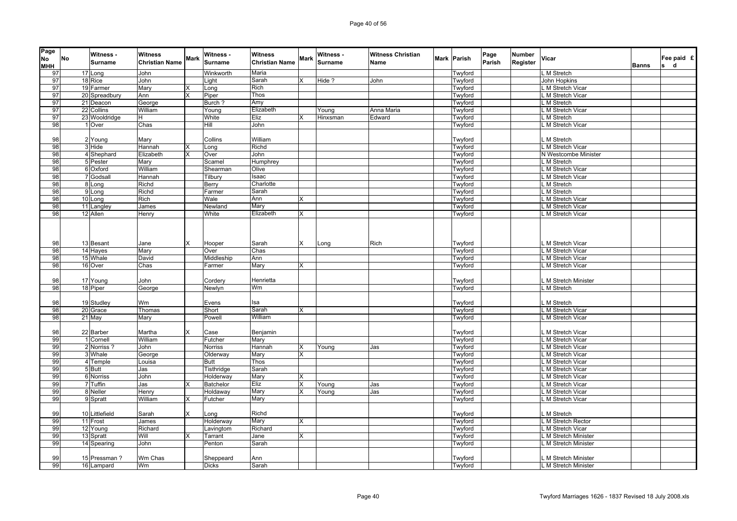| Page<br><b>No</b><br><b>MHH</b> | No | Witness -<br><b>Surname</b> | Witness<br>Christian Name | Mark | <b>Witness -</b><br><b>Surname</b> | <b>Witness</b><br><b>Christian Name</b> | Mark | Witness -<br><b>Surname</b> | <b>Witness Christian</b><br><b>Name</b> | Mark Parish        | Page<br>Parish | <b>Number</b><br><b>Register</b> | <b>Vicar</b>                           | Banns | Fee paid £<br>s d |
|---------------------------------|----|-----------------------------|---------------------------|------|------------------------------------|-----------------------------------------|------|-----------------------------|-----------------------------------------|--------------------|----------------|----------------------------------|----------------------------------------|-------|-------------------|
| 97                              |    | 17 Long                     | John                      |      | Winkworth                          | Maria                                   |      |                             |                                         | Twyford            |                |                                  | L M Stretch                            |       |                   |
| 97                              |    | 18 Rice                     | John                      |      | Light                              | Sarah                                   |      | Hide?                       | John                                    | Twyford            |                |                                  | John Hopkins                           |       |                   |
| 97                              |    | 19 Farmer                   | Mary                      |      | Long                               | <b>Rich</b>                             |      |                             |                                         | Twyford            |                |                                  | L M Stretch Vicar                      |       |                   |
| 97                              |    | 20 Spreadbury               | Ann                       | x    | Piper                              | Thos                                    |      |                             |                                         | Twyford            |                |                                  | L M Stretch Vicar                      |       |                   |
| 97                              |    | 21 Deacon                   | George                    |      | Burch?                             | Amy                                     |      |                             |                                         | Twyford            |                |                                  | L M Stretch                            |       |                   |
| 97                              |    | 22 Collins                  | William                   |      | Young                              | Elizabeth                               |      | Young                       | Anna Maria                              | Twyford            |                |                                  | L M Stretch Vicar                      |       |                   |
| 97                              |    | 23 Wooldridge               | н                         |      | White                              | Eliz                                    |      | Hinxsman                    | Edward                                  | Twyford            |                |                                  | L M Stretch                            |       |                   |
| 98                              |    | 1 Over                      | Chas                      |      | Hill                               | John                                    |      |                             |                                         | Twyford            |                |                                  | M Stretch Vicar                        |       |                   |
|                                 |    |                             |                           |      |                                    |                                         |      |                             |                                         |                    |                |                                  |                                        |       |                   |
| 98                              |    | 2 Young                     | Mary                      |      | Collins                            | William                                 |      |                             |                                         | Twyford            |                |                                  | L M Stretch                            |       |                   |
| 98                              |    | 3 Hide                      | Hannah                    |      | Long                               | Richd                                   |      |                             |                                         | Twyford            |                |                                  | L M Stretch Vicar                      |       |                   |
| 98                              |    | 4 Shephard                  | Elizabeth                 | X.   | Over                               | John                                    |      |                             |                                         | Twyford            |                |                                  | N Westcombe Minister                   |       |                   |
| 98                              |    | 5 Pester                    | Mary                      |      | Scamel                             | Humphrey                                |      |                             |                                         | Twyford            |                |                                  | L M Stretch                            |       |                   |
| 98                              |    | 6 Oxford                    | William                   |      | Shearman                           | Olive                                   |      |                             |                                         | Twyford            |                |                                  | L M Stretch Vicar                      |       |                   |
| 98                              |    | 7 Godsal                    | Hannah                    |      | Tilbury                            | Isaac                                   |      |                             |                                         | Twyford            |                |                                  | L M Stretch Vicar                      |       |                   |
| 98                              |    | 8 Long                      | Richd                     |      | Berry                              | Charlotte                               |      |                             |                                         | Twyford            |                |                                  | L M Stretch                            |       |                   |
| 98                              |    | 9 Long                      | Richd                     |      | Farmer                             | Sarah                                   |      |                             |                                         | Twyford            |                |                                  | L M Stretch                            |       |                   |
| 98                              |    | 10 Long                     | Rich                      |      | Wale                               | Ann                                     |      |                             |                                         | Twyford            |                |                                  | M Stretch Vicar                        |       |                   |
| 98                              |    | 11 Langley                  | James                     |      | Newland                            | Mary                                    |      |                             |                                         | Twyford            |                |                                  | L M Stretch Vicar                      |       |                   |
| 98                              |    | 12 Allen                    | Henry                     |      | White                              | Elizabeth                               | x    |                             |                                         | Twyford            |                |                                  | L M Stretch Vicar                      |       |                   |
| 98<br>98                        |    | 13 Besant<br>14 Hayes       | Jane<br>Mary              | X.   | Hooper<br>Over                     | Sarah<br>Chas                           | X    | Long                        | Rich                                    | Twyford<br>Twyford |                |                                  | L M Stretch Vicar<br>L M Stretch Vicar |       |                   |
| 98                              |    | 15 Whale                    | David                     |      | Middleship                         | Ann                                     |      |                             |                                         | Twyford            |                |                                  | L M Stretch Vicar                      |       |                   |
| 98                              |    | 16 Over                     | Chas                      |      | Farmer                             | Mary                                    | X.   |                             |                                         | Twyford            |                |                                  | L M Stretch Vicar                      |       |                   |
|                                 |    |                             |                           |      |                                    |                                         |      |                             |                                         |                    |                |                                  |                                        |       |                   |
| 98                              |    | 17 Young                    | John                      |      | Cordery                            | Henrietta                               |      |                             |                                         | Twyford            |                |                                  | L M Stretch Minister                   |       |                   |
| 98                              |    | 18 Piper                    | George                    |      | Newlyn                             | Wm                                      |      |                             |                                         | Twyford            |                |                                  | L M Stretch                            |       |                   |
| 98                              |    | 19 Studley                  | Wm                        |      | Evens                              | Isa                                     |      |                             |                                         | Twyford            |                |                                  | . M Stretch                            |       |                   |
| 98                              |    | 20 Grace                    | Thomas                    |      | Short                              | Sarah                                   |      |                             |                                         | Twyford            |                |                                  | L M Stretch Vicar                      |       |                   |
| 98                              |    | 21 May                      | Mary                      |      | Powell                             | William                                 |      |                             |                                         | Twyford            |                |                                  | M Stretch Vicar                        |       |                   |
|                                 |    |                             |                           |      |                                    |                                         |      |                             |                                         |                    |                |                                  |                                        |       |                   |
| 98                              |    | 22 Barber                   | Martha                    | x    | Case                               | Benjamin                                |      |                             |                                         | Twyford            |                |                                  | L M Stretch Vicar                      |       |                   |
| 99                              |    | 1 Cornell                   | William                   |      | Futcher                            | Mary                                    |      |                             |                                         | Twyford            |                |                                  | L M Stretch Vicar                      |       |                   |
| 99                              |    | 2 Norriss?                  | John                      |      | <b>Norriss</b>                     | Hannah                                  |      | Young                       | Jas                                     | Twyford            |                |                                  | L M Stretch Vicar                      |       |                   |
| 99                              |    | 3 Whale                     | George                    |      | Olderway                           | Mary                                    |      |                             |                                         | Twyford            |                |                                  | L M Stretch Vicar                      |       |                   |
| 99                              |    | 4 Temple                    | Louisa                    |      | <b>Butt</b>                        | Thos                                    |      |                             |                                         | Twyford            |                |                                  | L M Stretch Vicar                      |       |                   |
| 99                              |    | 5 Butt                      | Jas                       |      | Tisthridge                         | Sarah                                   |      |                             |                                         | Twyford            |                |                                  | M Stretch Vicar                        |       |                   |
| 99                              |    | 6 Norriss                   | John                      |      | Holderway                          | Mary                                    |      |                             |                                         | Twyford            |                |                                  | L M Stretch Vicar                      |       |                   |
| 99                              |    | 7 Tuffin                    | Jas                       | X.   | Batchelor                          | Eliz                                    |      | Young                       | Jas                                     | Twyford            |                |                                  | L M Stretch Vicar                      |       |                   |
| 99                              |    | 8 Neller                    | Henry                     |      | Holdaway                           | Mary                                    |      | Young                       | Jas                                     | Twyford            |                |                                  | L M Stretch Vicar                      |       |                   |
| 99                              |    | 9 Spratt                    | William                   | X    | Futcher                            | Mary                                    |      |                             |                                         | Twyford            |                |                                  | L M Stretch Vicar                      |       |                   |
| 99                              |    | 10 Littlefield              | Sarah                     | X    | Long                               | Richd                                   |      |                             |                                         | Twyford            |                |                                  | L M Stretch                            |       |                   |
| 99                              |    | 11 Frost                    | James                     |      | Holderway                          | Mary                                    |      |                             |                                         | Twyford            |                |                                  | L M Stretch Rector                     |       |                   |
| 99                              |    | 12 Young                    | Richard                   |      | Lavingtom                          | Richard                                 |      |                             |                                         | Twyford            |                |                                  | L M Stretch Vicar                      |       |                   |
| 99                              |    | 13 Spratt                   | Will                      |      | Tarrant                            | Jane                                    |      |                             |                                         | Twyford            |                |                                  | L M Stretch Minister                   |       |                   |
| 99                              |    | 14 Spearing                 | John                      |      | Penton                             | Sarah                                   |      |                             |                                         | Twyford            |                |                                  | L M Stretch Minister                   |       |                   |
|                                 |    |                             |                           |      |                                    |                                         |      |                             |                                         |                    |                |                                  |                                        |       |                   |
| 99                              |    | 15 Pressman?                | Wm Chas                   |      | Sheppeard                          | Ann                                     |      |                             |                                         | Twyford            |                |                                  | L M Stretch Minister                   |       |                   |
| 99                              |    | 16 Lampard                  | Wm                        |      | <b>Dicks</b>                       | Sarah                                   |      |                             |                                         | Twyford            |                |                                  | L M Stretch Minister                   |       |                   |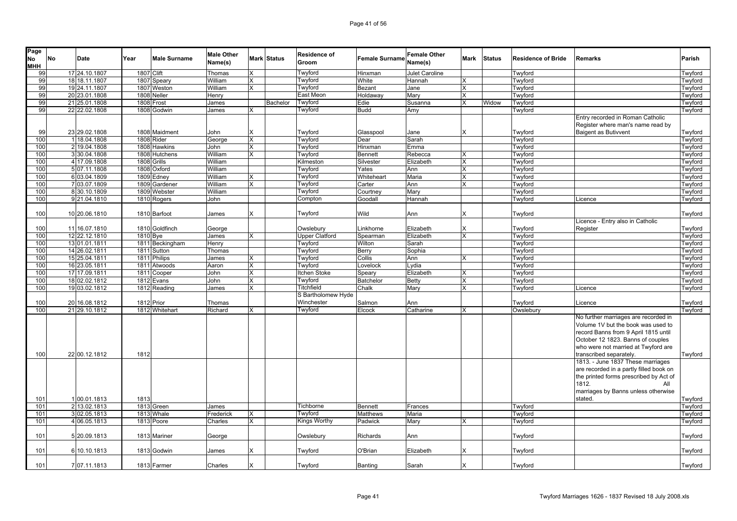| Page<br>No<br>мнн | No | Date          | Year       | <b>Male Surname</b> | <b>Male Other</b><br>Name(s) |   | <b>Mark Status</b> | <b>Residence of</b><br>Groom | <b>Female Surname</b> | <b>Female Other</b><br>Name(s) | Mark | <b>Status</b> | <b>Residence of Bride</b> | <b>Remarks</b>                                                                                                                                                                                                            | Parish  |
|-------------------|----|---------------|------------|---------------------|------------------------------|---|--------------------|------------------------------|-----------------------|--------------------------------|------|---------------|---------------------------|---------------------------------------------------------------------------------------------------------------------------------------------------------------------------------------------------------------------------|---------|
| 99                |    | 17 24.10.1807 | 1807 Clift |                     | Thomas                       | X |                    | Twyford                      | Hinxman               | Julet Caroline                 |      |               | Twyford                   |                                                                                                                                                                                                                           | Twyford |
| 99                |    | 18 18.11.1807 |            | 1807 Speary         | William                      |   |                    | Twyford                      | White                 | Hannah                         |      |               | Twyford                   |                                                                                                                                                                                                                           | Twyford |
| 99                |    | 19 24.11.1807 |            | 1807 Weston         | William                      | x |                    | Twyford                      | Bezant                | Jane                           |      |               | Twyford                   |                                                                                                                                                                                                                           | Twyford |
| 99                |    | 20 23.01.1808 |            | 1808 Neller         | Henry                        |   |                    | East Meon                    | Holdaway              | Mary                           |      |               | Twyford                   |                                                                                                                                                                                                                           | Twyford |
| 99                |    | 21 25.01.1808 | 1808       | Frost               | James                        |   | Bachelor           | Twyford                      | Edie                  | Susanna                        |      | Widow         | Twyford                   |                                                                                                                                                                                                                           | Twyford |
| 99                |    | 22 22.02.1808 |            | 1808 Godwin         | James                        | x |                    | Twyford                      | <b>Budd</b>           | Amv                            |      |               | Twyford                   |                                                                                                                                                                                                                           | Twyford |
|                   |    |               |            |                     |                              |   |                    |                              |                       |                                |      |               |                           | Entry recorded in Roman Catholic                                                                                                                                                                                          |         |
|                   |    |               |            |                     |                              |   |                    |                              |                       |                                |      |               |                           | Register where man's name read by                                                                                                                                                                                         |         |
| 99                |    | 23 29.02.1808 |            | 1808 Maidment       | John                         | x |                    | Twyford                      | Glasspool             | Jane                           |      |               | Twyford                   | Baigent as Butivvent                                                                                                                                                                                                      | Twyford |
| 100               |    | 1 18.04.1808  |            | 1808 Rider          | George                       | X |                    | Twyford                      | Dear                  | Sarah                          |      |               | Twyford                   |                                                                                                                                                                                                                           | Twyford |
| 100               |    | 2 19.04.1808  |            | 1808 Hawkins        | John                         | x |                    | Twyford                      | Hinxman               | Emma                           |      |               | Twyford                   |                                                                                                                                                                                                                           | Twyford |
| 100               |    | 3 30.04.1808  |            | 1808 Hutchens       | William                      |   |                    | Twyford                      | <b>Bennett</b>        | Rebecca                        |      |               | Twyford                   |                                                                                                                                                                                                                           | Twyford |
| 100               |    | 4 17.09.1808  |            | 1808 Grills         | William                      |   |                    | Kilmeston                    | Silvester             | Elizabeth                      |      |               | Twyford                   |                                                                                                                                                                                                                           | Twyford |
| 100               |    | 5 07.11.1808  |            | 1808 Oxford         | William                      |   |                    | Twyford                      | Yates                 | Ann                            |      |               | Twyford                   |                                                                                                                                                                                                                           | Twyford |
| 100               |    | 6 03.04.1809  |            | 1809 Edney          | William                      |   |                    | Twyford                      | Whiteheart            | Maria                          |      |               | Twyford                   |                                                                                                                                                                                                                           | Twyford |
| 100               |    | 7 03.07.1809  | 1809       | Gardener            | William                      | X |                    | Twyford                      | Carter                | Ann                            | x    |               | Twyford                   |                                                                                                                                                                                                                           | Twyford |
| 100               |    | 8 30.10.1809  |            | 1809 Webster        | William                      |   |                    | Twyford                      | Courtney              | Mary                           |      |               | Twyford                   |                                                                                                                                                                                                                           | Twyford |
| 100               |    | 9 21.04.1810  |            | 1810 Rogers         | John                         |   |                    | Compton                      | Goodal                | Hannah                         |      |               | Twyford                   | Licence                                                                                                                                                                                                                   | Twyford |
| 100               |    | 10 20.06.1810 |            | 1810 Barfoot        | James                        |   |                    | Twyford                      | Wild                  | Ann                            |      |               | Twyford                   |                                                                                                                                                                                                                           | Twyford |
|                   |    |               |            |                     |                              |   |                    |                              |                       |                                |      |               |                           | Licence - Entry also in Catholic                                                                                                                                                                                          |         |
| 100               |    | 11 16.07.1810 |            | 1810 Goldfinch      | George                       |   |                    | Owslebury                    | Linkhorne             | Elizabeth                      |      |               | Twyford                   | Register                                                                                                                                                                                                                  | Twyford |
| 100               |    | 12 22.12.1810 | 1810 Bye   |                     | James                        |   |                    | <b>Upper Clatford</b>        | Spearman              | Elizabeth                      |      |               | Twyford                   |                                                                                                                                                                                                                           | Twyford |
| 100               |    | 13 01.01.1811 |            | 1811 Beckingham     | Henry                        |   |                    | Twyford                      | Wilton                | Sarah                          |      |               | Twyford                   |                                                                                                                                                                                                                           | Twyford |
| 100               |    | 14 26.02.1811 |            | 1811 Sutton         | Thomas                       |   |                    | Twyford                      | Berry                 | Sophia                         |      |               | Twyford                   |                                                                                                                                                                                                                           | Twyford |
| 100               |    | 15 25.04.1811 |            | 1811 Philips        | James                        | x |                    | Twyford                      | Collis                | Ann                            |      |               | Twyford                   |                                                                                                                                                                                                                           | Twyford |
| 100               |    | 16 23.05.1811 |            | 1811 Atwoods        | Aaron                        | X |                    | Twyford                      | Lovelock              | _vdia                          |      |               | Twyford                   |                                                                                                                                                                                                                           | Twyford |
| 100               |    | 17 17.09.1811 |            | 1811 Cooper         | John                         | x |                    | Itchen Stoke                 | Speary                | Elizabeth                      |      |               | Twyford                   |                                                                                                                                                                                                                           | Twyford |
| 100               |    | 18 02.02.1812 |            | 1812 Evans          | <b>John</b>                  | X |                    | Twyford                      | <b>Batchelor</b>      | <b>Betty</b>                   | x    |               | Twyford                   |                                                                                                                                                                                                                           | Twyford |
| 100               |    | 19 03.02.1812 |            | 1812 Reading        | James                        | x |                    | Titchfield                   | Chalk                 | Mary                           |      |               | Twyford                   | Licence                                                                                                                                                                                                                   | Twyford |
|                   |    |               |            |                     |                              |   |                    | S Bartholomew Hyde           |                       |                                |      |               |                           |                                                                                                                                                                                                                           |         |
| 100               |    | 20 16.08.1812 |            | 1812 Prior          | Thomas                       |   |                    | Winchester                   | Salmon                | Ann                            |      |               | Twyford                   | Licence                                                                                                                                                                                                                   | Twyford |
| 100               |    | 21 29.10.1812 |            | 1812 Whitehart      | Richard                      |   |                    | Twyford                      | Elcock                | Catharine                      |      |               | Owslebury                 |                                                                                                                                                                                                                           | Twyford |
| 100               |    | 22 00.12.1812 | 1812       |                     |                              |   |                    |                              |                       |                                |      |               |                           | No further marriages are recorded in<br>Volume 1V but the book was used to<br>record Banns from 9 April 1815 until<br>October 12 1823. Banns of couples<br>who were not married at Twyford are<br>transcribed separately. | Twyford |
|                   |    |               |            |                     |                              |   |                    |                              |                       |                                |      |               |                           | 1813. - June 1837 These marriages                                                                                                                                                                                         |         |
|                   |    |               |            |                     |                              |   |                    |                              |                       |                                |      |               |                           | are recorded in a partly filled book on<br>the printed forms prescribed by Act of<br>1812.<br>All<br>marriages by Banns unless otherwise                                                                                  |         |
| 101               |    | 100.01.1813   | 1813       |                     |                              |   |                    |                              |                       |                                |      |               |                           | stated.                                                                                                                                                                                                                   | Twyford |
| 101               |    | 2 13.02.1813  |            | 1813 Green          | James                        |   |                    | Tichborne                    | <b>Bennett</b>        | Frances                        |      |               | Twyford                   |                                                                                                                                                                                                                           | Twyford |
| 101               |    | 3 02.05.1813  |            | 1813 Whale          | Frederick                    | x |                    | Twyford                      | Matthews              | Maria                          |      |               | Twyford                   |                                                                                                                                                                                                                           | Twyford |
| 101               |    | 4 06.05.1813  |            | 1813 Poore          | Charles                      |   |                    | Kings Worthy                 | Padwick               | Mary                           |      |               | Twyford                   |                                                                                                                                                                                                                           | Twyford |
| 101               |    | 5 20.09.1813  |            | 1813 Mariner        | George                       |   |                    | Owslebury                    | <b>Richards</b>       | Ann                            |      |               | Twyford                   |                                                                                                                                                                                                                           | Twyford |
| 101               |    | 6 10.10.1813  |            | 1813 Godwin         | James                        |   |                    | Twyford                      | O'Brian               | Elizabeth                      |      |               | Twyford                   |                                                                                                                                                                                                                           | Twyford |
| 101               |    | 7 07.11.1813  |            | 1813 Farmer         | Charles                      |   |                    | Twyford                      | Banting               | Sarah                          |      |               | Twyford                   |                                                                                                                                                                                                                           | Twyford |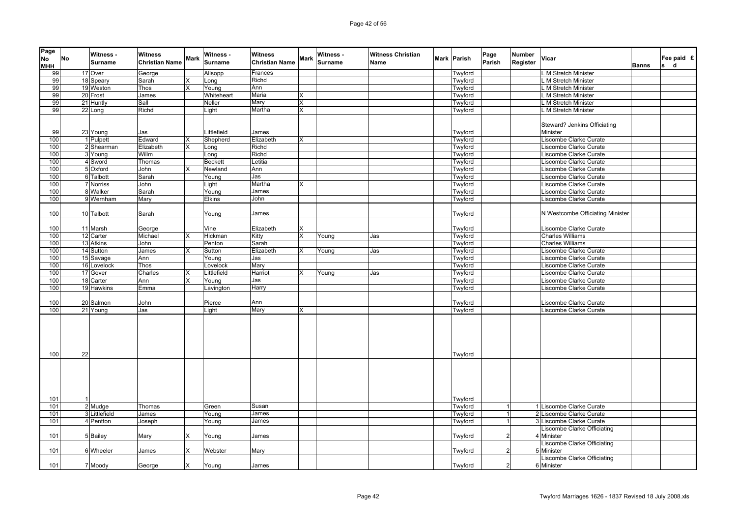| Page<br>No<br><b>MHH</b> | No |    | Witness -<br><b>Surname</b> | <b>Witness</b><br><b>Christian Name</b> | <b>Mark</b> | Witness -<br><b>Surname</b> | <b>Witness</b><br><b>Christian Name</b> | Mark | <b>Witness -</b><br>Surname | <b>Witness Christian</b><br>Name | Mark Parish | Page<br>Parish | <b>Number</b><br><b>Register</b> | Vicar                                     | <b>Banns</b> | Fee paid £<br>s.<br>d |
|--------------------------|----|----|-----------------------------|-----------------------------------------|-------------|-----------------------------|-----------------------------------------|------|-----------------------------|----------------------------------|-------------|----------------|----------------------------------|-------------------------------------------|--------------|-----------------------|
| 99                       |    |    | 17 Over                     | George                                  |             | Allsopp                     | Frances                                 |      |                             |                                  | Twyford     |                |                                  | M Stretch Minister                        |              |                       |
| 99                       |    |    | 18 Speary                   | Sarah                                   | X.          | Long                        | Richd                                   |      |                             |                                  | Twyford     |                |                                  | L M Stretch Minister                      |              |                       |
| 99                       |    |    | 19 Weston                   | Thos                                    | X           | Young                       | Ann                                     |      |                             |                                  | Twyford     |                |                                  | L M Stretch Minister                      |              |                       |
| 99                       |    |    | 20 Frost                    | James                                   |             | Whiteheart                  | Maria                                   | X    |                             |                                  | Twyford     |                |                                  | L M Stretch Minister                      |              |                       |
| 99                       |    |    | 21 Huntly                   | Sall                                    |             | Neller                      | Mary                                    | Χ    |                             |                                  | Twyford     |                |                                  | L M Stretch Minister                      |              |                       |
| 99                       |    |    | 22 Long                     | Richd                                   |             | Light                       | Martha                                  | X    |                             |                                  | Twyford     |                |                                  | L M Stretch Minister                      |              |                       |
|                          |    |    |                             |                                         |             |                             |                                         |      |                             |                                  |             |                |                                  |                                           |              |                       |
|                          |    |    |                             |                                         |             |                             |                                         |      |                             |                                  |             |                |                                  | Steward? Jenkins Officiating              |              |                       |
| 99                       |    |    | 23 Young                    | Jas                                     |             | Littlefield                 | James                                   |      |                             |                                  | Twyford     |                |                                  | Minister                                  |              |                       |
| 100                      |    |    | 1 Pulpett                   | Edward                                  |             | Shepherd                    | Elizabeth                               | x    |                             |                                  | Twyford     |                |                                  | Liscombe Clarke Curate                    |              |                       |
| 100                      |    |    | 2 Shearman                  | Elizabeth                               |             | Long                        | Richd                                   |      |                             |                                  | Twyford     |                |                                  | Liscombe Clarke Curate                    |              |                       |
| 100                      |    |    | 3 Young                     | Willm                                   |             | Long                        | Richd                                   |      |                             |                                  | Twyford     |                |                                  | Liscombe Clarke Curate                    |              |                       |
| 100                      |    |    | 4 Sword                     | Thomas                                  |             | <b>Beckett</b>              | Letitia                                 |      |                             |                                  | Twyford     |                |                                  | Liscombe Clarke Curate                    |              |                       |
| 100                      |    |    | 5 Oxford                    | John                                    | x           | Newland                     | Ann                                     |      |                             |                                  | Twyford     |                |                                  | Liscombe Clarke Curate                    |              |                       |
| 100                      |    |    | 6 Talbott                   | Sarah                                   |             | Young                       | Jas                                     |      |                             |                                  | Twyford     |                |                                  | Liscombe Clarke Curate                    |              |                       |
| 100                      |    |    | 7 Norriss                   | John                                    |             | Light                       | Martha                                  | X    |                             |                                  | Twyford     |                |                                  | <b>Liscombe Clarke Curate</b>             |              |                       |
| 100                      |    |    | 8 Walker                    | Sarah                                   |             | Young                       | James                                   |      |                             |                                  | Twyford     |                |                                  | Liscombe Clarke Curate                    |              |                       |
| 100                      |    |    | 9 Wernham                   | Mary                                    |             | <b>Elkins</b>               | John                                    |      |                             |                                  | Twyford     |                |                                  | Liscombe Clarke Curate                    |              |                       |
| 100                      |    |    | 10 Talbott                  | Sarah                                   |             | Young                       | James                                   |      |                             |                                  | Twyford     |                |                                  | N Westcombe Officiating Minister          |              |                       |
|                          |    |    |                             |                                         |             |                             |                                         |      |                             |                                  |             |                |                                  |                                           |              |                       |
| 100                      |    |    | 11 Marsh                    | George                                  |             | Vine                        | Elizabeth                               | X    |                             |                                  | Twyford     |                |                                  | Liscombe Clarke Curate                    |              |                       |
| 100                      |    |    | 12 Carter                   | Michael                                 |             | Hickman                     | Kitty                                   | x    | Young                       | Jas                              | Twyford     |                |                                  | <b>Charles Williams</b>                   |              |                       |
| 100                      |    |    | 13 Atkins                   | John                                    |             | Penton                      | Sarah                                   |      |                             |                                  | Twyford     |                |                                  | <b>Charles Williams</b>                   |              |                       |
| 100                      |    |    | 14 Sutton                   | James                                   | x           | Sutton                      | Elizabeth                               | x    | Young                       | Jas                              | Twyford     |                |                                  | Liscombe Clarke Curate                    |              |                       |
| 100                      |    |    | 15 Savage                   | Ann                                     |             | Young                       | Jas                                     |      |                             |                                  | Twyford     |                |                                  | Liscombe Clarke Curate                    |              |                       |
| 100                      |    |    | 16 Lovelock                 | Thos                                    |             | Lovelock                    | Mary                                    |      |                             |                                  | Twyford     |                |                                  | Liscombe Clarke Curate                    |              |                       |
| 100                      |    |    | 17 Gover                    | Charles                                 |             | Littlefield                 | Harriot                                 |      | Young                       | Jas                              | Twyford     |                |                                  | Liscombe Clarke Curate                    |              |                       |
| 100                      |    |    | 18 Carter                   | Ann                                     | x           | Young                       | Jas                                     |      |                             |                                  | Twyford     |                |                                  | Liscombe Clarke Curate                    |              |                       |
| 100                      |    |    | 19 Hawkins                  | Emma                                    |             | Lavington                   | Harry                                   |      |                             |                                  | Twyford     |                |                                  | Liscombe Clarke Curate                    |              |                       |
|                          |    |    |                             |                                         |             |                             |                                         |      |                             |                                  |             |                |                                  |                                           |              |                       |
| 100                      |    |    | 20 Salmon                   | John                                    |             | Pierce                      | Ann                                     |      |                             |                                  | Twyford     |                |                                  | Liscombe Clarke Curate                    |              |                       |
| 100                      |    |    | 21 Young                    | Jas                                     |             | Light                       | Mary                                    | x    |                             |                                  | Twyford     |                |                                  | Liscombe Clarke Curate                    |              |                       |
| 100                      |    | 22 |                             |                                         |             |                             |                                         |      |                             |                                  | Twyford     |                |                                  |                                           |              |                       |
| 101                      |    |    |                             |                                         |             |                             |                                         |      |                             |                                  | Twyford     |                |                                  |                                           |              |                       |
| 101                      |    |    | 2 Mudge                     | Thomas                                  |             | Green                       | Susan                                   |      |                             |                                  | Twyford     | $\mathbf{1}$   |                                  | 1 Liscombe Clarke Curate                  |              |                       |
| 101                      |    |    | 3 Littlefield               | James                                   |             | Young                       | James                                   |      |                             |                                  | Twyford     | 1 <sup>1</sup> |                                  | 2 Liscombe Clarke Curate                  |              |                       |
| 101                      |    |    | 4 Pentton                   | Joseph                                  |             | Young                       | James                                   |      |                             |                                  | Twyford     | 11             |                                  | 3 Liscombe Clarke Curate                  |              |                       |
|                          |    |    |                             |                                         |             |                             |                                         |      |                             |                                  |             |                |                                  | Liscombe Clarke Officiating               |              |                       |
| 101                      |    |    | 5 Bailey                    | Mary                                    | X.          | Young                       | James                                   |      |                             |                                  | Twyford     | $\mathcal{P}$  |                                  | 4 Minister                                |              |                       |
| 101                      |    |    | 6 Wheeler                   | James                                   | X.          | Webster                     | Mary                                    |      |                             |                                  | Twyford     | $\mathfrak{p}$ |                                  | Liscombe Clarke Officiating<br>5 Minister |              |                       |
| 101                      |    |    | 7 Moody                     | George                                  | X.          | Young                       | James                                   |      |                             |                                  | Twyford     | 2              |                                  | Liscombe Clarke Officiating<br>6 Minister |              |                       |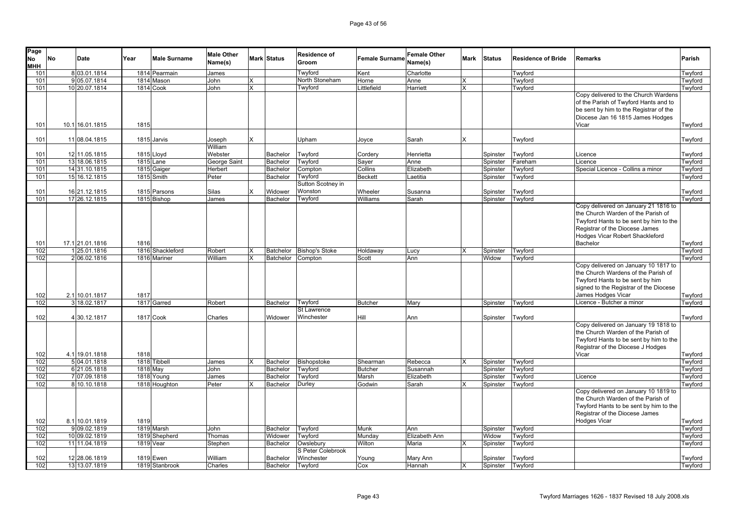| Page<br>No<br>мнн | No | <b>Date</b>                    | Year | <b>Male Surname</b> | <b>Male Other</b><br>Name(s) |    | <b>Mark Status</b> | <b>Residence of</b><br>Groom    | <b>Female Surname</b> | <b>Female Other</b><br>Name(s) | Mark | <b>Status</b> | <b>Residence of Bride</b> | Remarks                                                                                                                                                                                               | Parish  |
|-------------------|----|--------------------------------|------|---------------------|------------------------------|----|--------------------|---------------------------------|-----------------------|--------------------------------|------|---------------|---------------------------|-------------------------------------------------------------------------------------------------------------------------------------------------------------------------------------------------------|---------|
| 101               |    | 8 03.01.1814                   |      | 1814 Pearmain       | James                        |    |                    | Twyford                         | Kent                  | Charlotte                      |      |               | Twyford                   |                                                                                                                                                                                                       | Twyford |
| 101               |    | 9 05.07.1814                   |      | 1814 Mason          | John                         | ΙX |                    | North Stoneham                  | Horne                 | Anne                           |      |               | Twyford                   |                                                                                                                                                                                                       | Twyford |
| 101               |    | 10 20.07.1814                  |      | 1814 Cook           | John                         | X  |                    | Twyford                         | _ittlefield           | Harriett                       |      |               | Twyford                   |                                                                                                                                                                                                       | Twyford |
| 101               |    | 10.1 16.01.1815                | 1815 |                     |                              |    |                    |                                 |                       |                                |      |               |                           | Copy delivered to the Church Wardens<br>of the Parish of Twyford Hants and to<br>be sent by him to the Registrar of the<br>Diocese Jan 16 1815 James Hodges<br>Vicar                                  | Twyford |
|                   |    |                                |      |                     |                              |    |                    |                                 |                       |                                |      |               |                           |                                                                                                                                                                                                       |         |
| 101               |    | 11 08:04.1815                  |      | 1815 Jarvis         | Joseph                       | X  |                    | Upham                           | Joyce                 | Sarah                          | X.   |               | Twyford                   |                                                                                                                                                                                                       | Twyford |
|                   |    |                                |      |                     | William                      |    |                    |                                 |                       |                                |      |               |                           |                                                                                                                                                                                                       |         |
| 101               |    | 12 11.05.1815                  |      | 1815 Lloyd          | Webster                      |    | Bachelor           | Twyford                         | Cordery               | Henrietta                      |      | Spinster      | Twyford                   | .icence                                                                                                                                                                                               | Twyford |
| 101               |    | 13 18.06.1815                  |      | 1815 Lane           | George Saint                 |    | Bachelor           | Twyford                         | Sayer                 | Anne                           |      | Spinster      | Fareham                   | icence                                                                                                                                                                                                | Twyford |
| 101               |    | 14 31.10.1815                  |      | 1815 Gaiger         | Herbert                      |    | Bachelor           | Compton                         | Collins               | Elizabeth                      |      | Spinster      | <b>Twyford</b>            | Special Licence - Collins a minor                                                                                                                                                                     | Twyford |
| 101               |    | 15 16.12.1815                  |      | 1815 Smith          | Peter                        |    | Bachelor           | Twyford                         | <b>Beckett</b>        | Laetitia                       |      | Spinster      | Twyford                   |                                                                                                                                                                                                       | Twyford |
|                   |    |                                |      |                     |                              |    |                    | Sutton Scotney in               |                       |                                |      |               |                           |                                                                                                                                                                                                       |         |
| 101               |    | 16 21.12.1815                  |      | 1815 Parsons        | Silas                        |    | Widower            | Wonston                         | Wheeler               | Susanna                        |      | Spinster      | Twyford                   |                                                                                                                                                                                                       | Twyford |
| 101               |    | 17 26.12.1815                  |      | 1815 Bishop         | James                        |    | Bachelor           | Twyford                         | Williams              | Sarah                          |      | Spinster      | Twyford                   |                                                                                                                                                                                                       | Twyford |
| 101               |    | 17.1 21.01.1816                | 1816 |                     |                              |    |                    |                                 |                       |                                |      |               |                           | Copy delivered on January 21 1816 to<br>the Church Warden of the Parish of<br>Twyford Hants to be sent by him to the<br>Registrar of the Diocese James<br>Hodges Vicar Robert Shackleford<br>Bachelor | Twyford |
| 102               |    | 125.01.1816                    |      | 1816 Shackleford    | Robert                       | ΙX | Batchelor          | <b>Bishop's Stoke</b>           | Holdaway              | Lucy                           |      | Spinster      | Twyford                   |                                                                                                                                                                                                       | Twyford |
| 102               |    | 2 06.02.1816                   |      | 1816 Mariner        | William                      | ΙX | Batchelor          | Compton                         | Scott                 | Ann                            |      | Widow         | Twyford                   |                                                                                                                                                                                                       | Twyford |
| 102               |    | 2.1 10.01.1817                 | 1817 |                     |                              |    |                    |                                 |                       |                                |      |               |                           | Copy delivered on January 10 1817 to<br>the Church Wardens of the Parish of<br>Twyford Hants to be sent by him<br>signed to the Registrar of the Diocese<br>James Hodges Vicar                        | Twyford |
| 102               |    | 3 18.02.1817                   |      | 1817 Garred         | Robert                       |    | Bachelor           | Twyford                         | <b>Butcher</b>        | Marv                           |      | Spinster      | Twyford                   | icence - Butcher a minor                                                                                                                                                                              | Twyford |
|                   |    |                                |      |                     |                              |    |                    | St Lawrence                     |                       |                                |      |               |                           |                                                                                                                                                                                                       |         |
| 102               |    | 4 30.12.1817                   |      | 1817 Cook           | Charles                      |    | Widower            | Winchester                      | Hill                  | Ann                            |      | Spinster      | Twyford                   |                                                                                                                                                                                                       | Twyford |
| 102               |    | 4.1 19.01.1818                 | 1818 |                     |                              |    |                    |                                 |                       |                                |      |               |                           | Copy delivered on January 19 1818 to<br>the Church Warden of the Parish of<br>Twyford Hants to be sent by him to the<br>Registrar of the Diocese J Hodges<br>Vicar                                    | Twyford |
| 102               |    | 5 04.01.1818                   |      | 1818 Tibbell        | James                        | ΙX | Bachelor           | Bishopstoke                     | Shearman              | Rebecca                        |      | Spinster      | Twyford                   |                                                                                                                                                                                                       | Twyford |
| 102               |    | 6 21.05.1818                   |      | 1818 May            | John                         |    | Bachelor           | Twyford                         | <b>Butcher</b>        | Susannah                       |      | Spinster      | Twyford                   |                                                                                                                                                                                                       | Twyford |
| 102               |    | 7 07.09.1818                   |      | 1818 Young          | James                        |    | Bachelor           | Twyford                         | Marsh                 | Elizabeth                      |      | Spinster      | Twyford                   | icence                                                                                                                                                                                                | Twyford |
| 102               |    | 8 10.10.1818                   |      | 1818 Houghton       | Peter                        | ΙX | Bachelor           | Durley                          | Godwin                | Sarah                          |      | Spinster      | Twyford                   |                                                                                                                                                                                                       | Twyford |
| 102               |    | 8.1 10.01.1819                 | 1819 |                     |                              |    |                    |                                 |                       |                                |      |               |                           | Copy delivered on January 10 1819 to<br>the Church Warden of the Parish of<br>Twyford Hants to be sent by him to the<br>Registrar of the Diocese James<br>Hodges Vicar                                | Twyford |
| 102               |    | 9 09 02 1819                   |      | 1819 Marsh          | John                         |    | Bachelor           | Twyford                         | Munk                  | Ann                            |      | Spinster      | Twyford                   |                                                                                                                                                                                                       | Twyford |
| 102               |    | 10 09.02.1819                  |      | 1819 Shepherd       | Thomas                       |    | Widower            | Twyford                         | Munday                | Elizabeth Ann                  |      | Widow         | Twyford                   |                                                                                                                                                                                                       | Twyford |
| 102               |    | 11 11.04.1819                  |      | 1819 Vear           | Stephen                      |    | Bachelor           | Owslebury                       | Wilton                | Maria                          |      | Spinster      | Twyford                   |                                                                                                                                                                                                       | Twyford |
|                   |    |                                |      |                     |                              |    |                    | S Peter Colebrook<br>Winchester |                       |                                |      |               |                           |                                                                                                                                                                                                       |         |
| 102               |    | 12 28.06.1819<br>13 13.07.1819 |      | 1819 Ewen           | William                      |    | Bachelor           | Twyford                         | Young                 | Mary Ann                       |      | Spinster      | Twyford                   |                                                                                                                                                                                                       | Twyford |
| 102               |    |                                |      | 1819 Stanbrook      | Charles                      |    | Bachelor           |                                 | Cox                   | Hannah                         |      | Spinster      | Twyford                   |                                                                                                                                                                                                       | Twyford |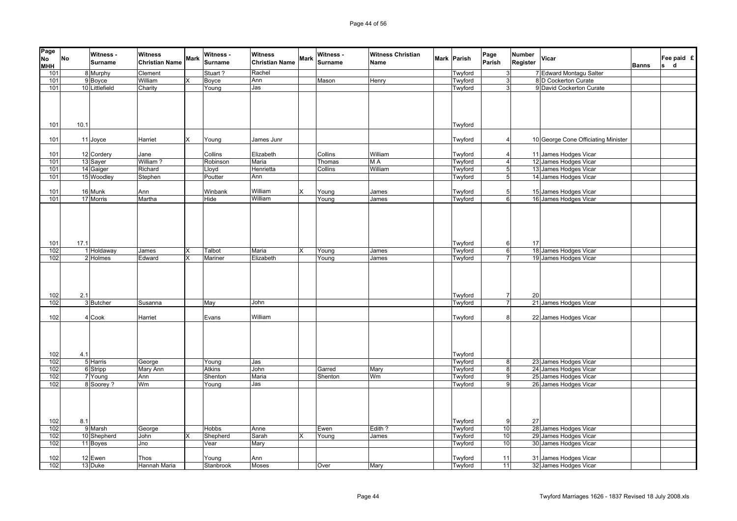| Page<br>No <sup>T</sup><br><b>MHH</b> | No   | Witness -<br><b>Surname</b> | <b>Witness</b><br><b>Christian Name</b> | Mark | Witness -<br><b>Surname</b> | <b>Witness</b><br><b>Christian Name</b> | <b>Mark</b> | Witness -<br><b>Surname</b> | <b>Witness Christian</b><br><b>Name</b> | Mark Parish        | Page<br>Parish      | Number<br>Register | <b>Vicar</b>                                   | <b>Banns</b> | Fee paid £<br>s d |
|---------------------------------------|------|-----------------------------|-----------------------------------------|------|-----------------------------|-----------------------------------------|-------------|-----------------------------|-----------------------------------------|--------------------|---------------------|--------------------|------------------------------------------------|--------------|-------------------|
| 101                                   |      | 8 Murphy                    | Clement                                 |      | Stuart?                     | Rachel                                  |             |                             |                                         | Twyford            | 3                   |                    | 7 Edward Montagu Salter                        |              |                   |
| 101                                   |      | 9 Boyce                     | William                                 |      | Boyce                       | Ann                                     |             | Mason                       | Henry                                   | Twyford            | 3                   |                    | 8 D Cockerton Curate                           |              |                   |
| 101                                   |      | 10 Littlefield              | Charity                                 |      | Young                       | Jas                                     |             |                             |                                         | Twyford            | 3                   |                    | 9 David Cockerton Curate                       |              |                   |
|                                       |      |                             |                                         |      |                             |                                         |             |                             |                                         |                    |                     |                    |                                                |              |                   |
|                                       |      |                             |                                         |      |                             |                                         |             |                             |                                         |                    |                     |                    |                                                |              |                   |
| 101                                   | 10.1 |                             |                                         |      |                             |                                         |             |                             |                                         | Twyford            |                     |                    |                                                |              |                   |
|                                       |      |                             |                                         |      |                             |                                         |             |                             |                                         |                    |                     |                    |                                                |              |                   |
| 101                                   |      | 11 Joyce                    | Harriet                                 | X    | Young                       | James Junr                              |             |                             |                                         | Twyford            |                     |                    | 10 George Cone Officiating Minister            |              |                   |
| 101                                   |      | 12 Cordery                  | Jane                                    |      | Collins                     | Elizabeth                               |             | Collins                     | William                                 | Twyford            | $\overline{4}$      |                    | 11 James Hodges Vicar                          |              |                   |
| 101                                   |      | 13 Sayer                    | William?                                |      | Robinson                    | Maria                                   |             | Thomas                      | M A                                     | Twyford            | $\overline{4}$      |                    | 12 James Hodges Vicar                          |              |                   |
| 101                                   |      | 14 Gaiger                   | Richard                                 |      | Lloyd                       | Henrietta                               |             | Collins                     | William                                 | Twyford            | 5                   |                    | 13 James Hodges Vicar                          |              |                   |
| 101                                   |      | 15 Woodley                  | Stephen                                 |      | Poutter                     | Ann                                     |             |                             |                                         | Twyford            | $5\overline{)}$     |                    | 14 James Hodges Vicar                          |              |                   |
|                                       |      |                             |                                         |      |                             |                                         |             |                             |                                         |                    |                     |                    |                                                |              |                   |
| 101                                   |      | 16 Munk                     | Ann                                     |      | Winbank                     | William                                 | х           | Young                       | James                                   | Twyford            | $\mathbf 5$         |                    | 15 James Hodges Vicar                          |              |                   |
| 101                                   |      | 17 Morris                   | Martha                                  |      | Hide                        | William                                 |             | Young                       | James                                   | Twyford            | 6                   |                    | 16 James Hodges Vicar                          |              |                   |
| 101                                   | 17.1 |                             |                                         |      |                             |                                         |             |                             |                                         | Twyford            | 6                   | 17                 |                                                |              |                   |
| 102                                   |      | 1 Holdaway                  | James                                   | x    | Talbot                      | Maria                                   |             | Young                       | James                                   | Twyford            | 6                   |                    | 18 James Hodges Vicar                          |              |                   |
| 102                                   |      | 2 Holmes                    | Edward                                  | X    | Mariner                     | Elizabeth                               |             | Young                       | James                                   | Twyford            | 7                   |                    | 19 James Hodges Vicar                          |              |                   |
| 102<br>102                            | 2.1  | 3 Butcher                   | Susanna                                 |      | May                         | John                                    |             |                             |                                         | Twyford<br>Twyford | 7<br>$\overline{7}$ | 20                 | 21 James Hodges Vicar                          |              |                   |
|                                       |      |                             |                                         |      |                             |                                         |             |                             |                                         |                    |                     |                    |                                                |              |                   |
| 102                                   |      | 4 Cook                      | Harriet                                 |      | Evans                       | William                                 |             |                             |                                         | Twyford            | 8                   |                    | 22 James Hodges Vicar                          |              |                   |
| 102<br>102                            | 4.1  |                             |                                         |      |                             |                                         |             |                             |                                         | Twyford            |                     |                    | 23 James Hodges Vicar                          |              |                   |
| 102                                   |      | 5 Harris                    | George                                  |      | Young<br><b>Atkins</b>      | Jas<br>John                             |             |                             |                                         | Twyford            | 8                   |                    |                                                |              |                   |
| 102                                   |      | 6 Stripp<br>7 Young         | Mary Ann<br>Ann                         |      | Shenton                     | Maria                                   |             | Garred<br>Shenton           | Mary<br>Wm                              | Twyford<br>Twyford | œ<br>9              |                    | 24 James Hodges Vicar<br>25 James Hodges Vicar |              |                   |
| 102                                   |      | 8 Soorey ?                  | Wm                                      |      | Young                       | Jas                                     |             |                             |                                         | <b>Twyford</b>     | 9                   |                    | 26 James Hodges Vicar                          |              |                   |
| 102                                   | 8.1  |                             |                                         |      |                             |                                         |             |                             |                                         | Twyford            | 9                   | 27                 |                                                |              |                   |
| 102                                   |      | 9 Marsh                     | George                                  |      | Hobbs                       | Anne                                    |             | Ewen                        | Edith ?                                 | Twyford            | 10                  |                    | 28 James Hodges Vicar                          |              |                   |
| 102                                   |      | 10 Shepherd                 | John                                    |      | Shepherd                    | Sarah                                   |             | Young                       | James                                   | Twyford            | 10                  |                    | 29 James Hodges Vicar                          |              |                   |
| 102                                   |      | 11 Boyes                    | Jno                                     |      | Vear                        | Mary                                    |             |                             |                                         | Twyford            | 10                  |                    | 30 James Hodges Vicar                          |              |                   |
| 102                                   |      | 12 Ewen                     | Thos                                    |      | Young                       | Ann                                     |             |                             |                                         | Twyford            | 11                  |                    | 31 James Hodges Vicar                          |              |                   |
| 102                                   |      | 13 Duke                     | Hannah Maria                            |      | Stanbrook                   | Moses                                   |             | Over                        | Mary                                    | Twyford            | 11                  |                    | 32 James Hodges Vicar                          |              |                   |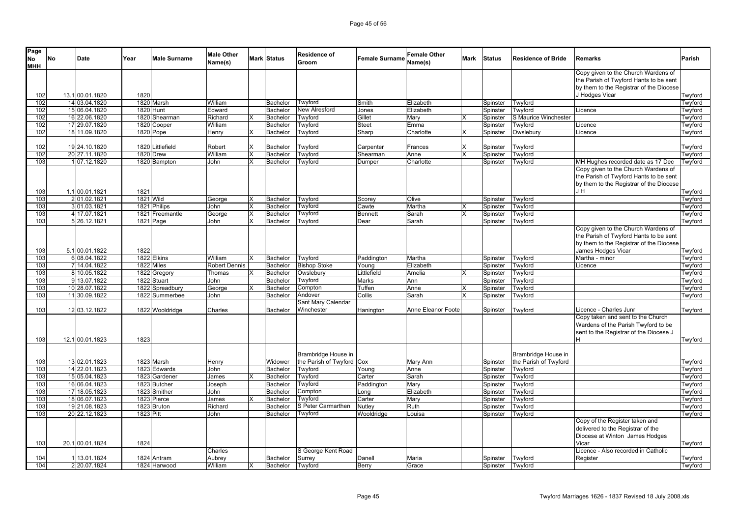| Page<br><b>No</b><br><b>MHH</b> | No | Date                           | Year             | <b>Male Surname</b>          | <b>Male Other</b><br>Name(s) |          | <b>Mark Status</b>          | <b>Residence of</b><br>Groom     | Female Surname       | <b>Female Other</b><br>Name(s) | Mark | <b>Status</b>        | <b>Residence of Bride</b> | Remarks                                                                           | Parish             |
|---------------------------------|----|--------------------------------|------------------|------------------------------|------------------------------|----------|-----------------------------|----------------------------------|----------------------|--------------------------------|------|----------------------|---------------------------|-----------------------------------------------------------------------------------|--------------------|
|                                 |    |                                |                  |                              |                              |          |                             |                                  |                      |                                |      |                      |                           | Copy given to the Church Wardens of                                               |                    |
|                                 |    |                                |                  |                              |                              |          |                             |                                  |                      |                                |      |                      |                           | the Parish of Twyford Hants to be sent<br>by them to the Registrar of the Diocese |                    |
| 102                             |    | 13.1 00.01.1820                | 1820             |                              |                              |          |                             |                                  |                      |                                |      |                      |                           | J Hodges Vicar                                                                    | Twyford            |
| 102                             |    | 14 03.04.1820                  |                  | 1820 Marsh                   | William                      |          | Bachelor                    | Twyford                          | Smith                | Elizabeth                      |      | Spinster             | Twyford                   |                                                                                   | Twyford            |
| 102                             |    | 15 06.04.1820                  |                  | 1820 Hunt                    | Edward                       |          | Bachelor                    | New Alresford                    | Jones                | Elizabeth                      |      | Spinster             | Twyford                   | Licence                                                                           | Twyford            |
| 102                             |    | 16 22.06.1820                  |                  | 1820 Shearman                | Richard                      |          | Bachelor                    | Twyford                          | Gillet               | Mary                           |      | Spinster             | S Maurice Winchester      |                                                                                   | Twyford            |
| 102                             |    | 17 29.07.1820                  |                  | 1820 Cooper                  | William                      |          | <b>Bachelor</b>             | Twyford                          | <b>Steet</b>         | Emma                           |      | Spinster             | Twyford                   | Licence                                                                           | Twyford            |
| 102                             |    | 18 11.09.1820                  |                  | 1820 Pope                    | Henry                        |          | Bachelor                    | Twyford                          | Sharp                | Charlotte                      |      | Spinster             | Owslebury                 | .icence                                                                           | Twyford            |
|                                 |    |                                |                  |                              |                              |          |                             |                                  |                      |                                |      |                      |                           |                                                                                   |                    |
| 102                             |    | 19 24.10.1820                  |                  | 1820 Littlefield             | Robert                       | x        | Bachelor                    | Twyford                          | Carpenter            | Frances                        |      | Spinster             | Twyford                   |                                                                                   | Twyford            |
| 102                             |    | 20 27.11.1820                  |                  | 1820 Drew                    | William                      | $\times$ | <b>Bachelor</b>             | Twyford                          | Shearman             | Anne                           |      | Spinster             | Twyford                   |                                                                                   | Twyford            |
| 103                             |    | 1 07.12.1820                   |                  | 1820 Bampton                 | John                         |          | Bachelor                    | Twyford                          | Dumper               | Charlotte                      |      | Spinster             | Twyford                   | MH Hughes recorded date as 17 Dec<br>Copy given to the Church Wardens of          | Twyford            |
|                                 |    |                                |                  |                              |                              |          |                             |                                  |                      |                                |      |                      |                           | the Parish of Twyford Hants to be sent                                            |                    |
|                                 |    |                                |                  |                              |                              |          |                             |                                  |                      |                                |      |                      |                           | by them to the Registrar of the Diocese                                           |                    |
| 103                             |    | 1.1 00.01.1821                 | 1821             |                              |                              |          |                             |                                  |                      |                                |      |                      |                           | J H                                                                               | Twyford            |
| 103                             |    | 2 01.02.1821                   | 1821             | Wild                         | George                       | x        | <b>Bachelor</b>             | Twyford                          | Scorey               | Olive                          |      | Spinster             | Twyford                   |                                                                                   | Twyford            |
| 103                             |    | 3 01.03.1821                   | 1821             | Philips                      | John                         | X        | Bachelor                    | Twyford                          | Cawte                | Martha                         |      | Spinster             | Twyford                   |                                                                                   | Twyford            |
| 103                             |    | 4 17.07.1821                   | 1821             | Freemantle                   | George                       |          | Bachelor                    | Twyford                          | Bennett              | Sarah                          |      | Spinster             | Twyford                   |                                                                                   | Twyford            |
| 103                             |    | 5 26.12.1821                   |                  | $1821$ Page                  | John                         |          | <b>Bachelor</b>             | Twyford                          | Dear                 | Sarah                          |      | Spinster             | Twyford                   |                                                                                   | Twyford            |
|                                 |    |                                |                  |                              |                              |          |                             |                                  |                      |                                |      |                      |                           | Copy given to the Church Wardens of                                               |                    |
|                                 |    |                                |                  |                              |                              |          |                             |                                  |                      |                                |      |                      |                           | the Parish of Twyford Hants to be sent                                            |                    |
|                                 |    |                                |                  |                              |                              |          |                             |                                  |                      |                                |      |                      |                           | by them to the Registrar of the Diocese                                           |                    |
| 103<br>103                      |    | 5.1 00.01.1822<br>6 08.04.1822 | 1822             | 1822 Elkins                  | William                      |          | Bachelor                    | Twyford                          | Paddington           | Martha                         |      | Spinster             | Twyford                   | James Hodges Vicar<br>Martha - minor                                              | Twyford<br>Twyford |
| 103                             |    | 7 14.04.1822                   |                  | 1822 Miles                   | Robert Dennis                |          | Bachelor                    | <b>Bishop Stoke</b>              | Young                | Elizabeth                      |      | Spinster             | Twyford                   | Licence                                                                           | Twyford            |
| 103                             |    | 8 10.05.1822                   | 1822             | Gregory                      | Thomas                       |          | Bachelor                    | Owslebury                        | _ittlefield          | Amelia                         |      | Spinster             | Twyford                   |                                                                                   | Twyford            |
| 103                             |    | 9 13.07.1822                   | 1822             | <b>Stuart</b>                | John                         |          | Bachelor                    | Twyford                          | Marks                | Ann                            |      | Spinster             | Twyford                   |                                                                                   | Twyford            |
| 103                             |    | 10 28.07.1822                  | 1822             | Spreadbury                   | George                       |          | Bachelor                    | Compton                          | Tuffen               | Anne                           |      | Spinster             | Twyford                   |                                                                                   | Twyford            |
| 103                             |    | 11 30.09.1822                  | 1822             | Summerbee                    | John                         |          | Bachelor                    | Andover                          | Collis               | Sarah                          |      | Spinster             | Twyford                   |                                                                                   | Twyford            |
| 103                             |    | 12 03.12.1822                  |                  | 1822 Wooldridge              | Charles                      |          | Bachelor                    | Sant Mary Calendar<br>Winchester | Hanington            | Anne Eleanor Foote             |      | Spinster             | Twyford                   | Licence - Charles Junr                                                            | Twyford            |
|                                 |    |                                |                  |                              |                              |          |                             |                                  |                      |                                |      |                      |                           | Copy taken and sent to the Church<br>Wardens of the Parish Twyford to be          |                    |
|                                 |    |                                |                  |                              |                              |          |                             |                                  |                      |                                |      |                      |                           | sent to the Registrar of the Diocese J                                            |                    |
| 103                             |    | 12.1 00.01.1823                | 1823             |                              |                              |          |                             |                                  |                      |                                |      |                      |                           |                                                                                   | Twyford            |
|                                 |    |                                |                  |                              |                              |          |                             |                                  |                      |                                |      |                      |                           |                                                                                   |                    |
|                                 |    |                                |                  |                              |                              |          |                             | Brambridge House in              |                      |                                |      |                      | Brambridge House in       |                                                                                   |                    |
| 103                             |    | 13 02.01.1823                  |                  | 1823 Marsh                   | Henry                        |          | Widower                     | the Parish of Twyford Cox        |                      | Mary Ann                       |      | Spinster             | the Parish of Twyford     |                                                                                   | Twyford            |
| 103                             |    | 14 22.01.1823                  | 182 <sup>2</sup> | Edwards                      | John                         |          | Bachelor                    | Twyford                          | Young                | Anne                           |      | Spinster             | Twyford                   |                                                                                   | Twyford            |
| 103                             |    | 15 05 04 1823                  | 1823             | Gardener                     | James                        |          | Bachelor                    | Twyford                          | Carter               | Sarah                          |      | Spinster             | Twyford                   |                                                                                   | Twyford            |
| 103                             |    | 16 06.04.1823                  |                  | 1823 Butcher                 | Joseph                       |          | Bachelor                    | Twyford                          | Paddington           | Mary                           |      | Spinster             | Twyford                   |                                                                                   | Twyford            |
| 103                             |    | 17 18.05.1823                  | 1823             | Smither                      | John                         |          | Bachelor                    | Compton                          | Long                 | Elizabeth                      |      | Spinster             | Twyford                   |                                                                                   | Twyford            |
| 103<br>103                      |    | 18 06.07.1823<br>19 21.08.1823 | 1823             | 1823 Pierce<br><b>Bruton</b> | James                        |          | Bachelor                    | Twyford<br>S Peter Carmarthen    | Carter               | Mary<br>Ruth                   |      | Spinster             | Twyford                   |                                                                                   | Twyford            |
| 103                             |    | 20 22.12.1823                  | 1823 Pitt        |                              | Richard<br>John              |          | Bachelor<br><b>Bachelor</b> | Twyford                          | Nutley<br>Wooldridge | Louisa                         |      | Spinster<br>Spinster | Twyford<br>Twyford        |                                                                                   | Twyford<br>Twyford |
|                                 |    |                                |                  |                              |                              |          |                             |                                  |                      |                                |      |                      |                           | Copy of the Register taken and                                                    |                    |
|                                 |    |                                |                  |                              |                              |          |                             |                                  |                      |                                |      |                      |                           | delivered to the Registrar of the                                                 |                    |
|                                 |    |                                |                  |                              |                              |          |                             |                                  |                      |                                |      |                      |                           | Diocese at Winton James Hodges                                                    |                    |
| 103                             |    | 20.1 00.01.1824                | 1824             |                              |                              |          |                             |                                  |                      |                                |      |                      |                           | Vicar                                                                             | Twyford            |
|                                 |    |                                |                  |                              | Charles                      |          |                             | S George Kent Road               |                      |                                |      |                      |                           | Licence - Also recorded in Catholic                                               |                    |
| 104                             |    | 1 13.01.1824                   |                  | 1824 Antram                  | Aubrey                       |          | Bachelor                    | Surrey                           | Danell               | Maria                          |      | Spinster             | Twyford                   | Register                                                                          | Twyford            |
| 104                             |    | 2 20.07.1824                   |                  | 1824 Harwood                 | William                      |          | <b>Bachelor</b>             | Twyford                          | Berry                | Grace                          |      | Spinster             | Twyford                   |                                                                                   | Twyford            |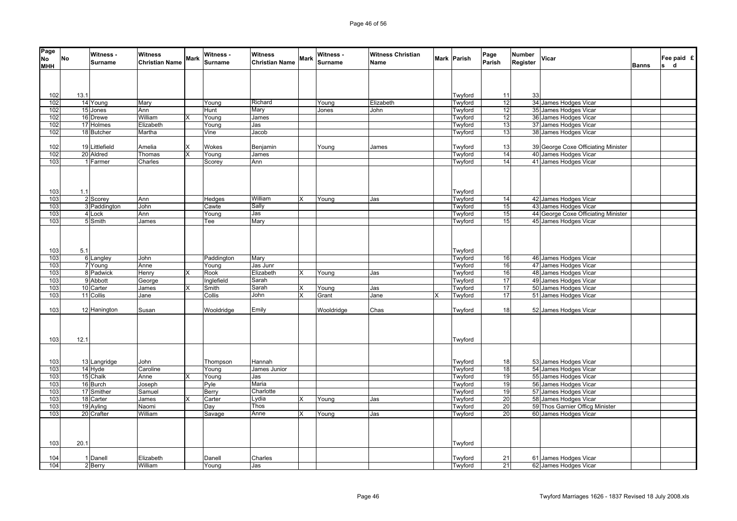| Page<br>No<br><b>MHH</b> | No   | Witness -<br><b>Surname</b> | <b>Witness</b><br><b>Christian Name</b> | <b>Mark</b> | Witness -<br>Surname | <b>Witness</b><br><b>Christian Name</b> | Mark | Witness -<br><b>Surname</b> | Witness Christian<br>Name |   | Mark Parish        | Page<br>Parish | <b>Number</b><br><b>Register</b> | Vicar                                          | Banns | Fee paid £<br>d<br>ls. |
|--------------------------|------|-----------------------------|-----------------------------------------|-------------|----------------------|-----------------------------------------|------|-----------------------------|---------------------------|---|--------------------|----------------|----------------------------------|------------------------------------------------|-------|------------------------|
|                          |      |                             |                                         |             |                      |                                         |      |                             |                           |   |                    |                |                                  |                                                |       |                        |
|                          |      |                             |                                         |             |                      |                                         |      |                             |                           |   |                    |                |                                  |                                                |       |                        |
| 102                      | 13.1 |                             |                                         |             |                      |                                         |      |                             |                           |   | Twyford            | 11             | 33                               |                                                |       |                        |
| 102                      |      | 14 Young                    | Mary                                    |             | Young                | Richard                                 |      | Young                       | Elizabeth                 |   | Twyford            | 12             |                                  | 34 James Hodges Vicar                          |       |                        |
| 102                      |      | 15 Jones                    | Ann                                     |             | Hunt                 | Mary                                    |      | Jones                       | John                      |   | Twyford            | 12             |                                  | 35 James Hodges Vicar                          |       |                        |
| 102                      |      | 16 Drewe                    | William                                 |             | Young                | James                                   |      |                             |                           |   | Twyford            | 12             |                                  | 36 James Hodges Vicar                          |       |                        |
| 102                      |      | 17 Holmes                   | Elizabeth                               |             | Young                | Jas                                     |      |                             |                           |   | Twyford            | 13             |                                  | 37 James Hodges Vicar                          |       |                        |
| 102                      |      | 18 Butcher                  | Martha                                  |             | Vine                 | Jacob                                   |      |                             |                           |   | Twyford            | 13             |                                  | 38 James Hodges Vicar                          |       |                        |
|                          |      |                             |                                         |             |                      |                                         |      |                             |                           |   |                    |                |                                  |                                                |       |                        |
| 102                      |      | 19 Littlefield              | Amelia                                  | X           | Wokes                | Benjamin                                |      | Young                       | James                     |   | Twyford            | 13             |                                  | 39 George Coxe Officiating Minister            |       |                        |
| 102                      |      | 20 Aldred                   | Thomas                                  | X.          | Young                | James                                   |      |                             |                           |   | Twyford            | 14             |                                  | 40 James Hodges Vicar                          |       |                        |
| 103                      |      | 1 Farmer                    | Charles                                 |             | Scorey               | Ann                                     |      |                             |                           |   | Twyford            | 14             |                                  | 41 James Hodges Vicar                          |       |                        |
|                          |      |                             |                                         |             |                      |                                         |      |                             |                           |   |                    |                |                                  |                                                |       |                        |
|                          |      |                             |                                         |             |                      |                                         |      |                             |                           |   |                    |                |                                  |                                                |       |                        |
|                          |      |                             |                                         |             |                      |                                         |      |                             |                           |   |                    |                |                                  |                                                |       |                        |
| 103                      | 1.1  |                             |                                         |             |                      | William                                 |      |                             |                           |   | Twyford            |                |                                  |                                                |       |                        |
| 103<br>103               |      | 2 Scorey<br>3 Paddington    | Ann<br>John                             |             | Hedges<br>Cawte      | Sally                                   |      | Young                       | Jas                       |   | Twyford<br>Twyford | 14<br>15       |                                  | 42 James Hodges Vicar<br>43 James Hodges Vicar |       |                        |
| 103                      |      | 4 Lock                      | Ann                                     |             | Young                | Jas                                     |      |                             |                           |   | Twyford            | 15             |                                  | 44 George Coxe Officiating Minister            |       |                        |
| 103                      |      | 5 Smith                     | James                                   |             | Tee                  | Mary                                    |      |                             |                           |   | Twyford            | 15             |                                  | 45 James Hodges Vicar                          |       |                        |
|                          |      |                             |                                         |             |                      |                                         |      |                             |                           |   |                    |                |                                  |                                                |       |                        |
|                          |      |                             |                                         |             |                      |                                         |      |                             |                           |   |                    |                |                                  |                                                |       |                        |
|                          |      |                             |                                         |             |                      |                                         |      |                             |                           |   |                    |                |                                  |                                                |       |                        |
| 103                      | 5.1  |                             |                                         |             |                      |                                         |      |                             |                           |   | Twyford            |                |                                  |                                                |       |                        |
| 103                      |      | 6 Langley                   | John                                    |             | Paddington           | Mary                                    |      |                             |                           |   | Twyford            | 16             |                                  | 46 James Hodges Vicar                          |       |                        |
| 103                      |      | 7Young                      | Anne                                    |             | Young                | Jas Junr                                |      |                             |                           |   | Twyford            | 16             |                                  | 47 James Hodges Vicar                          |       |                        |
| 103                      |      | 8 Padwick                   | Henry                                   |             | Rook                 | Elizabeth                               |      | Young                       | Jas                       |   | Twyford            | 16             |                                  | 48 James Hodges Vicar                          |       |                        |
| 103                      |      | 9 Abbott                    | George                                  |             | Inglefield           | Sarah                                   |      |                             |                           |   | Twyford            | 17             |                                  | 49 James Hodges Vicar                          |       |                        |
| 103                      |      | 10 Carter                   | James                                   | X           | Smith                | Sarah                                   |      | Young                       | Jas                       |   | Twyford            | 17             |                                  | 50 James Hodges Vicar                          |       |                        |
| 103                      |      | 11 Collis                   | Jane                                    |             | Collis               | John                                    |      | Grant                       | Jane                      | X | Twyford            | 17             |                                  | 51 James Hodges Vicar                          |       |                        |
|                          |      |                             |                                         |             |                      |                                         |      |                             |                           |   |                    |                |                                  |                                                |       |                        |
| 103                      |      | 12 Hanington                | Susan                                   |             | Wooldridge           | Emily                                   |      | Wooldridge                  | Chas                      |   | Twyford            | 18             |                                  | 52 James Hodges Vicar                          |       |                        |
|                          |      |                             |                                         |             |                      |                                         |      |                             |                           |   |                    |                |                                  |                                                |       |                        |
|                          |      |                             |                                         |             |                      |                                         |      |                             |                           |   |                    |                |                                  |                                                |       |                        |
|                          |      |                             |                                         |             |                      |                                         |      |                             |                           |   |                    |                |                                  |                                                |       |                        |
| 103                      | 12.1 |                             |                                         |             |                      |                                         |      |                             |                           |   | Twyford            |                |                                  |                                                |       |                        |
|                          |      |                             |                                         |             |                      |                                         |      |                             |                           |   |                    |                |                                  |                                                |       |                        |
|                          |      |                             |                                         |             |                      |                                         |      |                             |                           |   |                    |                |                                  |                                                |       |                        |
| 103                      |      | 13 Langridge                | John                                    |             | Thompson             | Hannah                                  |      |                             |                           |   | Twyford            | 18             |                                  | 53 James Hodges Vicar                          |       |                        |
| 103                      |      | 14 Hyde                     | Caroline                                |             | Young                | James Junior                            |      |                             |                           |   | Twyford            | 18             |                                  | 54 James Hodges Vicar                          |       |                        |
| 103                      |      | 15 Chalk                    | Anne                                    |             | Young                | Jas                                     |      |                             |                           |   | Twyford            | 19             |                                  | 55 James Hodges Vicar                          |       |                        |
| 103                      |      | 16 Burch                    | Joseph                                  |             | Pyle                 | Maria                                   |      |                             |                           |   | Twyford            | 19             |                                  | 56 James Hodges Vicar                          |       |                        |
| 103                      |      | 17 Smither                  | Samuel                                  |             | Berry                | Charlotte                               |      |                             |                           |   | Twyford            | 19             |                                  | 57 James Hodges Vicar                          |       |                        |
| 103                      |      | 18 Carter                   | James                                   |             | Carter               | _ydia                                   |      | Young                       | Jas                       |   | Twyford            | 20             |                                  | 58 James Hodges Vicar                          |       |                        |
| 103                      |      | 19 Ayling                   | Naomi                                   |             | Day                  | <b>Thos</b>                             |      |                             |                           |   | Twyford            | 20             |                                  | 59 Thos Garnier Officg Minister                |       |                        |
| 103                      |      | 20 Crafter                  | William                                 |             | Savage               | Anne                                    |      | Young                       | Jas                       |   | Twyford            | 20             |                                  | 60 James Hodges Vicar                          |       |                        |
|                          |      |                             |                                         |             |                      |                                         |      |                             |                           |   |                    |                |                                  |                                                |       |                        |
|                          |      |                             |                                         |             |                      |                                         |      |                             |                           |   |                    |                |                                  |                                                |       |                        |
|                          |      |                             |                                         |             |                      |                                         |      |                             |                           |   |                    |                |                                  |                                                |       |                        |
| 103                      | 20.1 |                             |                                         |             |                      |                                         |      |                             |                           |   | Twyford            |                |                                  |                                                |       |                        |
|                          |      |                             |                                         |             |                      |                                         |      |                             |                           |   |                    |                |                                  |                                                |       |                        |
| 104<br>104               |      | 1 Danell                    | Elizabeth<br>William                    |             | Danell<br>Young      | Charles<br>Jas                          |      |                             |                           |   | Twyford            | 21<br>21       |                                  | 61 James Hodges Vicar<br>62 James Hodges Vicar |       |                        |
|                          |      | 2 Berry                     |                                         |             |                      |                                         |      |                             |                           |   | Twyford            |                |                                  |                                                |       |                        |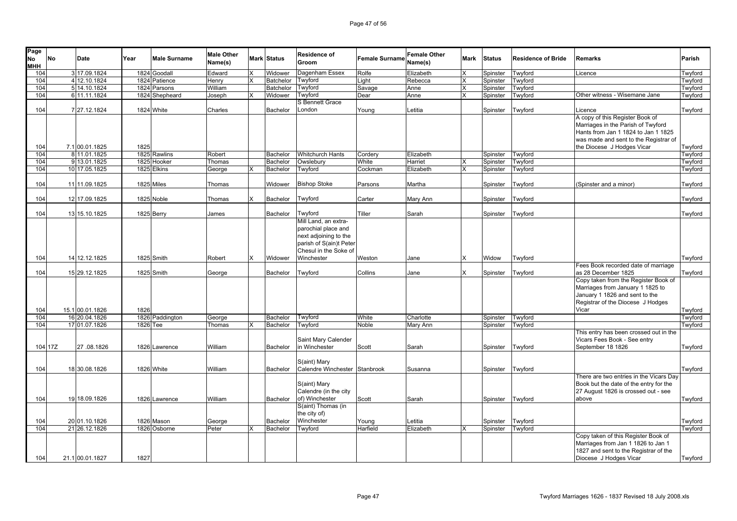| Page<br>No<br><b>MHH</b> | No      | <b>Date</b>                   | Year     | <b>Male Surname</b> | <b>Male Other</b><br>Name(s) |    | Mark Status      | Residence of<br>Groom                                                                                                                  | <b>Female Surname</b> | <b>Female Other</b><br>Name(s) | <b>Mark</b> | <b>Status</b> | <b>Residence of Bride</b> | <b>Remarks</b>                                                                                                                                           | Parish  |
|--------------------------|---------|-------------------------------|----------|---------------------|------------------------------|----|------------------|----------------------------------------------------------------------------------------------------------------------------------------|-----------------------|--------------------------------|-------------|---------------|---------------------------|----------------------------------------------------------------------------------------------------------------------------------------------------------|---------|
| 104                      |         | 3 17.09.1824                  |          | 1824 Goodall        | Edward                       |    | Widower          | Dagenham Essex                                                                                                                         | Rolfe                 | Elizabeth                      |             | Spinster      | Twyford                   | Licence                                                                                                                                                  | Twyford |
| 104                      |         | 4 12.10.1824                  |          | 1824 Patience       | Henry                        | ΙX | <b>Batchelor</b> | Twyford                                                                                                                                | Light                 | Rebecca                        |             | Spinster      | Twyford                   |                                                                                                                                                          | Twyford |
| 104                      |         | 5 14.10.1824                  |          | 1824 Parsons        | William                      |    | Batchelor        | Twyford                                                                                                                                | Savage                | Anne                           |             | Spinster      | Twyford                   |                                                                                                                                                          | Twyford |
| 104                      |         | 6 11.11.1824                  |          | 1824 Shepheard      | Joseph                       |    | Widower          | Twyford                                                                                                                                | Dear                  | Anne                           |             | Spinster      | Twyford                   | Other witness - Wisemane Jane                                                                                                                            | Twyford |
|                          |         |                               |          |                     |                              |    |                  | S Bennett Grace                                                                                                                        |                       |                                |             |               |                           |                                                                                                                                                          |         |
| 104                      |         | 7 27.12.1824                  |          | 1824 White          | Charles                      |    | Bachelor         | London                                                                                                                                 | Young                 | ∟etitia                        |             | Spinster      | Twyford                   | Licence                                                                                                                                                  | Twyford |
|                          |         |                               |          |                     |                              |    |                  |                                                                                                                                        |                       |                                |             |               |                           | A copy of this Register Book of<br>Marriages in the Parish of Twyford<br>Hants from Jan 1 1824 to Jan 1 1825<br>was made and sent to the Registrar of    |         |
| 104                      |         | 7.1 00.01.1825                | 1825     |                     |                              |    |                  |                                                                                                                                        |                       |                                |             |               |                           | the Diocese J Hodges Vicar                                                                                                                               | Twyford |
| 104                      |         | 8 11.01.1825                  |          | 1825 Rawlins        | Robert                       |    | Bachelor         | <b>Whitchurch Hants</b>                                                                                                                | Cordery               | Elizabeth                      |             | Spinster      | Twyford                   |                                                                                                                                                          | Twyford |
| 104                      |         | 9 13.01.1825<br>10 17.05.1825 |          | 1825 Hooker         | Thomas                       |    | Bachelor         | Owslebury                                                                                                                              | White                 | Harriet                        |             | Spinster      | Twyford                   |                                                                                                                                                          | Twyford |
| 104                      |         |                               |          | 1825 Elkins         | George                       |    | Bachelor         | Twyford                                                                                                                                | Cockman               | Elizabeth                      |             | Spinster      | <b>Twyford</b>            |                                                                                                                                                          | Twyford |
| 104                      |         | 11 11.09.1825                 |          | 1825 Miles          | Thomas                       |    | Widower          | <b>Bishop Stoke</b>                                                                                                                    | Parsons               | Martha                         |             | Spinster      | Twyford                   | (Spinster and a minor)                                                                                                                                   | Twyford |
| 104                      |         | 12 17.09.1825                 |          | 1825 Noble          | Thomas                       |    | Bachelor         | Twyford                                                                                                                                | Carter                | Mary Ann                       |             | Spinster      | Twyford                   |                                                                                                                                                          | Twyford |
| 104                      |         | 13 15.10.1825                 |          | 1825 Berry          | James                        |    | Bachelor         | Twyford                                                                                                                                | Tiller                | Sarah                          |             | Spinster      | Twyford                   |                                                                                                                                                          | Twyford |
| 104                      |         | 14 12.12.1825                 |          | 1825 Smith          | Robert                       |    | Widower          | Mill Land, an extra-<br>parochial place and<br>next adjoining to the<br>parish of S(ain)t Peter<br>Chesul in the Soke of<br>Winchester | Weston                | Jane                           |             | Widow         | Twyford                   |                                                                                                                                                          | Twyford |
|                          |         |                               |          |                     |                              |    |                  |                                                                                                                                        |                       |                                |             |               |                           | Fees Book recorded date of marriage                                                                                                                      |         |
| 104                      |         | 15 29.12.1825                 |          | 1825 Smith          | George                       |    | Bachelor         | Twyford                                                                                                                                | Collins               | Jane                           |             | Spinster      | Twyford                   | as 28 December 1825                                                                                                                                      | Twyford |
| 104                      |         | 15.1 00.01.1826               | 1826     |                     |                              |    |                  |                                                                                                                                        |                       |                                |             |               |                           | Copy taken from the Register Book of<br>Marriages from January 1 1825 to<br>January 1 1826 and sent to the<br>Registrar of the Diocese J Hodges<br>Vicar | Twyford |
| 104                      |         | 16 20.04.1826                 |          | 1826 Paddington     | George                       |    | Bachelor         | Twyford                                                                                                                                | White                 | Charlotte                      |             | Spinster      | Twyford                   |                                                                                                                                                          | Twyford |
| 104                      |         | 17 01.07.1826                 | 1826 Tee |                     | Thomas                       |    | Bachelor         | Twyford                                                                                                                                | Noble                 | Mary Ann                       |             | Spinster      | Twyford                   |                                                                                                                                                          | Twyford |
|                          | 104 17Z | 27.08.1826                    |          | 1826 Lawrence       | William                      |    | Bachelor         | Saint Mary Calender<br>in Winchester                                                                                                   | Scott                 | Sarah                          |             | Spinster      | Twyford                   | This entry has been crossed out in the<br>Vicars Fees Book - See entry<br>September 18 1826                                                              | Twyford |
| 104                      |         | 18 30.08.1826                 |          | 1826 White          | William                      |    | Bachelor         | S(aint) Mary<br>Calendre Winchester Stanbrook                                                                                          |                       | Susanna                        |             | Spinster      | Twyford                   |                                                                                                                                                          | Twyford |
| 104                      |         | 19 18.09.1826                 |          | 1826 Lawrence       | William                      |    | Bachelor         | S(aint) Mary<br>Calendre (in the city<br>of) Winchester                                                                                | Scott                 | Sarah                          |             | Spinster      | Twyford                   | There are two entries in the Vicars Day<br>Book but the date of the entry for the<br>27 August 1826 is crossed out - see<br>above                        | Twyford |
|                          |         |                               |          |                     |                              |    |                  | S(aint) Thomas (in<br>the city of)                                                                                                     |                       |                                |             |               |                           |                                                                                                                                                          |         |
| 104                      |         | 20 01.10.1826                 |          | 1826 Mason          | George                       |    | Bachelor         | Winchester                                                                                                                             | Young                 | Letitia                        |             | Spinster      | Twyford                   |                                                                                                                                                          | Twyford |
| 104                      |         | 21 26.12.1826                 |          | 1826 Osborne        | Peter                        |    | Bachelor         | Twyford                                                                                                                                | Harfield              | Elizabeth                      |             | Spinster      | Twyford                   |                                                                                                                                                          | Twyford |
| 104                      |         | 21.1 00.01.1827               | 1827     |                     |                              |    |                  |                                                                                                                                        |                       |                                |             |               |                           | Copy taken of this Register Book of<br>Marriages from Jan 1 1826 to Jan 1<br>1827 and sent to the Registrar of the<br>Diocese J Hodges Vicar             | Twyford |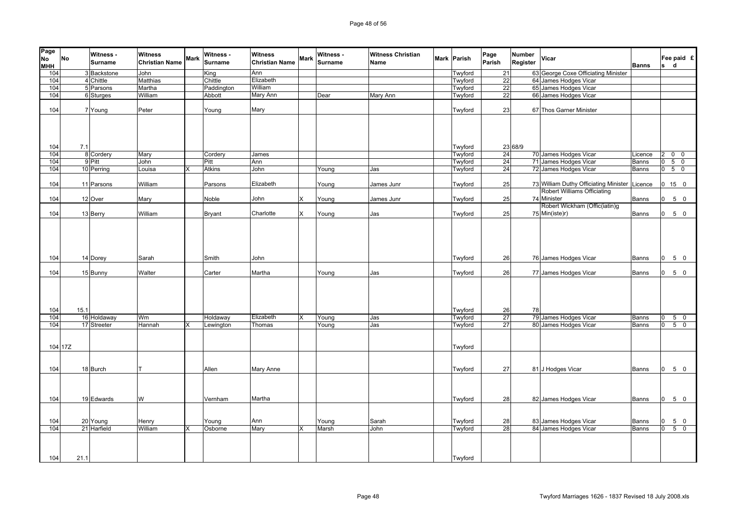| Page<br>No<br><b>MHH</b> | No      | Witness -<br><b>Surname</b> | <b>Witness</b><br><b>Christian Name</b> | <b>Mark</b> | Witness -<br>Surname | <b>Witness</b><br><b>Christian Name</b> | <b>Mark</b> | Witness -<br>Surname | <b>Witness Christian</b><br>Name | Mark Parish        | Page<br>Parish | <b>Number</b><br>Register | <b>Vicar</b>                                    | <b>Banns</b>   | Fee paid £<br>d<br>s. |
|--------------------------|---------|-----------------------------|-----------------------------------------|-------------|----------------------|-----------------------------------------|-------------|----------------------|----------------------------------|--------------------|----------------|---------------------------|-------------------------------------------------|----------------|-----------------------|
| 104                      |         | 3 Backstone                 | John                                    |             | King                 | Ann                                     |             |                      |                                  | Twyford            | 21             |                           | 63 George Coxe Officiating Minister             |                |                       |
| 104                      |         | 4 Chittle                   | <b>Matthias</b>                         |             | Chittle              | Elizabeth                               |             |                      |                                  | Twyford            | 22             |                           | 64 James Hodges Vicar                           |                |                       |
| 104                      |         | 5 Parsons                   | Martha                                  |             | Paddington           | William                                 |             |                      |                                  | Twyford            | 22             |                           | 65 James Hodges Vicar                           |                |                       |
| 104                      |         | 6 Sturges                   | William                                 |             | Abbott               | Mary Ann                                |             | Dear                 | Mary Ann                         | Twyford            | 22             |                           | 66 James Hodges Vicar                           |                |                       |
|                          |         |                             |                                         |             |                      |                                         |             |                      |                                  |                    |                |                           |                                                 |                |                       |
| 104                      |         | 7 Young                     | Peter                                   |             | Young                | Mary                                    |             |                      |                                  | Twyford            | 23             |                           | 67 Thos Garner Minister                         |                |                       |
|                          |         |                             |                                         |             |                      |                                         |             |                      |                                  |                    |                |                           |                                                 |                |                       |
| 104                      | 7.1     |                             |                                         |             |                      |                                         |             |                      |                                  | Twyford            |                | 23 68/9                   |                                                 |                |                       |
| 104                      |         | 8 Cordery                   | Mary                                    |             | Cordery              | James                                   |             |                      |                                  | Twyford            | 24             |                           | 70 James Hodges Vicar                           | Licence        | $0\quad 0$            |
| 104                      |         | 9 Pitt                      | John                                    |             | Pitt                 | Ann                                     |             |                      |                                  | Twyford            | 24             |                           | 71 James Hodges Vicar                           | Banns          | 5 <sub>0</sub>        |
| 104                      |         | 10 Perring                  | Louisa                                  | x           | <b>Atkins</b>        | John                                    |             | Young                | Jas                              | Twyford            | 24             |                           | 72 James Hodges Vicar                           | Banns          | 50<br><sup>0</sup>    |
| 104                      |         | 11 Parsons                  | William                                 |             | Parsons              | Elizabeth                               |             | Young                | James Junr                       | Twyford            | 25             |                           | 73 William Duthy Officiating Minister           | Licence        | $0$ 15 $0$            |
| 104                      |         | 12 Over                     | Mary                                    |             | Noble                | John                                    |             | Young                | James Junr                       | Twyford            | 25             |                           | Robert Williams Officiating<br>74 Minister      | Banns          | 50                    |
| 104                      |         | 13 Berry                    | William                                 |             | <b>Bryant</b>        | Charlotte                               | X           | Young                | Jas                              | Twyford            | 25             |                           | Robert Wickham (Offic(iatin)g<br>75 Min(iste)r) | Banns          | 50                    |
| 104<br>104               |         | 14 Dorey<br>15 Bunny        | Sarah<br>Walter                         |             | Smith<br>Carter      | John<br>Martha                          |             | Young                | Jas                              | Twyford<br>Twyford | 26<br>26       |                           | 76 James Hodges Vicar<br>77 James Hodges Vicar  | Banns<br>Banns | 50<br>50<br>Ю         |
| 104<br>104               | 15.1    | 16 Holdaway                 | Wm                                      |             | Holdaway             | Elizabeth                               |             | Young                | Jas                              | Twyford<br>Twyford | 26<br>27       | 78                        | 79 James Hodges Vicar                           | Banns          | 50                    |
| 104                      |         | 17 Streeter                 | Hannah                                  | x           | _ewington            | Thomas                                  |             | Young                | Jas                              | Twyford            | 27             |                           | 80 James Hodges Vicar                           | Banns          | $5\quad$              |
|                          | 104 17Z |                             |                                         |             |                      |                                         |             |                      |                                  | Twyford            |                |                           |                                                 |                |                       |
| 104                      |         | 18 Burch                    |                                         |             | Allen                | Mary Anne                               |             |                      |                                  | Twyford            | 27             |                           | 81 J Hodges Vicar                               | Banns          | 5 0                   |
| 104<br>104               |         | 19 Edwards<br>20 Young      | W<br>Henry                              |             | Vernham<br>Young     | Martha<br>Ann                           |             | Young                | Sarah                            | Twyford<br>Twyford | 28<br>28       |                           | 82 James Hodges Vicar<br>83 James Hodges Vicar  | Banns<br>Banns | 5 0<br>10<br>50       |
| 104                      |         | 21 Harfield                 | William                                 | IX.         | Osborne              | Mary                                    |             | Marsh                | John                             | Twyford            | 28             |                           | 84 James Hodges Vicar                           | Banns          | 5 <sup>0</sup>        |
| 104                      | 21.1    |                             |                                         |             |                      |                                         |             |                      |                                  | Twyford            |                |                           |                                                 |                |                       |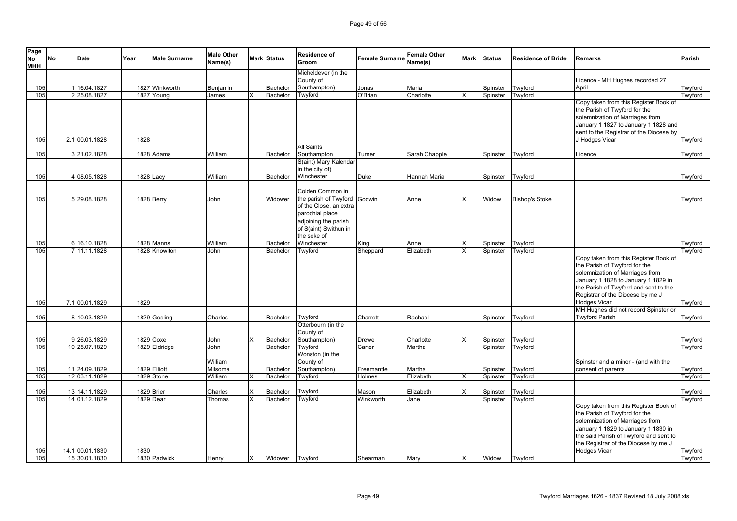| Micheldever (in the<br>County of<br>Licence - MH Hughes recorded 27<br>1827 Winkworth<br>Southampton)<br>105<br>1 16.04.1827<br>Benjamin<br>Bachelor<br>Jonas<br>Maria<br>Spinster<br>Twyford<br>April<br>105<br>225.08.1827<br>Twyford<br>O'Brian<br>1827 Young<br>James<br>Bachelor<br>Charlotte<br>Spinster<br>Twyford<br>x<br>the Parish of Twyford for the<br>solemnization of Marriages from<br>2.1 00.01.1828<br>1828<br>J Hodges Vicar<br>105<br><b>All Saints</b><br>1828 Adams<br>105<br>3 21.02.1828<br>William<br>Bachelor<br>Southampton<br>Turner<br>Sarah Chapple<br>Spinster<br>Twyford<br>Licence<br>S(aint) Mary Kalendar<br>in the city of)<br>Winchester<br>105<br>4 08.05.1828<br>1828 Lacy<br>William<br><b>Duke</b><br>Hannah Maria<br>Bachelor<br>Spinster<br>Twyford<br>Colden Common in<br>105<br>5 29.08.1828<br>1828 Berry<br>the parish of Twyford Godwin<br>Widow<br><b>Bishop's Stoke</b><br>John<br>Widower<br>Anne<br>of the Close, an extra<br>parochial place<br>adjoining the parish<br>of S(aint) Swithun in<br>the soke of<br>6 16.10.1828<br>1828 Manns<br>William<br>Winchester<br>105<br>King<br>Anne<br>Twyford<br>Bachelor<br>Spinster<br>711.11.1828<br>Twyford<br>105<br>1828<br>Knowlton<br>Sheppard<br>Elizabeth<br>Twyford<br>John<br>Bachelor<br>Spinster<br>Copy taken from this Register Book of<br>the Parish of Twyford for the<br>solemnization of Marriages from<br>Registrar of the Diocese by me J<br>7.1 00.01.1829<br>1829<br><b>Hodges Vicar</b><br>105<br>1829 Gosling<br>Twyford<br>Charrett<br><b>Twyford Parish</b><br>105<br>8 10.03.1829<br>Charles<br>Bachelor<br>Rachael<br>Spinster<br>Twyford<br>Otterbourn (in the<br>County of<br>Southampton)<br>9 26 03 1829<br>1829 Coxe<br>John<br>Bachelor<br>Charlotte<br>Twyford<br>105<br>Drewe<br>Spinster<br>10 25.07.1829<br>1829 Eldridge<br>Twyford<br>105<br>John<br>Bachelor<br>Carter<br>Martha<br>Twyford<br>Spinster<br>Wonston (in the<br>William<br>County of<br>Spinster and a minor - (and with the<br>Southampton)<br>11 24.09.1829<br>1829 Elliott<br>Milsome<br>Bachelor<br>Martha<br>Twyford<br>consent of parents<br>105<br>Freemantle<br>Spinster<br>105<br>12 03.11.1829<br>1829 Stone<br>Twyford<br>Twyford<br>William<br>Bachelor<br>Holmes<br>Elizabeth<br>Spinster<br>1829 Brier<br>105<br>13 14.11.1829<br>Charles<br>x<br>Bachelor<br>Twyford<br>Elizabeth<br>x<br>Spinster<br>Twyford<br>Mason<br>105<br>14 01.12.1829<br>1829 Dear<br>Twyford<br>Thomas<br>Bachelor<br>Winkworth<br>Twyford<br>Jane<br>Spinster<br>the Parish of Twyford for the<br>solemnization of Marriages from<br><b>Hodges Vicar</b><br>14.1 00.01.1830<br>1830<br>105 | Page<br>No <sup>T</sup><br>МНН | No | Date | Year | <b>Male Surname</b> | <b>Male Other</b><br>Name(s) |   | <b>Mark Status</b> | Residence of<br>Groom | <b>Female Surname</b> | <b>Female Other</b><br>Name(s) | Mark | <b>Status</b> | <b>Residence of Bride</b> | <b>Remarks</b>                                                                                                                                                 | Parish             |
|-------------------------------------------------------------------------------------------------------------------------------------------------------------------------------------------------------------------------------------------------------------------------------------------------------------------------------------------------------------------------------------------------------------------------------------------------------------------------------------------------------------------------------------------------------------------------------------------------------------------------------------------------------------------------------------------------------------------------------------------------------------------------------------------------------------------------------------------------------------------------------------------------------------------------------------------------------------------------------------------------------------------------------------------------------------------------------------------------------------------------------------------------------------------------------------------------------------------------------------------------------------------------------------------------------------------------------------------------------------------------------------------------------------------------------------------------------------------------------------------------------------------------------------------------------------------------------------------------------------------------------------------------------------------------------------------------------------------------------------------------------------------------------------------------------------------------------------------------------------------------------------------------------------------------------------------------------------------------------------------------------------------------------------------------------------------------------------------------------------------------------------------------------------------------------------------------------------------------------------------------------------------------------------------------------------------------------------------------------------------------------------------------------------------------------------------------------------------------------------------------------------------------------------------------------------------------------------------------------------------------------------------------------------------------------------------|--------------------------------|----|------|------|---------------------|------------------------------|---|--------------------|-----------------------|-----------------------|--------------------------------|------|---------------|---------------------------|----------------------------------------------------------------------------------------------------------------------------------------------------------------|--------------------|
|                                                                                                                                                                                                                                                                                                                                                                                                                                                                                                                                                                                                                                                                                                                                                                                                                                                                                                                                                                                                                                                                                                                                                                                                                                                                                                                                                                                                                                                                                                                                                                                                                                                                                                                                                                                                                                                                                                                                                                                                                                                                                                                                                                                                                                                                                                                                                                                                                                                                                                                                                                                                                                                                                           |                                |    |      |      |                     |                              |   |                    |                       |                       |                                |      |               |                           |                                                                                                                                                                |                    |
|                                                                                                                                                                                                                                                                                                                                                                                                                                                                                                                                                                                                                                                                                                                                                                                                                                                                                                                                                                                                                                                                                                                                                                                                                                                                                                                                                                                                                                                                                                                                                                                                                                                                                                                                                                                                                                                                                                                                                                                                                                                                                                                                                                                                                                                                                                                                                                                                                                                                                                                                                                                                                                                                                           |                                |    |      |      |                     |                              |   |                    |                       |                       |                                |      |               |                           |                                                                                                                                                                |                    |
|                                                                                                                                                                                                                                                                                                                                                                                                                                                                                                                                                                                                                                                                                                                                                                                                                                                                                                                                                                                                                                                                                                                                                                                                                                                                                                                                                                                                                                                                                                                                                                                                                                                                                                                                                                                                                                                                                                                                                                                                                                                                                                                                                                                                                                                                                                                                                                                                                                                                                                                                                                                                                                                                                           |                                |    |      |      |                     |                              |   |                    |                       |                       |                                |      |               |                           |                                                                                                                                                                | Twyford<br>Twyford |
|                                                                                                                                                                                                                                                                                                                                                                                                                                                                                                                                                                                                                                                                                                                                                                                                                                                                                                                                                                                                                                                                                                                                                                                                                                                                                                                                                                                                                                                                                                                                                                                                                                                                                                                                                                                                                                                                                                                                                                                                                                                                                                                                                                                                                                                                                                                                                                                                                                                                                                                                                                                                                                                                                           |                                |    |      |      |                     |                              |   |                    |                       |                       |                                |      |               |                           | Copy taken from this Register Book of<br>January 1 1827 to January 1 1828 and<br>sent to the Registrar of the Diocese by                                       |                    |
|                                                                                                                                                                                                                                                                                                                                                                                                                                                                                                                                                                                                                                                                                                                                                                                                                                                                                                                                                                                                                                                                                                                                                                                                                                                                                                                                                                                                                                                                                                                                                                                                                                                                                                                                                                                                                                                                                                                                                                                                                                                                                                                                                                                                                                                                                                                                                                                                                                                                                                                                                                                                                                                                                           |                                |    |      |      |                     |                              |   |                    |                       |                       |                                |      |               |                           |                                                                                                                                                                | Twyford            |
|                                                                                                                                                                                                                                                                                                                                                                                                                                                                                                                                                                                                                                                                                                                                                                                                                                                                                                                                                                                                                                                                                                                                                                                                                                                                                                                                                                                                                                                                                                                                                                                                                                                                                                                                                                                                                                                                                                                                                                                                                                                                                                                                                                                                                                                                                                                                                                                                                                                                                                                                                                                                                                                                                           |                                |    |      |      |                     |                              |   |                    |                       |                       |                                |      |               |                           |                                                                                                                                                                | Twyford            |
|                                                                                                                                                                                                                                                                                                                                                                                                                                                                                                                                                                                                                                                                                                                                                                                                                                                                                                                                                                                                                                                                                                                                                                                                                                                                                                                                                                                                                                                                                                                                                                                                                                                                                                                                                                                                                                                                                                                                                                                                                                                                                                                                                                                                                                                                                                                                                                                                                                                                                                                                                                                                                                                                                           |                                |    |      |      |                     |                              |   |                    |                       |                       |                                |      |               |                           |                                                                                                                                                                |                    |
|                                                                                                                                                                                                                                                                                                                                                                                                                                                                                                                                                                                                                                                                                                                                                                                                                                                                                                                                                                                                                                                                                                                                                                                                                                                                                                                                                                                                                                                                                                                                                                                                                                                                                                                                                                                                                                                                                                                                                                                                                                                                                                                                                                                                                                                                                                                                                                                                                                                                                                                                                                                                                                                                                           |                                |    |      |      |                     |                              |   |                    |                       |                       |                                |      |               |                           |                                                                                                                                                                |                    |
|                                                                                                                                                                                                                                                                                                                                                                                                                                                                                                                                                                                                                                                                                                                                                                                                                                                                                                                                                                                                                                                                                                                                                                                                                                                                                                                                                                                                                                                                                                                                                                                                                                                                                                                                                                                                                                                                                                                                                                                                                                                                                                                                                                                                                                                                                                                                                                                                                                                                                                                                                                                                                                                                                           |                                |    |      |      |                     |                              |   |                    |                       |                       |                                |      |               |                           |                                                                                                                                                                | Twyford            |
|                                                                                                                                                                                                                                                                                                                                                                                                                                                                                                                                                                                                                                                                                                                                                                                                                                                                                                                                                                                                                                                                                                                                                                                                                                                                                                                                                                                                                                                                                                                                                                                                                                                                                                                                                                                                                                                                                                                                                                                                                                                                                                                                                                                                                                                                                                                                                                                                                                                                                                                                                                                                                                                                                           |                                |    |      |      |                     |                              |   |                    |                       |                       |                                |      |               |                           |                                                                                                                                                                |                    |
|                                                                                                                                                                                                                                                                                                                                                                                                                                                                                                                                                                                                                                                                                                                                                                                                                                                                                                                                                                                                                                                                                                                                                                                                                                                                                                                                                                                                                                                                                                                                                                                                                                                                                                                                                                                                                                                                                                                                                                                                                                                                                                                                                                                                                                                                                                                                                                                                                                                                                                                                                                                                                                                                                           |                                |    |      |      |                     |                              |   |                    |                       |                       |                                |      |               |                           |                                                                                                                                                                |                    |
|                                                                                                                                                                                                                                                                                                                                                                                                                                                                                                                                                                                                                                                                                                                                                                                                                                                                                                                                                                                                                                                                                                                                                                                                                                                                                                                                                                                                                                                                                                                                                                                                                                                                                                                                                                                                                                                                                                                                                                                                                                                                                                                                                                                                                                                                                                                                                                                                                                                                                                                                                                                                                                                                                           |                                |    |      |      |                     |                              |   |                    |                       |                       |                                |      |               |                           |                                                                                                                                                                | Twyford            |
|                                                                                                                                                                                                                                                                                                                                                                                                                                                                                                                                                                                                                                                                                                                                                                                                                                                                                                                                                                                                                                                                                                                                                                                                                                                                                                                                                                                                                                                                                                                                                                                                                                                                                                                                                                                                                                                                                                                                                                                                                                                                                                                                                                                                                                                                                                                                                                                                                                                                                                                                                                                                                                                                                           |                                |    |      |      |                     |                              |   |                    |                       |                       |                                |      |               |                           |                                                                                                                                                                |                    |
|                                                                                                                                                                                                                                                                                                                                                                                                                                                                                                                                                                                                                                                                                                                                                                                                                                                                                                                                                                                                                                                                                                                                                                                                                                                                                                                                                                                                                                                                                                                                                                                                                                                                                                                                                                                                                                                                                                                                                                                                                                                                                                                                                                                                                                                                                                                                                                                                                                                                                                                                                                                                                                                                                           |                                |    |      |      |                     |                              |   |                    |                       |                       |                                |      |               |                           |                                                                                                                                                                | Twyford            |
|                                                                                                                                                                                                                                                                                                                                                                                                                                                                                                                                                                                                                                                                                                                                                                                                                                                                                                                                                                                                                                                                                                                                                                                                                                                                                                                                                                                                                                                                                                                                                                                                                                                                                                                                                                                                                                                                                                                                                                                                                                                                                                                                                                                                                                                                                                                                                                                                                                                                                                                                                                                                                                                                                           |                                |    |      |      |                     |                              |   |                    |                       |                       |                                |      |               |                           |                                                                                                                                                                | Twyford            |
|                                                                                                                                                                                                                                                                                                                                                                                                                                                                                                                                                                                                                                                                                                                                                                                                                                                                                                                                                                                                                                                                                                                                                                                                                                                                                                                                                                                                                                                                                                                                                                                                                                                                                                                                                                                                                                                                                                                                                                                                                                                                                                                                                                                                                                                                                                                                                                                                                                                                                                                                                                                                                                                                                           |                                |    |      |      |                     |                              |   |                    |                       |                       |                                |      |               |                           | January 1 1828 to January 1 1829 in<br>the Parish of Twyford and sent to the                                                                                   | Twyford            |
|                                                                                                                                                                                                                                                                                                                                                                                                                                                                                                                                                                                                                                                                                                                                                                                                                                                                                                                                                                                                                                                                                                                                                                                                                                                                                                                                                                                                                                                                                                                                                                                                                                                                                                                                                                                                                                                                                                                                                                                                                                                                                                                                                                                                                                                                                                                                                                                                                                                                                                                                                                                                                                                                                           |                                |    |      |      |                     |                              |   |                    |                       |                       |                                |      |               |                           | MH Hughes did not record Spinster or                                                                                                                           |                    |
|                                                                                                                                                                                                                                                                                                                                                                                                                                                                                                                                                                                                                                                                                                                                                                                                                                                                                                                                                                                                                                                                                                                                                                                                                                                                                                                                                                                                                                                                                                                                                                                                                                                                                                                                                                                                                                                                                                                                                                                                                                                                                                                                                                                                                                                                                                                                                                                                                                                                                                                                                                                                                                                                                           |                                |    |      |      |                     |                              |   |                    |                       |                       |                                |      |               |                           |                                                                                                                                                                | Twyford            |
|                                                                                                                                                                                                                                                                                                                                                                                                                                                                                                                                                                                                                                                                                                                                                                                                                                                                                                                                                                                                                                                                                                                                                                                                                                                                                                                                                                                                                                                                                                                                                                                                                                                                                                                                                                                                                                                                                                                                                                                                                                                                                                                                                                                                                                                                                                                                                                                                                                                                                                                                                                                                                                                                                           |                                |    |      |      |                     |                              |   |                    |                       |                       |                                |      |               |                           |                                                                                                                                                                |                    |
|                                                                                                                                                                                                                                                                                                                                                                                                                                                                                                                                                                                                                                                                                                                                                                                                                                                                                                                                                                                                                                                                                                                                                                                                                                                                                                                                                                                                                                                                                                                                                                                                                                                                                                                                                                                                                                                                                                                                                                                                                                                                                                                                                                                                                                                                                                                                                                                                                                                                                                                                                                                                                                                                                           |                                |    |      |      |                     |                              |   |                    |                       |                       |                                |      |               |                           |                                                                                                                                                                | Twyford            |
|                                                                                                                                                                                                                                                                                                                                                                                                                                                                                                                                                                                                                                                                                                                                                                                                                                                                                                                                                                                                                                                                                                                                                                                                                                                                                                                                                                                                                                                                                                                                                                                                                                                                                                                                                                                                                                                                                                                                                                                                                                                                                                                                                                                                                                                                                                                                                                                                                                                                                                                                                                                                                                                                                           |                                |    |      |      |                     |                              |   |                    |                       |                       |                                |      |               |                           |                                                                                                                                                                | Twyford            |
|                                                                                                                                                                                                                                                                                                                                                                                                                                                                                                                                                                                                                                                                                                                                                                                                                                                                                                                                                                                                                                                                                                                                                                                                                                                                                                                                                                                                                                                                                                                                                                                                                                                                                                                                                                                                                                                                                                                                                                                                                                                                                                                                                                                                                                                                                                                                                                                                                                                                                                                                                                                                                                                                                           |                                |    |      |      |                     |                              |   |                    |                       |                       |                                |      |               |                           |                                                                                                                                                                |                    |
|                                                                                                                                                                                                                                                                                                                                                                                                                                                                                                                                                                                                                                                                                                                                                                                                                                                                                                                                                                                                                                                                                                                                                                                                                                                                                                                                                                                                                                                                                                                                                                                                                                                                                                                                                                                                                                                                                                                                                                                                                                                                                                                                                                                                                                                                                                                                                                                                                                                                                                                                                                                                                                                                                           |                                |    |      |      |                     |                              |   |                    |                       |                       |                                |      |               |                           |                                                                                                                                                                | Twyford            |
|                                                                                                                                                                                                                                                                                                                                                                                                                                                                                                                                                                                                                                                                                                                                                                                                                                                                                                                                                                                                                                                                                                                                                                                                                                                                                                                                                                                                                                                                                                                                                                                                                                                                                                                                                                                                                                                                                                                                                                                                                                                                                                                                                                                                                                                                                                                                                                                                                                                                                                                                                                                                                                                                                           |                                |    |      |      |                     |                              |   |                    |                       |                       |                                |      |               |                           |                                                                                                                                                                | Twyford            |
|                                                                                                                                                                                                                                                                                                                                                                                                                                                                                                                                                                                                                                                                                                                                                                                                                                                                                                                                                                                                                                                                                                                                                                                                                                                                                                                                                                                                                                                                                                                                                                                                                                                                                                                                                                                                                                                                                                                                                                                                                                                                                                                                                                                                                                                                                                                                                                                                                                                                                                                                                                                                                                                                                           |                                |    |      |      |                     |                              |   |                    |                       |                       |                                |      |               |                           |                                                                                                                                                                | Twyford            |
|                                                                                                                                                                                                                                                                                                                                                                                                                                                                                                                                                                                                                                                                                                                                                                                                                                                                                                                                                                                                                                                                                                                                                                                                                                                                                                                                                                                                                                                                                                                                                                                                                                                                                                                                                                                                                                                                                                                                                                                                                                                                                                                                                                                                                                                                                                                                                                                                                                                                                                                                                                                                                                                                                           |                                |    |      |      |                     |                              |   |                    |                       |                       |                                |      |               |                           |                                                                                                                                                                | Twyford            |
| 15 30.01.1830<br>1830 Padwick                                                                                                                                                                                                                                                                                                                                                                                                                                                                                                                                                                                                                                                                                                                                                                                                                                                                                                                                                                                                                                                                                                                                                                                                                                                                                                                                                                                                                                                                                                                                                                                                                                                                                                                                                                                                                                                                                                                                                                                                                                                                                                                                                                                                                                                                                                                                                                                                                                                                                                                                                                                                                                                             | 105                            |    |      |      |                     | Henry                        | X | Widower            | Twyford               | Shearman              | Marv                           |      | Widow         | Twvford                   | Copy taken from this Register Book of<br>January 1 1829 to January 1 1830 in<br>the said Parish of Twyford and sent to<br>the Registrar of the Diocese by me J | Twyford<br>Twyford |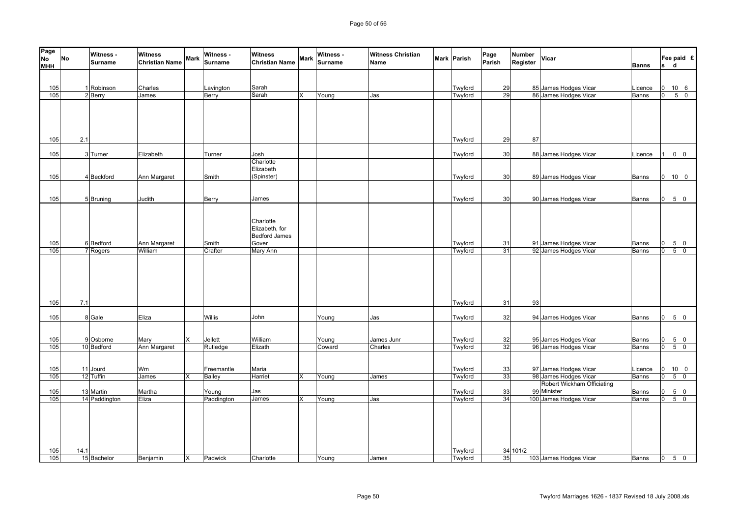| Page<br>No <sup>T</sup><br><b>MHH</b> | No   | Witness -<br><b>Surname</b> | <b>Witness</b><br><b>Christian Name</b> | Mark | Witness -<br>Surname | <b>Witness</b><br><b>Christian Name</b>                      | <b>Mark</b> | Witness -<br><b>Surname</b> | <b>Witness Christian</b><br><b>Name</b> | <b>Mark Parish</b> | Page<br>Parish | <b>Number</b><br>Register | Vicar                                               | <b>Banns</b>   | Fee paid £<br>s d        |
|---------------------------------------|------|-----------------------------|-----------------------------------------|------|----------------------|--------------------------------------------------------------|-------------|-----------------------------|-----------------------------------------|--------------------|----------------|---------------------------|-----------------------------------------------------|----------------|--------------------------|
|                                       |      |                             |                                         |      |                      |                                                              |             |                             |                                         |                    |                |                           |                                                     |                |                          |
| 105                                   |      | 1 Robinson                  | Charles                                 |      | Lavington            | Sarah                                                        |             |                             |                                         | Twyford            | 29             |                           | 85 James Hodges Vicar                               | Licence        | 10 6                     |
| 105                                   |      | 2 Berry                     | James                                   |      | Berry                | Sarah                                                        | x           | Young                       | Jas                                     | Twyford            | 29             |                           | 86 James Hodges Vicar                               | Banns          | $5\quad$                 |
|                                       |      |                             |                                         |      |                      |                                                              |             |                             |                                         |                    |                |                           |                                                     |                |                          |
| 105                                   | 2.1  |                             |                                         |      |                      |                                                              |             |                             |                                         | Twyford            | 29             | 87                        |                                                     |                |                          |
| 105                                   |      | 3 Turner                    | Elizabeth                               |      |                      | Josh                                                         |             |                             |                                         | Twyford            | 30             |                           | 88 James Hodges Vicar                               |                | $0\quad 0$               |
|                                       |      |                             |                                         |      | Turner               | Charlotte<br>Elizabeth                                       |             |                             |                                         |                    |                |                           |                                                     | Licence        |                          |
| 105                                   |      | 4 Beckford                  | Ann Margaret                            |      | Smith                | (Spinster)                                                   |             |                             |                                         | Twyford            | 30             |                           | 89 James Hodges Vicar                               | Banns          | 10 <sub>0</sub><br>ın    |
| 105                                   |      | 5 Bruning                   | Judith                                  |      | Berry                | James                                                        |             |                             |                                         | Twyford            | 30             |                           | 90 James Hodges Vicar                               | Banns          | 5 0<br>ın                |
| 105                                   |      | 6 Bedford                   | Ann Margaret                            |      | Smith                | Charlotte<br>Elizabeth, for<br><b>Bedford James</b><br>Gover |             |                             |                                         | Twyford            | 31             |                           | 91 James Hodges Vicar                               | Banns          | $5\quad 0$               |
| 105                                   |      | 7 Rogers                    | William                                 |      | Crafter              | Mary Ann                                                     |             |                             |                                         | Twyford            | 31             |                           | 92 James Hodges Vicar                               | Banns          | 5 0                      |
| 105                                   | 7.1  |                             |                                         |      |                      |                                                              |             |                             |                                         | Twyford            | 31             | 93                        |                                                     |                |                          |
| 105                                   |      | 8 Gale                      | Eliza                                   |      | Willis               | John                                                         |             | Young                       | Jas                                     | Twyford            | 32             |                           | 94 James Hodges Vicar                               | Banns          | 50<br>10                 |
| 105<br>105                            |      | 9 Osborne<br>10 Bedford     | Mary<br>Ann Margaret                    | X    | Jellett<br>Rutledge  | William<br>Elizath                                           |             | Young<br>Coward             | James Junr<br>Charles                   | Twyford<br>Twyford | 32<br>32       |                           | 95 James Hodges Vicar<br>96 James Hodges Vicar      | Banns<br>Banns | $5\quad 0$<br>$5\quad 0$ |
|                                       |      |                             |                                         |      |                      |                                                              |             |                             |                                         |                    |                |                           |                                                     |                |                          |
| 105                                   |      | 11 Jourd                    | Wm                                      |      | Freemantle           | Maria                                                        |             |                             |                                         | Twyford            | 33             |                           | 97 James Hodges Vicar                               | Licence        | 10 <sub>0</sub>          |
| 105                                   |      | 12 Tuffin                   | James                                   | X    | Bailey               | Harriet                                                      | x           | Young                       | James                                   | Twyford            | 33             |                           | 98 James Hodges Vicar<br>Robert Wickham Officiating | Banns          | 5 0                      |
| 105                                   |      | 13 Martin                   | Martha                                  |      | Young                | Jas                                                          |             |                             |                                         | Twyford            | 33             |                           | 99 Minister                                         | <b>Banns</b>   | 50                       |
| 105                                   |      | 14 Paddington               | Eliza                                   |      | Paddington           | James                                                        | X           | Young                       | Jas                                     | Twyford            | 34             |                           | 100 James Hodges Vicar                              | Banns          | $5\quad$                 |
| 105                                   | 14.1 |                             |                                         |      |                      |                                                              |             |                             |                                         | Twyford            |                | 34 101/2                  |                                                     |                |                          |
| 105                                   |      | 15 Bachelor                 | Benjamin                                | IX.  | Padwick              | Charlotte                                                    |             | Young                       | James                                   | Twyford            | 35             |                           | 103 James Hodges Vicar                              | <b>Banns</b>   | 5 0<br>10                |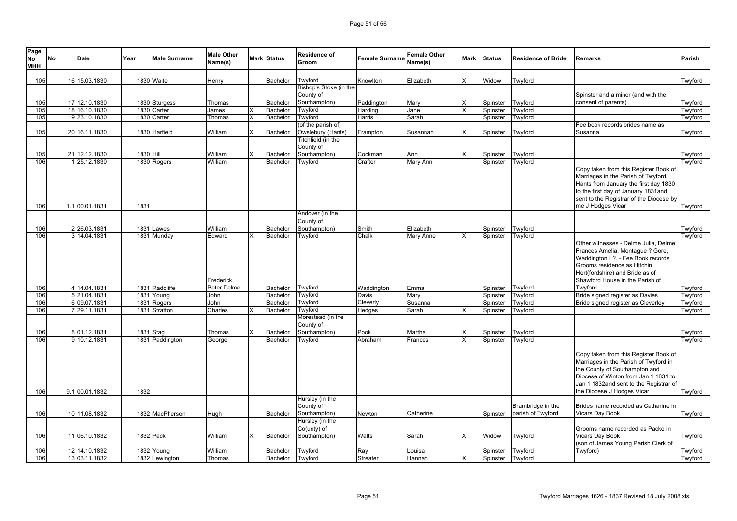| Page<br><b>No</b><br><b>MHH</b> | No | Date           | Year      | <b>Male Surname</b> | <b>Male Other</b><br>Name(s) |    | <b>Mark Status</b> | Residence of<br>Groom                               | <b>Female Surname</b> | <b>Female Other</b><br>Name(s) | Mark | <b>Status</b> | <b>Residence of Bride</b>              | <b>Remarks</b>                                                                                                                                                                                                                  | Parish  |
|---------------------------------|----|----------------|-----------|---------------------|------------------------------|----|--------------------|-----------------------------------------------------|-----------------------|--------------------------------|------|---------------|----------------------------------------|---------------------------------------------------------------------------------------------------------------------------------------------------------------------------------------------------------------------------------|---------|
| 105                             |    | 16 15.03.1830  |           | 1830 Waite          | Henry                        |    | Bachelor           | Twyford                                             | Knowlton              | Elizabeth                      | X.   | Widow         | Twyford                                |                                                                                                                                                                                                                                 | Twyford |
| 105                             |    | 17 12.10.1830  |           | 1830 Sturgess       | Thomas                       |    | Bachelor           | Bishop's Stoke (in the<br>County of<br>Southampton) | Paddington            | Mary                           | x    | Spinster      | Twyford                                | Spinster and a minor (and with the<br>consent of parents)                                                                                                                                                                       | Twyford |
| 105                             |    | 18 16.10.1830  |           | 1830 Carter         | James                        |    | Bachelor           | Twyford                                             | Harding               | Jane                           | x    | Spinster      | Twyford                                |                                                                                                                                                                                                                                 | Twyford |
| 105                             |    | 19 23.10.1830  |           | 1830 Carter         | Thomas                       | ΙX | Bachelor           | Twyford                                             | Harris                | Sarah                          |      | Spinster      | Twyford                                |                                                                                                                                                                                                                                 | Twyford |
|                                 |    |                |           |                     |                              |    |                    | (of the parish of)                                  |                       |                                |      |               |                                        | Fee book records brides name as                                                                                                                                                                                                 |         |
| 105                             |    | 20 16.11.1830  |           | 1830 Harfield       | William                      | lχ | Bachelor           | Owslebury (Hants)                                   | Frampton              | Susannah                       | X.   | Spinster      | Twyford                                | Susanna                                                                                                                                                                                                                         | Twyford |
|                                 |    |                |           |                     |                              |    |                    | Titchfield (in the<br>County of                     |                       |                                |      |               |                                        |                                                                                                                                                                                                                                 |         |
| 105                             |    | 21 12.12.1830  | 1830 Hill |                     | William                      | ΙX | Bachelor           | Southampton)                                        | Cockman               | Ann                            | X.   | Spinster      | Twyford                                |                                                                                                                                                                                                                                 | Twyford |
| 106                             |    | 125.12.1830    |           | 1830 Rogers         | William                      |    | Bachelor           | Twyford                                             | Crafter               | Mary Ann                       |      | Spinster      | Twyford                                |                                                                                                                                                                                                                                 | Twyford |
| 106                             |    | 1.1 00.01.1831 | 1831      |                     |                              |    |                    |                                                     |                       |                                |      |               |                                        | Copy taken from this Register Book of<br>Marriages in the Parish of Twyford<br>Hants from January the first day 1830<br>to the first day of January 1831 and<br>sent to the Registrar of the Diocese by<br>me J Hodges Vicar    | Twyford |
|                                 |    |                |           |                     |                              |    |                    | Andover (in the                                     |                       |                                |      |               |                                        |                                                                                                                                                                                                                                 |         |
|                                 |    |                |           |                     |                              |    |                    | County of                                           |                       |                                |      |               |                                        |                                                                                                                                                                                                                                 |         |
| 106                             |    | 2 26.03.1831   |           | 1831 Lawes          | William                      |    | Bachelor           | Southampton)                                        | Smith                 | Elizabeth                      |      | Spinster      | Twyford                                |                                                                                                                                                                                                                                 | Twyford |
| 106                             |    | 3 14.04.1831   |           | 1831 Munday         | Edward                       |    | Bachelor           | Twyford                                             | Chalk                 | Mary Anne                      |      | Spinster      | Twyford                                |                                                                                                                                                                                                                                 | Twyford |
|                                 |    |                |           |                     | Frederick                    |    |                    |                                                     |                       |                                |      |               |                                        | Other witnesses - Delme Julia, Delme<br>Frances Amelia, Montague ? Gore,<br>Waddington I ?. - Fee Book records<br>Grooms residence as Hitchin<br>Hert(fordshire) and Bride as of<br>Shawford House in the Parish of             |         |
| 106                             |    | 4 14.04.1831   |           | 1831 Radcliffe      | Peter Delme                  |    | Bachelor           | Twyford                                             | Waddington            | Emma                           |      | Spinster      | Twyford                                | Twyford                                                                                                                                                                                                                         | Twyford |
| 106                             |    | 5 21.04.1831   |           | 1831 Young          | John                         |    | Bachelor           | Twyford                                             | Davis                 | Mary                           |      | Spinster      | Twyford                                | Bride signed register as Davies                                                                                                                                                                                                 | Twyford |
| 106                             |    | 6 09.07.1831   |           | 1831 Rogers         | <b>John</b>                  |    | Bachelor           | Twyford                                             | Cleverly              | Susanna                        |      | Spinster      | Twyford                                | Bride signed register as Cleverley                                                                                                                                                                                              | Twyford |
| 106                             |    | 7 29.11.1831   |           | 1831 Stratton       | Charles                      |    | Bachelor           | Twyford                                             | Hedges                | Sarah                          | x    | Spinster      | Twyford                                |                                                                                                                                                                                                                                 | Twyford |
|                                 |    |                |           |                     |                              |    |                    | Morestead (in the<br>County of                      |                       |                                |      |               |                                        |                                                                                                                                                                                                                                 |         |
| 106                             |    | 8 01.12.1831   |           | 1831 Stag           | Thomas                       | ΙX | Bachelor           | Southampton)                                        | Pook                  | Martha                         | X    | Spinster      | Twyford                                |                                                                                                                                                                                                                                 | Twyford |
| 106                             |    | 9 10.12.1831   |           | 1831 Paddington     | George                       |    | Bachelor           | Twyford                                             | Abraham               | Frances                        |      | Spinster      | Twyford                                |                                                                                                                                                                                                                                 | Twyford |
| 106                             |    | 9.1 00.01.1832 | 1832      |                     |                              |    |                    |                                                     |                       |                                |      |               |                                        | Copy taken from this Register Book of<br>Marriages in the Parish of Twyford in<br>the County of Southampton and<br>Diocese of Winton from Jan 1 1831 to<br>Jan 1 1832and sent to the Registrar of<br>the Diocese J Hodges Vicar | Twyford |
| 106                             |    | 10 11.08.1832  |           | 1832 MacPherson     | Hugh                         |    | Bachelor           | Hursley (in the<br>County of<br>Southampton)        | Newton                | Catherine                      |      | Spinster      | Brambridge in the<br>parish of Twyford | Brides name recorded as Catharine in<br><b>Vicars Day Book</b>                                                                                                                                                                  | Twyford |
| 106                             |    | 11 06.10.1832  |           | 1832 Pack           | William                      |    | Bachelor           | Hursley (in the<br>Co(unty) of<br>Southampton)      | Watts                 | Sarah                          | x    | Widow         | Twyford                                | Grooms name recorded as Packe in<br><b>Vicars Day Book</b>                                                                                                                                                                      | Twyford |
|                                 |    |                |           |                     |                              |    |                    |                                                     |                       |                                |      |               |                                        | (son of James Young Parish Clerk of                                                                                                                                                                                             |         |
| 106                             |    | 12 14.10.1832  |           | 1832 Young          | William                      |    | Bachelor           | Twyford                                             | Ray                   | Louisa                         |      | Spinster      | Twyford                                | Twyford)                                                                                                                                                                                                                        | Twyford |
| 106                             |    | 13 03.11.1832  |           | 1832 Lewington      | Thomas                       |    | Bachelor           | Twyford                                             | Streater              | Hannah                         | x    | Spinster      | Twyford                                |                                                                                                                                                                                                                                 | Twyford |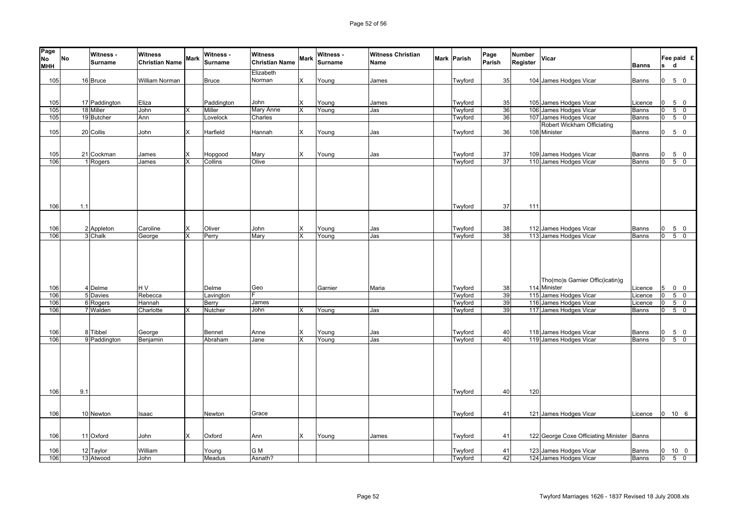| Page<br>No<br><b>MHH</b> | No  | Witness -<br><b>Surname</b> | <b>Witness</b><br><b>Christian Name</b> | <b>Mark</b> | Witness -<br><b>Surname</b> | <b>Witness</b><br><b>Christian Name</b> | <b>Mark</b> | Witness -<br>Surname | <b>Witness Christian</b><br><b>Name</b> | Mark Parish        | Page<br>Parish | Number<br>Register | Vicar                                                | <b>Banns</b>       | Fee paid £<br>d<br>s.    |
|--------------------------|-----|-----------------------------|-----------------------------------------|-------------|-----------------------------|-----------------------------------------|-------------|----------------------|-----------------------------------------|--------------------|----------------|--------------------|------------------------------------------------------|--------------------|--------------------------|
|                          |     |                             |                                         |             |                             | Elizabeth                               |             |                      |                                         |                    |                |                    |                                                      |                    |                          |
| 105                      |     | 16 Bruce                    | William Norman                          |             | <b>Bruce</b>                | Norman                                  | X           | Young                | James                                   | Twyford            | 35             |                    | 104 James Hodges Vicar                               | Banns              | 5 0<br>0                 |
|                          |     |                             |                                         |             |                             |                                         |             |                      |                                         |                    |                |                    |                                                      |                    |                          |
| 105                      |     | 17 Paddington               | Eliza                                   |             | Paddington                  | John                                    | X           | Young                | James                                   | Twyford            | 35             |                    | 105 James Hodges Vicar                               | Licence            | $5\quad 0$<br>0          |
| 105                      |     | 18 Miller                   | John                                    | IX.         | Miller                      | Mary Anne                               |             | Young                | Jas                                     | Twyford            | 36             |                    | 106 James Hodges Vicar                               | <b>Banns</b>       | $5\quad 0$               |
| 105                      |     | 19 Butcher                  | Ann                                     |             | Lovelock                    | Charles                                 |             |                      |                                         | Twyford            | 36             |                    | 107 James Hodges Vicar<br>Robert Wickham Officiating | Banns              | $5\quad$<br>U            |
| 105                      |     | 20 Collis                   | John                                    | <b>X</b>    | Harfield                    | Hannah                                  | x           | Young                | Jas                                     | Twyford            | 36             |                    | 108 Minister                                         | Banns              | $0\quad 5\quad 0$        |
|                          |     |                             |                                         |             |                             |                                         |             |                      |                                         |                    |                |                    |                                                      |                    |                          |
|                          |     |                             |                                         |             |                             |                                         |             |                      |                                         |                    |                |                    |                                                      |                    |                          |
| 105                      |     | 21 Cockman                  | James                                   | IX.         | Hopgood                     | Mary                                    | X           | Young                | Jas                                     | Twyford            | 37             |                    | 109 James Hodges Vicar                               | Banns              | 5 0<br>0                 |
| 106                      |     | 1 Rogers                    | James                                   | X           | Collins                     | Olive                                   |             |                      |                                         | Twyford            | 37             |                    | 110 James Hodges Vicar                               | Banns              | $5\quad$<br>$\Omega$     |
| 106                      | 1.1 |                             |                                         |             |                             |                                         |             |                      |                                         | Twyford            | 37             | 111                |                                                      |                    |                          |
|                          |     |                             |                                         |             |                             |                                         |             |                      |                                         |                    |                |                    |                                                      |                    |                          |
| 106                      |     | 2 Appleton                  | Caroline                                | <b>X</b>    | Oliver                      | John                                    |             | Young                | Jas                                     | Twyford            | 38             |                    | 112 James Hodges Vicar                               | Banns              | $5\quad 0$<br>0          |
| 106                      |     | 3 Chalk                     | George                                  | X           | Perry                       | Mary                                    |             | Young                | Jas                                     | Twyford            | 38             |                    | 113 James Hodges Vicar                               | Banns              | $5\quad$<br>0            |
|                          |     |                             |                                         |             |                             |                                         |             |                      |                                         |                    |                |                    |                                                      |                    |                          |
| 106                      |     | 4 Delme                     | HV                                      |             | Delme                       | Geo                                     |             | Garnier              | Maria                                   | Twyford            | 38             |                    | Tho(mo)s Garnier Offic(icatin)g<br>114 Minister      | Licence            | 5<br>$0\quad 0$          |
| 106<br>106               |     | 5 Davies<br>6 Rogers        | Rebecca<br>Hannah                       |             | Lavington<br>Berry          | James                                   |             |                      |                                         | Twyford<br>Twyford | 39<br>39       |                    | 115 James Hodges Vicar<br>116 James Hodges Vicar     | Licence<br>Licence | 5 0<br>$5\quad$          |
| 106                      |     | 7 Walden                    | Charlotte                               | X           | Nutcher                     | John                                    |             | Young                | Jas                                     | Twyford            | 39             |                    | 117 James Hodges Vicar                               | Banns              | $5\quad$<br><sup>n</sup> |
|                          |     |                             |                                         |             |                             |                                         |             |                      |                                         |                    |                |                    |                                                      |                    |                          |
| 106                      |     | 8 Tibbel                    | George                                  |             | Bennet                      | Anne                                    |             | Young                | Jas                                     | Twyford            | 40             |                    | 118 James Hodges Vicar                               | Banns              | $5\quad 0$<br>0          |
| 106                      |     | 9 Paddington                | Benjamin                                |             | Abraham                     | Jane                                    |             | Young                | Jas                                     | Twyford            | 40             |                    | 119 James Hodges Vicar                               | Banns              | $5\quad 0$<br>0          |
| 106                      | 9.1 |                             |                                         |             |                             |                                         |             |                      |                                         | Twyford            | 40             | 120                |                                                      |                    |                          |
|                          |     |                             |                                         |             |                             |                                         |             |                      |                                         |                    |                |                    |                                                      |                    |                          |
| 106                      |     | 10 Newton                   | saac                                    |             | Newton                      | Grace                                   |             |                      |                                         | Twyford            | 41             |                    | 121 James Hodges Vicar                               | ∟icence            | 10 6<br>0                |
| 106                      |     | 11 Oxford                   | John                                    | <b>X</b>    | Oxford                      | Ann                                     | X           | Young                | James                                   | Twyford            | 41             |                    | 122 George Coxe Officiating Minister                 | <b>Banns</b>       |                          |
|                          |     |                             |                                         |             |                             |                                         |             |                      |                                         |                    |                |                    |                                                      |                    |                          |
| 106                      |     | 12 Taylor                   | William                                 |             | Young                       | G M                                     |             |                      |                                         | Twyford            | 41             |                    | 123 James Hodges Vicar                               | Banns              | 10 <sub>0</sub><br>0     |
| 106                      |     | 13 Atwood                   | John                                    |             | Meadus                      | Asnath?                                 |             |                      |                                         | Twyford            | 42             |                    | 124 James Hodges Vicar                               | Banns              | $5\quad 0$<br>0          |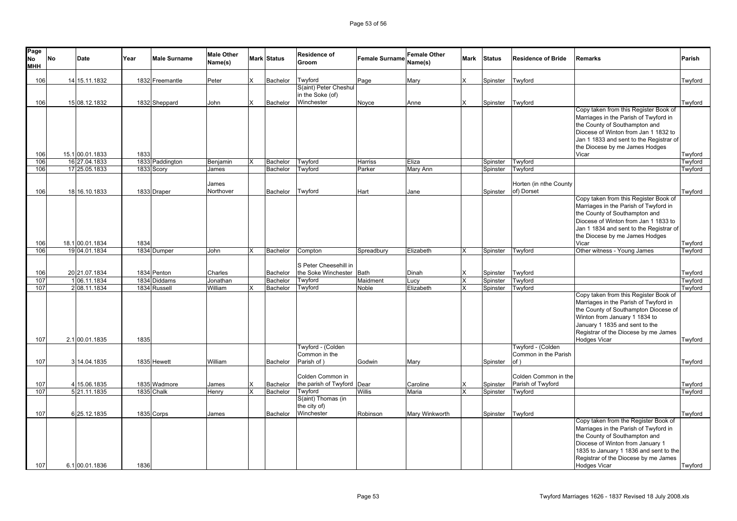| Page<br>No<br>Імнн | No | Date                        | Year | <b>Male Surname</b>          | <b>Male Other</b><br>Name(s) |   | <b>Mark Status</b>   | <b>Residence of</b><br>Groom                            | <b>Female Surname</b> | <b>Female Other</b><br>Name(s) | Mark | <b>Status</b>        | <b>Residence of Bride</b>                 | <b>Remarks</b>                                                                                                                                                                                                                                              | Parish             |
|--------------------|----|-----------------------------|------|------------------------------|------------------------------|---|----------------------|---------------------------------------------------------|-----------------------|--------------------------------|------|----------------------|-------------------------------------------|-------------------------------------------------------------------------------------------------------------------------------------------------------------------------------------------------------------------------------------------------------------|--------------------|
| 106                |    | 14 15.11.1832               |      | 1832 Freemantle              | Peter                        | x | Bachelor             | Twyford                                                 | Page                  | Mary                           |      | Spinster             | Twyford                                   |                                                                                                                                                                                                                                                             | Twyford            |
| 106                |    | 15 08.12.1832               |      | 1832 Sheppard                | John                         |   | Bachelor             | S(aint) Peter Cheshul<br>in the Soke (of)<br>Winchester |                       | Anne                           |      | Spinster             | Twyford                                   |                                                                                                                                                                                                                                                             | Twyford            |
|                    |    |                             |      |                              |                              |   |                      |                                                         | Noyce                 |                                |      |                      |                                           | Copy taken from this Register Book of                                                                                                                                                                                                                       |                    |
| 106                |    | 15.1 00.01.1833             | 1833 |                              |                              |   |                      |                                                         |                       |                                |      |                      |                                           | Marriages in the Parish of Twyford in<br>the County of Southampton and<br>Diocese of Winton from Jan 1 1832 to<br>Jan 1 1833 and sent to the Registrar of<br>the Diocese by me James Hodges<br>Vicar                                                        | Twyford            |
| 106                |    | 16 27.04.1833               |      | 1833 Paddington              | Benjamin                     |   | Bachelor             | Twyford                                                 | Harriss               | Eliza                          |      | Spinster             | Twyford                                   |                                                                                                                                                                                                                                                             | Twyford            |
| 106                |    | 17 25.05.1833               |      | 1833 Scory                   | James                        |   | Bachelor             | Twyford                                                 | Parker                | Mary Ann                       |      | Spinster             | Twyford                                   |                                                                                                                                                                                                                                                             | Twyford            |
| 106                |    | 18 16.10.1833               |      | 1833 Draper                  | James<br>Northover           |   | Bachelor             | Twyford                                                 | Hart                  | Jane                           |      | Spinster             | Horten (in nthe County<br>of) Dorset      |                                                                                                                                                                                                                                                             | Twyford            |
| 106                |    | 18.1 00.01.1834             | 1834 |                              |                              |   |                      |                                                         |                       |                                |      |                      |                                           | Copy taken from this Register Book of<br>Marriages in the Parish of Twyford in<br>the County of Southampton and<br>Diocese of Winton from Jan 1 1833 to<br>Jan 1 1834 and sent to the Registrar of<br>the Diocese by me James Hodges<br>Vicar               | Twyford            |
| 106                |    | 19 04.01.1834               |      | 1834 Dumper                  | John                         |   | Bachelor             | Compton                                                 | Spreadbury            | Elizabeth                      |      | Spinster             | Twyford                                   | Other witness - Young James                                                                                                                                                                                                                                 | Twyford            |
| 106                |    | 20 21.07.1834               |      | 1834 Penton                  | Charles                      |   | Bachelor             | S Peter Cheesehill in<br>the Soke Winchester Bath       |                       | Dinah                          |      | Spinster             | Twyford                                   |                                                                                                                                                                                                                                                             | Twyford            |
| 107<br>107         |    | 106.11.1834<br>2 08.11.1834 |      | 1834 Diddams<br>1834 Russell | Jonathan<br>William          | X | Bachelor<br>Bachelor | Twyford<br>Twyford                                      | Maidment<br>Noble     | Lucy<br>Elizabeth              |      | Spinster<br>Spinster | Twyford<br>Twyford                        |                                                                                                                                                                                                                                                             | Twyford<br>Twyford |
| 107                |    | 2.1 00.01.1835              | 1835 |                              |                              |   |                      |                                                         |                       |                                |      |                      |                                           | Copy taken from this Register Book of<br>Marriages in the Parish of Twyford in<br>the County of Southampton Diocese of<br>Winton from January 1 1834 to<br>January 1 1835 and sent to the<br>Registrar of the Diocese by me James<br><b>Hodges Vicar</b>    | Twyford            |
|                    |    |                             |      |                              |                              |   |                      | Twyford - (Colden                                       |                       |                                |      |                      | Twyford - (Colden                         |                                                                                                                                                                                                                                                             |                    |
| 107                |    | 3 14.04.1835                |      | 1835 Hewett                  | William                      |   | Bachelor             | Common in the<br>Parish of )                            | Godwin                | Mary                           |      | Spinster             | Common in the Parish<br>of)               |                                                                                                                                                                                                                                                             | Twyford            |
| 107                |    | 4 15.06.1835                |      | 1835 Wadmore                 | James                        | x | Bachelor             | Colden Common in<br>the parish of Twyford Dear          |                       | Caroline                       |      | Spinster             | Colden Common in the<br>Parish of Twyford |                                                                                                                                                                                                                                                             | Twyford            |
| 107                |    | 5 21.11.1835                |      | 1835 Chalk                   | Henry                        |   | Bachelor             | Twyford                                                 | <b>Willis</b>         | Maria                          |      | Spinster             | Twyford                                   |                                                                                                                                                                                                                                                             | Twyford            |
| 107                |    | 6 25.12.1835                |      | 1835 Corps                   | James                        |   | Bachelor             | S(aint) Thomas (in<br>the city of)<br>Winchester        | Robinson              | Mary Winkworth                 |      | Spinster             | Twyford                                   |                                                                                                                                                                                                                                                             | Twyford            |
| 107                |    | 6.1 00.01.1836              | 1836 |                              |                              |   |                      |                                                         |                       |                                |      |                      |                                           | Copy taken from the Register Book of<br>Marriages in the Parish of Twyford in<br>the County of Southampton and<br>Diocese of Winton from January 1<br>1835 to January 1 1836 and sent to the<br>Registrar of the Diocese by me James<br><b>Hodges Vicar</b> | Twyford            |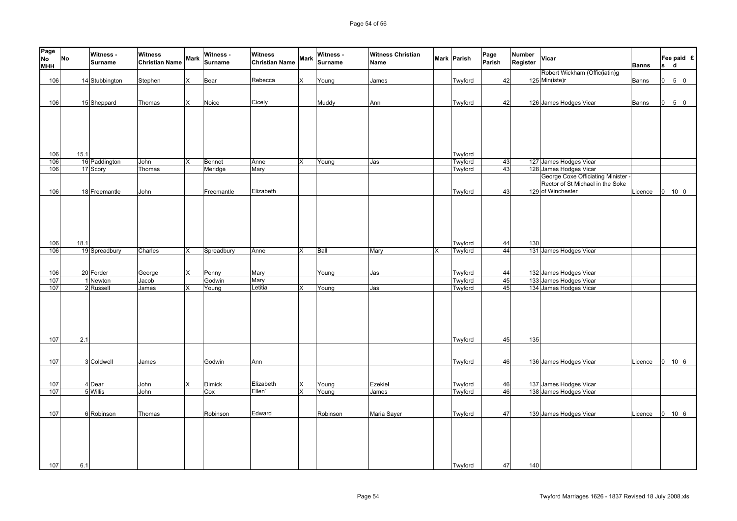| Robert Wickham (Offic(iatin)g<br>125 Min(iste)r<br>106<br>14 Stubbington<br>X<br>Rebecca<br>X<br>Young<br>Twyford<br>42<br>$5\quad 0$<br>Stephen<br>Bear<br>James<br>Banns<br>X<br>Twyford<br>42<br>126 James Hodges Vicar<br>$5\quad 0$<br>106<br>15 Sheppard<br>Thomas<br>Noice<br>Cicely<br>Muddy<br>Ann<br>Banns<br>ın<br>15.1<br>106<br>Twyford<br>106<br>16 Paddington<br>John<br>Anne<br>43<br>127 James Hodges Vicar<br>Jas<br>Twyford<br>Bennet<br>Young<br>x<br>43<br>106<br>17 Scory<br>Thomas<br>Meridge<br>Mary<br>Twyford<br>128 James Hodges Vicar<br>George Coxe Officiating Minister<br>Rector of St Michael in the Soke<br>129 of Winchester<br>John<br>Elizabeth<br>10 <sub>0</sub><br>106<br>18 Freemantle<br>Freemantle<br>Twyford<br>43<br>Licence<br>10<br>Twyford<br>106<br>18.1<br>44<br>130<br>106<br>44<br>131 James Hodges Vicar<br>19 Spreadbury<br>Charles<br>Spreadbury<br>Anne<br>Ball<br>Twyford<br>Mary<br>X<br>x<br>x<br>20 Forder<br>Twyford<br>132 James Hodges Vicar<br>106<br>George<br>x<br>Penny<br>Mary<br>Young<br>Jas<br>44<br>107<br>1 Newton<br>Mary<br>45<br>133 James Hodges Vicar<br>Jacob<br>Godwin<br>Twyford<br>Letitia<br>45<br>2 Russell<br>134 James Hodges Vicar<br>107<br>James<br>Young<br>Twyford<br>X<br>Young<br>Jas<br>X<br>Twyford<br>107<br>2.1<br>45<br>135<br>107<br>3 Coldwell<br>James<br>Godwin<br>Twyford<br>46<br>136 James Hodges Vicar<br>Licence<br>10 <sub>6</sub><br>Ann<br>10<br>John<br>X.<br>Elizabeth<br>Ezekiel<br>Twyford<br>137 James Hodges Vicar<br>107<br>4 Dear<br>Dimick<br>Young<br>46<br>X<br>46<br>138 James Hodges Vicar<br>107<br>5 Willis<br>Ellen <sup>'</sup><br>John<br>Cox<br>Young<br>James<br>Twyford<br>X<br>47<br>10 6<br>107<br>6 Robinson<br>Thomas<br>Robinson<br>Edward<br>Robinson<br>Maria Sayer<br>Twyford<br>139 James Hodges Vicar<br>Licence<br><b>O</b><br>107<br>6.1<br>Twyford<br>47<br>140 | Page<br>No<br><b>MHH</b> | No | Witness -<br><b>Surname</b> | <b>Witness</b><br><b>Christian Name</b> | Mark | Witness -<br><b>Surname</b> | <b>Witness</b><br><b>Christian Name</b> | <b>Mark</b> | Witness -<br><b>Surname</b> | <b>Witness Christian</b><br><b>Name</b> | <b>Mark Parish</b> | Page<br>Parish | <b>Number</b><br>Register | Vicar | <b>Banns</b> | Fee paid £<br>d<br>ls. |
|----------------------------------------------------------------------------------------------------------------------------------------------------------------------------------------------------------------------------------------------------------------------------------------------------------------------------------------------------------------------------------------------------------------------------------------------------------------------------------------------------------------------------------------------------------------------------------------------------------------------------------------------------------------------------------------------------------------------------------------------------------------------------------------------------------------------------------------------------------------------------------------------------------------------------------------------------------------------------------------------------------------------------------------------------------------------------------------------------------------------------------------------------------------------------------------------------------------------------------------------------------------------------------------------------------------------------------------------------------------------------------------------------------------------------------------------------------------------------------------------------------------------------------------------------------------------------------------------------------------------------------------------------------------------------------------------------------------------------------------------------------------------------------------------------------------------------------------------------------------------------------------------------------------|--------------------------|----|-----------------------------|-----------------------------------------|------|-----------------------------|-----------------------------------------|-------------|-----------------------------|-----------------------------------------|--------------------|----------------|---------------------------|-------|--------------|------------------------|
|                                                                                                                                                                                                                                                                                                                                                                                                                                                                                                                                                                                                                                                                                                                                                                                                                                                                                                                                                                                                                                                                                                                                                                                                                                                                                                                                                                                                                                                                                                                                                                                                                                                                                                                                                                                                                                                                                                                |                          |    |                             |                                         |      |                             |                                         |             |                             |                                         |                    |                |                           |       |              |                        |
|                                                                                                                                                                                                                                                                                                                                                                                                                                                                                                                                                                                                                                                                                                                                                                                                                                                                                                                                                                                                                                                                                                                                                                                                                                                                                                                                                                                                                                                                                                                                                                                                                                                                                                                                                                                                                                                                                                                |                          |    |                             |                                         |      |                             |                                         |             |                             |                                         |                    |                |                           |       |              |                        |
|                                                                                                                                                                                                                                                                                                                                                                                                                                                                                                                                                                                                                                                                                                                                                                                                                                                                                                                                                                                                                                                                                                                                                                                                                                                                                                                                                                                                                                                                                                                                                                                                                                                                                                                                                                                                                                                                                                                |                          |    |                             |                                         |      |                             |                                         |             |                             |                                         |                    |                |                           |       |              |                        |
|                                                                                                                                                                                                                                                                                                                                                                                                                                                                                                                                                                                                                                                                                                                                                                                                                                                                                                                                                                                                                                                                                                                                                                                                                                                                                                                                                                                                                                                                                                                                                                                                                                                                                                                                                                                                                                                                                                                |                          |    |                             |                                         |      |                             |                                         |             |                             |                                         |                    |                |                           |       |              |                        |
|                                                                                                                                                                                                                                                                                                                                                                                                                                                                                                                                                                                                                                                                                                                                                                                                                                                                                                                                                                                                                                                                                                                                                                                                                                                                                                                                                                                                                                                                                                                                                                                                                                                                                                                                                                                                                                                                                                                |                          |    |                             |                                         |      |                             |                                         |             |                             |                                         |                    |                |                           |       |              |                        |
|                                                                                                                                                                                                                                                                                                                                                                                                                                                                                                                                                                                                                                                                                                                                                                                                                                                                                                                                                                                                                                                                                                                                                                                                                                                                                                                                                                                                                                                                                                                                                                                                                                                                                                                                                                                                                                                                                                                |                          |    |                             |                                         |      |                             |                                         |             |                             |                                         |                    |                |                           |       |              |                        |
|                                                                                                                                                                                                                                                                                                                                                                                                                                                                                                                                                                                                                                                                                                                                                                                                                                                                                                                                                                                                                                                                                                                                                                                                                                                                                                                                                                                                                                                                                                                                                                                                                                                                                                                                                                                                                                                                                                                |                          |    |                             |                                         |      |                             |                                         |             |                             |                                         |                    |                |                           |       |              |                        |
|                                                                                                                                                                                                                                                                                                                                                                                                                                                                                                                                                                                                                                                                                                                                                                                                                                                                                                                                                                                                                                                                                                                                                                                                                                                                                                                                                                                                                                                                                                                                                                                                                                                                                                                                                                                                                                                                                                                |                          |    |                             |                                         |      |                             |                                         |             |                             |                                         |                    |                |                           |       |              |                        |
|                                                                                                                                                                                                                                                                                                                                                                                                                                                                                                                                                                                                                                                                                                                                                                                                                                                                                                                                                                                                                                                                                                                                                                                                                                                                                                                                                                                                                                                                                                                                                                                                                                                                                                                                                                                                                                                                                                                |                          |    |                             |                                         |      |                             |                                         |             |                             |                                         |                    |                |                           |       |              |                        |
|                                                                                                                                                                                                                                                                                                                                                                                                                                                                                                                                                                                                                                                                                                                                                                                                                                                                                                                                                                                                                                                                                                                                                                                                                                                                                                                                                                                                                                                                                                                                                                                                                                                                                                                                                                                                                                                                                                                |                          |    |                             |                                         |      |                             |                                         |             |                             |                                         |                    |                |                           |       |              |                        |
|                                                                                                                                                                                                                                                                                                                                                                                                                                                                                                                                                                                                                                                                                                                                                                                                                                                                                                                                                                                                                                                                                                                                                                                                                                                                                                                                                                                                                                                                                                                                                                                                                                                                                                                                                                                                                                                                                                                |                          |    |                             |                                         |      |                             |                                         |             |                             |                                         |                    |                |                           |       |              |                        |
|                                                                                                                                                                                                                                                                                                                                                                                                                                                                                                                                                                                                                                                                                                                                                                                                                                                                                                                                                                                                                                                                                                                                                                                                                                                                                                                                                                                                                                                                                                                                                                                                                                                                                                                                                                                                                                                                                                                |                          |    |                             |                                         |      |                             |                                         |             |                             |                                         |                    |                |                           |       |              |                        |
|                                                                                                                                                                                                                                                                                                                                                                                                                                                                                                                                                                                                                                                                                                                                                                                                                                                                                                                                                                                                                                                                                                                                                                                                                                                                                                                                                                                                                                                                                                                                                                                                                                                                                                                                                                                                                                                                                                                |                          |    |                             |                                         |      |                             |                                         |             |                             |                                         |                    |                |                           |       |              |                        |
|                                                                                                                                                                                                                                                                                                                                                                                                                                                                                                                                                                                                                                                                                                                                                                                                                                                                                                                                                                                                                                                                                                                                                                                                                                                                                                                                                                                                                                                                                                                                                                                                                                                                                                                                                                                                                                                                                                                |                          |    |                             |                                         |      |                             |                                         |             |                             |                                         |                    |                |                           |       |              |                        |
|                                                                                                                                                                                                                                                                                                                                                                                                                                                                                                                                                                                                                                                                                                                                                                                                                                                                                                                                                                                                                                                                                                                                                                                                                                                                                                                                                                                                                                                                                                                                                                                                                                                                                                                                                                                                                                                                                                                |                          |    |                             |                                         |      |                             |                                         |             |                             |                                         |                    |                |                           |       |              |                        |
|                                                                                                                                                                                                                                                                                                                                                                                                                                                                                                                                                                                                                                                                                                                                                                                                                                                                                                                                                                                                                                                                                                                                                                                                                                                                                                                                                                                                                                                                                                                                                                                                                                                                                                                                                                                                                                                                                                                |                          |    |                             |                                         |      |                             |                                         |             |                             |                                         |                    |                |                           |       |              |                        |
|                                                                                                                                                                                                                                                                                                                                                                                                                                                                                                                                                                                                                                                                                                                                                                                                                                                                                                                                                                                                                                                                                                                                                                                                                                                                                                                                                                                                                                                                                                                                                                                                                                                                                                                                                                                                                                                                                                                |                          |    |                             |                                         |      |                             |                                         |             |                             |                                         |                    |                |                           |       |              |                        |
|                                                                                                                                                                                                                                                                                                                                                                                                                                                                                                                                                                                                                                                                                                                                                                                                                                                                                                                                                                                                                                                                                                                                                                                                                                                                                                                                                                                                                                                                                                                                                                                                                                                                                                                                                                                                                                                                                                                |                          |    |                             |                                         |      |                             |                                         |             |                             |                                         |                    |                |                           |       |              |                        |
|                                                                                                                                                                                                                                                                                                                                                                                                                                                                                                                                                                                                                                                                                                                                                                                                                                                                                                                                                                                                                                                                                                                                                                                                                                                                                                                                                                                                                                                                                                                                                                                                                                                                                                                                                                                                                                                                                                                |                          |    |                             |                                         |      |                             |                                         |             |                             |                                         |                    |                |                           |       |              |                        |
|                                                                                                                                                                                                                                                                                                                                                                                                                                                                                                                                                                                                                                                                                                                                                                                                                                                                                                                                                                                                                                                                                                                                                                                                                                                                                                                                                                                                                                                                                                                                                                                                                                                                                                                                                                                                                                                                                                                |                          |    |                             |                                         |      |                             |                                         |             |                             |                                         |                    |                |                           |       |              |                        |
|                                                                                                                                                                                                                                                                                                                                                                                                                                                                                                                                                                                                                                                                                                                                                                                                                                                                                                                                                                                                                                                                                                                                                                                                                                                                                                                                                                                                                                                                                                                                                                                                                                                                                                                                                                                                                                                                                                                |                          |    |                             |                                         |      |                             |                                         |             |                             |                                         |                    |                |                           |       |              |                        |
|                                                                                                                                                                                                                                                                                                                                                                                                                                                                                                                                                                                                                                                                                                                                                                                                                                                                                                                                                                                                                                                                                                                                                                                                                                                                                                                                                                                                                                                                                                                                                                                                                                                                                                                                                                                                                                                                                                                |                          |    |                             |                                         |      |                             |                                         |             |                             |                                         |                    |                |                           |       |              |                        |
|                                                                                                                                                                                                                                                                                                                                                                                                                                                                                                                                                                                                                                                                                                                                                                                                                                                                                                                                                                                                                                                                                                                                                                                                                                                                                                                                                                                                                                                                                                                                                                                                                                                                                                                                                                                                                                                                                                                |                          |    |                             |                                         |      |                             |                                         |             |                             |                                         |                    |                |                           |       |              |                        |
|                                                                                                                                                                                                                                                                                                                                                                                                                                                                                                                                                                                                                                                                                                                                                                                                                                                                                                                                                                                                                                                                                                                                                                                                                                                                                                                                                                                                                                                                                                                                                                                                                                                                                                                                                                                                                                                                                                                |                          |    |                             |                                         |      |                             |                                         |             |                             |                                         |                    |                |                           |       |              |                        |
|                                                                                                                                                                                                                                                                                                                                                                                                                                                                                                                                                                                                                                                                                                                                                                                                                                                                                                                                                                                                                                                                                                                                                                                                                                                                                                                                                                                                                                                                                                                                                                                                                                                                                                                                                                                                                                                                                                                |                          |    |                             |                                         |      |                             |                                         |             |                             |                                         |                    |                |                           |       |              |                        |
|                                                                                                                                                                                                                                                                                                                                                                                                                                                                                                                                                                                                                                                                                                                                                                                                                                                                                                                                                                                                                                                                                                                                                                                                                                                                                                                                                                                                                                                                                                                                                                                                                                                                                                                                                                                                                                                                                                                |                          |    |                             |                                         |      |                             |                                         |             |                             |                                         |                    |                |                           |       |              |                        |
|                                                                                                                                                                                                                                                                                                                                                                                                                                                                                                                                                                                                                                                                                                                                                                                                                                                                                                                                                                                                                                                                                                                                                                                                                                                                                                                                                                                                                                                                                                                                                                                                                                                                                                                                                                                                                                                                                                                |                          |    |                             |                                         |      |                             |                                         |             |                             |                                         |                    |                |                           |       |              |                        |
|                                                                                                                                                                                                                                                                                                                                                                                                                                                                                                                                                                                                                                                                                                                                                                                                                                                                                                                                                                                                                                                                                                                                                                                                                                                                                                                                                                                                                                                                                                                                                                                                                                                                                                                                                                                                                                                                                                                |                          |    |                             |                                         |      |                             |                                         |             |                             |                                         |                    |                |                           |       |              |                        |
|                                                                                                                                                                                                                                                                                                                                                                                                                                                                                                                                                                                                                                                                                                                                                                                                                                                                                                                                                                                                                                                                                                                                                                                                                                                                                                                                                                                                                                                                                                                                                                                                                                                                                                                                                                                                                                                                                                                |                          |    |                             |                                         |      |                             |                                         |             |                             |                                         |                    |                |                           |       |              |                        |
|                                                                                                                                                                                                                                                                                                                                                                                                                                                                                                                                                                                                                                                                                                                                                                                                                                                                                                                                                                                                                                                                                                                                                                                                                                                                                                                                                                                                                                                                                                                                                                                                                                                                                                                                                                                                                                                                                                                |                          |    |                             |                                         |      |                             |                                         |             |                             |                                         |                    |                |                           |       |              |                        |
|                                                                                                                                                                                                                                                                                                                                                                                                                                                                                                                                                                                                                                                                                                                                                                                                                                                                                                                                                                                                                                                                                                                                                                                                                                                                                                                                                                                                                                                                                                                                                                                                                                                                                                                                                                                                                                                                                                                |                          |    |                             |                                         |      |                             |                                         |             |                             |                                         |                    |                |                           |       |              |                        |
|                                                                                                                                                                                                                                                                                                                                                                                                                                                                                                                                                                                                                                                                                                                                                                                                                                                                                                                                                                                                                                                                                                                                                                                                                                                                                                                                                                                                                                                                                                                                                                                                                                                                                                                                                                                                                                                                                                                |                          |    |                             |                                         |      |                             |                                         |             |                             |                                         |                    |                |                           |       |              |                        |
|                                                                                                                                                                                                                                                                                                                                                                                                                                                                                                                                                                                                                                                                                                                                                                                                                                                                                                                                                                                                                                                                                                                                                                                                                                                                                                                                                                                                                                                                                                                                                                                                                                                                                                                                                                                                                                                                                                                |                          |    |                             |                                         |      |                             |                                         |             |                             |                                         |                    |                |                           |       |              |                        |
|                                                                                                                                                                                                                                                                                                                                                                                                                                                                                                                                                                                                                                                                                                                                                                                                                                                                                                                                                                                                                                                                                                                                                                                                                                                                                                                                                                                                                                                                                                                                                                                                                                                                                                                                                                                                                                                                                                                |                          |    |                             |                                         |      |                             |                                         |             |                             |                                         |                    |                |                           |       |              |                        |
|                                                                                                                                                                                                                                                                                                                                                                                                                                                                                                                                                                                                                                                                                                                                                                                                                                                                                                                                                                                                                                                                                                                                                                                                                                                                                                                                                                                                                                                                                                                                                                                                                                                                                                                                                                                                                                                                                                                |                          |    |                             |                                         |      |                             |                                         |             |                             |                                         |                    |                |                           |       |              |                        |
|                                                                                                                                                                                                                                                                                                                                                                                                                                                                                                                                                                                                                                                                                                                                                                                                                                                                                                                                                                                                                                                                                                                                                                                                                                                                                                                                                                                                                                                                                                                                                                                                                                                                                                                                                                                                                                                                                                                |                          |    |                             |                                         |      |                             |                                         |             |                             |                                         |                    |                |                           |       |              |                        |
|                                                                                                                                                                                                                                                                                                                                                                                                                                                                                                                                                                                                                                                                                                                                                                                                                                                                                                                                                                                                                                                                                                                                                                                                                                                                                                                                                                                                                                                                                                                                                                                                                                                                                                                                                                                                                                                                                                                |                          |    |                             |                                         |      |                             |                                         |             |                             |                                         |                    |                |                           |       |              |                        |
|                                                                                                                                                                                                                                                                                                                                                                                                                                                                                                                                                                                                                                                                                                                                                                                                                                                                                                                                                                                                                                                                                                                                                                                                                                                                                                                                                                                                                                                                                                                                                                                                                                                                                                                                                                                                                                                                                                                |                          |    |                             |                                         |      |                             |                                         |             |                             |                                         |                    |                |                           |       |              |                        |
|                                                                                                                                                                                                                                                                                                                                                                                                                                                                                                                                                                                                                                                                                                                                                                                                                                                                                                                                                                                                                                                                                                                                                                                                                                                                                                                                                                                                                                                                                                                                                                                                                                                                                                                                                                                                                                                                                                                |                          |    |                             |                                         |      |                             |                                         |             |                             |                                         |                    |                |                           |       |              |                        |
|                                                                                                                                                                                                                                                                                                                                                                                                                                                                                                                                                                                                                                                                                                                                                                                                                                                                                                                                                                                                                                                                                                                                                                                                                                                                                                                                                                                                                                                                                                                                                                                                                                                                                                                                                                                                                                                                                                                |                          |    |                             |                                         |      |                             |                                         |             |                             |                                         |                    |                |                           |       |              |                        |
|                                                                                                                                                                                                                                                                                                                                                                                                                                                                                                                                                                                                                                                                                                                                                                                                                                                                                                                                                                                                                                                                                                                                                                                                                                                                                                                                                                                                                                                                                                                                                                                                                                                                                                                                                                                                                                                                                                                |                          |    |                             |                                         |      |                             |                                         |             |                             |                                         |                    |                |                           |       |              |                        |
|                                                                                                                                                                                                                                                                                                                                                                                                                                                                                                                                                                                                                                                                                                                                                                                                                                                                                                                                                                                                                                                                                                                                                                                                                                                                                                                                                                                                                                                                                                                                                                                                                                                                                                                                                                                                                                                                                                                |                          |    |                             |                                         |      |                             |                                         |             |                             |                                         |                    |                |                           |       |              |                        |
|                                                                                                                                                                                                                                                                                                                                                                                                                                                                                                                                                                                                                                                                                                                                                                                                                                                                                                                                                                                                                                                                                                                                                                                                                                                                                                                                                                                                                                                                                                                                                                                                                                                                                                                                                                                                                                                                                                                |                          |    |                             |                                         |      |                             |                                         |             |                             |                                         |                    |                |                           |       |              |                        |
|                                                                                                                                                                                                                                                                                                                                                                                                                                                                                                                                                                                                                                                                                                                                                                                                                                                                                                                                                                                                                                                                                                                                                                                                                                                                                                                                                                                                                                                                                                                                                                                                                                                                                                                                                                                                                                                                                                                |                          |    |                             |                                         |      |                             |                                         |             |                             |                                         |                    |                |                           |       |              |                        |
|                                                                                                                                                                                                                                                                                                                                                                                                                                                                                                                                                                                                                                                                                                                                                                                                                                                                                                                                                                                                                                                                                                                                                                                                                                                                                                                                                                                                                                                                                                                                                                                                                                                                                                                                                                                                                                                                                                                |                          |    |                             |                                         |      |                             |                                         |             |                             |                                         |                    |                |                           |       |              |                        |
|                                                                                                                                                                                                                                                                                                                                                                                                                                                                                                                                                                                                                                                                                                                                                                                                                                                                                                                                                                                                                                                                                                                                                                                                                                                                                                                                                                                                                                                                                                                                                                                                                                                                                                                                                                                                                                                                                                                |                          |    |                             |                                         |      |                             |                                         |             |                             |                                         |                    |                |                           |       |              |                        |
|                                                                                                                                                                                                                                                                                                                                                                                                                                                                                                                                                                                                                                                                                                                                                                                                                                                                                                                                                                                                                                                                                                                                                                                                                                                                                                                                                                                                                                                                                                                                                                                                                                                                                                                                                                                                                                                                                                                |                          |    |                             |                                         |      |                             |                                         |             |                             |                                         |                    |                |                           |       |              |                        |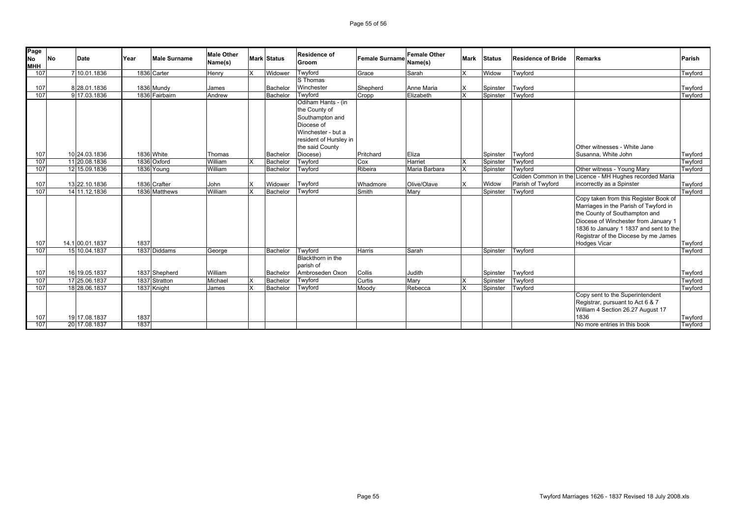| Page<br>No | No | <b>Date</b>     | Year | <b>Male Surname</b> | <b>Male Other</b><br>Name(s) |    | <b>Mark Status</b> | <b>Residence of</b><br>Groom | <b>Female Surname</b> | <b>Female Other</b><br>Name(s) | <b>IMark</b> | <b>Status</b> | Residence of Bride | <b>Remarks</b>                                          | Parish  |
|------------|----|-----------------|------|---------------------|------------------------------|----|--------------------|------------------------------|-----------------------|--------------------------------|--------------|---------------|--------------------|---------------------------------------------------------|---------|
| Імнн       |    | 710.01.1836     |      | 1836 Carter         |                              | ΙX | Widower            |                              |                       |                                |              | Widow         |                    |                                                         |         |
| 107        |    |                 |      |                     | Henry                        |    |                    | Twyford<br>S Thomas          | Grace                 | Sarah                          |              |               | Twyford            |                                                         | Twyford |
| 107        |    | 8 28.01.1836    |      | 1836 Mundy          | James                        |    | Bachelor           | Winchester                   | Shepherd              | Anne Maria                     |              | Spinster      | Twyford            |                                                         | Twyford |
| 107        |    | 9 17.03.1836    |      | 1836 Fairbairn      | Andrew                       |    | Bachelor           | Twyford                      | Cropp                 | Elizabeth                      | <b>X</b>     | Spinster      | Twyford            |                                                         | Twyford |
|            |    |                 |      |                     |                              |    |                    | Odiham Hants - (in           |                       |                                |              |               |                    |                                                         |         |
|            |    |                 |      |                     |                              |    |                    | the County of                |                       |                                |              |               |                    |                                                         |         |
|            |    |                 |      |                     |                              |    |                    | Southampton and              |                       |                                |              |               |                    |                                                         |         |
|            |    |                 |      |                     |                              |    |                    | Diocese of                   |                       |                                |              |               |                    |                                                         |         |
|            |    |                 |      |                     |                              |    |                    | Winchester - but a           |                       |                                |              |               |                    |                                                         |         |
|            |    |                 |      |                     |                              |    |                    | resident of Hursley in       |                       |                                |              |               |                    |                                                         |         |
|            |    |                 |      |                     |                              |    |                    | the said County              |                       |                                |              |               |                    | Other witnesses - White Jane                            |         |
| 107        |    | 10 24.03.1836   |      | 1836 White          | Thomas                       |    | Bachelor           | Diocese)                     | Pritchard             | Eliza                          |              | Spinster      | Twyford            | Susanna. White John                                     | Twyford |
| 107        |    | 11 20.08.1836   |      | 1836 Oxford         | William                      |    | <b>Bachelor</b>    | Twyford                      | Cox                   | Harriet                        |              | Spinster      | Twyford            |                                                         | Twyford |
| 107        |    | 12 15.09.1836   |      | 1836 Young          | William                      |    | Bachelor           | Twyford                      | Ribeira               | Maria Barbara                  | ΙX           | Spinster      | Twyford            | Other witness - Young Mary                              | Twyford |
|            |    |                 |      |                     |                              |    |                    |                              |                       |                                |              |               |                    | Colden Common in the Licence - MH Hughes recorded Maria |         |
| 107        |    | 13 22.10.1836   |      | 1836 Crafter        | John                         |    | Widower            | Twyford                      | Whadmore              | Olive/Olave                    |              | Widow         | Parish of Twyford  | incorrectly as a Spinster                               | Twyford |
| 107        |    | 14 11.12.1836   |      | 1836 Matthews       | William                      | X  | Bachelor           | Twyford                      | Smith                 | Mary                           |              | Spinster      | Twyford            |                                                         | Twyford |
|            |    |                 |      |                     |                              |    |                    |                              |                       |                                |              |               |                    | Copy taken from this Register Book of                   |         |
|            |    |                 |      |                     |                              |    |                    |                              |                       |                                |              |               |                    | Marriages in the Parish of Twyford in                   |         |
|            |    |                 |      |                     |                              |    |                    |                              |                       |                                |              |               |                    | the County of Southampton and                           |         |
|            |    |                 |      |                     |                              |    |                    |                              |                       |                                |              |               |                    | Diocese of Winchester from January 1                    |         |
|            |    |                 |      |                     |                              |    |                    |                              |                       |                                |              |               |                    | 1836 to January 1 1837 and sent to the                  |         |
|            |    |                 |      |                     |                              |    |                    |                              |                       |                                |              |               |                    | Registrar of the Diocese by me James                    |         |
| 107        |    | 14.1 00.01.1837 | 1837 |                     |                              |    |                    |                              |                       |                                |              |               |                    | <b>Hodges Vicar</b>                                     | Twyford |
| 107        |    | 15 10.04.1837   |      | 1837 Diddams        | George                       |    | Bachelor           | Twyford                      | Harris                | Sarah                          |              | Spinster      | Twyford            |                                                         | Twyford |
|            |    |                 |      |                     |                              |    |                    | Blackthorn in the            |                       |                                |              |               |                    |                                                         |         |
|            |    |                 |      |                     |                              |    |                    | parish of                    |                       |                                |              |               |                    |                                                         |         |
| 107        |    | 16 19.05.1837   |      | 1837 Shepherd       | William                      |    | <b>Bachelor</b>    | Ambroseden Oxon              | Collis                | Judith                         |              | Spinster      | Twyford            |                                                         | Twyford |
| 107        |    | 17 25.06.1837   |      | 1837 Stratton       | Michael                      |    | Bachelor           | Twyford                      | Curtis                | Mary                           |              | Spinster      | Twyford            |                                                         | Twyford |
| 107        |    | 18 28.06.1837   |      | 1837 Knight         | James                        |    | Bachelor           | Twyford                      | Moody                 | Rebecca                        |              | Spinster      | Twyford            |                                                         | Twyford |
|            |    |                 |      |                     |                              |    |                    |                              |                       |                                |              |               |                    | Copy sent to the Superintendent                         |         |
|            |    |                 |      |                     |                              |    |                    |                              |                       |                                |              |               |                    | Registrar, pursuant to Act 6 & 7                        |         |
|            |    |                 |      |                     |                              |    |                    |                              |                       |                                |              |               |                    | William 4 Section 26.27 August 17                       |         |
| 107        |    | 19 17.08.1837   | 1837 |                     |                              |    |                    |                              |                       |                                |              |               |                    | 1836                                                    | Twyford |
| 107        |    | 20 17.08.1837   | 1837 |                     |                              |    |                    |                              |                       |                                |              |               |                    | No more entries in this book                            | Twyford |